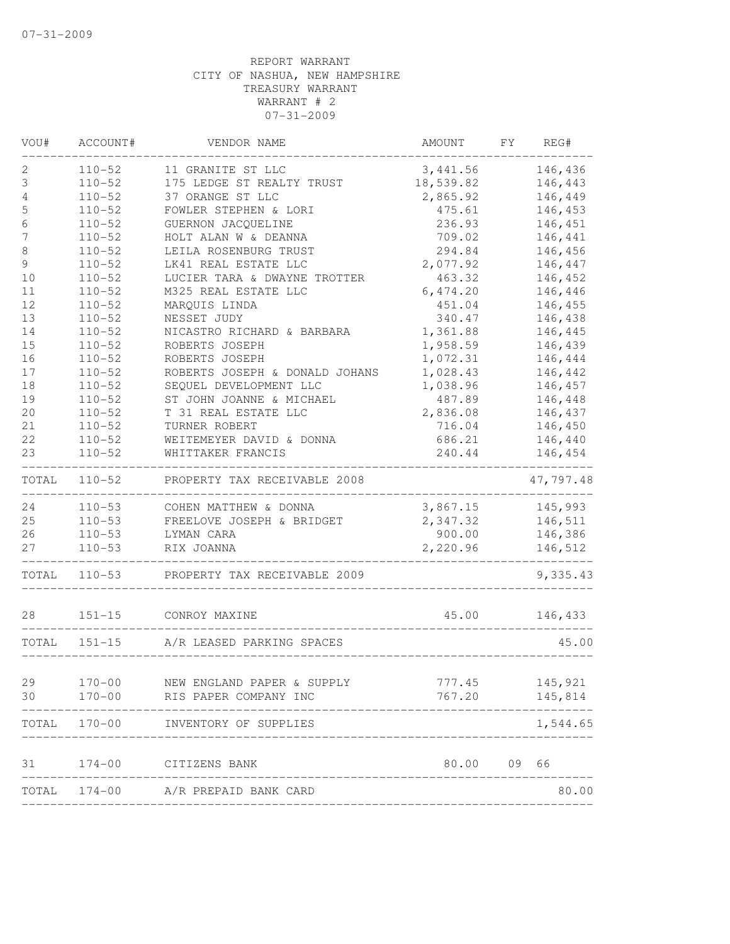| VOU#        | ACCOUNT#   | VENDOR NAME                    | AMOUNT    | FY | REG#      |
|-------------|------------|--------------------------------|-----------|----|-----------|
| 2           | $110 - 52$ | 11 GRANITE ST LLC              | 3,441.56  |    | 146,436   |
| 3           | $110 - 52$ | 175 LEDGE ST REALTY TRUST      | 18,539.82 |    | 146,443   |
| 4           | $110 - 52$ | 37 ORANGE ST LLC               | 2,865.92  |    | 146,449   |
| 5           | $110 - 52$ | FOWLER STEPHEN & LORI          | 475.61    |    | 146,453   |
| 6           | $110 - 52$ | GUERNON JACQUELINE             | 236.93    |    | 146,451   |
| 7           | $110 - 52$ | HOLT ALAN W & DEANNA           | 709.02    |    | 146,441   |
| $\,8\,$     | $110 - 52$ | LEILA ROSENBURG TRUST          | 294.84    |    | 146,456   |
| $\mathsf 9$ | $110 - 52$ | LK41 REAL ESTATE LLC           | 2,077.92  |    | 146,447   |
| 10          | $110 - 52$ | LUCIER TARA & DWAYNE TROTTER   | 463.32    |    | 146,452   |
| 11          | $110 - 52$ | M325 REAL ESTATE LLC           | 6,474.20  |    | 146,446   |
| 12          | $110 - 52$ | MARQUIS LINDA                  | 451.04    |    | 146,455   |
| 13          | $110 - 52$ | NESSET JUDY                    | 340.47    |    | 146,438   |
| 14          | $110 - 52$ | NICASTRO RICHARD & BARBARA     | 1,361.88  |    | 146,445   |
| 15          | $110 - 52$ | ROBERTS JOSEPH                 | 1,958.59  |    | 146,439   |
| 16          | $110 - 52$ | ROBERTS JOSEPH                 | 1,072.31  |    | 146,444   |
| 17          | $110 - 52$ | ROBERTS JOSEPH & DONALD JOHANS | 1,028.43  |    | 146,442   |
| 18          | $110 - 52$ | SEQUEL DEVELOPMENT LLC         | 1,038.96  |    | 146,457   |
| 19          | $110 - 52$ | ST JOHN JOANNE & MICHAEL       | 487.89    |    | 146,448   |
| 20          | $110 - 52$ | T 31 REAL ESTATE LLC           | 2,836.08  |    | 146,437   |
| 21          | $110 - 52$ | TURNER ROBERT                  | 716.04    |    | 146,450   |
| 22          | $110 - 52$ | WEITEMEYER DAVID & DONNA       | 686.21    |    | 146,440   |
| 23          | $110 - 52$ | WHITTAKER FRANCIS              | 240.44    |    | 146,454   |
| TOTAL       | $110 - 52$ | PROPERTY TAX RECEIVABLE 2008   |           |    | 47,797.48 |
| 24          | $110 - 53$ | COHEN MATTHEW & DONNA          | 3,867.15  |    | 145,993   |
| 25          | $110 - 53$ | FREELOVE JOSEPH & BRIDGET      | 2,347.32  |    | 146,511   |
| 26          | $110 - 53$ | LYMAN CARA                     | 900.00    |    | 146,386   |
| 27          | $110 - 53$ | RIX JOANNA                     | 2,220.96  |    | 146,512   |
| TOTAL       | $110 - 53$ | PROPERTY TAX RECEIVABLE 2009   |           |    | 9,335.43  |
| 28          | $151 - 15$ | CONROY MAXINE                  | 45.00     |    | 146,433   |
| TOTAL       | $151 - 15$ | A/R LEASED PARKING SPACES      |           |    | 45.00     |
|             |            |                                |           |    |           |
| 29          | $170 - 00$ | NEW ENGLAND PAPER & SUPPLY     | 777.45    |    | 145,921   |
| 30          | $170 - 00$ | RIS PAPER COMPANY INC          | 767.20    |    | 145,814   |
| TOTAL       | $170 - 00$ | INVENTORY OF SUPPLIES          |           |    | 1,544.65  |
| 31          | $174 - 00$ | CITIZENS BANK                  | 80.00     | 09 | 66        |
| TOTAL       |            | 174-00 A/R PREPAID BANK CARD   |           |    | 80.00     |
|             |            |                                |           |    |           |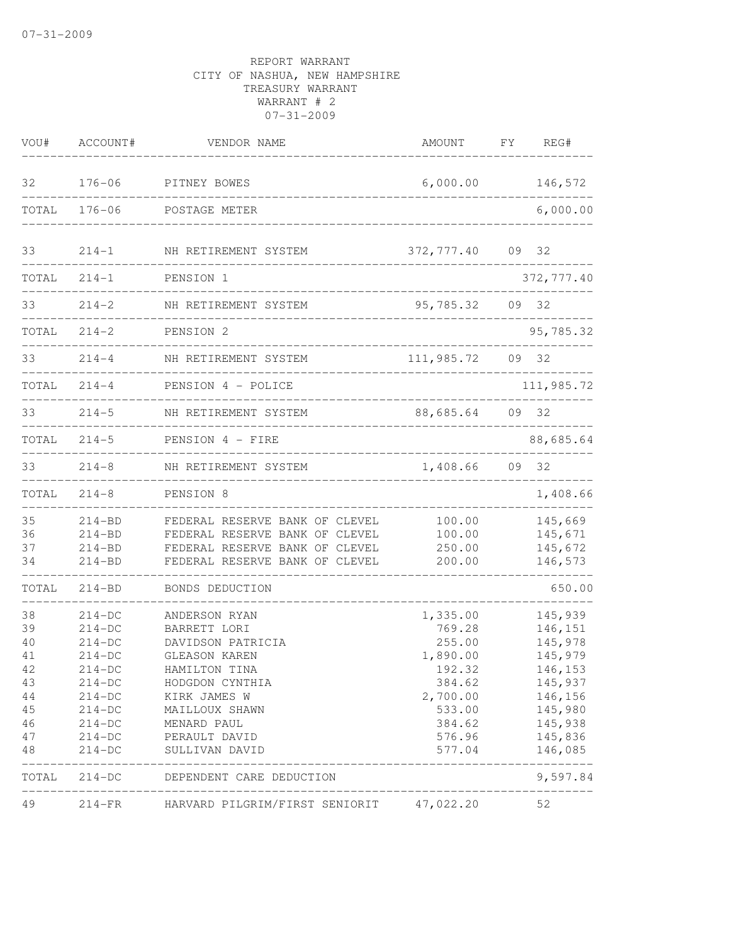| VOU#                                                           | ACCOUNT#                                                                                                                       | VENDOR NAME                                                                                                                                                                                 | AMOUNT                                                                                                           | FΥ | REG#                                                                                                                  |
|----------------------------------------------------------------|--------------------------------------------------------------------------------------------------------------------------------|---------------------------------------------------------------------------------------------------------------------------------------------------------------------------------------------|------------------------------------------------------------------------------------------------------------------|----|-----------------------------------------------------------------------------------------------------------------------|
| 32                                                             | $176 - 06$                                                                                                                     | PITNEY BOWES                                                                                                                                                                                | 6,000.00                                                                                                         |    | 146,572                                                                                                               |
| TOTAL                                                          | $176 - 06$                                                                                                                     | POSTAGE METER                                                                                                                                                                               |                                                                                                                  |    | 6,000.00                                                                                                              |
| 33                                                             | $214 - 1$                                                                                                                      | NH RETIREMENT SYSTEM                                                                                                                                                                        | 372,777.40                                                                                                       |    | 09 32                                                                                                                 |
| TOTAL                                                          | $214 - 1$                                                                                                                      | PENSION 1                                                                                                                                                                                   |                                                                                                                  |    | 372, 777.40                                                                                                           |
| 33                                                             | $214 - 2$                                                                                                                      | NH RETIREMENT SYSTEM                                                                                                                                                                        | 95,785.32                                                                                                        |    | 09 32                                                                                                                 |
| TOTAL                                                          | $214 - 2$                                                                                                                      | PENSION 2<br>--------------------                                                                                                                                                           |                                                                                                                  |    | 95,785.32                                                                                                             |
| 33                                                             | $214 - 4$                                                                                                                      | NH RETIREMENT SYSTEM                                                                                                                                                                        | 111,985.72                                                                                                       |    | 09 32                                                                                                                 |
| TOTAL                                                          | $214 - 4$                                                                                                                      | PENSION 4 - POLICE                                                                                                                                                                          |                                                                                                                  |    | 111,985.72                                                                                                            |
| 33                                                             | $214 - 5$                                                                                                                      | NH RETIREMENT SYSTEM                                                                                                                                                                        | 88,685.64                                                                                                        |    | 09 32                                                                                                                 |
| TOTAL                                                          | $214 - 5$                                                                                                                      | PENSION 4 - FIRE                                                                                                                                                                            |                                                                                                                  |    | 88,685.64                                                                                                             |
| 33                                                             | $214 - 8$                                                                                                                      | NH RETIREMENT SYSTEM                                                                                                                                                                        | 1,408.66                                                                                                         | 09 | 32                                                                                                                    |
| TOTAL                                                          | $214 - 8$                                                                                                                      | PENSION 8                                                                                                                                                                                   |                                                                                                                  |    | 1,408.66                                                                                                              |
| 35<br>36<br>37<br>34                                           | $214 - BD$<br>$214 - BD$<br>$214 - BD$<br>$214 - BD$                                                                           | FEDERAL RESERVE BANK OF CLEVEL<br>FEDERAL RESERVE BANK OF CLEVEL<br>FEDERAL RESERVE BANK OF CLEVEL<br>FEDERAL RESERVE BANK OF CLEVEL                                                        | 100.00<br>100.00<br>250.00<br>200.00                                                                             |    | 145,669<br>145,671<br>145,672<br>146,573                                                                              |
| TOTAL                                                          | $214 - BD$                                                                                                                     | BONDS DEDUCTION                                                                                                                                                                             |                                                                                                                  |    | 650.00                                                                                                                |
| 38<br>39<br>40<br>41<br>42<br>43<br>44<br>45<br>46<br>47<br>48 | $214-DC$<br>$214-DC$<br>$214-DC$<br>$214-DC$<br>214-DC<br>$214-DC$<br>$214-DC$<br>$214-DC$<br>$214-DC$<br>$214-DC$<br>$214-DC$ | ANDERSON RYAN<br>BARRETT LORI<br>DAVIDSON PATRICIA<br>GLEASON KAREN<br>HAMILTON TINA<br>HODGDON CYNTHIA<br>KIRK JAMES W<br>MAILLOUX SHAWN<br>MENARD PAUL<br>PERAULT DAVID<br>SULLIVAN DAVID | 1,335.00<br>769.28<br>255.00<br>1,890.00<br>192.32<br>384.62<br>2,700.00<br>533.00<br>384.62<br>576.96<br>577.04 |    | 145,939<br>146,151<br>145,978<br>145,979<br>146,153<br>145,937<br>146,156<br>145,980<br>145,938<br>145,836<br>146,085 |
| TOTAL                                                          | $214-DC$                                                                                                                       | DEPENDENT CARE DEDUCTION                                                                                                                                                                    |                                                                                                                  |    | 9,597.84                                                                                                              |
| 49                                                             | $214-FR$                                                                                                                       | HARVARD PILGRIM/FIRST SENIORIT                                                                                                                                                              | 47,022.20                                                                                                        |    | 52                                                                                                                    |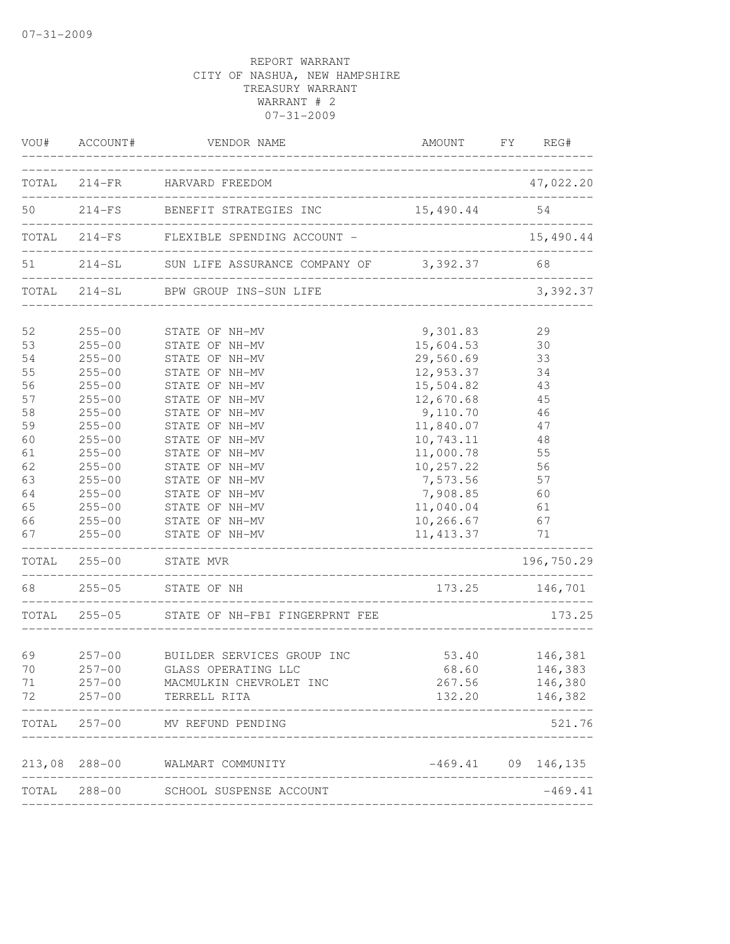|    | VOU# ACCOUNT#          | VENDOR NAME                                           |              | AMOUNT FY REG#           |
|----|------------------------|-------------------------------------------------------|--------------|--------------------------|
|    |                        | TOTAL 214-FR HARVARD FREEDOM                          |              | 47,022.20                |
|    |                        | 50   214-FS   BENEFIT STRATEGIES INC   15,490.44   54 |              |                          |
|    |                        | TOTAL 214-FS FLEXIBLE SPENDING ACCOUNT -              |              | 15,490.44                |
|    |                        | 51 214-SL SUN LIFE ASSURANCE COMPANY OF 3,392.37 68   |              |                          |
|    |                        | TOTAL 214-SL BPW GROUP INS-SUN LIFE                   |              | 3,392.37                 |
| 52 |                        | 255-00 STATE OF NH-MV                                 | 9,301.83     | 29                       |
| 53 |                        | 255-00 STATE OF NH-MV                                 | 15,604.53 30 |                          |
| 54 | $255 - 00$             | STATE OF NH-MV                                        | 29,560.69 33 |                          |
| 55 | $255 - 00$             | STATE OF NH-MV                                        | 12,953.37    | 34                       |
| 56 | $255 - 00$             | STATE OF NH-MV                                        | 15,504.82    | 43                       |
| 57 | $255 - 00$             | STATE OF NH-MV                                        | 12,670.68    | 45                       |
| 58 | $255 - 00$             | STATE OF NH-MV                                        | 9,110.70     | 46                       |
| 59 | $255 - 00$             | STATE OF NH-MV                                        | 11,840.07    | 47                       |
| 60 | $255 - 00$             | STATE OF NH-MV                                        | 10,743.11    | 48                       |
| 61 | $255 - 00$             | STATE OF NH-MV                                        | 11,000.78    | 55                       |
| 62 | $255 - 00$             | STATE OF NH-MV                                        | 10,257.22    | 56                       |
| 63 | $255 - 00$             | STATE OF NH-MV                                        | 7,573.56     | 57                       |
| 64 | $255 - 00$             | STATE OF NH-MV                                        | 7,908.85 60  |                          |
| 65 | $255 - 00$             | STATE OF NH-MV                                        | 11,040.04 61 |                          |
| 66 | $255 - 00$             | STATE OF NH-MV                                        | 10,266.67 67 |                          |
| 67 | $255 - 00$             | STATE OF NH-MV                                        | 11, 413.37   | 71                       |
|    |                        | TOTAL 255-00 STATE MVR                                |              | 196,750.29               |
|    |                        | 68 255-05 STATE OF NH                                 |              | 173.25 146,701           |
|    | ---------------------- | TOTAL 255-05 STATE OF NH-FBI FINGERPRNT FEE           |              | 173.25                   |
| 69 | $257 - 00$             | BUILDER SERVICES GROUP INC                            |              |                          |
| 70 | $257 - 00$             | GLASS OPERATING LLC                                   | 68.60        | 53.40 146,381<br>146,383 |
|    |                        |                                                       | 267.56       |                          |
| 71 | $257 - 00$             | MACMULKIN CHEVROLET INC                               |              | 146,380                  |
| 72 | $257 - 00$             | TERRELL RITA                                          | 132.20       | 146,382                  |
|    |                        | TOTAL 257-00 MV REFUND PENDING                        |              | 521.76                   |
|    |                        | 213,08 288-00 WALMART COMMUNITY                       |              | $-469.41$ 09 146,135     |
|    |                        | TOTAL 288-00 SCHOOL SUSPENSE ACCOUNT                  |              | $-469.41$                |
|    |                        |                                                       |              |                          |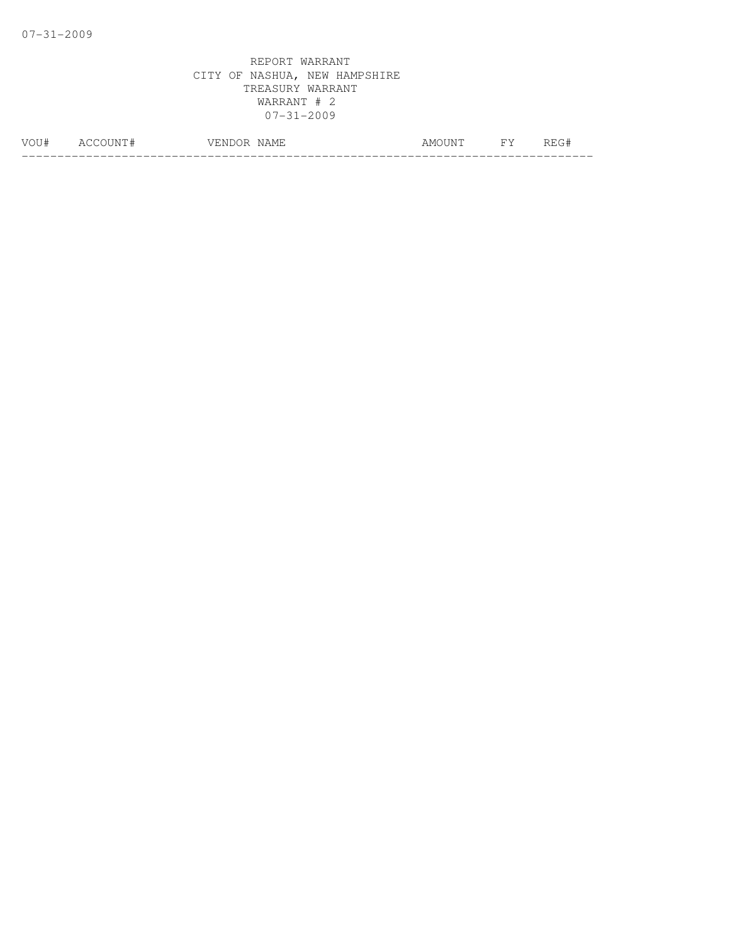| - 1 # | __ | $-$<br>NAMH<br>سسلك عداده | A M<br>. . IN U | <b>TIT</b> | - 11 |  |  |  |
|-------|----|---------------------------|-----------------|------------|------|--|--|--|
|       |    |                           |                 |            |      |  |  |  |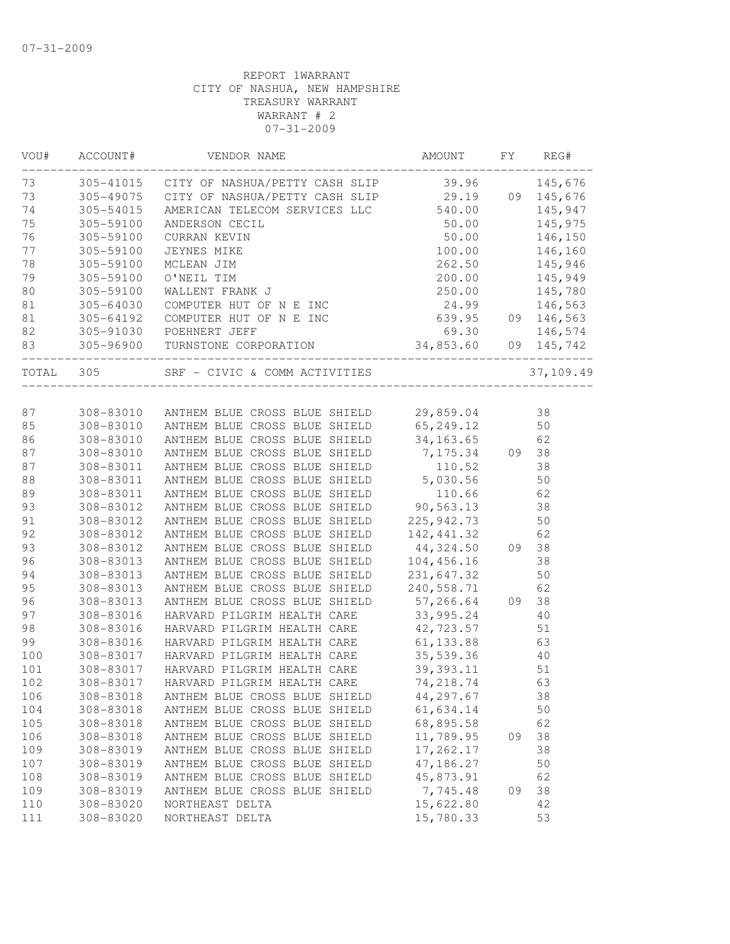| VOU#      | ACCOUNT#  | VENDOR NAME                                               | AMOUNT                                        | FY | REG#      |
|-----------|-----------|-----------------------------------------------------------|-----------------------------------------------|----|-----------|
| 73        |           | 305-41015 CITY OF NASHUA/PETTY CASH SLIP 39.96            |                                               |    | 145,676   |
| 73        |           | 305-49075 CITY OF NASHUA/PETTY CASH SLIP 29.19 09 145,676 |                                               |    |           |
| 74        | 305-54015 | AMERICAN TELECOM SERVICES LLC 540.00                      |                                               |    | 145,947   |
| 75        | 305-59100 | ANDERSON CECIL                                            | 50.00                                         |    | 145,975   |
| 76        | 305-59100 | CURRAN KEVIN                                              | 50.00                                         |    | 146,150   |
| 77        | 305-59100 | JEYNES MIKE                                               | 100.00                                        |    | 146,160   |
| 78        | 305-59100 | MCLEAN JIM                                                | 262.50                                        |    | 145,946   |
| 79        | 305-59100 | O'NEIL TIM                                                | 200.00                                        |    | 145,949   |
| 80        | 305-59100 | WALLENT FRANK J                                           | 250.00                                        |    | 145,780   |
| 81        | 305-64030 | COMPUTER HUT OF N E INC 24.99                             |                                               |    | 146,563   |
| 81        | 305-64192 | COMPUTER HUT OF N E INC                                   | 639.95 09 146,563                             |    |           |
| 82        | 305-91030 | POEHNERT JEFF                                             |                                               |    |           |
| 83        |           | 305-96900 TURNSTONE CORPORATION                           | $69.30$ $146,574$<br>$34,853.60$ 09 $145,742$ |    |           |
| TOTAL 305 |           |                                                           | _____________                                 |    | 37,109.49 |
|           |           |                                                           |                                               |    |           |
|           |           |                                                           |                                               |    |           |
| 87        |           | 308-83010 ANTHEM BLUE CROSS BLUE SHIELD 29,859.04         |                                               |    | 38        |
| 85        |           | 308-83010 ANTHEM BLUE CROSS BLUE SHIELD 65,249.12         |                                               |    | 50        |
| 86        | 308-83010 | ANTHEM BLUE CROSS BLUE SHIELD                             | 34, 163.65                                    |    | 62        |
| 87        | 308-83010 | ANTHEM BLUE CROSS BLUE SHIELD                             | 7,175.34 09                                   |    | 38        |
| 87        | 308-83011 | ANTHEM BLUE CROSS BLUE SHIELD                             | 110.52                                        |    | 38        |
| 88        | 308-83011 | ANTHEM BLUE CROSS BLUE SHIELD                             | 5,030.56                                      |    | 50        |
| 89        | 308-83011 | ANTHEM BLUE CROSS BLUE SHIELD                             | 110.66                                        |    | 62        |
| 93        | 308-83012 | ANTHEM BLUE CROSS BLUE SHIELD                             | 90,563.13                                     |    | 38        |
| 91        | 308-83012 | ANTHEM BLUE CROSS BLUE SHIELD                             | 225,942.73                                    |    | 50        |
| 92        | 308-83012 | ANTHEM BLUE CROSS BLUE SHIELD                             | 142,441.32                                    |    | 62        |
| 93        | 308-83012 | ANTHEM BLUE CROSS BLUE SHIELD                             | 44,324.50                                     | 09 | 38        |
| 96        | 308-83013 | ANTHEM BLUE CROSS BLUE SHIELD                             | 104,456.16                                    |    | 38        |
| 94        | 308-83013 | ANTHEM BLUE CROSS BLUE SHIELD                             | 231,647.32                                    |    | 50        |
| 95        | 308-83013 | ANTHEM BLUE CROSS BLUE SHIELD                             | 240,558.71                                    |    | 62        |
| 96        | 308-83013 | ANTHEM BLUE CROSS BLUE SHIELD                             | $57, 266.64$ 09                               |    | 38        |
| 97        | 308-83016 | HARVARD PILGRIM HEALTH CARE                               | 33,995.24                                     |    | 40        |
| 98        | 308-83016 | HARVARD PILGRIM HEALTH CARE                               |                                               |    | 51        |
| 99        | 308-83016 | HARVARD PILGRIM HEALTH CARE                               | 42,723.57<br>61,133.88                        |    | 63        |
| 100       | 308-83017 | HARVARD PILGRIM HEALTH CARE                               | 35, 539.36                                    |    | 40        |
| 101       | 308-83017 | HARVARD PILGRIM HEALTH CARE 39,393.11                     |                                               |    | 51        |
| 102       |           | 308-83017 HARVARD PILGRIM HEALTH CARE                     | 74,218.74                                     |    | 63        |
| 106       | 308-83018 | ANTHEM BLUE CROSS BLUE SHIELD                             | 44,297.67                                     |    | 38        |
| 104       | 308-83018 | ANTHEM BLUE CROSS BLUE SHIELD                             | 61,634.14                                     |    | 50        |
| 105       | 308-83018 | ANTHEM BLUE CROSS BLUE SHIELD                             | 68,895.58                                     |    | 62        |
| 106       | 308-83018 | ANTHEM BLUE CROSS BLUE SHIELD                             | 11,789.95                                     | 09 | 38        |
| 109       | 308-83019 | ANTHEM BLUE CROSS BLUE SHIELD                             | 17,262.17                                     |    | 38        |
| 107       | 308-83019 | ANTHEM BLUE CROSS BLUE SHIELD                             | 47,186.27                                     |    | 50        |
| 108       | 308-83019 | ANTHEM BLUE CROSS BLUE SHIELD                             | 45,873.91                                     |    | 62        |
| 109       | 308-83019 | ANTHEM BLUE CROSS BLUE SHIELD                             | 7,745.48                                      | 09 | 38        |
| 110       | 308-83020 | NORTHEAST DELTA                                           | 15,622.80                                     |    | 42        |
|           |           | NORTHEAST DELTA                                           |                                               |    |           |
| 111       | 308-83020 |                                                           | 15,780.33                                     |    | 53        |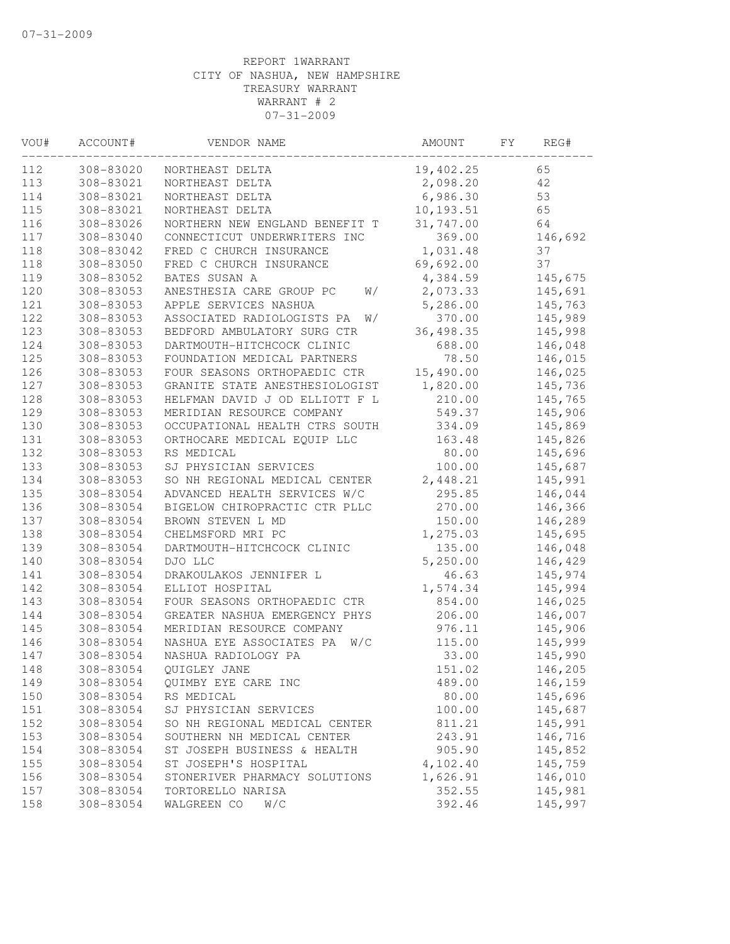| VOU# | ACCOUNT#  | VENDOR NAME                      | AMOUNT     | FY | REG#    |
|------|-----------|----------------------------------|------------|----|---------|
| 112  | 308-83020 | NORTHEAST DELTA                  | 19,402.25  |    | 65      |
| 113  | 308-83021 | NORTHEAST DELTA                  | 2,098.20   |    | 42      |
| 114  | 308-83021 | NORTHEAST DELTA                  | 6,986.30   |    | 53      |
| 115  | 308-83021 | NORTHEAST DELTA                  | 10,193.51  |    | 65      |
| 116  | 308-83026 | NORTHERN NEW ENGLAND BENEFIT T   | 31,747.00  |    | 64      |
| 117  | 308-83040 | CONNECTICUT UNDERWRITERS INC     | 369.00     |    | 146,692 |
| 118  | 308-83042 | FRED C CHURCH INSURANCE          | 1,031.48   |    | 37      |
| 118  | 308-83050 | FRED C CHURCH INSURANCE          | 69,692.00  |    | 37      |
| 119  | 308-83052 | BATES SUSAN A                    | 4,384.59   |    | 145,675 |
| 120  | 308-83053 | ANESTHESIA CARE GROUP PC<br>W/   | 2,073.33   |    | 145,691 |
| 121  | 308-83053 | APPLE SERVICES NASHUA            | 5,286.00   |    | 145,763 |
| 122  | 308-83053 | ASSOCIATED RADIOLOGISTS PA<br>W/ | 370.00     |    | 145,989 |
| 123  | 308-83053 | BEDFORD AMBULATORY SURG CTR      | 36, 498.35 |    | 145,998 |
| 124  | 308-83053 | DARTMOUTH-HITCHCOCK CLINIC       | 688.00     |    | 146,048 |
| 125  | 308-83053 | FOUNDATION MEDICAL PARTNERS      | 78.50      |    | 146,015 |
| 126  | 308-83053 | FOUR SEASONS ORTHOPAEDIC CTR     | 15,490.00  |    | 146,025 |
| 127  | 308-83053 | GRANITE STATE ANESTHESIOLOGIST   | 1,820.00   |    | 145,736 |
| 128  | 308-83053 | HELFMAN DAVID J OD ELLIOTT F L   | 210.00     |    | 145,765 |
| 129  | 308-83053 | MERIDIAN RESOURCE COMPANY        | 549.37     |    | 145,906 |
| 130  | 308-83053 | OCCUPATIONAL HEALTH CTRS SOUTH   | 334.09     |    | 145,869 |
| 131  | 308-83053 | ORTHOCARE MEDICAL EQUIP LLC      | 163.48     |    | 145,826 |
| 132  | 308-83053 | RS MEDICAL                       | 80.00      |    | 145,696 |
| 133  | 308-83053 | SJ PHYSICIAN SERVICES            | 100.00     |    | 145,687 |
| 134  | 308-83053 | SO NH REGIONAL MEDICAL CENTER    | 2,448.21   |    | 145,991 |
| 135  | 308-83054 | ADVANCED HEALTH SERVICES W/C     | 295.85     |    | 146,044 |
| 136  | 308-83054 | BIGELOW CHIROPRACTIC CTR PLLC    | 270.00     |    | 146,366 |
| 137  | 308-83054 | BROWN STEVEN L MD                | 150.00     |    | 146,289 |
| 138  | 308-83054 | CHELMSFORD MRI PC                | 1,275.03   |    | 145,695 |
| 139  | 308-83054 | DARTMOUTH-HITCHCOCK CLINIC       | 135.00     |    | 146,048 |
|      |           |                                  |            |    |         |
| 140  | 308-83054 | DJO LLC                          | 5,250.00   |    | 146,429 |
| 141  | 308-83054 | DRAKOULAKOS JENNIFER L           | 46.63      |    | 145,974 |
| 142  | 308-83054 | ELLIOT HOSPITAL                  | 1,574.34   |    | 145,994 |
| 143  | 308-83054 | FOUR SEASONS ORTHOPAEDIC CTR     | 854.00     |    | 146,025 |
| 144  | 308-83054 | GREATER NASHUA EMERGENCY PHYS    | 206.00     |    | 146,007 |
| 145  | 308-83054 | MERIDIAN RESOURCE COMPANY        | 976.11     |    | 145,906 |
| 146  | 308-83054 | NASHUA EYE ASSOCIATES PA<br>W/C  | 115.00     |    | 145,999 |
| 147  | 308-83054 | NASHUA RADIOLOGY PA              | 33.00      |    | 145,990 |
| 148  | 308-83054 | OUIGLEY JANE                     | 151.02     |    | 146,205 |
| 149  | 308-83054 | QUIMBY EYE CARE INC              | 489.00     |    | 146,159 |
| 150  | 308-83054 | RS MEDICAL                       | 80.00      |    | 145,696 |
| 151  | 308-83054 | SJ PHYSICIAN SERVICES            | 100.00     |    | 145,687 |
| 152  | 308-83054 | SO NH REGIONAL MEDICAL CENTER    | 811.21     |    | 145,991 |
| 153  | 308-83054 | SOUTHERN NH MEDICAL CENTER       | 243.91     |    | 146,716 |
| 154  | 308-83054 | ST JOSEPH BUSINESS & HEALTH      | 905.90     |    | 145,852 |
| 155  | 308-83054 | ST JOSEPH'S HOSPITAL             | 4,102.40   |    | 145,759 |
| 156  | 308-83054 | STONERIVER PHARMACY SOLUTIONS    | 1,626.91   |    | 146,010 |
| 157  | 308-83054 | TORTORELLO NARISA                | 352.55     |    | 145,981 |
| 158  | 308-83054 | WALGREEN CO<br>W/C               | 392.46     |    | 145,997 |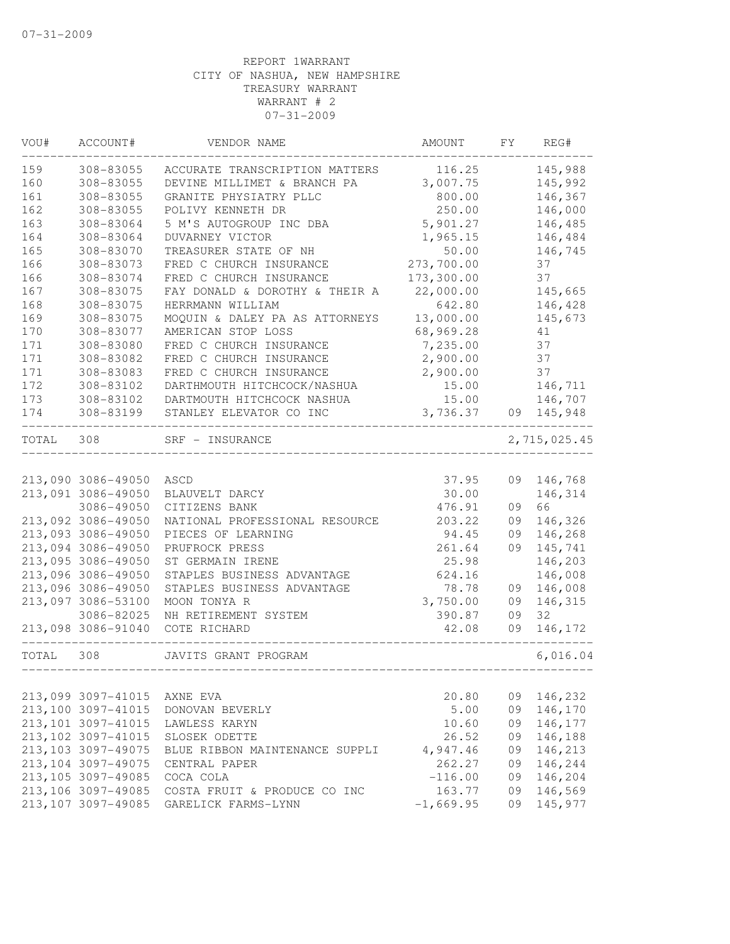| VOU#  | ACCOUNT#            | VENDOR NAME                    | AMOUNT      | FY | REG#         |
|-------|---------------------|--------------------------------|-------------|----|--------------|
| 159   | 308-83055           | ACCURATE TRANSCRIPTION MATTERS | 116.25      |    | 145,988      |
| 160   | 308-83055           | DEVINE MILLIMET & BRANCH PA    | 3,007.75    |    | 145,992      |
| 161   | 308-83055           | GRANITE PHYSIATRY PLLC         | 800.00      |    | 146,367      |
| 162   | 308-83055           | POLIVY KENNETH DR              | 250.00      |    | 146,000      |
| 163   | 308-83064           | 5 M'S AUTOGROUP INC DBA        | 5,901.27    |    | 146,485      |
| 164   | 308-83064           | DUVARNEY VICTOR                | 1,965.15    |    | 146,484      |
| 165   | 308-83070           | TREASURER STATE OF NH          | 50.00       |    | 146,745      |
| 166   | 308-83073           | FRED C CHURCH INSURANCE        | 273,700.00  |    | 37           |
| 166   | 308-83074           | FRED C CHURCH INSURANCE        | 173,300.00  |    | 37           |
| 167   | 308-83075           | FAY DONALD & DOROTHY & THEIR A | 22,000.00   |    | 145,665      |
| 168   | 308-83075           | HERRMANN WILLIAM               | 642.80      |    | 146,428      |
| 169   | 308-83075           | MOQUIN & DALEY PA AS ATTORNEYS | 13,000.00   |    | 145,673      |
| 170   | 308-83077           | AMERICAN STOP LOSS             | 68,969.28   |    | 41           |
| 171   | 308-83080           | FRED C CHURCH INSURANCE        | 7,235.00    |    | 37           |
| 171   | 308-83082           | FRED C CHURCH INSURANCE        | 2,900.00    |    | 37           |
| 171   | 308-83083           | FRED C CHURCH INSURANCE        | 2,900.00    |    | 37           |
| 172   | 308-83102           | DARTHMOUTH HITCHCOCK/NASHUA    | 15.00       |    | 146,711      |
| 173   | 308-83102           | DARTMOUTH HITCHCOCK NASHUA     | 15.00       |    | 146,707      |
| 174   | 308-83199           | STANLEY ELEVATOR CO INC        | 3,736.37    |    | 09 145,948   |
| TOTAL | 308                 | SRF - INSURANCE                |             |    | 2,715,025.45 |
|       |                     |                                |             |    |              |
|       | 213,090 3086-49050  | ASCD                           | 37.95       |    | 09 146,768   |
|       | 213,091 3086-49050  | BLAUVELT DARCY                 | 30.00       |    | 146,314      |
|       | 3086-49050          | CITIZENS BANK                  | 476.91      | 09 | 66           |
|       | 213,092 3086-49050  | NATIONAL PROFESSIONAL RESOURCE | 203.22      | 09 | 146,326      |
|       | 213,093 3086-49050  | PIECES OF LEARNING             | 94.45       | 09 | 146,268      |
|       | 213,094 3086-49050  | PRUFROCK PRESS                 | 261.64      | 09 | 145,741      |
|       | 213,095 3086-49050  | ST GERMAIN IRENE               | 25.98       |    | 146,203      |
|       | 213,096 3086-49050  | STAPLES BUSINESS ADVANTAGE     | 624.16      |    | 146,008      |
|       | 213,096 3086-49050  | STAPLES BUSINESS ADVANTAGE     | 78.78       | 09 | 146,008      |
|       | 213,097 3086-53100  | MOON TONYA R                   | 3,750.00    | 09 | 146,315      |
|       | 3086-82025          | NH RETIREMENT SYSTEM           | 390.87      | 09 | 32           |
|       | 213,098 3086-91040  | COTE RICHARD                   | 42.08       | 09 | 146,172      |
| TOTAL | 308                 | JAVITS GRANT PROGRAM           |             |    | 6,016.04     |
|       |                     |                                |             |    |              |
|       | 213,099 3097-41015  | AXNE EVA                       | 20.80       | 09 | 146,232      |
|       | 213,100 3097-41015  | DONOVAN BEVERLY                | 5.00        | 09 | 146,170      |
|       | 213, 101 3097-41015 | LAWLESS KARYN                  | 10.60       | 09 | 146,177      |
|       | 213, 102 3097-41015 | SLOSEK ODETTE                  | 26.52       | 09 | 146,188      |
|       | 213, 103 3097-49075 | BLUE RIBBON MAINTENANCE SUPPLI | 4,947.46    | 09 | 146,213      |
|       | 213, 104 3097-49075 | CENTRAL PAPER                  | 262.27      | 09 | 146,244      |
|       | 213, 105 3097-49085 | COCA COLA                      | $-116.00$   | 09 | 146,204      |
|       | 213,106 3097-49085  | COSTA FRUIT & PRODUCE CO INC   | 163.77      | 09 | 146,569      |
|       | 213,107 3097-49085  | GARELICK FARMS-LYNN            | $-1,669.95$ | 09 | 145,977      |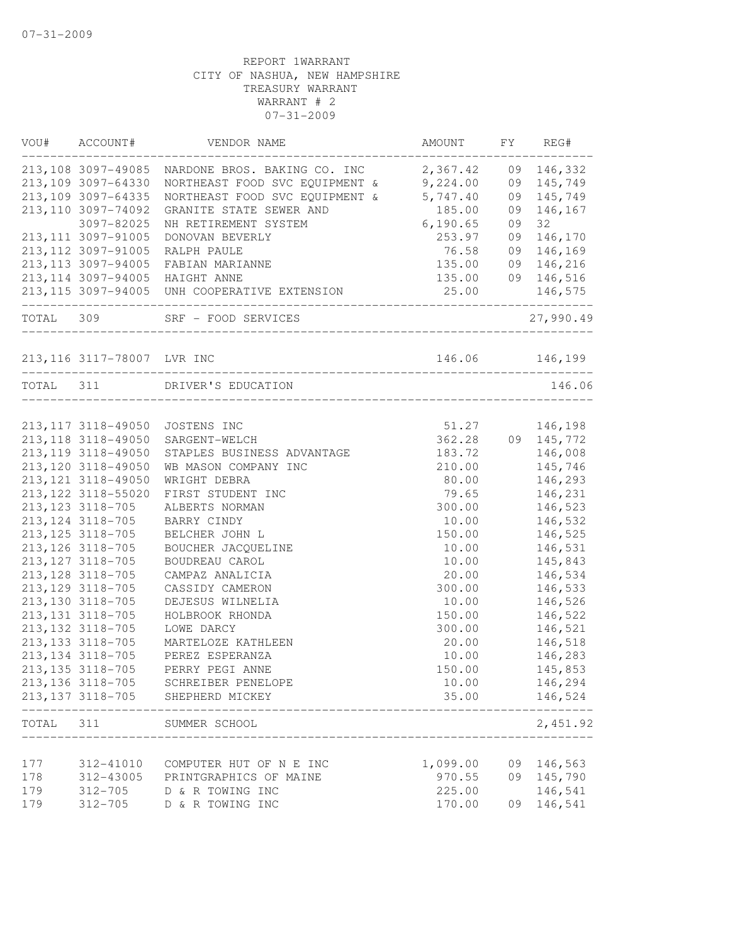|       | VOU# ACCOUNT#           | VENDOR NAME                                               | AMOUNT                        |    | FY REG#    |
|-------|-------------------------|-----------------------------------------------------------|-------------------------------|----|------------|
|       | 213,108 3097-49085      | NARDONE BROS. BAKING CO. INC 2,367.42                     |                               |    | 09 146,332 |
|       | 213,109 3097-64330      | NORTHEAST FOOD SVC EQUIPMENT & 9,224.00                   |                               | 09 | 145,749    |
|       | 213, 109 3097-64335     | NORTHEAST FOOD SVC EQUIPMENT & 5,747.40                   |                               | 09 | 145,749    |
|       | 213, 110 3097-74092     | GRANITE STATE SEWER AND                                   | 185.00                        | 09 | 146,167    |
|       | 3097-82025              | NH RETIREMENT SYSTEM                                      | 6,190.65                      | 09 | 32         |
|       | 213, 111 3097-91005     | DONOVAN BEVERLY                                           | 253.97                        | 09 | 146,170    |
|       | 213, 112 3097-91005     | RALPH PAULE                                               | 76.58                         | 09 | 146,169    |
|       | 213, 113 3097-94005     | FABIAN MARIANNE                                           | 135.00                        |    | 09 146,216 |
|       | 213, 114 3097-94005     | HAIGHT ANNE                                               | 135.00                        |    | 09 146,516 |
|       |                         | 213,115 3097-94005 UNH COOPERATIVE EXTENSION              | 25.00                         |    | 146,575    |
|       | _______________________ | TOTAL 309 SRF - FOOD SERVICES                             | ----------------------------- |    | 27,990.49  |
|       |                         | 213,116 3117-78007 LVR INC 146.06 146,                    | 146.06 146,199                |    |            |
|       |                         | TOTAL 311 DRIVER'S EDUCATION<br>_________________________ |                               |    | 146.06     |
|       |                         |                                                           |                               |    |            |
|       | 213, 117 3118-49050     | JOSTENS INC                                               | 51.27                         |    | 146,198    |
|       | 213, 118 3118-49050     | SARGENT-WELCH                                             | 362.28                        |    | 09 145,772 |
|       | 213, 119 3118-49050     | STAPLES BUSINESS ADVANTAGE                                | 183.72                        |    | 146,008    |
|       | 213, 120 3118-49050     | WB MASON COMPANY INC                                      | 210.00                        |    | 145,746    |
|       | 213, 121 3118-49050     | WRIGHT DEBRA                                              | 80.00                         |    | 146,293    |
|       | 213, 122 3118-55020     | FIRST STUDENT INC                                         | 79.65                         |    | 146,231    |
|       | 213, 123 3118-705       | ALBERTS NORMAN                                            | 300.00                        |    | 146,523    |
|       | 213, 124 3118-705       | BARRY CINDY                                               | 10.00                         |    | 146,532    |
|       | 213, 125 3118-705       | BELCHER JOHN L                                            | 150.00                        |    | 146,525    |
|       | 213, 126 3118-705       | BOUCHER JACQUELINE                                        | 10.00                         |    | 146,531    |
|       | 213, 127 3118-705       | BOUDREAU CAROL                                            | 10.00                         |    | 145,843    |
|       | 213, 128 3118-705       | CAMPAZ ANALICIA                                           | 20.00                         |    | 146,534    |
|       | 213, 129 3118-705       | CASSIDY CAMERON                                           | 300.00                        |    | 146,533    |
|       | 213, 130 3118-705       | DEJESUS WILNELIA                                          | 10.00                         |    | 146,526    |
|       | 213, 131 3118-705       | HOLBROOK RHONDA                                           | 150.00                        |    | 146,522    |
|       | 213, 132 3118-705       | LOWE DARCY                                                | 300.00                        |    | 146,521    |
|       | 213, 133 3118-705       | MARTELOZE KATHLEEN                                        | 20.00                         |    | 146,518    |
|       | 213, 134 3118-705       | PEREZ ESPERANZA                                           | 10.00                         |    | 146,283    |
|       | 213, 135 3118-705       | PERRY PEGI ANNE                                           | 150.00                        |    | 145,853    |
|       |                         | 213,136 3118-705 SCHREIBER PENELOPE                       | 10.00                         |    | 146,294    |
|       | 213, 137 3118-705       | SHEPHERD MICKEY                                           | 35.00                         |    | 146,524    |
| TOTAL | 311                     | SUMMER SCHOOL                                             |                               |    | 2,451.92   |
|       |                         |                                                           |                               |    |            |
| 177   | 312-41010               | COMPUTER HUT OF N E INC                                   | 1,099.00                      | 09 | 146,563    |
| 178   | 312-43005               | PRINTGRAPHICS OF MAINE                                    | 970.55                        | 09 | 145,790    |
| 179   | 312-705                 | D & R TOWING INC                                          | 225.00                        |    | 146,541    |
| 179   | $312 - 705$             | D & R TOWING INC                                          | 170.00                        | 09 | 146,541    |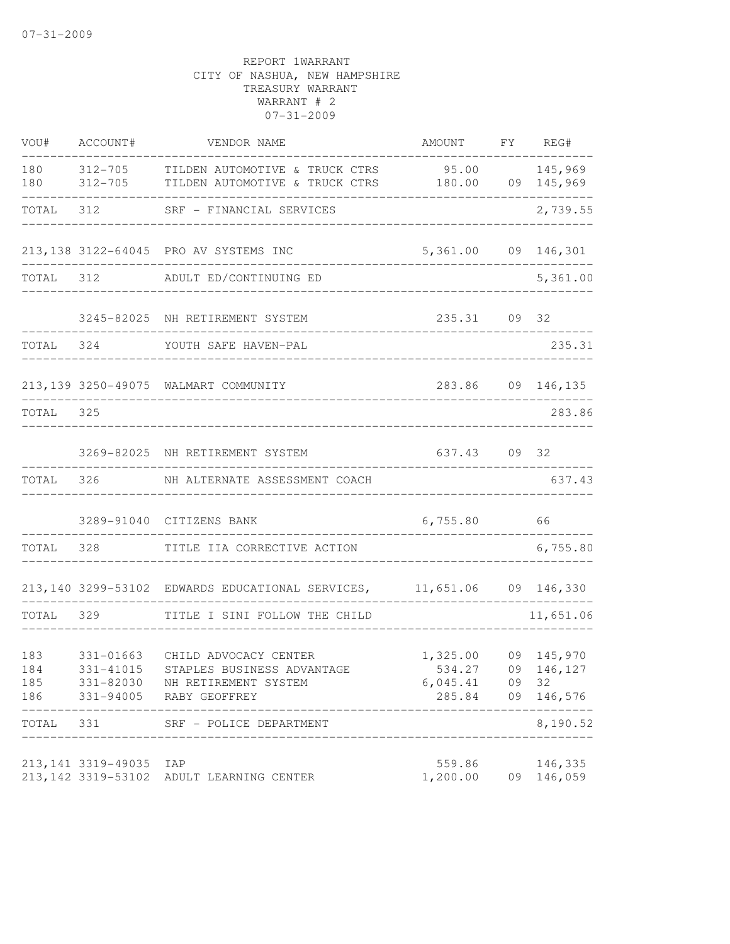| VOU#                     | ACCOUNT#                                         | VENDOR NAME                                                                                  | AMOUNT                                              |    | FY REG#                        |
|--------------------------|--------------------------------------------------|----------------------------------------------------------------------------------------------|-----------------------------------------------------|----|--------------------------------|
| 180<br>180               | 312-705<br>312-705                               | TILDEN AUTOMOTIVE & TRUCK CTRS<br>TILDEN AUTOMOTIVE & TRUCK CTRS 180.00                      | $95.00$ 145,969                                     |    | 09 145,969                     |
| TOTAL                    | 312                                              | SRF - FINANCIAL SERVICES                                                                     |                                                     |    | 2,739.55                       |
|                          |                                                  | 213,138 3122-64045 PRO AV SYSTEMS INC                                                        | 5,361.00                                            |    | 09 146,301                     |
| TOTAL                    | 312                                              | ADULT ED/CONTINUING ED                                                                       |                                                     |    | 5,361.00                       |
|                          |                                                  | 3245-82025 NH RETIREMENT SYSTEM                                                              | 235.31                                              |    | 09 32                          |
| TOTAL 324                |                                                  | YOUTH SAFE HAVEN-PAL                                                                         |                                                     |    | 235.31                         |
|                          |                                                  | 213,139 3250-49075 WALMART COMMUNITY                                                         |                                                     |    | 283.86 09 146,135              |
| TOTAL                    | 325                                              | ______________________________                                                               |                                                     |    | 283.86                         |
|                          |                                                  | 3269-82025 NH RETIREMENT SYSTEM                                                              | 637.43                                              |    | 09 32                          |
| TOTAL                    | 326                                              | NH ALTERNATE ASSESSMENT COACH                                                                |                                                     |    | 637.43                         |
|                          |                                                  | 3289-91040 CITIZENS BANK                                                                     | 6,755.80                                            |    | 66                             |
| TOTAL                    | 328                                              | TITLE IIA CORRECTIVE ACTION                                                                  |                                                     |    | 6,755.80                       |
|                          |                                                  | 213,140 3299-53102 EDWARDS EDUCATIONAL SERVICES, 11,651.06 09 146,330                        |                                                     |    |                                |
| TOTAL                    | 329                                              | TITLE I SINI FOLLOW THE CHILD                                                                |                                                     |    | 11,651.06                      |
| 183<br>184<br>185<br>186 | 331-01663<br>331-41015<br>331-82030<br>331-94005 | CHILD ADVOCACY CENTER<br>STAPLES BUSINESS ADVANTAGE<br>NH RETIREMENT SYSTEM<br>RABY GEOFFREY | 1,325.00<br>534.27 09 146,127<br>6,045.41<br>285.84 | 09 | 09 145,970<br>32<br>09 146,576 |
| TOTAL                    | 331                                              | SRF - POLICE DEPARTMENT                                                                      |                                                     |    | 8,190.52                       |
|                          | 213, 141 3319-49035<br>213, 142 3319-53102       | IAP<br>ADULT LEARNING CENTER                                                                 | 559.86<br>1,200.00                                  |    | 146,335<br>09 146,059          |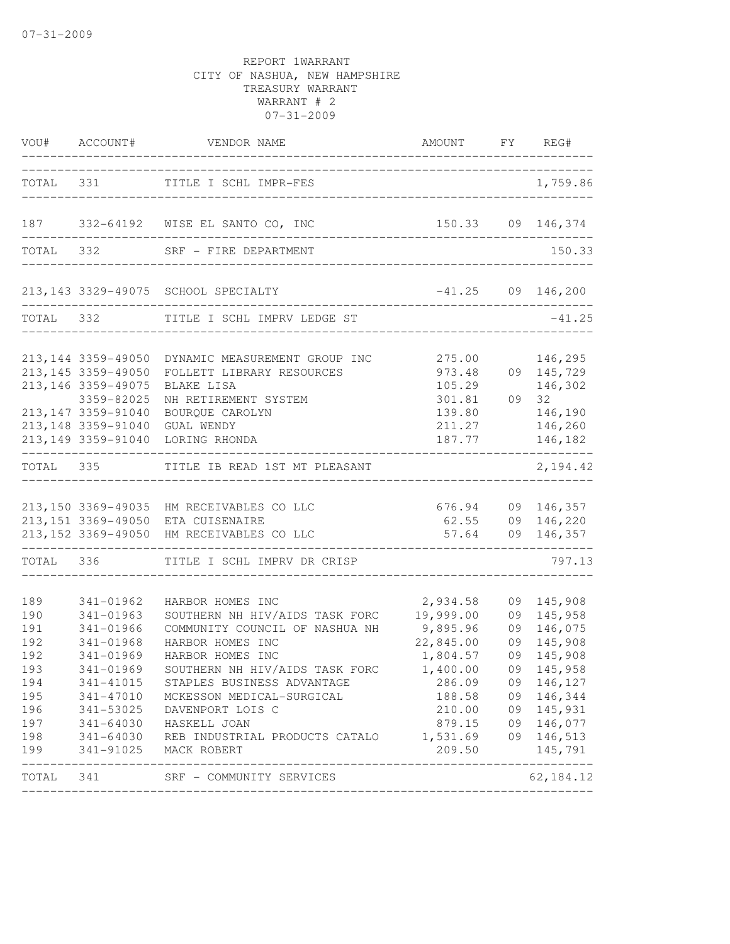|                                                                           |                                                                                         | VOU# ACCOUNT# VENDOR NAME                                                                                                                                                                                                                                                                                                                                                                                                     | AMOUNT FY REG#<br>-----------------------------------                                        |                                                                                                                                                                                            |
|---------------------------------------------------------------------------|-----------------------------------------------------------------------------------------|-------------------------------------------------------------------------------------------------------------------------------------------------------------------------------------------------------------------------------------------------------------------------------------------------------------------------------------------------------------------------------------------------------------------------------|----------------------------------------------------------------------------------------------|--------------------------------------------------------------------------------------------------------------------------------------------------------------------------------------------|
|                                                                           |                                                                                         | TOTAL 331 TITLE I SCHL IMPR-FES                                                                                                                                                                                                                                                                                                                                                                                               |                                                                                              | 1,759.86                                                                                                                                                                                   |
|                                                                           |                                                                                         | 187 332-64192 WISE EL SANTO CO, INC                                                                                                                                                                                                                                                                                                                                                                                           | 150.33 09 146,374                                                                            |                                                                                                                                                                                            |
|                                                                           |                                                                                         | TOTAL 332 SRF - FIRE DEPARTMENT                                                                                                                                                                                                                                                                                                                                                                                               |                                                                                              | 150.33                                                                                                                                                                                     |
|                                                                           |                                                                                         | 213,143 3329-49075 SCHOOL SPECIALTY                                                                                                                                                                                                                                                                                                                                                                                           | $-41.25$ 09 146,200<br>__________________________________                                    |                                                                                                                                                                                            |
|                                                                           |                                                                                         | TOTAL 332 TITLE I SCHL IMPRV LEDGE ST                                                                                                                                                                                                                                                                                                                                                                                         | ------------------------------------                                                         | $-41.25$                                                                                                                                                                                   |
|                                                                           | 213, 144 3359-49050<br>213, 145 3359-49050<br>213, 146 3359-49075<br>3359-82025         | DYNAMIC MEASUREMENT GROUP INC<br>FOLLETT LIBRARY RESOURCES<br>BLAKE LISA<br>NH RETIREMENT SYSTEM                                                                                                                                                                                                                                                                                                                              | 973.48<br>105.29<br>301.81                                                                   | 275.00 146,295<br>09 145,729<br>146,302<br>09 32                                                                                                                                           |
|                                                                           | 213, 147 3359-91040<br>213, 148 3359-91040<br>-------------------------------           | BOURQUE CAROLYN<br>GUAL WENDY<br>213,149 3359-91040 LORING RHONDA                                                                                                                                                                                                                                                                                                                                                             | 139.80<br>----------------------------------                                                 | 146,190<br>211.27 146,260<br>187.77 146,182                                                                                                                                                |
|                                                                           |                                                                                         | TOTAL 335 TITLE IB READ 1ST MT PLEASANT                                                                                                                                                                                                                                                                                                                                                                                       |                                                                                              | 2, 194.42                                                                                                                                                                                  |
|                                                                           |                                                                                         | 213,150 3369-49035 HM RECEIVABLES CO LLC<br>213, 151 3369-49050 ETA CUISENAIRE<br>213,152 3369-49050 HM RECEIVABLES CO LLC                                                                                                                                                                                                                                                                                                    |                                                                                              | 676.94 09 146,357<br>62.55 09 146,220<br>57.64 09 146,357                                                                                                                                  |
|                                                                           |                                                                                         | TOTAL 336 TITLE I SCHL IMPRV DR CRISP                                                                                                                                                                                                                                                                                                                                                                                         |                                                                                              | 797.13                                                                                                                                                                                     |
| 189<br>190<br>191<br>192<br>192<br>193<br>194<br>196<br>197<br>198<br>199 | 341-01962<br>341-01963<br>341-01966<br>341-01968<br>341-01969<br>341-01969<br>341-41015 | HARBOR HOMES INC<br>SOUTHERN NH HIV/AIDS TASK FORC<br>COMMUNITY COUNCIL OF NASHUA NH<br>HARBOR HOMES INC<br>HARBOR HOMES INC<br>SOUTHERN NH HIV/AIDS TASK FORC<br>STAPLES BUSINESS ADVANTAGE<br>195 341-47010 MCKESSON MEDICAL-SURGICAL<br>341-53025 DAVENPORT LOIS C<br>341-64030 HASKELL JOAN<br>341-64030 REB INDUSTRIAL PRODUCTS CATALO 1,531.69 09 146,513<br>341-91025 MACK ROBERT<br>_________________________________ | 2,934.58<br>19,999.00<br>$9,895.96$<br>22,845.00<br>1,804.57<br>1,400.00<br>286.09<br>209.50 | 09 145,908<br>09 145,958<br>09 146,075<br>09 145,908<br>09 145,908<br>09 145,958<br>09 146,127<br>188.58 09 146,344<br>210.00 09 145,931<br>879.15 09 146,077<br>145,791<br>______________ |
|                                                                           |                                                                                         | TOTAL 341 SRF - COMMUNITY SERVICES                                                                                                                                                                                                                                                                                                                                                                                            |                                                                                              | 62,184.12                                                                                                                                                                                  |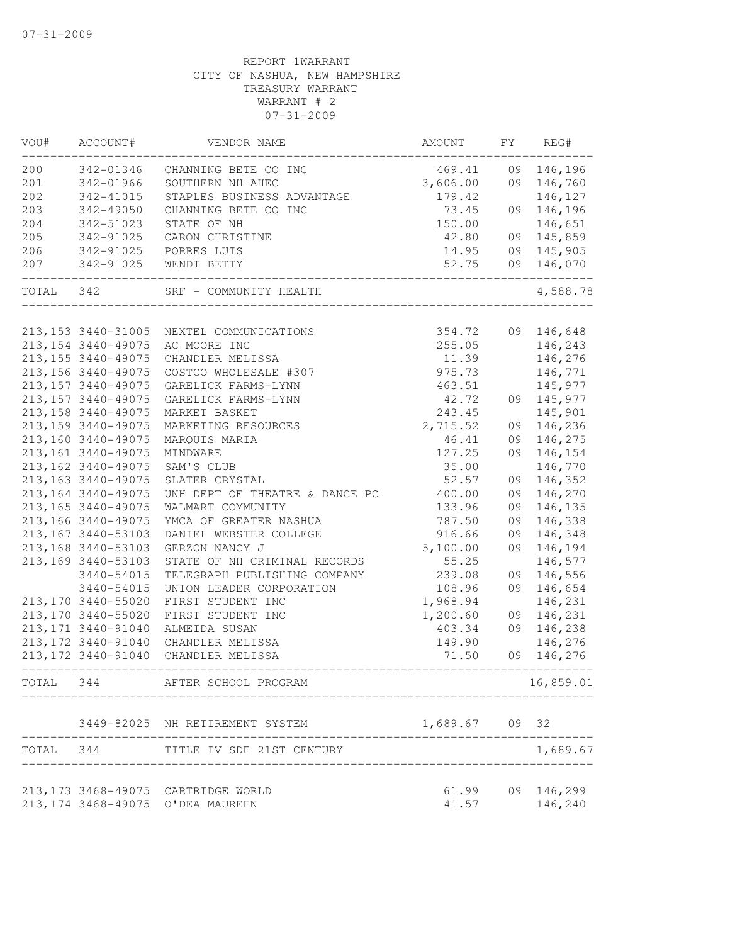| VOU#      | ACCOUNT#                      | VENDOR NAME                                                            | AMOUNT                            | FY | REG#             |
|-----------|-------------------------------|------------------------------------------------------------------------|-----------------------------------|----|------------------|
| 200       | 342-01346                     | CHANNING BETE CO INC                                                   | 469.41                            | 09 | 146,196          |
| 201       | 342-01966                     | SOUTHERN NH AHEC                                                       | 3,606.00                          |    | 09 146,760       |
| 202       | 342-41015                     | STAPLES BUSINESS ADVANTAGE                                             | 179.42                            |    | 146,127          |
| 203       | 342-49050                     | CHANNING BETE CO INC                                                   | 73.45                             | 09 | 146,196          |
| 204       | 342-51023                     | STATE OF NH                                                            | 150.00                            |    | 146,651          |
| 205       | 342-91025                     | CARON CHRISTINE                                                        | 42.80                             | 09 | 145,859          |
| 206       | 342-91025                     | PORRES LUIS                                                            | 14.95                             |    | 09 145,905       |
| 207       | 342-91025<br>---------------- | WENDT BETTY                                                            | 52.75                             |    | 09 146,070       |
| TOTAL 342 |                               | SRF - COMMUNITY HEALTH                                                 |                                   |    | 4,588.78         |
|           |                               |                                                                        |                                   |    |                  |
|           | 213, 153 3440-31005           | NEXTEL COMMUNICATIONS                                                  | 354.72                            |    | 09 146,648       |
|           | 213, 154 3440-49075           | AC MOORE INC                                                           | 255.05                            |    | 146,243          |
|           | 213, 155 3440-49075           | CHANDLER MELISSA                                                       | 11.39                             |    | 146,276          |
|           | 213, 156 3440-49075           | COSTCO WHOLESALE #307                                                  | 975.73                            |    | 146,771          |
|           | 213, 157 3440-49075           | GARELICK FARMS-LYNN                                                    | 463.51                            |    | 145,977          |
|           | 213, 157 3440-49075           | GARELICK FARMS-LYNN                                                    | 42.72                             |    | 09 145,977       |
|           | 213, 158 3440-49075           | MARKET BASKET                                                          | 243.45                            |    | 145,901          |
|           | 213, 159 3440-49075           | MARKETING RESOURCES                                                    | 2,715.52                          | 09 | 146,236          |
|           | 213,160 3440-49075            | MARQUIS MARIA                                                          | 46.41                             | 09 | 146,275          |
|           | 213, 161 3440-49075           | MINDWARE                                                               | 127.25                            | 09 | 146,154          |
|           | 213, 162 3440-49075           | SAM'S CLUB                                                             | 35.00                             |    | 146,770          |
|           | 213, 163 3440-49075           | SLATER CRYSTAL                                                         | 52.57                             | 09 | 146,352          |
|           | 213, 164 3440-49075           | UNH DEPT OF THEATRE & DANCE PC                                         | 400.00                            | 09 | 146,270          |
|           | 213, 165 3440-49075           | WALMART COMMUNITY                                                      | 133.96                            | 09 | 146,135          |
|           | 213, 166 3440-49075           | YMCA OF GREATER NASHUA                                                 | 787.50                            | 09 | 146,338          |
|           | 213, 167 3440-53103           | DANIEL WEBSTER COLLEGE                                                 | 916.66                            | 09 | 146,348          |
|           | 213, 168 3440-53103           | GERZON NANCY J                                                         | 5,100.00                          | 09 | 146,194          |
|           | 213, 169 3440-53103           | STATE OF NH CRIMINAL RECORDS                                           | 55.25                             |    | 146,577          |
|           | 3440-54015                    | TELEGRAPH PUBLISHING COMPANY                                           | 239.08                            | 09 | 146,556          |
|           | 3440-54015                    | UNION LEADER CORPORATION                                               | 108.96                            | 09 | 146,654          |
|           | 213,170 3440-55020            | FIRST STUDENT INC                                                      | 1,968.94                          |    | 146,231          |
|           | 213,170 3440-55020            | FIRST STUDENT INC                                                      | 1,200.60                          | 09 | 146,231          |
|           | 213, 171 3440-91040           | ALMEIDA SUSAN                                                          | 403.34                            | 09 | 146,238          |
|           | 213, 172 3440-91040           | CHANDLER MELISSA                                                       | 149.90                            |    | 146,276          |
|           | 213, 172 3440-91040           | CHANDLER MELISSA                                                       | 71.50                             | 09 | 146,276          |
|           |                               | TOTAL 344 AFTER SCHOOL PROGRAM<br>____________________________________ |                                   |    | 16,859.01        |
|           |                               | 3449-82025 NH RETIREMENT SYSTEM<br>________________________            | 1,689.67 09 32                    |    |                  |
|           |                               | TOTAL 344 TITLE IV SDF 21ST CENTURY<br>------------------------------  | _________________________________ |    | 1,689.67         |
|           |                               | 213,173 3468-49075 CARTRIDGE WORLD                                     |                                   |    | 61.99 09 146,299 |
|           |                               | 213, 174 3468-49075 O'DEA MAUREEN                                      |                                   |    | 41.57 146,240    |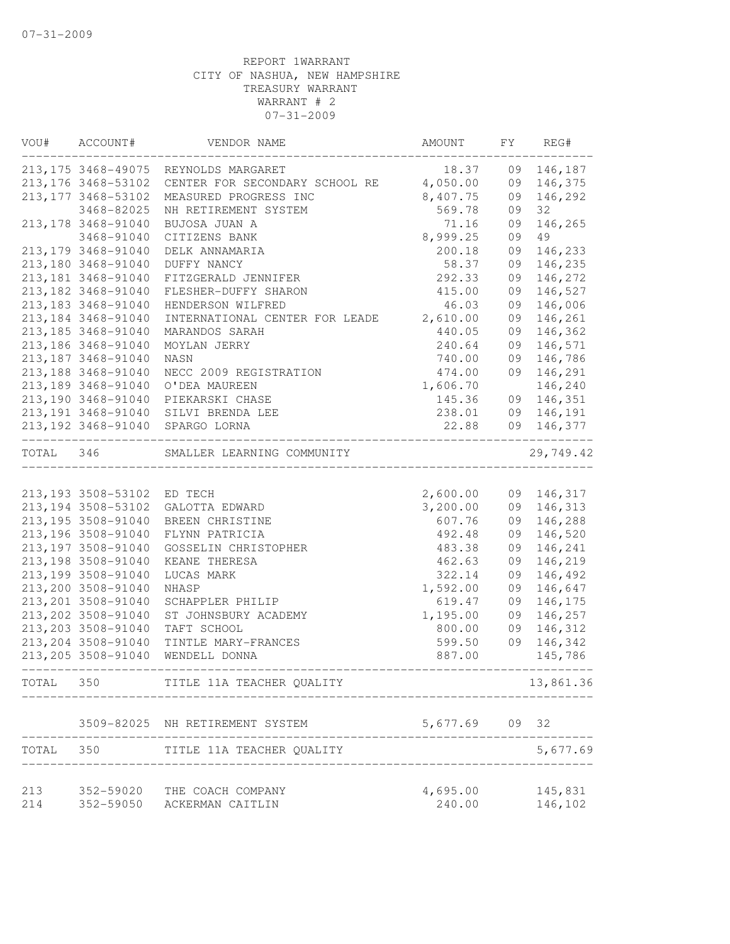|           | VOU# ACCOUNT#                  | VENDOR NAME                             | AMOUNT   |    | FY REG#    |
|-----------|--------------------------------|-----------------------------------------|----------|----|------------|
|           |                                | 213, 175 3468-49075 REYNOLDS MARGARET   | 18.37    | 09 | 146,187    |
|           | 213, 176 3468-53102            | CENTER FOR SECONDARY SCHOOL RE 4,050.00 |          | 09 | 146,375    |
|           | 213, 177 3468-53102            | MEASURED PROGRESS INC                   | 8,407.75 | 09 | 146,292    |
|           | 3468-82025                     | NH RETIREMENT SYSTEM                    | 569.78   | 09 | 32         |
|           | 213, 178 3468-91040            | BUJOSA JUAN A                           | 71.16    | 09 | 146,265    |
|           | 3468-91040                     | CITIZENS BANK                           | 8,999.25 | 09 | 49         |
|           | 213, 179 3468-91040            | DELK ANNAMARIA                          | 200.18   | 09 | 146,233    |
|           | 213,180 3468-91040             | DUFFY NANCY                             | 58.37    | 09 | 146,235    |
|           | 213, 181 3468-91040            | FITZGERALD JENNIFER                     | 292.33   | 09 | 146,272    |
|           | 213, 182 3468-91040            | FLESHER-DUFFY SHARON                    | 415.00   | 09 | 146,527    |
|           | 213, 183 3468-91040            | HENDERSON WILFRED                       | 46.03    | 09 | 146,006    |
|           | 213, 184 3468-91040            | INTERNATIONAL CENTER FOR LEADE          | 2,610.00 | 09 | 146,261    |
|           | 213, 185 3468-91040            | MARANDOS SARAH                          | 440.05   | 09 | 146,362    |
|           | 213, 186 3468-91040            | MOYLAN JERRY                            | 240.64   | 09 | 146,571    |
|           | 213, 187 3468-91040            | NASN                                    | 740.00   | 09 | 146,786    |
|           | 213, 188 3468-91040            | NECC 2009 REGISTRATION                  | 474.00   | 09 | 146,291    |
|           | 213, 189 3468-91040            | O'DEA MAUREEN                           | 1,606.70 |    | 146,240    |
|           | 213, 190 3468-91040            | PIEKARSKI CHASE                         | 145.36   |    | 09 146,351 |
|           | 213, 191 3468-91040            | SILVI BRENDA LEE                        | 238.01   |    | 09 146,191 |
|           | ._____________________________ | 213,192 3468-91040 SPARGO LORNA         | 22.88    | 09 | 146,377    |
| TOTAL 346 |                                | SMALLER LEARNING COMMUNITY              |          |    | 29,749.42  |
|           |                                |                                         |          |    |            |
|           | 213,193 3508-53102 ED TECH     |                                         | 2,600.00 |    | 09 146,317 |
|           | 213, 194 3508-53102            | GALOTTA EDWARD                          | 3,200.00 |    | 09 146,313 |
|           | 213, 195 3508-91040            | BREEN CHRISTINE                         | 607.76   | 09 | 146,288    |
|           | 213, 196 3508-91040            | FLYNN PATRICIA                          | 492.48   | 09 | 146,520    |
|           | 213, 197 3508-91040            | GOSSELIN CHRISTOPHER                    | 483.38   | 09 | 146,241    |
|           | 213, 198 3508-91040            | KEANE THERESA                           | 462.63   | 09 | 146,219    |
|           | 213, 199 3508-91040            | LUCAS MARK                              | 322.14   | 09 | 146,492    |
|           | 213,200 3508-91040             | NHASP                                   | 1,592.00 | 09 | 146,647    |
|           | 213, 201 3508-91040            | SCHAPPLER PHILIP                        | 619.47   | 09 | 146,175    |
|           | 213, 202 3508-91040            | ST JOHNSBURY ACADEMY                    | 1,195.00 | 09 | 146,257    |
|           | 213, 203 3508-91040            | TAFT SCHOOL                             | 800.00   | 09 | 146,312    |
|           | 213, 204 3508-91040            | TINTLE MARY-FRANCES                     | 599.50   | 09 | 146,342    |
|           | 213, 205 3508-91040            | WENDELL DONNA                           | 887.00   |    | 145,786    |
| TOTAL     | 350                            | TITLE 11A TEACHER QUALITY               |          |    | 13,861.36  |
|           | 3509-82025                     | NH RETIREMENT SYSTEM                    | 5,677.69 | 09 | 32         |
| TOTAL     | 350                            | TITLE 11A TEACHER QUALITY               |          |    | 5,677.69   |
| 213       | 352-59020                      | THE COACH COMPANY                       | 4,695.00 |    | 145,831    |
| 214       | 352-59050                      | ACKERMAN CAITLIN                        | 240.00   |    | 146,102    |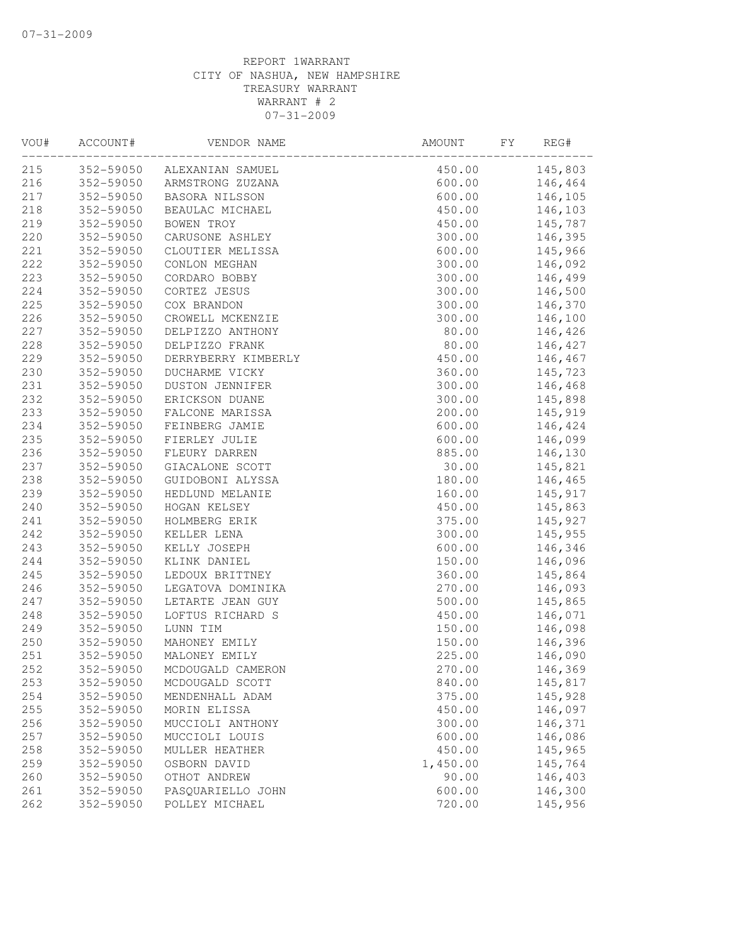| VOU# | ACCOUNT#  | VENDOR NAME                          | AMOUNT   | FY | REG#    |
|------|-----------|--------------------------------------|----------|----|---------|
| 215  |           | 352-59050 ALEXANIAN SAMUEL           | 450.00   |    | 145,803 |
| 216  | 352-59050 | ALEXANIAN SAMUEL<br>ARMSTRONG ZUZANA | 600.00   |    | 146,464 |
| 217  | 352-59050 | BASORA NILSSON                       | 600.00   |    | 146,105 |
| 218  | 352-59050 | BEAULAC MICHAEL                      | 450.00   |    | 146,103 |
| 219  | 352-59050 | BOWEN TROY                           | 450.00   |    | 145,787 |
| 220  | 352-59050 | CARUSONE ASHLEY                      | 300.00   |    | 146,395 |
| 221  | 352-59050 | CLOUTIER MELISSA                     | 600.00   |    | 145,966 |
| 222  | 352-59050 | CONLON MEGHAN                        | 300.00   |    | 146,092 |
| 223  | 352-59050 | CORDARO BOBBY                        | 300.00   |    | 146,499 |
| 224  | 352-59050 | CORTEZ JESUS                         | 300.00   |    | 146,500 |
| 225  | 352-59050 | COX BRANDON                          | 300.00   |    | 146,370 |
| 226  | 352-59050 | CROWELL MCKENZIE                     | 300.00   |    | 146,100 |
| 227  | 352-59050 | DELPIZZO ANTHONY                     | 80.00    |    | 146,426 |
| 228  | 352-59050 | DELPIZZO FRANK                       | 80.00    |    | 146,427 |
| 229  | 352-59050 | DERRYBERRY KIMBERLY                  | 450.00   |    | 146,467 |
| 230  | 352-59050 | DUCHARME VICKY                       | 360.00   |    | 145,723 |
| 231  | 352-59050 | DUSTON JENNIFER                      | 300.00   |    | 146,468 |
| 232  | 352-59050 | ERICKSON DUANE                       | 300.00   |    | 145,898 |
| 233  | 352-59050 | FALCONE MARISSA                      | 200.00   |    | 145,919 |
| 234  | 352-59050 | FEINBERG JAMIE                       | 600.00   |    | 146,424 |
| 235  | 352-59050 | FIERLEY JULIE                        | 600.00   |    | 146,099 |
| 236  | 352-59050 | FLEURY DARREN                        | 885.00   |    | 146,130 |
| 237  | 352-59050 | GIACALONE SCOTT                      | 30.00    |    | 145,821 |
| 238  | 352-59050 | GUIDOBONI ALYSSA                     | 180.00   |    | 146,465 |
| 239  | 352-59050 | HEDLUND MELANIE                      | 160.00   |    | 145,917 |
| 240  | 352-59050 | HOGAN KELSEY                         | 450.00   |    | 145,863 |
| 241  | 352-59050 | HOLMBERG ERIK                        | 375.00   |    | 145,927 |
| 242  | 352-59050 | KELLER LENA                          | 300.00   |    | 145,955 |
| 243  | 352-59050 | KELLY JOSEPH                         | 600.00   |    | 146,346 |
| 244  | 352-59050 | KLINK DANIEL                         | 150.00   |    | 146,096 |
| 245  | 352-59050 | LEDOUX BRITTNEY                      | 360.00   |    | 145,864 |
| 246  | 352-59050 | LEGATOVA DOMINIKA                    | 270.00   |    | 146,093 |
| 247  | 352-59050 | LETARTE JEAN GUY                     | 500.00   |    | 145,865 |
| 248  | 352-59050 | LOFTUS RICHARD S                     | 450.00   |    | 146,071 |
| 249  | 352-59050 | LUNN TIM                             | 150.00   |    | 146,098 |
| 250  | 352-59050 | MAHONEY EMILY                        | 150.00   |    | 146,396 |
| 251  | 352-59050 | MALONEY EMILY                        | 225.00   |    | 146,090 |
| 252  | 352-59050 | MCDOUGALD CAMERON                    | 270.00   |    | 146,369 |
| 253  | 352-59050 | MCDOUGALD SCOTT                      | 840.00   |    | 145,817 |
| 254  | 352-59050 | MENDENHALL ADAM                      | 375.00   |    | 145,928 |
| 255  | 352-59050 | MORIN ELISSA                         | 450.00   |    | 146,097 |
| 256  | 352-59050 | MUCCIOLI ANTHONY                     | 300.00   |    | 146,371 |
| 257  | 352-59050 | MUCCIOLI LOUIS                       | 600.00   |    | 146,086 |
| 258  | 352-59050 | MULLER HEATHER                       | 450.00   |    | 145,965 |
| 259  | 352-59050 | OSBORN DAVID                         | 1,450.00 |    | 145,764 |
| 260  | 352-59050 | OTHOT ANDREW                         | 90.00    |    | 146,403 |
| 261  | 352-59050 | PASQUARIELLO JOHN                    | 600.00   |    | 146,300 |
| 262  | 352-59050 | POLLEY MICHAEL                       | 720.00   |    | 145,956 |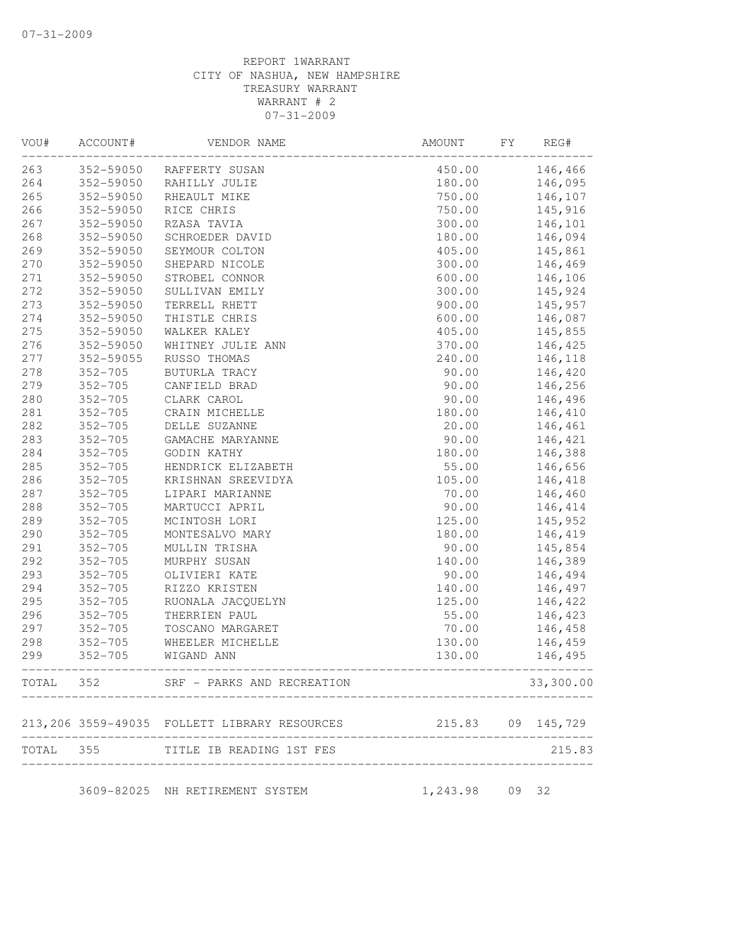| VOU# | ACCOUNT#    | VENDOR NAME                                  | AMOUNT         | FY | REG#              |
|------|-------------|----------------------------------------------|----------------|----|-------------------|
| 263  | 352-59050   | RAFFERTY SUSAN                               | 450.00         |    | 146,466           |
| 264  | 352-59050   | RAHILLY JULIE                                | 180.00         |    | 146,095           |
| 265  | 352-59050   | RHEAULT MIKE                                 | 750.00         |    | 146,107           |
| 266  | 352-59050   | RICE CHRIS                                   | 750.00         |    | 145,916           |
| 267  | 352-59050   | RZASA TAVIA                                  | 300.00         |    | 146,101           |
| 268  | 352-59050   | SCHROEDER DAVID                              | 180.00         |    | 146,094           |
| 269  | 352-59050   | SEYMOUR COLTON                               | 405.00         |    | 145,861           |
| 270  | 352-59050   | SHEPARD NICOLE                               | 300.00         |    | 146,469           |
| 271  | 352-59050   | STROBEL CONNOR                               | 600.00         |    | 146,106           |
| 272  | 352-59050   | SULLIVAN EMILY                               | 300.00         |    | 145,924           |
| 273  | 352-59050   | TERRELL RHETT                                | 900.00         |    | 145,957           |
| 274  | 352-59050   | THISTLE CHRIS                                | 600.00         |    | 146,087           |
| 275  | 352-59050   | WALKER KALEY                                 | 405.00         |    | 145,855           |
| 276  | 352-59050   | WHITNEY JULIE ANN                            | 370.00         |    | 146,425           |
| 277  | 352-59055   | RUSSO THOMAS                                 | 240.00         |    | 146,118           |
| 278  | $352 - 705$ | BUTURLA TRACY                                | 90.00          |    | 146,420           |
| 279  | $352 - 705$ | CANFIELD BRAD                                | 90.00          |    | 146,256           |
| 280  | $352 - 705$ | CLARK CAROL                                  | 90.00          |    | 146,496           |
| 281  | $352 - 705$ | CRAIN MICHELLE                               | 180.00         |    | 146,410           |
| 282  | $352 - 705$ | DELLE SUZANNE                                | 20.00          |    | 146,461           |
| 283  | $352 - 705$ | GAMACHE MARYANNE                             | 90.00          |    | 146,421           |
| 284  | $352 - 705$ | GODIN KATHY                                  | 180.00         |    | 146,388           |
| 285  | $352 - 705$ | HENDRICK ELIZABETH                           | 55.00          |    | 146,656           |
| 286  | $352 - 705$ | KRISHNAN SREEVIDYA                           | 105.00         |    | 146,418           |
| 287  | $352 - 705$ | LIPARI MARIANNE                              | 70.00          |    | 146,460           |
| 288  | $352 - 705$ | MARTUCCI APRIL                               | 90.00          |    | 146,414           |
| 289  | $352 - 705$ | MCINTOSH LORI                                | 125.00         |    | 145,952           |
| 290  | $352 - 705$ | MONTESALVO MARY                              | 180.00         |    | 146,419           |
| 291  | $352 - 705$ | MULLIN TRISHA                                | 90.00          |    | 145,854           |
| 292  | $352 - 705$ | MURPHY SUSAN                                 | 140.00         |    | 146,389           |
| 293  | $352 - 705$ | OLIVIERI KATE                                | 90.00          |    | 146,494           |
| 294  | $352 - 705$ | RIZZO KRISTEN                                | 140.00         |    | 146,497           |
| 295  | $352 - 705$ | RUONALA JACQUELYN                            | 125.00         |    | 146,422           |
| 296  | $352 - 705$ | THERRIEN PAUL                                | 55.00          |    | 146,423           |
| 297  | $352 - 705$ | TOSCANO MARGARET                             | 70.00          |    | 146,458           |
| 298  | $352 - 705$ | WHEELER MICHELLE                             | 130.00         |    | 146,459           |
| 299  | $352 - 705$ | WIGAND ANN                                   | 130.00         |    | 146,495           |
|      |             | TOTAL 352 SRF - PARKS AND RECREATION         |                |    | 33,300.00         |
|      |             | 213,206 3559-49035 FOLLETT LIBRARY RESOURCES |                |    | 215.83 09 145,729 |
|      | TOTAL 355   | TITLE IB READING 1ST FES                     |                |    | 215.83            |
|      |             | 3609-82025 NH RETIREMENT SYSTEM              | 1,243.98 09 32 |    |                   |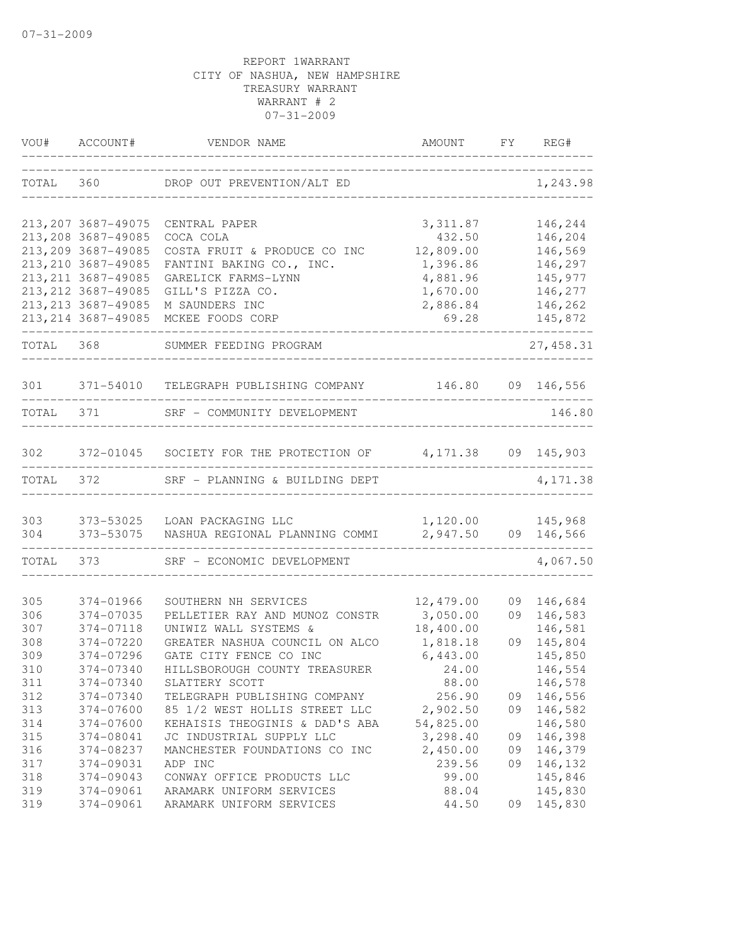| VOU#      | ACCOUNT#            | VENDOR NAME                                       | AMOUNT    | FY | REG#              |
|-----------|---------------------|---------------------------------------------------|-----------|----|-------------------|
| TOTAL     | 360                 | DROP OUT PREVENTION/ALT ED                        |           |    | 1,243.98          |
|           | 213, 207 3687-49075 | CENTRAL PAPER                                     | 3, 311.87 |    | 146,244           |
|           | 213, 208 3687-49085 | COCA COLA                                         | 432.50    |    | 146,204           |
|           | 213, 209 3687-49085 | COSTA FRUIT & PRODUCE CO INC                      | 12,809.00 |    | 146,569           |
|           | 213, 210 3687-49085 | FANTINI BAKING CO., INC.                          | 1,396.86  |    | 146,297           |
|           | 213, 211 3687-49085 | GARELICK FARMS-LYNN                               | 4,881.96  |    | 145,977           |
|           | 213, 212 3687-49085 | GILL'S PIZZA CO.                                  | 1,670.00  |    | 146,277           |
|           | 213, 213 3687-49085 | M SAUNDERS INC                                    | 2,886.84  |    | 146,262           |
|           | 213, 214 3687-49085 | MCKEE FOODS CORP                                  | 69.28     |    | 145,872           |
| TOTAL 368 |                     | SUMMER FEEDING PROGRAM                            |           |    | 27, 458.31        |
| 301       |                     | 371-54010 TELEGRAPH PUBLISHING COMPANY            |           |    | 146.80 09 146,556 |
| TOTAL     | 371 — 200           | SRF - COMMUNITY DEVELOPMENT                       |           |    | 146.80            |
| 302       |                     | 372-01045 SOCIETY FOR THE PROTECTION OF 4,171.38  |           |    | 09 145,903        |
| TOTAL     | 372                 | SRF - PLANNING & BUILDING DEPT                    |           |    | 4,171.38          |
| 303       |                     | 373-53025 LOAN PACKAGING LLC                      | 1,120.00  |    | 145,968           |
| 304       |                     | 373-53075 NASHUA REGIONAL PLANNING COMMI 2,947.50 |           |    | 09 146,566        |
| TOTAL     | 373                 | SRF - ECONOMIC DEVELOPMENT                        |           |    | 4,067.50          |
| 305       | 374-01966           | SOUTHERN NH SERVICES                              | 12,479.00 | 09 | 146,684           |
| 306       | 374-07035           | PELLETIER RAY AND MUNOZ CONSTR                    | 3,050.00  | 09 | 146,583           |
| 307       | 374-07118           | UNIWIZ WALL SYSTEMS &                             | 18,400.00 |    | 146,581           |
| 308       | 374-07220           | GREATER NASHUA COUNCIL ON ALCO                    | 1,818.18  | 09 | 145,804           |
| 309       | 374-07296           | GATE CITY FENCE CO INC                            | 6,443.00  |    | 145,850           |
| 310       | 374-07340           | HILLSBOROUGH COUNTY TREASURER                     | 24.00     |    | 146,554           |
| 311       | 374-07340           | SLATTERY SCOTT                                    | 88.00     |    | 146,578           |
| 312       | 374-07340           | TELEGRAPH PUBLISHING COMPANY                      | 256.90    | 09 | 146,556           |
| 313       | 374-07600           | 85 1/2 WEST HOLLIS STREET LLC                     | 2,902.50  | 09 | 146,582           |
| 314       | 374-07600           | KEHAISIS THEOGINIS & DAD'S ABA                    | 54,825.00 |    | 146,580           |
| 315       | 374-08041           | JC INDUSTRIAL SUPPLY LLC                          | 3,298.40  | 09 | 146,398           |
| 316       | 374-08237           | MANCHESTER FOUNDATIONS CO INC                     | 2,450.00  | 09 | 146,379           |
| 317       | 374-09031           | ADP INC                                           | 239.56    | 09 | 146,132           |
| 318       | 374-09043           | CONWAY OFFICE PRODUCTS LLC                        | 99.00     |    | 145,846           |
| 319       | 374-09061           | ARAMARK UNIFORM SERVICES                          | 88.04     |    | 145,830           |
| 319       | 374-09061           | ARAMARK UNIFORM SERVICES                          | 44.50     | 09 | 145,830           |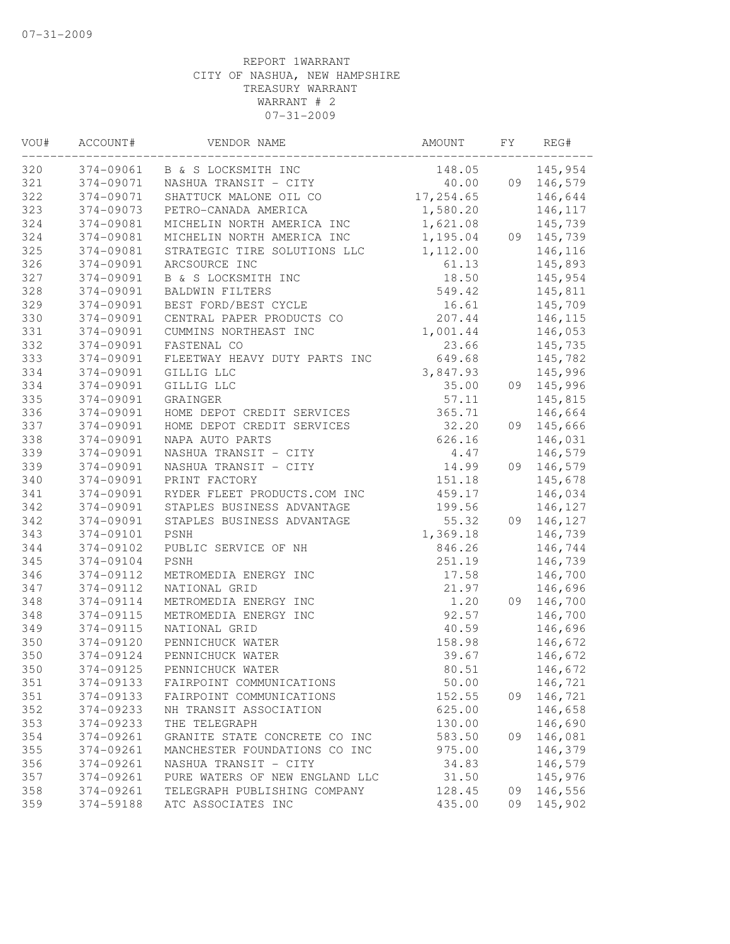| VOU# | ACCOUNT#  | VENDOR NAME                    | AMOUNT    | FY | REG#               |
|------|-----------|--------------------------------|-----------|----|--------------------|
| 320  |           | 374-09061 B & S LOCKSMITH INC  | 148.05    |    | 145,954            |
| 321  | 374-09071 | NASHUA TRANSIT - CITY          | 40.00     |    | 09 146,579         |
| 322  | 374-09071 | SHATTUCK MALONE OIL CO         | 17,254.65 |    | 146,644            |
| 323  | 374-09073 | PETRO-CANADA AMERICA           | 1,580.20  |    | 146,117            |
| 324  | 374-09081 | MICHELIN NORTH AMERICA INC     | 1,621.08  |    | 145,739            |
| 324  | 374-09081 | MICHELIN NORTH AMERICA INC     | 1,195.04  |    | 09 145,739         |
| 325  | 374-09081 | STRATEGIC TIRE SOLUTIONS LLC   | 1,112.00  |    | 146,116            |
| 326  | 374-09091 | ARCSOURCE INC                  | 61.13     |    | 145,893            |
| 327  | 374-09091 | B & S LOCKSMITH INC            | 18.50     |    | 145,954            |
| 328  | 374-09091 | <b>BALDWIN FILTERS</b>         | 549.42    |    | 145,811            |
| 329  | 374-09091 | BEST FORD/BEST CYCLE           | 16.61     |    | 145,709            |
| 330  | 374-09091 | CENTRAL PAPER PRODUCTS CO      | 207.44    |    | 146,115            |
| 331  | 374-09091 | CUMMINS NORTHEAST INC          | 1,001.44  |    | 146,053            |
| 332  | 374-09091 | FASTENAL CO                    | 23.66     |    | 145,735            |
| 333  | 374-09091 | FLEETWAY HEAVY DUTY PARTS INC  | 649.68    |    | 145,782            |
| 334  | 374-09091 | GILLIG LLC                     | 3,847.93  |    | 145,996            |
| 334  | 374-09091 | GILLIG LLC                     | 35.00     |    | 09 145,996         |
| 335  | 374-09091 | GRAINGER                       | 57.11     |    | 145,815            |
| 336  | 374-09091 | HOME DEPOT CREDIT SERVICES     | 365.71    |    | 146,664            |
| 337  | 374-09091 | HOME DEPOT CREDIT SERVICES     | 32.20     | 09 | 145,666            |
| 338  | 374-09091 | NAPA AUTO PARTS                | 626.16    |    | 146,031            |
| 339  | 374-09091 | NASHUA TRANSIT - CITY          | 4.47      |    | 146,579            |
| 339  | 374-09091 | NASHUA TRANSIT - CITY          | 14.99     | 09 | 146,579            |
| 340  | 374-09091 | PRINT FACTORY                  | 151.18    |    | 145,678            |
| 341  | 374-09091 | RYDER FLEET PRODUCTS.COM INC   | 459.17    |    | 146,034            |
| 342  | 374-09091 | STAPLES BUSINESS ADVANTAGE     | 199.56    |    | 146,127            |
| 342  | 374-09091 | STAPLES BUSINESS ADVANTAGE     | 55.32     |    | 09 146,127         |
| 343  | 374-09101 | PSNH                           | 1,369.18  |    | 146,739            |
| 344  | 374-09102 | PUBLIC SERVICE OF NH           | 846.26    |    | 146,744            |
| 345  | 374-09104 | <b>PSNH</b>                    | 251.19    |    |                    |
| 346  | 374-09112 |                                | 17.58     |    | 146,739<br>146,700 |
| 347  | 374-09112 | METROMEDIA ENERGY INC          | 21.97     |    |                    |
|      |           | NATIONAL GRID                  |           |    | 146,696            |
| 348  | 374-09114 | METROMEDIA ENERGY INC          | 1.20      | 09 | 146,700            |
| 348  | 374-09115 | METROMEDIA ENERGY INC          | 92.57     |    | 146,700            |
| 349  | 374-09115 | NATIONAL GRID                  | 40.59     |    | 146,696            |
| 350  | 374-09120 | PENNICHUCK WATER               | 158.98    |    | 146,672            |
| 350  | 374-09124 | PENNICHUCK WATER               | 39.67     |    | 146,672            |
| 350  | 374-09125 | PENNICHUCK WATER               | 80.51     |    | 146,672            |
| 351  | 374-09133 | FAIRPOINT COMMUNICATIONS       | 50.00     |    | 146,721            |
| 351  | 374-09133 | FAIRPOINT COMMUNICATIONS       | 152.55    | 09 | 146,721            |
| 352  | 374-09233 | NH TRANSIT ASSOCIATION         | 625.00    |    | 146,658            |
| 353  | 374-09233 | THE TELEGRAPH                  | 130.00    |    | 146,690            |
| 354  | 374-09261 | GRANITE STATE CONCRETE CO INC  | 583.50    | 09 | 146,081            |
| 355  | 374-09261 | MANCHESTER FOUNDATIONS CO INC  | 975.00    |    | 146,379            |
| 356  | 374-09261 | NASHUA TRANSIT - CITY          | 34.83     |    | 146,579            |
| 357  | 374-09261 | PURE WATERS OF NEW ENGLAND LLC | 31.50     |    | 145,976            |
| 358  | 374-09261 | TELEGRAPH PUBLISHING COMPANY   | 128.45    | 09 | 146,556            |
| 359  | 374-59188 | ATC ASSOCIATES INC             | 435.00    | 09 | 145,902            |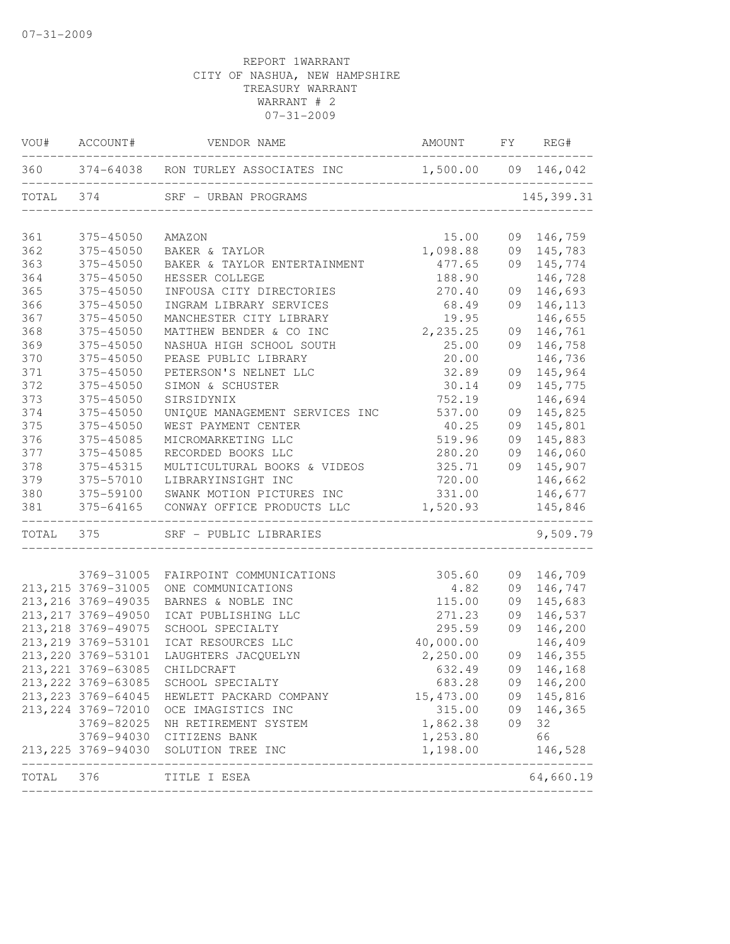|                                 | 375-45050                           | 360 374-64038 RON TURLEY ASSOCIATES INC 1,500.00 09 146,042<br>SRF - URBAN PROGRAMS<br>---------------------- |                        |    |                   |
|---------------------------------|-------------------------------------|---------------------------------------------------------------------------------------------------------------|------------------------|----|-------------------|
| TOTAL 374<br>361                |                                     |                                                                                                               |                        |    |                   |
|                                 |                                     |                                                                                                               |                        |    | 145, 399.31       |
| 362<br>363<br>364<br>365<br>366 |                                     | AMAZON                                                                                                        | 15.00                  |    | 09 146,759        |
|                                 | 375-45050                           | BAKER & TAYLOR                                                                                                | 1,098.88               |    | 09 145,783        |
|                                 | 375-45050                           | BAKER & TAYLOR ENTERTAINMENT                                                                                  | 477.65                 |    | 09 145,774        |
|                                 | 375-45050                           | HESSER COLLEGE                                                                                                | 188.90                 |    | 146,728           |
|                                 | 375-45050                           | INFOUSA CITY DIRECTORIES                                                                                      | 270.40                 | 09 | 146,693           |
|                                 | 375-45050                           | INGRAM LIBRARY SERVICES                                                                                       | 68.49                  | 09 | 146,113           |
| 367                             | 375-45050                           | MANCHESTER CITY LIBRARY                                                                                       | 19.95                  |    | 146,655           |
| 368                             | 375-45050                           | MATTHEW BENDER & CO INC                                                                                       | 2,235.25               | 09 | 146,761           |
| 369                             | 375-45050                           | NASHUA HIGH SCHOOL SOUTH                                                                                      | 25.00                  | 09 | 146,758           |
| 370                             | 375-45050                           | PEASE PUBLIC LIBRARY                                                                                          | 20.00                  |    | 146,736           |
| 371                             | 375-45050                           | PETERSON'S NELNET LLC                                                                                         | 32.89                  | 09 | 145,964           |
| 372                             | 375-45050                           | SIMON & SCHUSTER                                                                                              | 30.14                  | 09 | 145,775           |
| 373                             | 375-45050                           | SIRSIDYNIX                                                                                                    | 752.19                 |    | 146,694           |
| 374                             | $375 - 45050$                       | UNIQUE MANAGEMENT SERVICES INC                                                                                | 537.00                 | 09 | 145,825           |
| 375                             | 375-45050                           | WEST PAYMENT CENTER                                                                                           | 40.25                  | 09 | 145,801           |
| 376                             | 375-45085                           | MICROMARKETING LLC                                                                                            | 519.96                 | 09 | 145,883           |
| 377                             | 375-45085                           | RECORDED BOOKS LLC                                                                                            | 280.20                 | 09 | 146,060           |
| 378                             | 375-45315                           | MULTICULTURAL BOOKS & VIDEOS                                                                                  | 325.71                 |    | 09 145,907        |
| 379                             | 375-57010                           | LIBRARYINSIGHT INC                                                                                            | 720.00                 |    | 146,662           |
| 380                             | 375-59100                           | SWANK MOTION PICTURES INC                                                                                     | 331.00                 |    | 146,677           |
| 381                             | 375-64165<br>______________________ | CONWAY OFFICE PRODUCTS LLC<br>________________________________                                                | 1,520.93               |    | 145,846           |
|                                 |                                     | TOTAL 375 SRF - PUBLIC LIBRARIES                                                                              |                        |    | 9,509.79          |
|                                 | 3769-31005                          | FAIRPOINT COMMUNICATIONS                                                                                      | 305.60                 | 09 | 146,709           |
|                                 | 213, 215 3769-31005                 | ONE COMMUNICATIONS                                                                                            | 4.82                   |    | 09 146,747        |
|                                 | 213, 216 3769-49035                 | BARNES & NOBLE INC                                                                                            | 115.00                 | 09 | 145,683           |
|                                 | 213, 217 3769-49050                 | ICAT PUBLISHING LLC                                                                                           | 271.23                 | 09 | 146,537           |
|                                 | 213, 218 3769-49075                 | SCHOOL SPECIALTY                                                                                              | 295.59                 | 09 | 146,200           |
|                                 | 213, 219 3769-53101                 | ICAT RESOURCES LLC                                                                                            | 40,000.00              |    | 146,409           |
|                                 | 213, 220 3769-53101                 | LAUGHTERS JACQUELYN                                                                                           | 2,250.00               | 09 | 146,355           |
|                                 | 213, 221 3769-63085                 | CHILDCRAFT                                                                                                    | 632.49                 |    | 09 146,168        |
|                                 |                                     | 213, 222 3769-63085 SCHOOL SPECIALTY                                                                          | 683.28                 |    | 09 146,200        |
|                                 | 213, 223 3769-64045                 | HEWLETT PACKARD COMPANY                                                                                       | 15, 473.00 09 145, 816 |    |                   |
|                                 | 213, 224 3769-72010                 | OCE IMAGISTICS INC                                                                                            |                        |    | 315.00 09 146,365 |
|                                 | 3769-82025                          | NH RETIREMENT SYSTEM                                                                                          | 1,862.38               | 09 | 32                |
|                                 |                                     | 3769-94030 CITIZENS BANK                                                                                      | 1,253.80               |    | 66                |
|                                 |                                     | 213, 225 3769-94030 SOLUTION TREE INC                                                                         | 1,198.00               |    | 146,528           |
| TOTAL 376                       |                                     | TITLE I ESEA                                                                                                  |                        |    | 64,660.19         |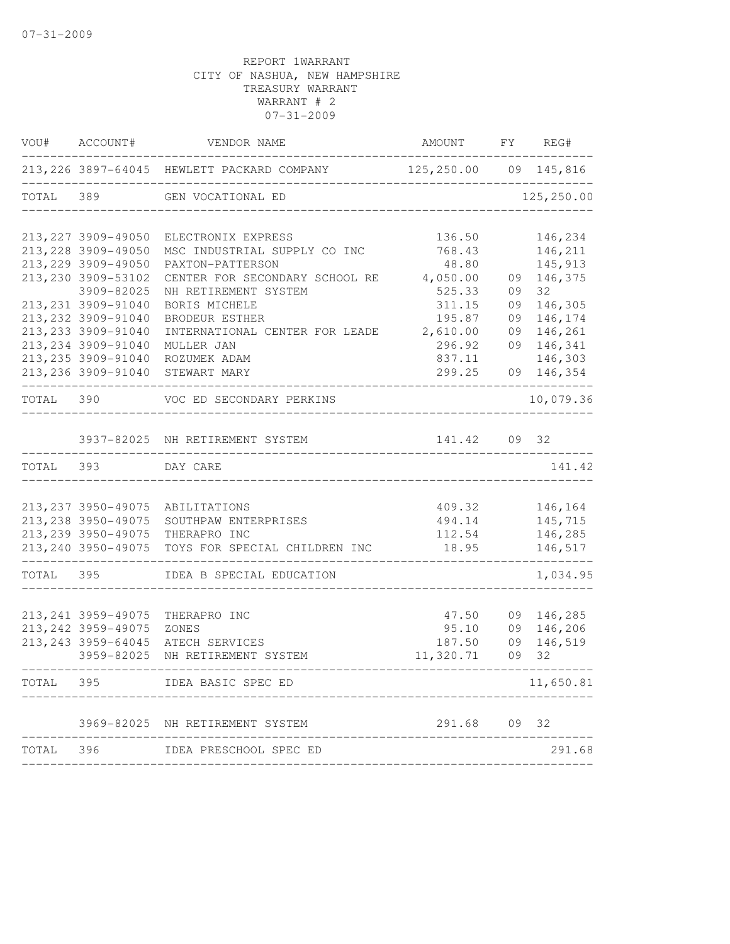|           | VOU# ACCOUNT#       | VENDOR NAME                                                                                              | AMOUNT FY REG# |    |                            |
|-----------|---------------------|----------------------------------------------------------------------------------------------------------|----------------|----|----------------------------|
|           |                     | 213,226 3897-64045 HEWLETT PACKARD COMPANY 125,250.00 09 145,816<br>------------------------------------ |                | .  |                            |
|           |                     | TOTAL 389 GEN VOCATIONAL ED                                                                              |                |    | 125,250.00                 |
|           | 213, 227 3909-49050 | ELECTRONIX EXPRESS                                                                                       | 136.50         |    | 146,234                    |
|           | 213, 228 3909-49050 | MSC INDUSTRIAL SUPPLY CO INC                                                                             | 768.43         |    | 146,211                    |
|           | 213, 229 3909-49050 | PAXTON-PATTERSON                                                                                         | 48.80          |    | 145,913                    |
|           | 213, 230 3909-53102 | CENTER FOR SECONDARY SCHOOL RE                                                                           | 4,050.00       |    | 09 146,375                 |
|           | 3909-82025          | NH RETIREMENT SYSTEM                                                                                     | 525.33         | 09 | $32 -$                     |
|           | 213, 231 3909-91040 | BORIS MICHELE                                                                                            | 311.15         | 09 | 146,305                    |
|           | 213, 232 3909-91040 | BRODEUR ESTHER                                                                                           | 195.87         | 09 | 146,174                    |
|           | 213, 233 3909-91040 | INTERNATIONAL CENTER FOR LEADE                                                                           | 2,610.00       |    | 09 146,261                 |
|           | 213, 234 3909-91040 | MULLER JAN                                                                                               | 296.92         |    | 09 146,341                 |
|           | 213, 235 3909-91040 | ROZUMEK ADAM                                                                                             | 837.11         |    | 146,303                    |
|           | 213,236 3909-91040  | STEWART MARY                                                                                             | 299.25         |    | 09 146,354<br>____________ |
|           |                     | TOTAL 390 VOC ED SECONDARY PERKINS                                                                       |                |    | 10,079.36                  |
|           |                     | 3937-82025 NH RETIREMENT SYSTEM                                                                          | 141.42         |    | 09 32                      |
| TOTAL 393 |                     | DAY CARE                                                                                                 |                |    | 141.42                     |
|           |                     |                                                                                                          |                |    |                            |
|           |                     | 213, 237 3950-49075 ABILITATIONS                                                                         |                |    | 409.32 146,164             |
|           | 213, 238 3950-49075 | SOUTHPAW ENTERPRISES                                                                                     | 494.14         |    | 145,715                    |
|           | 213, 239 3950-49075 | THERAPRO INC                                                                                             | 112.54         |    | 146,285                    |
|           | 213, 240 3950-49075 | TOYS FOR SPECIAL CHILDREN INC                                                                            | 18.95          |    | 146,517                    |
|           | TOTAL 395           | IDEA B SPECIAL EDUCATION                                                                                 |                |    | 1,034.95                   |
|           |                     |                                                                                                          |                |    |                            |
|           | 213, 241 3959-49075 | THERAPRO INC                                                                                             | 47.50          |    | 09 146,285                 |
|           | 213, 242 3959-49075 | ZONES                                                                                                    | 95.10          |    | 09 146,206                 |
|           | 213, 243 3959-64045 | ATECH SERVICES                                                                                           | 187.50         | 09 | 146,519                    |
|           | 3959-82025          | NH RETIREMENT SYSTEM                                                                                     | 11,320.71      | 09 | 32                         |
| TOTAL     | 395                 | IDEA BASIC SPEC ED                                                                                       |                |    | 11,650.81                  |
|           | 3969-82025          | NH RETIREMENT SYSTEM                                                                                     | 291.68         | 09 | 32                         |
|           |                     |                                                                                                          |                |    |                            |
| TOTAL     | 396                 | IDEA PRESCHOOL SPEC ED                                                                                   |                |    | 291.68                     |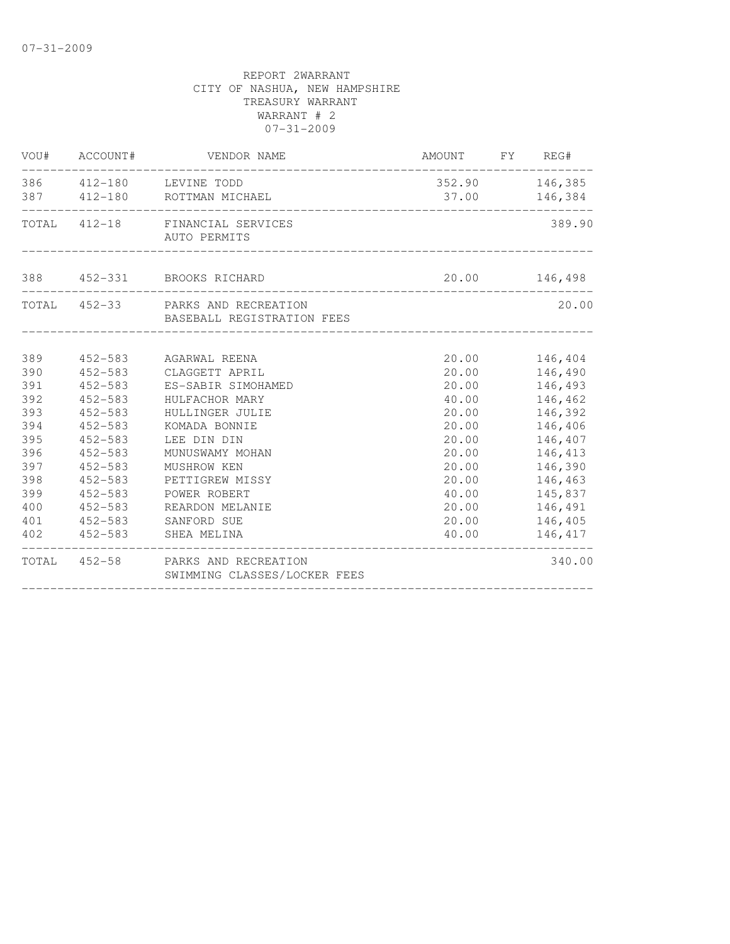|            | VOU# ACCOUNT# | VENDOR NAME                                                       | AMOUNT FY REG# |                                    |
|------------|---------------|-------------------------------------------------------------------|----------------|------------------------------------|
|            |               | 386  412-180  LEVINE TODD<br>387 412-180 ROTTMAN MICHAEL          |                | 352.90 146,385<br>37.00    146,384 |
|            |               | TOTAL 412-18 FINANCIAL SERVICES<br>AUTO PERMITS                   |                | 389.90                             |
|            |               | 388 452-331 BROOKS RICHARD                                        |                | 20.00 146,498                      |
|            |               | TOTAL 452-33 PARKS AND RECREATION<br>BASEBALL REGISTRATION FEES   |                | 20.00                              |
| 389        |               | 452-583 AGARWAL REENA                                             |                | 20.00 146,404                      |
| 390        | 452-583       | CLAGGETT APRIL                                                    | 20.00          | 146,490                            |
| 391        | 452-583       | ES-SABIR SIMOHAMED                                                | 20.00          | 146,493                            |
| 392        | $452 - 583$   | HULFACHOR MARY                                                    | 40.00          | 146,462                            |
| 393        | $452 - 583$   | HULLINGER JULIE                                                   | 20.00          | 146,392                            |
| 394        | $452 - 583$   | KOMADA BONNIE                                                     | 20.00          | 146,406                            |
| 395        | $452 - 583$   | LEE DIN DIN                                                       | 20.00          | 146,407                            |
| 396        | 452-583       | MUNUSWAMY MOHAN                                                   | 20.00          | 146,413                            |
| 397        | $452 - 583$   | MUSHROW KEN                                                       | 20.00          | 146,390                            |
| 398        | 452-583       | PETTIGREW MISSY                                                   | 20.00          | 146,463                            |
| 399        | $452 - 583$   | POWER ROBERT                                                      | 40.00          | 145,837                            |
| 400        | $452 - 583$   | REARDON MELANIE                                                   | 20.00          | 146,491                            |
| 401<br>402 | 452-583       | SANFORD SUE<br>452-583 SHEA MELINA                                | 20.00<br>40.00 | 146,405<br>146,417                 |
|            |               |                                                                   |                |                                    |
|            |               | TOTAL 452-58 PARKS AND RECREATION<br>SWIMMING CLASSES/LOCKER FEES |                | 340.00                             |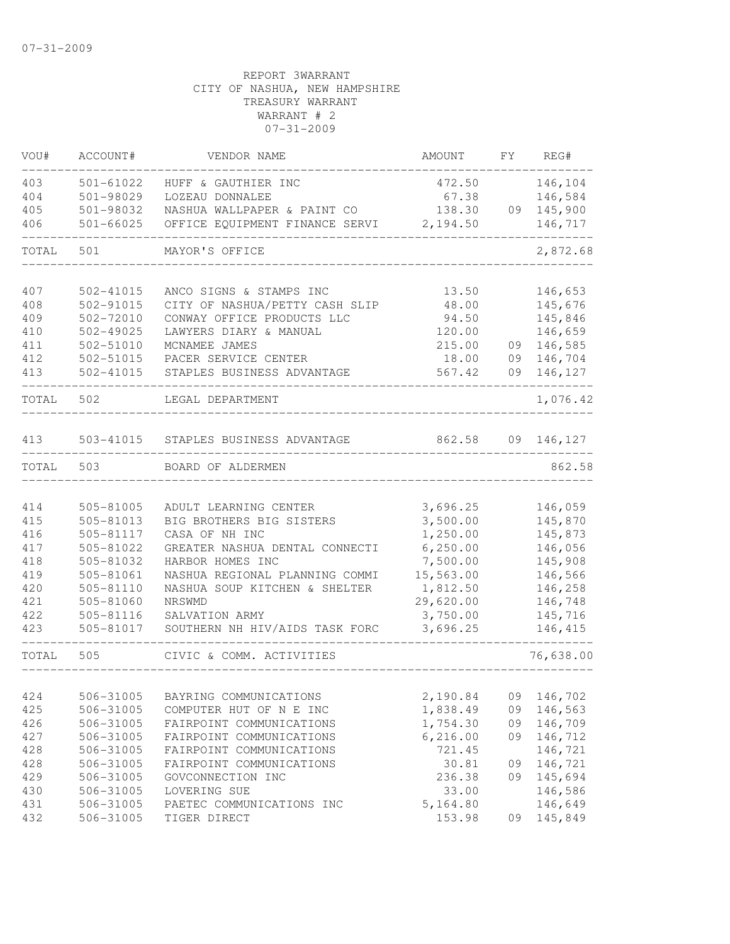| VOU#  | ACCOUNT#      | VENDOR NAME                          | AMOUNT    | FY | REG#      |
|-------|---------------|--------------------------------------|-----------|----|-----------|
| 403   | 501-61022     | HUFF & GAUTHIER INC                  | 472.50    |    | 146,104   |
| 404   | 501-98029     | LOZEAU DONNALEE                      | 67.38     |    | 146,584   |
| 405   | 501-98032     | NASHUA WALLPAPER & PAINT CO          | 138.30    | 09 | 145,900   |
| 406   | $501 - 66025$ | OFFICE EQUIPMENT FINANCE SERVI       | 2,194.50  |    | 146,717   |
| TOTAL | 501           | MAYOR'S OFFICE                       |           |    | 2,872.68  |
| 407   | 502-41015     | ANCO SIGNS & STAMPS INC              | 13.50     |    | 146,653   |
| 408   | 502-91015     | CITY OF NASHUA/PETTY CASH SLIP       | 48.00     |    | 145,676   |
| 409   | $502 - 72010$ | CONWAY OFFICE PRODUCTS LLC           | 94.50     |    | 145,846   |
| 410   | 502-49025     | LAWYERS DIARY & MANUAL               | 120.00    |    | 146,659   |
| 411   | 502-51010     | MCNAMEE JAMES                        | 215.00    | 09 | 146,585   |
| 412   | 502-51015     | PACER SERVICE CENTER                 | 18.00     | 09 | 146,704   |
| 413   | 502-41015     | STAPLES BUSINESS ADVANTAGE           | 567.42    | 09 | 146,127   |
| TOTAL | 502           | LEGAL DEPARTMENT                     |           |    | 1,076.42  |
| 413   |               | 503-41015 STAPLES BUSINESS ADVANTAGE | 862.58    | 09 | 146,127   |
| TOTAL | 503           | BOARD OF ALDERMEN                    |           |    | 862.58    |
|       |               |                                      |           |    |           |
| 414   | 505-81005     | ADULT LEARNING CENTER                | 3,696.25  |    | 146,059   |
| 415   | 505-81013     | BIG BROTHERS BIG SISTERS             | 3,500.00  |    | 145,870   |
| 416   | 505-81117     | CASA OF NH INC                       | 1,250.00  |    | 145,873   |
| 417   | 505-81022     | GREATER NASHUA DENTAL CONNECTI       | 6, 250.00 |    | 146,056   |
| 418   | 505-81032     | HARBOR HOMES INC                     | 7,500.00  |    | 145,908   |
| 419   | 505-81061     | NASHUA REGIONAL PLANNING COMMI       | 15,563.00 |    | 146,566   |
| 420   | 505-81110     | NASHUA SOUP KITCHEN & SHELTER        | 1,812.50  |    | 146,258   |
| 421   | 505-81060     | NRSWMD                               | 29,620.00 |    | 146,748   |
| 422   | 505-81116     | SALVATION ARMY                       | 3,750.00  |    | 145,716   |
| 423   | 505-81017     | SOUTHERN NH HIV/AIDS TASK FORC       | 3,696.25  |    | 146,415   |
| TOTAL | 505           | CIVIC & COMM. ACTIVITIES             |           |    | 76,638.00 |
|       |               |                                      |           |    |           |
| 424   | 506-31005     | BAYRING COMMUNICATIONS               | 2,190.84  | 09 | 146,702   |
| 425   | 506-31005     | COMPUTER HUT OF N E INC              | 1,838.49  | 09 | 146,563   |
| 426   | 506-31005     | FAIRPOINT COMMUNICATIONS             | 1,754.30  | 09 | 146,709   |
| 427   | 506-31005     | FAIRPOINT COMMUNICATIONS             | 6, 216.00 | 09 | 146,712   |
| 428   | 506-31005     | FAIRPOINT COMMUNICATIONS             | 721.45    |    | 146,721   |
| 428   | 506-31005     | FAIRPOINT COMMUNICATIONS             | 30.81     | 09 | 146,721   |
| 429   | 506-31005     | GOVCONNECTION INC                    | 236.38    | 09 | 145,694   |
| 430   | 506-31005     | LOVERING SUE                         | 33.00     |    | 146,586   |
| 431   | 506-31005     | PAETEC COMMUNICATIONS INC            | 5,164.80  |    | 146,649   |
| 432   | 506-31005     | TIGER DIRECT                         | 153.98    | 09 | 145,849   |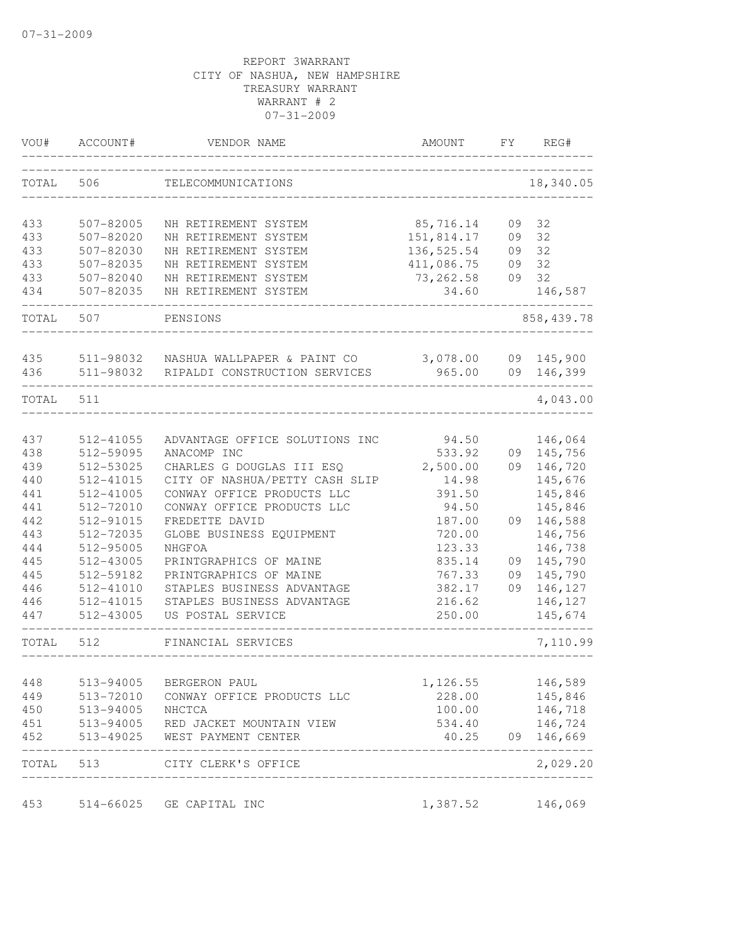| VOU#  | ACCOUNT#  | VENDOR NAME                    | AMOUNT      | FY. | REG#        |
|-------|-----------|--------------------------------|-------------|-----|-------------|
| TOTAL | 506       | TELECOMMUNICATIONS             |             |     | 18,340.05   |
| 433   | 507-82005 | NH RETIREMENT SYSTEM           | 85,716.14   | 09  | 32          |
| 433   | 507-82020 | NH RETIREMENT SYSTEM           | 151,814.17  | 09  | 32          |
| 433   | 507-82030 | NH RETIREMENT SYSTEM           | 136, 525.54 | 09  | 32          |
| 433   | 507-82035 | NH RETIREMENT SYSTEM           | 411,086.75  | 09  | 32          |
| 433   | 507-82040 | NH RETIREMENT SYSTEM           | 73, 262.58  | 09  | 32          |
| 434   | 507-82035 | NH RETIREMENT SYSTEM           | 34.60       |     | 146,587     |
| TOTAL | 507       | PENSIONS                       |             |     | 858, 439.78 |
| 435   | 511-98032 | NASHUA WALLPAPER & PAINT CO    | 3,078.00    | 09  | 145,900     |
| 436   | 511-98032 | RIPALDI CONSTRUCTION SERVICES  | 965.00      |     | 09 146,399  |
| TOTAL | 511       |                                |             |     | 4,043.00    |
| 437   | 512-41055 | ADVANTAGE OFFICE SOLUTIONS INC | 94.50       |     | 146,064     |
| 438   | 512-59095 | ANACOMP INC                    | 533.92      | 09  | 145,756     |
| 439   | 512-53025 | CHARLES G DOUGLAS III ESQ      | 2,500.00    | 09  | 146,720     |
| 440   | 512-41015 | CITY OF NASHUA/PETTY CASH SLIP | 14.98       |     | 145,676     |
| 441   | 512-41005 | CONWAY OFFICE PRODUCTS LLC     | 391.50      |     | 145,846     |
| 441   | 512-72010 | CONWAY OFFICE PRODUCTS LLC     | 94.50       |     | 145,846     |
| 442   | 512-91015 | FREDETTE DAVID                 | 187.00      | 09  | 146,588     |
| 443   | 512-72035 | GLOBE BUSINESS EQUIPMENT       | 720.00      |     | 146,756     |
| 444   | 512-95005 | NHGFOA                         | 123.33      |     | 146,738     |
| 445   | 512-43005 | PRINTGRAPHICS OF MAINE         | 835.14      | 09  | 145,790     |
| 445   | 512-59182 | PRINTGRAPHICS OF MAINE         | 767.33      | 09  | 145,790     |
| 446   | 512-41010 | STAPLES BUSINESS ADVANTAGE     | 382.17      | 09  | 146,127     |
| 446   | 512-41015 | STAPLES BUSINESS ADVANTAGE     | 216.62      |     | 146,127     |
| 447   | 512-43005 | US POSTAL SERVICE              | 250.00      |     | 145,674     |
| TOTAL | 512       | FINANCIAL SERVICES             |             |     | 7,110.99    |
| 448   | 513-94005 | BERGERON PAUL                  | 1,126.55    |     | 146,589     |
| 449   | 513-72010 | CONWAY OFFICE PRODUCTS LLC     | 228.00      |     | 145,846     |
| 450   | 513-94005 | NHCTCA                         | 100.00      |     | 146,718     |
| 451   | 513-94005 | RED JACKET MOUNTAIN VIEW       | 534.40      |     | 146,724     |
| 452   | 513-49025 | WEST PAYMENT CENTER            | 40.25       |     | 09 146,669  |
| TOTAL |           | 513 CITY CLERK'S OFFICE        |             |     | 2,029.20    |
| 453   |           | 514-66025 GE CAPITAL INC       | 1,387.52    |     | 146,069     |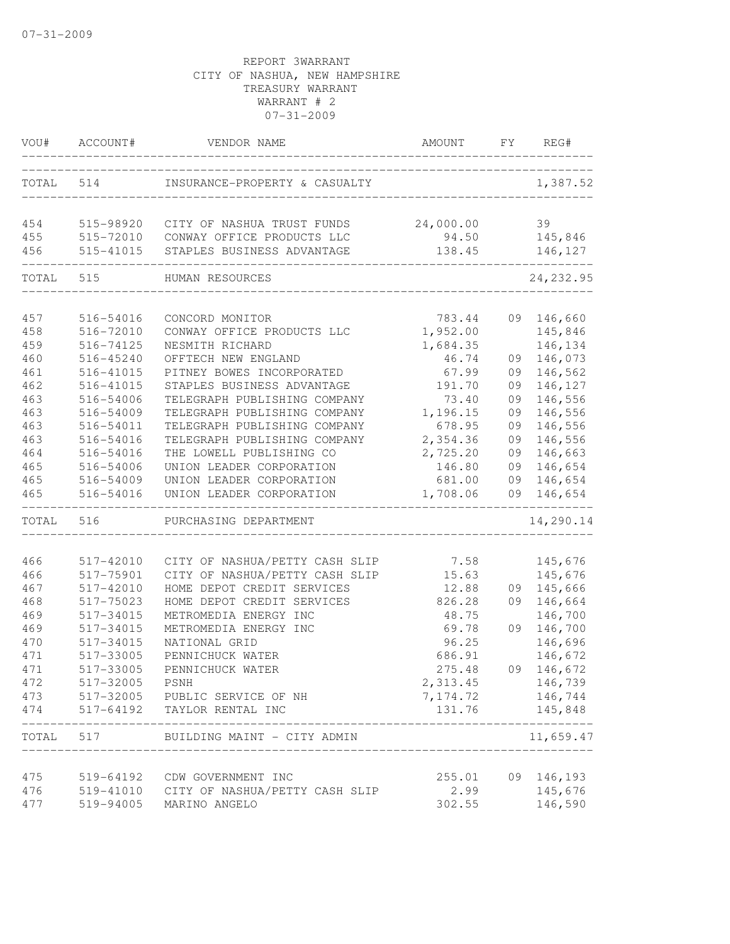| VOU#      | ACCOUNT#  | VENDOR NAME                    | AMOUNT                     | FY | REG#                       |
|-----------|-----------|--------------------------------|----------------------------|----|----------------------------|
| TOTAL 514 |           | INSURANCE-PROPERTY & CASUALTY  |                            |    | 1,387.52                   |
| 454       | 515-98920 | CITY OF NASHUA TRUST FUNDS     | 24,000.00                  |    | 39                         |
| 455       | 515-72010 | CONWAY OFFICE PRODUCTS LLC     | 94.50                      |    | 145,846                    |
| 456       | 515-41015 | STAPLES BUSINESS ADVANTAGE     | 138.45                     |    | 146,127                    |
| TOTAL     | 515       | HUMAN RESOURCES                |                            |    | 24, 232.95                 |
| 457       | 516-54016 | CONCORD MONITOR                | 783.44                     |    | 09 146,660                 |
| 458       | 516-72010 | CONWAY OFFICE PRODUCTS LLC     | 1,952.00                   |    | 145,846                    |
| 459       | 516-74125 | NESMITH RICHARD                | 1,684.35                   |    | 146,134                    |
| 460       | 516-45240 | OFFTECH NEW ENGLAND            | 46.74                      | 09 | 146,073                    |
| 461       | 516-41015 | PITNEY BOWES INCORPORATED      | 67.99                      | 09 | 146,562                    |
| 462       | 516-41015 | STAPLES BUSINESS ADVANTAGE     | 191.70                     | 09 | 146,127                    |
| 463       | 516-54006 | TELEGRAPH PUBLISHING COMPANY   | 73.40                      | 09 | 146,556                    |
| 463       | 516-54009 | TELEGRAPH PUBLISHING COMPANY   | 1,196.15                   | 09 | 146,556                    |
| 463       | 516-54011 | TELEGRAPH PUBLISHING COMPANY   | 678.95                     | 09 | 146,556                    |
| 463       | 516-54016 | TELEGRAPH PUBLISHING COMPANY   | 2,354.36                   | 09 | 146,556                    |
| 464       | 516-54016 | THE LOWELL PUBLISHING CO       | 2,725.20                   | 09 | 146,663                    |
| 465       | 516-54006 | UNION LEADER CORPORATION       | 146.80                     | 09 | 146,654                    |
| 465       | 516-54009 | UNION LEADER CORPORATION       | 681.00                     | 09 | 146,654                    |
| 465       | 516-54016 | UNION LEADER CORPORATION       | 1,708.06                   | 09 | 146,654                    |
| TOTAL     | 516       | PURCHASING DEPARTMENT          |                            |    | 14,290.14                  |
| 466       | 517-42010 | CITY OF NASHUA/PETTY CASH SLIP | 7.58                       |    | 145,676                    |
| 466       | 517-75901 | CITY OF NASHUA/PETTY CASH SLIP | 15.63                      |    | 145,676                    |
| 467       | 517-42010 | HOME DEPOT CREDIT SERVICES     | 12.88                      | 09 | 145,666                    |
| 468       | 517-75023 | HOME DEPOT CREDIT SERVICES     | 826.28                     | 09 | 146,664                    |
| 469       | 517-34015 | METROMEDIA ENERGY INC          | 48.75                      |    | 146,700                    |
| 469       | 517-34015 | METROMEDIA ENERGY INC          | 69.78                      | 09 | 146,700                    |
| 470       | 517-34015 | NATIONAL GRID                  | 96.25                      |    | 146,696                    |
| 471       | 517-33005 | PENNICHUCK WATER               | 686.91                     |    | 146,672                    |
| 471       | 517-33005 | PENNICHUCK WATER               | 275.48                     |    | 09 146,672                 |
| 472       | 517-32005 | PSNH                           | 2,313.45                   |    | 146,739                    |
| 473       |           | 517-32005 PUBLIC SERVICE OF NH | 7,174.72                   |    | 146,744                    |
| 474       | 517-64192 | TAYLOR RENTAL INC              | 131.76                     |    | 145,848                    |
| TOTAL     | 517       | BUILDING MAINT - CITY ADMIN    | __________________________ |    | -------------<br>11,659.47 |
| 475       | 519-64192 | CDW GOVERNMENT INC             | 255.01                     |    | 09 146,193                 |
| 476       | 519-41010 | CITY OF NASHUA/PETTY CASH SLIP | 2.99                       |    | 145,676                    |
| 477       | 519-94005 | MARINO ANGELO                  | 302.55                     |    | 146,590                    |
|           |           |                                |                            |    |                            |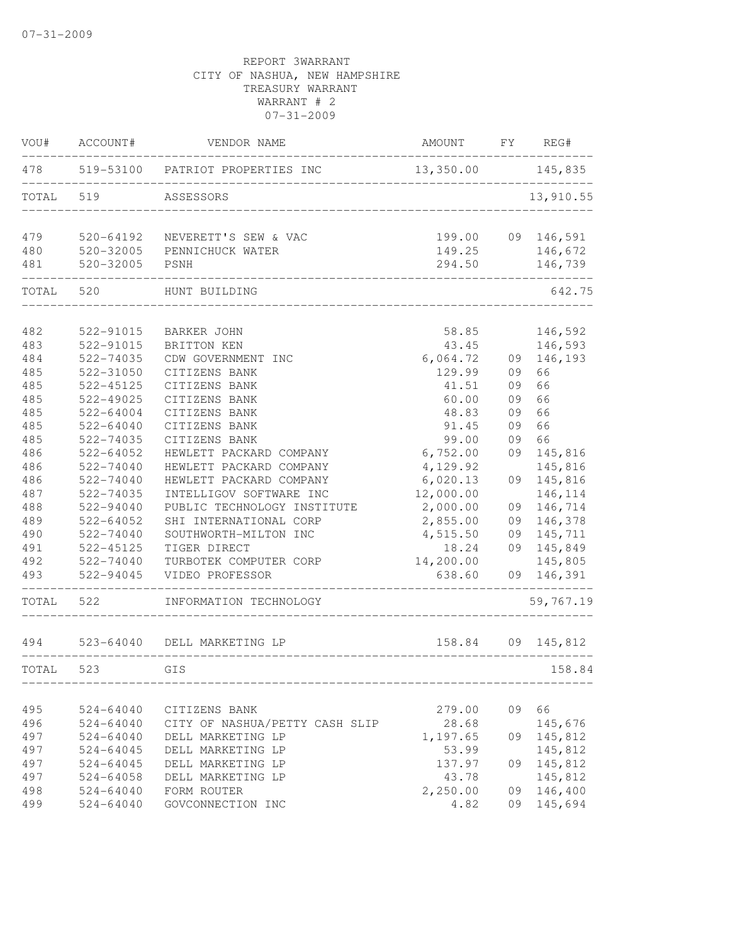| VOU#  | ACCOUNT#               | VENDOR NAME                       | <b>AMOUNT</b>  | FY | REG#               |
|-------|------------------------|-----------------------------------|----------------|----|--------------------|
| 478   | 519-53100              | PATRIOT PROPERTIES INC            | 13,350.00      |    | 145,835            |
| TOTAL | 519                    | ASSESSORS                         |                |    | 13,910.55          |
| 479   | 520-64192              | NEVERETT'S SEW & VAC              | 199.00         |    | 09 146,591         |
| 480   | 520-32005              | PENNICHUCK WATER                  | 149.25         |    | 146,672            |
| 481   | 520-32005              | PSNH                              | 294.50         |    | 146,739            |
| TOTAL | 520                    | HUNT BUILDING                     |                |    | 642.75             |
| 482   |                        |                                   |                |    |                    |
| 483   | 522-91015<br>522-91015 | <b>BARKER JOHN</b><br>BRITTON KEN | 58.85<br>43.45 |    | 146,592<br>146,593 |
| 484   | 522-74035              | CDW GOVERNMENT INC                | 6,064.72       | 09 | 146,193            |
| 485   | 522-31050              | CITIZENS BANK                     | 129.99         | 09 | 66                 |
| 485   | 522-45125              | CITIZENS BANK                     | 41.51          | 09 | 66                 |
| 485   | 522-49025              | CITIZENS BANK                     | 60.00          | 09 | 66                 |
| 485   | $522 - 64004$          | CITIZENS BANK                     | 48.83          | 09 | 66                 |
| 485   | 522-64040              | CITIZENS BANK                     | 91.45          | 09 | 66                 |
| 485   | 522-74035              | CITIZENS BANK                     | 99.00          | 09 | 66                 |
| 486   | 522-64052              | HEWLETT PACKARD COMPANY           | 6,752.00       | 09 | 145,816            |
| 486   | 522-74040              | HEWLETT PACKARD COMPANY           | 4,129.92       |    | 145,816            |
| 486   | 522-74040              | HEWLETT PACKARD COMPANY           | 6,020.13       | 09 | 145,816            |
| 487   | 522-74035              | INTELLIGOV SOFTWARE INC           | 12,000.00      |    | 146,114            |
| 488   | 522-94040              | PUBLIC TECHNOLOGY INSTITUTE       | 2,000.00       | 09 | 146,714            |
| 489   | 522-64052              | SHI INTERNATIONAL CORP            | 2,855.00       | 09 | 146,378            |
| 490   | 522-74040              | SOUTHWORTH-MILTON INC             | 4,515.50       | 09 | 145,711            |
| 491   | 522-45125              | TIGER DIRECT                      | 18.24          | 09 | 145,849            |
| 492   | 522-74040              | TURBOTEK COMPUTER CORP            | 14,200.00      |    | 145,805            |
| 493   | 522-94045              | VIDEO PROFESSOR                   | 638.60         | 09 | 146,391            |
| TOTAL | 522                    | INFORMATION TECHNOLOGY            |                |    | 59,767.19          |
| 494   |                        | 523-64040 DELL MARKETING LP       | 158.84         |    | 09 145,812         |
| TOTAL | 523                    | GIS                               |                |    | 158.84             |
|       |                        |                                   |                |    |                    |
| 495   | 524-64040              | CITIZENS BANK                     | 279.00         | 09 | 66                 |
| 496   | $524 - 64040$          | CITY OF NASHUA/PETTY CASH SLIP    | 28.68          |    | 145,676            |
| 497   | 524-64040              | DELL MARKETING LP                 | 1,197.65       | 09 | 145,812            |
| 497   | $524 - 64045$          | DELL MARKETING LP                 | 53.99          |    | 145,812            |
| 497   | $524 - 64045$          | DELL MARKETING LP                 | 137.97         | 09 | 145,812            |
| 497   | 524-64058              | DELL MARKETING LP                 | 43.78          |    | 145,812            |
| 498   | $524 - 64040$          | FORM ROUTER                       | 2,250.00       | 09 | 146,400            |
| 499   | $524 - 64040$          | GOVCONNECTION INC                 | 4.82           | 09 | 145,694            |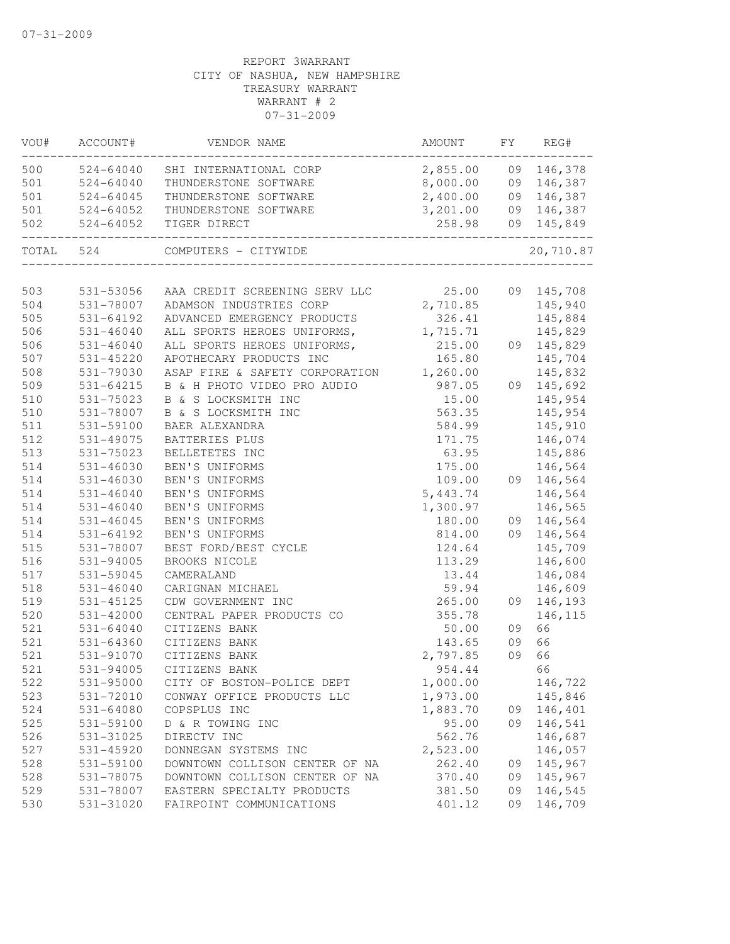| VOU#       | ACCOUNT#      | VENDOR NAME                                    | AMOUNT              | FY | REG#       |
|------------|---------------|------------------------------------------------|---------------------|----|------------|
| 500        | 524-64040     | SHI INTERNATIONAL CORP                         | 2,855.00 09 146,378 |    |            |
| 501        | $524 - 64040$ | THUNDERSTONE SOFTWARE                          | 8,000.00 09 146,387 |    |            |
| 501        | 524-64045     | THUNDERSTONE SOFTWARE                          | 2,400.00 09 146,387 |    |            |
| 501        | 524-64052     | THUNDERSTONE SOFTWARE                          | 3,201.00            |    | 09 146,387 |
| 502        | 524-64052     | TIGER DIRECT                                   | 258.98              |    | 09 145,849 |
|            | TOTAL 524     | COMPUTERS - CITYWIDE                           |                     |    | 20,710.87  |
|            | 531-53056     | AAA CREDIT SCREENING SERV LLC 25.00 09 145,708 |                     |    |            |
| 503<br>504 | 531-78007     | ADAMSON INDUSTRIES CORP                        | 2,710.85            |    | 145,940    |
| 505        | 531-64192     | ADVANCED EMERGENCY PRODUCTS                    | 326.41              |    | 145,884    |
| 506        | 531-46040     | ALL SPORTS HEROES UNIFORMS, 1,715.71           |                     |    | 145,829    |
| 506        | 531-46040     | ALL SPORTS HEROES UNIFORMS,                    | 215.00              |    | 09 145,829 |
| 507        | 531-45220     | APOTHECARY PRODUCTS INC                        | 165.80              |    | 145,704    |
| 508        | 531-79030     | ASAP FIRE & SAFETY CORPORATION 1,260.00        |                     |    | 145,832    |
| 509        | 531-64215     | B & H PHOTO VIDEO PRO AUDIO                    | 987.05              |    | 09 145,692 |
| 510        | 531-75023     | B & S LOCKSMITH INC                            | 15.00               |    | 145,954    |
| 510        | 531-78007     | B & S LOCKSMITH INC                            | 563.35              |    | 145,954    |
| 511        | 531-59100     | BAER ALEXANDRA                                 | 584.99              |    | 145,910    |
| 512        | 531-49075     | BATTERIES PLUS                                 | 171.75              |    | 146,074    |
| 513        | 531-75023     | BELLETETES INC                                 | 63.95               |    | 145,886    |
| 514        | 531-46030     | BEN'S UNIFORMS                                 | 175.00              |    | 146,564    |
| 514        | 531-46030     | BEN'S UNIFORMS                                 | 109.00              |    | 09 146,564 |
| 514        | $531 - 46040$ | BEN'S UNIFORMS                                 | 5,443.74            |    | 146,564    |
| 514        | $531 - 46040$ | BEN'S UNIFORMS                                 | 1,300.97            |    | 146,565    |
| 514        | 531-46045     | BEN'S UNIFORMS                                 | 180.00              |    | 09 146,564 |
| 514        | 531-64192     | BEN'S UNIFORMS                                 | 814.00              |    | 09 146,564 |
| 515        | 531-78007     | BEST FORD/BEST CYCLE                           | 124.64              |    | 145,709    |
| 516        | 531-94005     | BROOKS NICOLE                                  | 113.29              |    | 146,600    |
| 517        | 531-59045     | CAMERALAND                                     | 13.44               |    | 146,084    |
| 518        | $531 - 46040$ | CARIGNAN MICHAEL                               | 59.94               |    | 146,609    |
| 519        | 531-45125     | CDW GOVERNMENT INC                             | 265.00              |    | 09 146,193 |
| 520        | 531-42000     | CENTRAL PAPER PRODUCTS CO                      | 355.78              |    | 146,115    |
| 521        | 531-64040     | CITIZENS BANK                                  | 50.00               | 09 | 66         |
| 521        | 531-64360     | CITIZENS BANK                                  | 143.65              | 09 | 66         |
| 521        | 531-91070     | CITIZENS BANK                                  | 2,797.85            | 09 | 66         |
| 521        | 531-94005     | CITIZENS BANK                                  | 954.44              |    | 66         |
| 522        | 531-95000     | CITY OF BOSTON-POLICE DEPT                     | 1,000.00            |    | 146,722    |
| 523        | 531-72010     | CONWAY OFFICE PRODUCTS LLC                     | 1,973.00            |    | 145,846    |
| 524        | 531-64080     | COPSPLUS INC                                   | 1,883.70            | 09 | 146,401    |
| 525        | 531-59100     | D & R TOWING INC                               | 95.00               | 09 | 146,541    |
| 526        | 531-31025     | DIRECTV INC                                    | 562.76              |    | 146,687    |
| 527        | 531-45920     | DONNEGAN SYSTEMS INC                           | 2,523.00            |    | 146,057    |
| 528        | 531-59100     | DOWNTOWN COLLISON CENTER OF NA                 | 262.40              | 09 | 145,967    |
| 528        | 531-78075     | DOWNTOWN COLLISON CENTER OF NA                 | 370.40              | 09 | 145,967    |
| 529        | 531-78007     | EASTERN SPECIALTY PRODUCTS                     | 381.50              | 09 | 146,545    |
| 530        | 531-31020     | FAIRPOINT COMMUNICATIONS                       | 401.12              | 09 | 146,709    |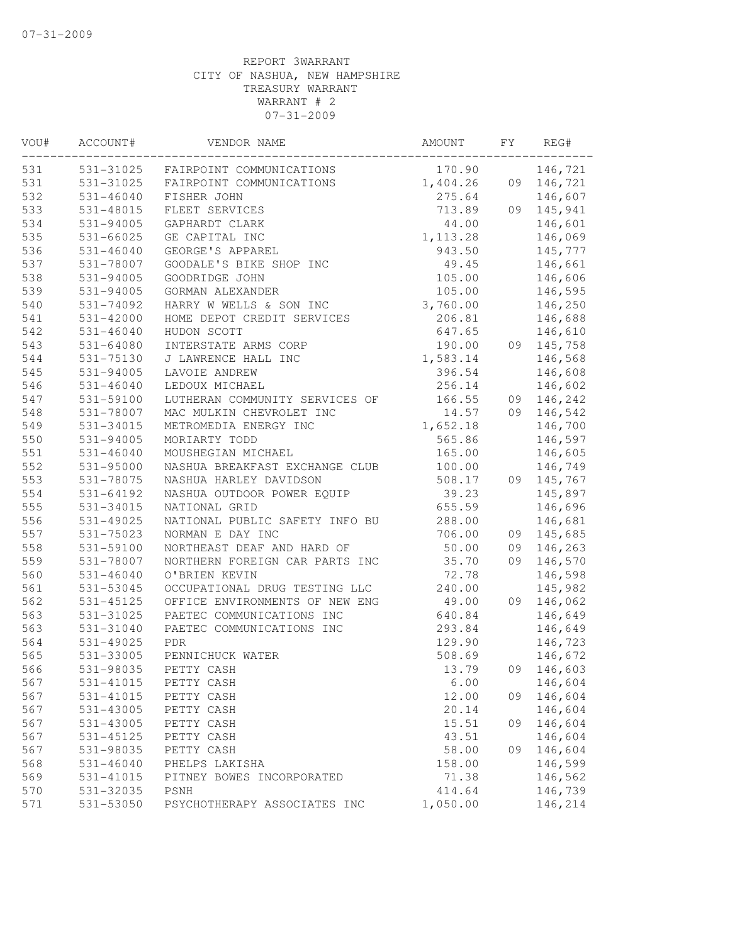| VOU# | ACCOUNT#      | VENDOR NAME                    | AMOUNT    | FΥ | REG#       |
|------|---------------|--------------------------------|-----------|----|------------|
| 531  | 531-31025     | FAIRPOINT COMMUNICATIONS       | 170.90    |    | 146,721    |
| 531  | 531-31025     | FAIRPOINT COMMUNICATIONS       | 1,404.26  | 09 | 146,721    |
| 532  | 531-46040     | FISHER JOHN                    | 275.64    |    | 146,607    |
| 533  | 531-48015     | FLEET SERVICES                 | 713.89    | 09 | 145,941    |
| 534  | 531-94005     | GAPHARDT CLARK                 | 44.00     |    | 146,601    |
| 535  | 531-66025     | GE CAPITAL INC                 | 1, 113.28 |    | 146,069    |
| 536  | 531-46040     | GEORGE'S APPAREL               | 943.50    |    | 145,777    |
| 537  | 531-78007     | GOODALE'S BIKE SHOP INC        | 49.45     |    | 146,661    |
| 538  | 531-94005     | GOODRIDGE JOHN                 | 105.00    |    | 146,606    |
| 539  | 531-94005     | GORMAN ALEXANDER               | 105.00    |    | 146,595    |
| 540  | 531-74092     | HARRY W WELLS & SON INC        | 3,760.00  |    | 146,250    |
| 541  | 531-42000     | HOME DEPOT CREDIT SERVICES     | 206.81    |    | 146,688    |
| 542  | $531 - 46040$ | HUDON SCOTT                    | 647.65    |    | 146,610    |
| 543  | 531-64080     | INTERSTATE ARMS CORP           | 190.00    |    | 09 145,758 |
| 544  | 531-75130     | J LAWRENCE HALL INC            | 1,583.14  |    | 146,568    |
| 545  | $531 - 94005$ | LAVOIE ANDREW                  | 396.54    |    | 146,608    |
| 546  | $531 - 46040$ | LEDOUX MICHAEL                 | 256.14    |    | 146,602    |
| 547  | 531-59100     | LUTHERAN COMMUNITY SERVICES OF | 166.55    |    | 09 146,242 |
| 548  | 531-78007     | MAC MULKIN CHEVROLET INC       | 14.57     | 09 | 146,542    |
| 549  | 531-34015     | METROMEDIA ENERGY INC          | 1,652.18  |    | 146,700    |
| 550  | 531-94005     | MORIARTY TODD                  | 565.86    |    | 146,597    |
| 551  | $531 - 46040$ | MOUSHEGIAN MICHAEL             | 165.00    |    | 146,605    |
| 552  | 531-95000     | NASHUA BREAKFAST EXCHANGE CLUB | 100.00    |    | 146,749    |
| 553  | 531-78075     | NASHUA HARLEY DAVIDSON         | 508.17    | 09 | 145,767    |
| 554  | 531-64192     | NASHUA OUTDOOR POWER EQUIP     | 39.23     |    | 145,897    |
| 555  | 531-34015     | NATIONAL GRID                  | 655.59    |    | 146,696    |
| 556  | 531-49025     | NATIONAL PUBLIC SAFETY INFO BU | 288.00    |    | 146,681    |
| 557  | 531-75023     | NORMAN E DAY INC               | 706.00    | 09 | 145,685    |
| 558  | 531-59100     | NORTHEAST DEAF AND HARD OF     | 50.00     | 09 | 146,263    |
| 559  | 531-78007     | NORTHERN FOREIGN CAR PARTS INC | 35.70     | 09 | 146,570    |
| 560  | $531 - 46040$ | O'BRIEN KEVIN                  | 72.78     |    | 146,598    |
| 561  | 531-53045     | OCCUPATIONAL DRUG TESTING LLC  | 240.00    |    | 145,982    |
| 562  | 531-45125     | OFFICE ENVIRONMENTS OF NEW ENG | 49.00     | 09 | 146,062    |
| 563  | 531-31025     | PAETEC COMMUNICATIONS INC      | 640.84    |    | 146,649    |
| 563  | 531-31040     | PAETEC COMMUNICATIONS INC      | 293.84    |    | 146,649    |
| 564  | 531-49025     | <b>PDR</b>                     | 129.90    |    | 146,723    |
| 565  | 531-33005     | PENNICHUCK WATER               | 508.69    |    | 146,672    |
| 566  | 531-98035     | PETTY CASH                     | 13.79     |    | 09 146,603 |
| 567  | 531-41015     | PETTY CASH                     | 6.00      |    | 146,604    |
| 567  | 531-41015     | PETTY CASH                     | 12.00     | 09 | 146,604    |
| 567  | 531-43005     | PETTY CASH                     | 20.14     |    | 146,604    |
| 567  | 531-43005     | PETTY CASH                     | 15.51     | 09 | 146,604    |
| 567  | 531-45125     | PETTY CASH                     | 43.51     |    | 146,604    |
| 567  | 531-98035     | PETTY CASH                     | 58.00     | 09 | 146,604    |
| 568  | $531 - 46040$ | PHELPS LAKISHA                 | 158.00    |    | 146,599    |
| 569  | 531-41015     | PITNEY BOWES INCORPORATED      | 71.38     |    | 146,562    |
| 570  | 531-32035     | PSNH                           | 414.64    |    | 146,739    |
| 571  | 531-53050     | PSYCHOTHERAPY ASSOCIATES INC   | 1,050.00  |    | 146,214    |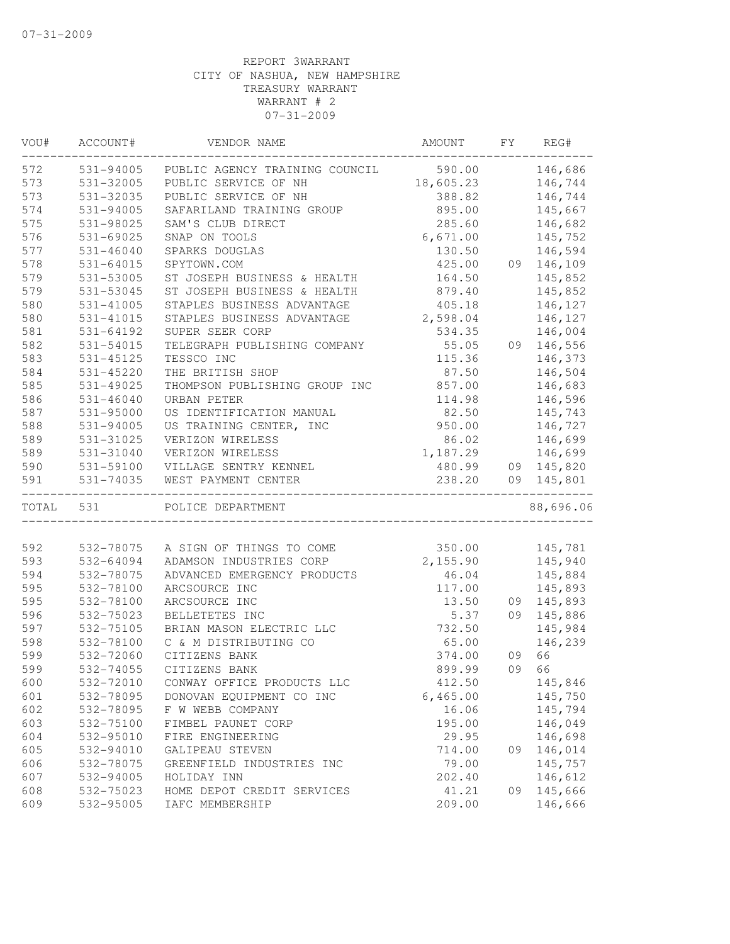| VOU#      | ACCOUNT#      | VENDOR NAME                    | AMOUNT    | FY | REG#       |
|-----------|---------------|--------------------------------|-----------|----|------------|
| 572       | 531-94005     | PUBLIC AGENCY TRAINING COUNCIL | 590.00    |    | 146,686    |
| 573       | 531-32005     | PUBLIC SERVICE OF NH           | 18,605.23 |    | 146,744    |
| 573       | 531-32035     | PUBLIC SERVICE OF NH           | 388.82    |    | 146,744    |
| 574       | 531-94005     | SAFARILAND TRAINING GROUP      | 895.00    |    | 145,667    |
| 575       | 531-98025     | SAM'S CLUB DIRECT              | 285.60    |    | 146,682    |
| 576       | 531-69025     | SNAP ON TOOLS                  | 6,671.00  |    | 145,752    |
| 577       | $531 - 46040$ | SPARKS DOUGLAS                 | 130.50    |    | 146,594    |
| 578       | $531 - 64015$ | SPYTOWN.COM                    | 425.00    |    | 09 146,109 |
| 579       | 531-53005     | ST JOSEPH BUSINESS & HEALTH    | 164.50    |    | 145,852    |
| 579       | 531-53045     | ST JOSEPH BUSINESS & HEALTH    | 879.40    |    | 145,852    |
| 580       | $531 - 41005$ | STAPLES BUSINESS ADVANTAGE     | 405.18    |    | 146,127    |
| 580       | 531-41015     | STAPLES BUSINESS ADVANTAGE     | 2,598.04  |    | 146,127    |
| 581       | 531-64192     | SUPER SEER CORP                | 534.35    |    | 146,004    |
| 582       | 531-54015     | TELEGRAPH PUBLISHING COMPANY   | 55.05     |    | 09 146,556 |
| 583       | 531-45125     | TESSCO INC                     | 115.36    |    | 146,373    |
| 584       | 531-45220     | THE BRITISH SHOP               | 87.50     |    | 146,504    |
| 585       | 531-49025     | THOMPSON PUBLISHING GROUP INC  | 857.00    |    | 146,683    |
| 586       | $531 - 46040$ | URBAN PETER                    | 114.98    |    | 146,596    |
| 587       | $531 - 95000$ | US IDENTIFICATION MANUAL       | 82.50     |    | 145,743    |
| 588       | 531-94005     | US TRAINING CENTER, INC        | 950.00    |    | 146,727    |
| 589       | 531-31025     | VERIZON WIRELESS               | 86.02     |    | 146,699    |
| 589       | 531-31040     | VERIZON WIRELESS               | 1,187.29  |    | 146,699    |
| 590       | 531-59100     | VILLAGE SENTRY KENNEL          | 480.99    |    | 09 145,820 |
| 591       | $531 - 74035$ | WEST PAYMENT CENTER            | 238.20    |    | 09 145,801 |
| TOTAL 531 |               | POLICE DEPARTMENT              |           |    | 88,696.06  |
|           |               |                                |           |    |            |
| 592       | 532-78075     | A SIGN OF THINGS TO COME       | 350.00    |    | 145,781    |
| 593       | 532-64094     | ADAMSON INDUSTRIES CORP        | 2,155.90  |    | 145,940    |
| 594       | 532-78075     | ADVANCED EMERGENCY PRODUCTS    | 46.04     |    | 145,884    |
| 595       | 532-78100     | ARCSOURCE INC                  | 117.00    |    | 145,893    |
| 595       | 532-78100     | ARCSOURCE INC                  | 13.50     | 09 | 145,893    |
| 596       | 532-75023     | BELLETETES INC                 | 5.37      |    | 09 145,886 |
| 597       | 532-75105     | BRIAN MASON ELECTRIC LLC       | 732.50    |    | 145,984    |
| 598       | 532-78100     | C & M DISTRIBUTING CO          | 65.00     |    | 146,239    |
| 599       | 532-72060     | CITIZENS BANK                  | 374.00    | 09 | 66         |
| 599       | 532-74055     | CITIZENS BANK                  | 899.99    | 09 | 66         |
| 600       | 532-72010     | CONWAY OFFICE PRODUCTS LLC     | 412.50    |    | 145,846    |
| 601       | 532-78095     | DONOVAN EQUIPMENT CO INC       | 6,465.00  |    | 145,750    |
| 602       | 532-78095     | F W WEBB COMPANY               | 16.06     |    | 145,794    |
| 603       | 532-75100     | FIMBEL PAUNET CORP             | 195.00    |    | 146,049    |
| 604       | 532-95010     | FIRE ENGINEERING               | 29.95     |    | 146,698    |
| 605       | 532-94010     | GALIPEAU STEVEN                | 714.00    | 09 | 146,014    |
| 606       | 532-78075     | GREENFIELD INDUSTRIES INC      | 79.00     |    | 145,757    |
| 607       | 532-94005     | HOLIDAY INN                    | 202.40    |    | 146,612    |
| 608       | 532-75023     | HOME DEPOT CREDIT SERVICES     | 41.21     | 09 | 145,666    |
| 609       | 532-95005     | IAFC MEMBERSHIP                | 209.00    |    | 146,666    |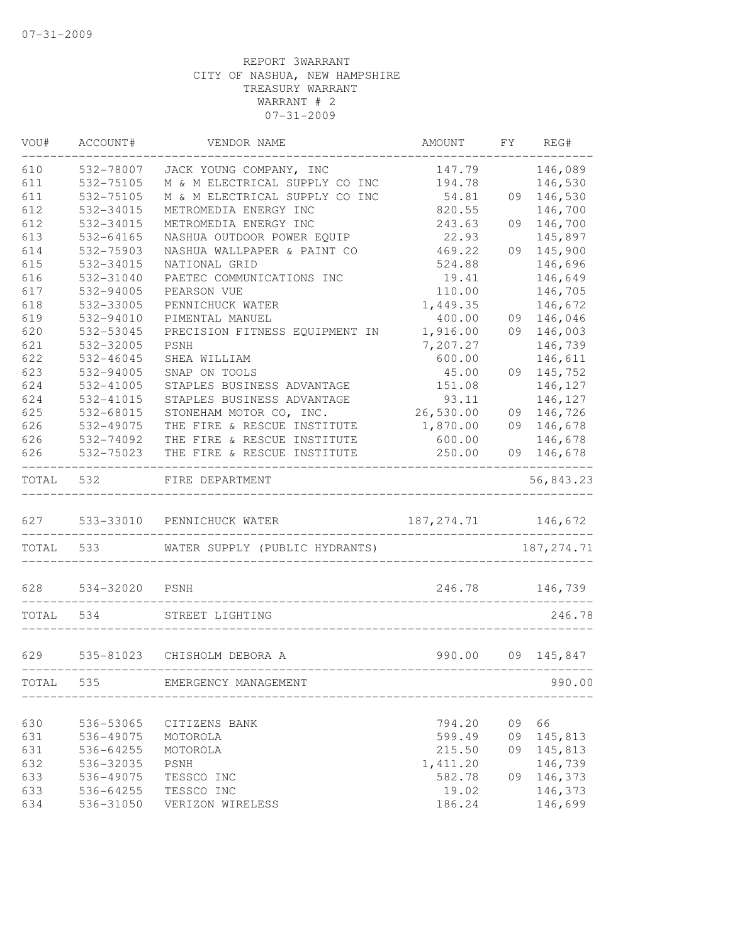| VOU#  | ACCOUNT#  | VENDOR NAME                    | AMOUNT      | FY | REG#        |
|-------|-----------|--------------------------------|-------------|----|-------------|
| 610   | 532-78007 | JACK YOUNG COMPANY, INC        | 147.79      |    | 146,089     |
| 611   | 532-75105 | M & M ELECTRICAL SUPPLY CO INC | 194.78      |    | 146,530     |
| 611   | 532-75105 | M & M ELECTRICAL SUPPLY CO INC | 54.81       | 09 | 146,530     |
| 612   | 532-34015 | METROMEDIA ENERGY INC          | 820.55      |    | 146,700     |
| 612   | 532-34015 | METROMEDIA ENERGY INC          | 243.63      | 09 | 146,700     |
| 613   | 532-64165 | NASHUA OUTDOOR POWER EQUIP     | 22.93       |    | 145,897     |
| 614   | 532-75903 | NASHUA WALLPAPER & PAINT CO    | 469.22      | 09 | 145,900     |
| 615   | 532-34015 | NATIONAL GRID                  | 524.88      |    | 146,696     |
| 616   | 532-31040 | PAETEC COMMUNICATIONS INC      | 19.41       |    | 146,649     |
| 617   | 532-94005 | PEARSON VUE                    | 110.00      |    | 146,705     |
| 618   | 532-33005 | PENNICHUCK WATER               | 1,449.35    |    | 146,672     |
| 619   | 532-94010 | PIMENTAL MANUEL                | 400.00      | 09 | 146,046     |
| 620   | 532-53045 | PRECISION FITNESS EQUIPMENT IN | 1,916.00    | 09 | 146,003     |
| 621   | 532-32005 | PSNH                           | 7,207.27    |    | 146,739     |
| 622   | 532-46045 | SHEA WILLIAM                   | 600.00      |    | 146,611     |
| 623   | 532-94005 | SNAP ON TOOLS                  | 45.00       | 09 | 145,752     |
| 624   | 532-41005 | STAPLES BUSINESS ADVANTAGE     | 151.08      |    | 146,127     |
| 624   | 532-41015 | STAPLES BUSINESS ADVANTAGE     | 93.11       |    | 146,127     |
| 625   | 532-68015 | STONEHAM MOTOR CO, INC.        | 26,530.00   | 09 | 146,726     |
| 626   | 532-49075 | THE FIRE & RESCUE INSTITUTE    | 1,870.00    | 09 | 146,678     |
| 626   | 532-74092 | THE FIRE & RESCUE INSTITUTE    | 600.00      |    | 146,678     |
| 626   | 532-75023 | THE FIRE & RESCUE INSTITUTE    | 250.00      | 09 | 146,678     |
| TOTAL | 532       | FIRE DEPARTMENT                |             |    | 56,843.23   |
| 627   | 533-33010 | PENNICHUCK WATER               | 187, 274.71 |    | 146,672     |
| TOTAL | 533       | WATER SUPPLY (PUBLIC HYDRANTS) |             |    | 187, 274.71 |
| 628   | 534-32020 | PSNH                           | 246.78      |    | 146,739     |
| TOTAL | 534       | STREET LIGHTING                |             |    | 246.78      |
|       |           |                                |             |    |             |
| 629   | 535-81023 | CHISHOLM DEBORA A              | 990.00      | 09 | 145,847     |
| TOTAL | 535       | EMERGENCY MANAGEMENT           |             |    | 990.00      |
|       |           |                                |             |    |             |
| 630   | 536-53065 | CITIZENS BANK                  | 794.20      | 09 | 66          |
| 631   | 536-49075 | MOTOROLA                       | 599.49      | 09 | 145,813     |
| 631   | 536-64255 | MOTOROLA                       | 215.50      | 09 | 145,813     |
| 632   | 536-32035 | PSNH                           | 1, 411.20   |    | 146,739     |
| 633   | 536-49075 | TESSCO INC<br>TESSCO INC       | 582.78      | 09 | 146,373     |
| 633   | 536-64255 |                                | 19.02       |    | 146,373     |
| 634   | 536-31050 | VERIZON WIRELESS               | 186.24      |    | 146,699     |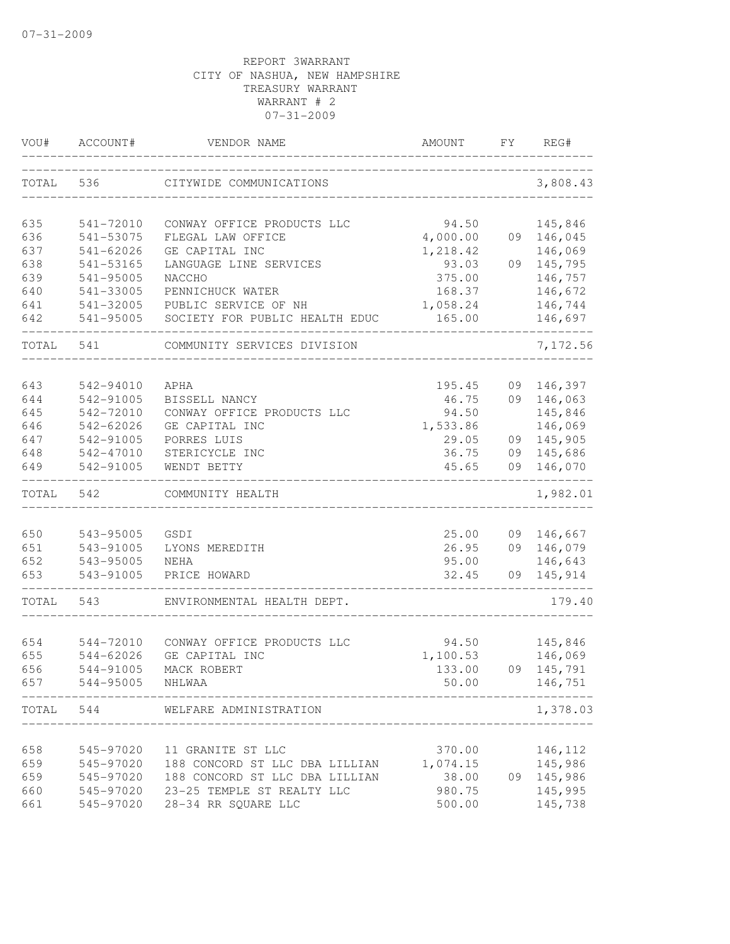| VOU#       | ACCOUNT#               | VENDOR NAME                    | AMOUNT         | FY. | REG#               |
|------------|------------------------|--------------------------------|----------------|-----|--------------------|
| TOTAL      | 536                    | CITYWIDE COMMUNICATIONS        |                |     | 3,808.43           |
| 635        | 541-72010              | CONWAY OFFICE PRODUCTS LLC     | 94.50          |     | 145,846            |
| 636        | 541-53075              | FLEGAL LAW OFFICE              | 4,000.00       |     | 09 146,045         |
| 637        | 541-62026              | GE CAPITAL INC                 | 1,218.42       |     | 146,069            |
| 638        | 541-53165              | LANGUAGE LINE SERVICES         | 93.03          |     | 09 145,795         |
| 639        | 541-95005              | NACCHO                         | 375.00         |     | 146,757            |
| 640        | 541-33005              | PENNICHUCK WATER               | 168.37         |     | 146,672            |
| 641        | 541-32005              | PUBLIC SERVICE OF NH           | 1,058.24       |     | 146,744            |
| 642        | 541-95005              | SOCIETY FOR PUBLIC HEALTH EDUC | 165.00         |     | 146,697            |
| TOTAL      | 541                    | COMMUNITY SERVICES DIVISION    |                |     | 7,172.56           |
| 643        | 542-94010              | APHA                           | 195.45         | 09  | 146,397            |
| 644        | 542-91005              | BISSELL NANCY                  | 46.75          | 09  | 146,063            |
| 645        | 542-72010              | CONWAY OFFICE PRODUCTS LLC     | 94.50          |     | 145,846            |
| 646        | 542-62026              | GE CAPITAL INC                 | 1,533.86       |     | 146,069            |
| 647        | 542-91005              | PORRES LUIS                    | 29.05          |     | 09 145,905         |
| 648        | 542-47010              | STERICYCLE INC                 | 36.75          |     | 09 145,686         |
| 649        | 542-91005              | WENDT BETTY                    | 45.65          | 09  | 146,070            |
| TOTAL      | 542                    | COMMUNITY HEALTH               |                |     | 1,982.01           |
|            |                        |                                |                |     |                    |
| 650        | 543-95005              | GSDI                           | 25.00          |     | 09 146,667         |
| 651        | 543-91005              | LYONS MEREDITH                 | 26.95          |     | 09 146,079         |
| 652<br>653 | 543-95005<br>543-91005 | <b>NEHA</b><br>PRICE HOWARD    | 95.00<br>32.45 | 09  | 146,643<br>145,914 |
| TOTAL      | 543                    | ENVIRONMENTAL HEALTH DEPT.     |                |     | 179.40             |
|            |                        |                                |                |     |                    |
| 654        | 544-72010              | CONWAY OFFICE PRODUCTS LLC     | 94.50          |     | 145,846            |
| 655        | 544-62026              | GE CAPITAL INC                 | 1,100.53       |     | 146,069            |
| 656        | 544-91005              | MACK ROBERT                    | 133.00         |     | 09 145,791         |
| 657        | 544-95005              | NHLWAA                         | 50.00          |     | 146,751            |
| TOTAL      | 544                    | WELFARE ADMINISTRATION         |                |     | 1,378.03           |
| 658        | 545-97020              | 11 GRANITE ST LLC              | 370.00         |     | 146,112            |
| 659        | 545-97020              | 188 CONCORD ST LLC DBA LILLIAN | 1,074.15       |     | 145,986            |
| 659        | 545-97020              | 188 CONCORD ST LLC DBA LILLIAN | 38.00          | 09  | 145,986            |
| 660        | 545-97020              | 23-25 TEMPLE ST REALTY LLC     | 980.75         |     | 145,995            |
| 661        | 545-97020              | 28-34 RR SQUARE LLC            | 500.00         |     | 145,738            |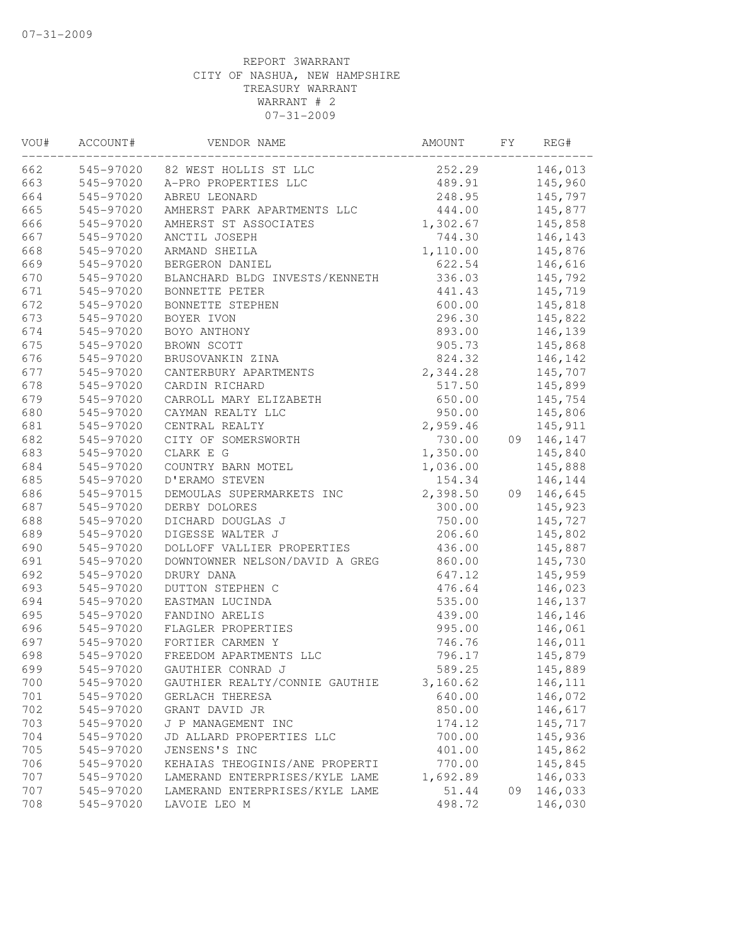| VOU# | ACCOUNT#  | VENDOR NAME                     | AMOUNT   | FY | REG#       |
|------|-----------|---------------------------------|----------|----|------------|
| 662  |           | 545-97020 82 WEST HOLLIS ST LLC | 252.29   |    | 146,013    |
| 663  | 545-97020 | A-PRO PROPERTIES LLC            | 489.91   |    | 145,960    |
| 664  | 545-97020 | ABREU LEONARD                   | 248.95   |    | 145,797    |
| 665  | 545-97020 | AMHERST PARK APARTMENTS LLC     | 444.00   |    | 145,877    |
| 666  | 545-97020 | AMHERST ST ASSOCIATES           | 1,302.67 |    | 145,858    |
| 667  | 545-97020 | ANCTIL JOSEPH                   | 744.30   |    | 146,143    |
| 668  | 545-97020 | ARMAND SHEILA                   | 1,110.00 |    | 145,876    |
| 669  | 545-97020 | BERGERON DANIEL                 | 622.54   |    | 146,616    |
| 670  | 545-97020 | BLANCHARD BLDG INVESTS/KENNETH  | 336.03   |    | 145,792    |
| 671  | 545-97020 | BONNETTE PETER                  | 441.43   |    | 145,719    |
| 672  | 545-97020 | BONNETTE STEPHEN                | 600.00   |    | 145,818    |
| 673  | 545-97020 | BOYER IVON                      | 296.30   |    | 145,822    |
| 674  | 545-97020 | BOYO ANTHONY                    | 893.00   |    | 146,139    |
| 675  | 545-97020 | BROWN SCOTT                     | 905.73   |    | 145,868    |
| 676  | 545-97020 | BRUSOVANKIN ZINA                | 824.32   |    | 146,142    |
| 677  | 545-97020 | CANTERBURY APARTMENTS           | 2,344.28 |    | 145,707    |
| 678  | 545-97020 | CARDIN RICHARD                  | 517.50   |    | 145,899    |
| 679  | 545-97020 | CARROLL MARY ELIZABETH          | 650.00   |    | 145,754    |
| 680  | 545-97020 | CAYMAN REALTY LLC               | 950.00   |    | 145,806    |
| 681  | 545-97020 | CENTRAL REALTY                  | 2,959.46 |    | 145,911    |
| 682  | 545-97020 | CITY OF SOMERSWORTH             | 730.00   |    | 09 146,147 |
| 683  | 545-97020 | CLARK E G                       | 1,350.00 |    | 145,840    |
| 684  | 545-97020 | COUNTRY BARN MOTEL              | 1,036.00 |    | 145,888    |
| 685  | 545-97020 | D'ERAMO STEVEN                  | 154.34   |    | 146,144    |
| 686  | 545-97015 | DEMOULAS SUPERMARKETS INC       | 2,398.50 |    | 09 146,645 |
| 687  | 545-97020 | DERBY DOLORES                   | 300.00   |    | 145,923    |
| 688  | 545-97020 | DICHARD DOUGLAS J               | 750.00   |    | 145,727    |
| 689  | 545-97020 | DIGESSE WALTER J                | 206.60   |    | 145,802    |
| 690  | 545-97020 | DOLLOFF VALLIER PROPERTIES      | 436.00   |    | 145,887    |
| 691  | 545-97020 | DOWNTOWNER NELSON/DAVID A GREG  | 860.00   |    | 145,730    |
| 692  | 545-97020 | DRURY DANA                      | 647.12   |    | 145,959    |
| 693  | 545-97020 | DUTTON STEPHEN C                | 476.64   |    | 146,023    |
| 694  | 545-97020 | EASTMAN LUCINDA                 | 535.00   |    | 146,137    |
| 695  | 545-97020 | FANDINO ARELIS                  | 439.00   |    | 146,146    |
| 696  | 545-97020 | FLAGLER PROPERTIES              | 995.00   |    | 146,061    |
| 697  | 545-97020 | FORTIER CARMEN Y                | 746.76   |    | 146,011    |
| 698  | 545-97020 | FREEDOM APARTMENTS LLC          | 796.17   |    | 145,879    |
| 699  | 545-97020 | GAUTHIER CONRAD J               | 589.25   |    | 145,889    |
| 700  | 545-97020 | GAUTHIER REALTY/CONNIE GAUTHIE  | 3,160.62 |    | 146,111    |
| 701  | 545-97020 | GERLACH THERESA                 | 640.00   |    | 146,072    |
| 702  | 545-97020 | GRANT DAVID JR                  | 850.00   |    | 146,617    |
| 703  | 545-97020 | J P MANAGEMENT INC              | 174.12   |    | 145,717    |
| 704  | 545-97020 | JD ALLARD PROPERTIES LLC        | 700.00   |    | 145,936    |
| 705  | 545-97020 | JENSENS'S INC                   | 401.00   |    | 145,862    |
| 706  | 545-97020 | KEHAIAS THEOGINIS/ANE PROPERTI  | 770.00   |    | 145,845    |
| 707  | 545-97020 | LAMERAND ENTERPRISES/KYLE LAME  | 1,692.89 |    | 146,033    |
| 707  | 545-97020 | LAMERAND ENTERPRISES/KYLE LAME  | 51.44    | 09 | 146,033    |
| 708  | 545-97020 | LAVOIE LEO M                    | 498.72   |    | 146,030    |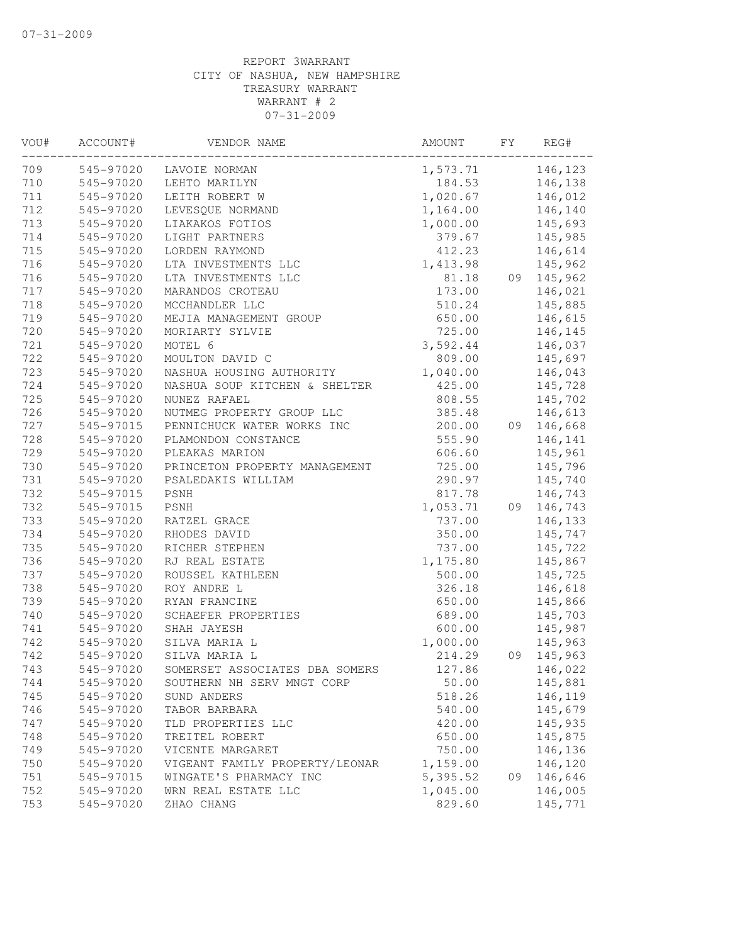| 545-97020<br>146,123<br>LAVOIE NORMAN<br>1,573.71<br>545-97020<br>LEHTO MARILYN<br>184.53<br>146,138<br>545-97020<br>1,020.67<br>LEITH ROBERT W<br>146,012<br>712<br>545-97020<br>LEVESQUE NORMAND<br>1,164.00<br>146,140<br>713<br>545-97020<br>LIAKAKOS FOTIOS<br>1,000.00<br>145,693<br>545-97020<br>145,985<br>LIGHT PARTNERS<br>379.67<br>715<br>545-97020<br>LORDEN RAYMOND<br>412.23<br>146,614<br>716<br>145,962<br>545-97020<br>LTA INVESTMENTS LLC<br>1,413.98<br>716<br>545-97020<br>LTA INVESTMENTS LLC<br>81.18<br>09<br>145,962<br>717<br>545-97020<br>MARANDOS CROTEAU<br>173.00<br>146,021<br>718<br>545-97020<br>510.24<br>145,885<br>MCCHANDLER LLC<br>719<br>650.00<br>545-97020<br>MEJIA MANAGEMENT GROUP<br>146,615<br>720<br>725.00<br>545-97020<br>MORIARTY SYLVIE<br>146,145<br>721<br>545-97020<br>MOTEL 6<br>3,592.44<br>146,037<br>722<br>545-97020<br>MOULTON DAVID C<br>809.00<br>145,697<br>723<br>545-97020<br>NASHUA HOUSING AUTHORITY<br>1,040.00<br>146,043<br>724<br>425.00<br>145,728<br>545-97020<br>NASHUA SOUP KITCHEN & SHELTER<br>725<br>545-97020<br>NUNEZ RAFAEL<br>808.55<br>145,702<br>726<br>545-97020<br>385.48<br>146,613<br>NUTMEG PROPERTY GROUP LLC<br>727<br>545-97015<br>PENNICHUCK WATER WORKS INC<br>200.00<br>09<br>146,668<br>728<br>555.90<br>545-97020<br>PLAMONDON CONSTANCE<br>146,141<br>729<br>545-97020<br>PLEAKAS MARION<br>606.60<br>145,961<br>730<br>725.00<br>545-97020<br>PRINCETON PROPERTY MANAGEMENT<br>145,796<br>731<br>545-97020<br>290.97<br>145,740<br>PSALEDAKIS WILLIAM<br>732<br>817.78<br>146,743<br>545-97015<br>PSNH<br>732<br>1,053.71<br>09 146,743<br>545-97015<br>PSNH<br>733<br>545-97020<br>RATZEL GRACE<br>737.00<br>146,133<br>734<br>350.00<br>545-97020<br>RHODES DAVID<br>145,747<br>735<br>545-97020<br>737.00<br>RICHER STEPHEN<br>145,722<br>736<br>545-97020<br>RJ REAL ESTATE<br>1,175.80<br>145,867<br>737<br>545-97020<br>ROUSSEL KATHLEEN<br>500.00<br>145,725<br>738<br>545-97020<br>ROY ANDRE L<br>326.18<br>146,618<br>739<br>545-97020<br>RYAN FRANCINE<br>650.00<br>145,866<br>145,703<br>545-97020<br>SCHAEFER PROPERTIES<br>689.00<br>545-97020<br>600.00<br>145,987<br>SHAH JAYESH<br>545-97020<br>SILVA MARIA L<br>1,000.00<br>145,963<br>545-97020<br>SILVA MARIA L<br>214.29<br>09<br>145,963<br>545-97020<br>SOMERSET ASSOCIATES DBA SOMERS<br>127.86<br>146,022<br>545-97020<br>SOUTHERN NH SERV MNGT CORP<br>50.00<br>145,881<br>545-97020<br>518.26<br>146,119<br>SUND ANDERS<br>545-97020<br>540.00<br>145,679<br>TABOR BARBARA<br>145,935<br>545-97020<br>TLD PROPERTIES LLC<br>420.00<br>145,875<br>545-97020<br>TREITEL ROBERT<br>650.00<br>545-97020<br>750.00<br>146,136<br>VICENTE MARGARET<br>545-97020<br>1,159.00<br>146,120<br>VIGEANT FAMILY PROPERTY/LEONAR<br>WINGATE'S PHARMACY INC<br>5,395.52<br>146,646<br>545-97015<br>09<br>WRN REAL ESTATE LLC<br>1,045.00<br>146,005<br>545-97020<br>545-97020<br>829.60<br>ZHAO CHANG<br>145,771 | VOU# | ACCOUNT# | VENDOR NAME | AMOUNT | FY | REG# |
|-------------------------------------------------------------------------------------------------------------------------------------------------------------------------------------------------------------------------------------------------------------------------------------------------------------------------------------------------------------------------------------------------------------------------------------------------------------------------------------------------------------------------------------------------------------------------------------------------------------------------------------------------------------------------------------------------------------------------------------------------------------------------------------------------------------------------------------------------------------------------------------------------------------------------------------------------------------------------------------------------------------------------------------------------------------------------------------------------------------------------------------------------------------------------------------------------------------------------------------------------------------------------------------------------------------------------------------------------------------------------------------------------------------------------------------------------------------------------------------------------------------------------------------------------------------------------------------------------------------------------------------------------------------------------------------------------------------------------------------------------------------------------------------------------------------------------------------------------------------------------------------------------------------------------------------------------------------------------------------------------------------------------------------------------------------------------------------------------------------------------------------------------------------------------------------------------------------------------------------------------------------------------------------------------------------------------------------------------------------------------------------------------------------------------------------------------------------------------------------------------------------------------------------------------------------------------------------------------------------------------------------------------------------------------------------------------------------------------------------------------------------------------------------------------------------------------------------------------------------------------------------------------------------------------------------------------------------------------------|------|----------|-------------|--------|----|------|
|                                                                                                                                                                                                                                                                                                                                                                                                                                                                                                                                                                                                                                                                                                                                                                                                                                                                                                                                                                                                                                                                                                                                                                                                                                                                                                                                                                                                                                                                                                                                                                                                                                                                                                                                                                                                                                                                                                                                                                                                                                                                                                                                                                                                                                                                                                                                                                                                                                                                                                                                                                                                                                                                                                                                                                                                                                                                                                                                                                               | 709  |          |             |        |    |      |
|                                                                                                                                                                                                                                                                                                                                                                                                                                                                                                                                                                                                                                                                                                                                                                                                                                                                                                                                                                                                                                                                                                                                                                                                                                                                                                                                                                                                                                                                                                                                                                                                                                                                                                                                                                                                                                                                                                                                                                                                                                                                                                                                                                                                                                                                                                                                                                                                                                                                                                                                                                                                                                                                                                                                                                                                                                                                                                                                                                               | 710  |          |             |        |    |      |
|                                                                                                                                                                                                                                                                                                                                                                                                                                                                                                                                                                                                                                                                                                                                                                                                                                                                                                                                                                                                                                                                                                                                                                                                                                                                                                                                                                                                                                                                                                                                                                                                                                                                                                                                                                                                                                                                                                                                                                                                                                                                                                                                                                                                                                                                                                                                                                                                                                                                                                                                                                                                                                                                                                                                                                                                                                                                                                                                                                               | 711  |          |             |        |    |      |
|                                                                                                                                                                                                                                                                                                                                                                                                                                                                                                                                                                                                                                                                                                                                                                                                                                                                                                                                                                                                                                                                                                                                                                                                                                                                                                                                                                                                                                                                                                                                                                                                                                                                                                                                                                                                                                                                                                                                                                                                                                                                                                                                                                                                                                                                                                                                                                                                                                                                                                                                                                                                                                                                                                                                                                                                                                                                                                                                                                               |      |          |             |        |    |      |
|                                                                                                                                                                                                                                                                                                                                                                                                                                                                                                                                                                                                                                                                                                                                                                                                                                                                                                                                                                                                                                                                                                                                                                                                                                                                                                                                                                                                                                                                                                                                                                                                                                                                                                                                                                                                                                                                                                                                                                                                                                                                                                                                                                                                                                                                                                                                                                                                                                                                                                                                                                                                                                                                                                                                                                                                                                                                                                                                                                               |      |          |             |        |    |      |
|                                                                                                                                                                                                                                                                                                                                                                                                                                                                                                                                                                                                                                                                                                                                                                                                                                                                                                                                                                                                                                                                                                                                                                                                                                                                                                                                                                                                                                                                                                                                                                                                                                                                                                                                                                                                                                                                                                                                                                                                                                                                                                                                                                                                                                                                                                                                                                                                                                                                                                                                                                                                                                                                                                                                                                                                                                                                                                                                                                               | 714  |          |             |        |    |      |
|                                                                                                                                                                                                                                                                                                                                                                                                                                                                                                                                                                                                                                                                                                                                                                                                                                                                                                                                                                                                                                                                                                                                                                                                                                                                                                                                                                                                                                                                                                                                                                                                                                                                                                                                                                                                                                                                                                                                                                                                                                                                                                                                                                                                                                                                                                                                                                                                                                                                                                                                                                                                                                                                                                                                                                                                                                                                                                                                                                               |      |          |             |        |    |      |
|                                                                                                                                                                                                                                                                                                                                                                                                                                                                                                                                                                                                                                                                                                                                                                                                                                                                                                                                                                                                                                                                                                                                                                                                                                                                                                                                                                                                                                                                                                                                                                                                                                                                                                                                                                                                                                                                                                                                                                                                                                                                                                                                                                                                                                                                                                                                                                                                                                                                                                                                                                                                                                                                                                                                                                                                                                                                                                                                                                               |      |          |             |        |    |      |
|                                                                                                                                                                                                                                                                                                                                                                                                                                                                                                                                                                                                                                                                                                                                                                                                                                                                                                                                                                                                                                                                                                                                                                                                                                                                                                                                                                                                                                                                                                                                                                                                                                                                                                                                                                                                                                                                                                                                                                                                                                                                                                                                                                                                                                                                                                                                                                                                                                                                                                                                                                                                                                                                                                                                                                                                                                                                                                                                                                               |      |          |             |        |    |      |
|                                                                                                                                                                                                                                                                                                                                                                                                                                                                                                                                                                                                                                                                                                                                                                                                                                                                                                                                                                                                                                                                                                                                                                                                                                                                                                                                                                                                                                                                                                                                                                                                                                                                                                                                                                                                                                                                                                                                                                                                                                                                                                                                                                                                                                                                                                                                                                                                                                                                                                                                                                                                                                                                                                                                                                                                                                                                                                                                                                               |      |          |             |        |    |      |
|                                                                                                                                                                                                                                                                                                                                                                                                                                                                                                                                                                                                                                                                                                                                                                                                                                                                                                                                                                                                                                                                                                                                                                                                                                                                                                                                                                                                                                                                                                                                                                                                                                                                                                                                                                                                                                                                                                                                                                                                                                                                                                                                                                                                                                                                                                                                                                                                                                                                                                                                                                                                                                                                                                                                                                                                                                                                                                                                                                               |      |          |             |        |    |      |
|                                                                                                                                                                                                                                                                                                                                                                                                                                                                                                                                                                                                                                                                                                                                                                                                                                                                                                                                                                                                                                                                                                                                                                                                                                                                                                                                                                                                                                                                                                                                                                                                                                                                                                                                                                                                                                                                                                                                                                                                                                                                                                                                                                                                                                                                                                                                                                                                                                                                                                                                                                                                                                                                                                                                                                                                                                                                                                                                                                               |      |          |             |        |    |      |
|                                                                                                                                                                                                                                                                                                                                                                                                                                                                                                                                                                                                                                                                                                                                                                                                                                                                                                                                                                                                                                                                                                                                                                                                                                                                                                                                                                                                                                                                                                                                                                                                                                                                                                                                                                                                                                                                                                                                                                                                                                                                                                                                                                                                                                                                                                                                                                                                                                                                                                                                                                                                                                                                                                                                                                                                                                                                                                                                                                               |      |          |             |        |    |      |
|                                                                                                                                                                                                                                                                                                                                                                                                                                                                                                                                                                                                                                                                                                                                                                                                                                                                                                                                                                                                                                                                                                                                                                                                                                                                                                                                                                                                                                                                                                                                                                                                                                                                                                                                                                                                                                                                                                                                                                                                                                                                                                                                                                                                                                                                                                                                                                                                                                                                                                                                                                                                                                                                                                                                                                                                                                                                                                                                                                               |      |          |             |        |    |      |
|                                                                                                                                                                                                                                                                                                                                                                                                                                                                                                                                                                                                                                                                                                                                                                                                                                                                                                                                                                                                                                                                                                                                                                                                                                                                                                                                                                                                                                                                                                                                                                                                                                                                                                                                                                                                                                                                                                                                                                                                                                                                                                                                                                                                                                                                                                                                                                                                                                                                                                                                                                                                                                                                                                                                                                                                                                                                                                                                                                               |      |          |             |        |    |      |
|                                                                                                                                                                                                                                                                                                                                                                                                                                                                                                                                                                                                                                                                                                                                                                                                                                                                                                                                                                                                                                                                                                                                                                                                                                                                                                                                                                                                                                                                                                                                                                                                                                                                                                                                                                                                                                                                                                                                                                                                                                                                                                                                                                                                                                                                                                                                                                                                                                                                                                                                                                                                                                                                                                                                                                                                                                                                                                                                                                               |      |          |             |        |    |      |
|                                                                                                                                                                                                                                                                                                                                                                                                                                                                                                                                                                                                                                                                                                                                                                                                                                                                                                                                                                                                                                                                                                                                                                                                                                                                                                                                                                                                                                                                                                                                                                                                                                                                                                                                                                                                                                                                                                                                                                                                                                                                                                                                                                                                                                                                                                                                                                                                                                                                                                                                                                                                                                                                                                                                                                                                                                                                                                                                                                               |      |          |             |        |    |      |
|                                                                                                                                                                                                                                                                                                                                                                                                                                                                                                                                                                                                                                                                                                                                                                                                                                                                                                                                                                                                                                                                                                                                                                                                                                                                                                                                                                                                                                                                                                                                                                                                                                                                                                                                                                                                                                                                                                                                                                                                                                                                                                                                                                                                                                                                                                                                                                                                                                                                                                                                                                                                                                                                                                                                                                                                                                                                                                                                                                               |      |          |             |        |    |      |
|                                                                                                                                                                                                                                                                                                                                                                                                                                                                                                                                                                                                                                                                                                                                                                                                                                                                                                                                                                                                                                                                                                                                                                                                                                                                                                                                                                                                                                                                                                                                                                                                                                                                                                                                                                                                                                                                                                                                                                                                                                                                                                                                                                                                                                                                                                                                                                                                                                                                                                                                                                                                                                                                                                                                                                                                                                                                                                                                                                               |      |          |             |        |    |      |
|                                                                                                                                                                                                                                                                                                                                                                                                                                                                                                                                                                                                                                                                                                                                                                                                                                                                                                                                                                                                                                                                                                                                                                                                                                                                                                                                                                                                                                                                                                                                                                                                                                                                                                                                                                                                                                                                                                                                                                                                                                                                                                                                                                                                                                                                                                                                                                                                                                                                                                                                                                                                                                                                                                                                                                                                                                                                                                                                                                               |      |          |             |        |    |      |
|                                                                                                                                                                                                                                                                                                                                                                                                                                                                                                                                                                                                                                                                                                                                                                                                                                                                                                                                                                                                                                                                                                                                                                                                                                                                                                                                                                                                                                                                                                                                                                                                                                                                                                                                                                                                                                                                                                                                                                                                                                                                                                                                                                                                                                                                                                                                                                                                                                                                                                                                                                                                                                                                                                                                                                                                                                                                                                                                                                               |      |          |             |        |    |      |
|                                                                                                                                                                                                                                                                                                                                                                                                                                                                                                                                                                                                                                                                                                                                                                                                                                                                                                                                                                                                                                                                                                                                                                                                                                                                                                                                                                                                                                                                                                                                                                                                                                                                                                                                                                                                                                                                                                                                                                                                                                                                                                                                                                                                                                                                                                                                                                                                                                                                                                                                                                                                                                                                                                                                                                                                                                                                                                                                                                               |      |          |             |        |    |      |
|                                                                                                                                                                                                                                                                                                                                                                                                                                                                                                                                                                                                                                                                                                                                                                                                                                                                                                                                                                                                                                                                                                                                                                                                                                                                                                                                                                                                                                                                                                                                                                                                                                                                                                                                                                                                                                                                                                                                                                                                                                                                                                                                                                                                                                                                                                                                                                                                                                                                                                                                                                                                                                                                                                                                                                                                                                                                                                                                                                               |      |          |             |        |    |      |
|                                                                                                                                                                                                                                                                                                                                                                                                                                                                                                                                                                                                                                                                                                                                                                                                                                                                                                                                                                                                                                                                                                                                                                                                                                                                                                                                                                                                                                                                                                                                                                                                                                                                                                                                                                                                                                                                                                                                                                                                                                                                                                                                                                                                                                                                                                                                                                                                                                                                                                                                                                                                                                                                                                                                                                                                                                                                                                                                                                               |      |          |             |        |    |      |
|                                                                                                                                                                                                                                                                                                                                                                                                                                                                                                                                                                                                                                                                                                                                                                                                                                                                                                                                                                                                                                                                                                                                                                                                                                                                                                                                                                                                                                                                                                                                                                                                                                                                                                                                                                                                                                                                                                                                                                                                                                                                                                                                                                                                                                                                                                                                                                                                                                                                                                                                                                                                                                                                                                                                                                                                                                                                                                                                                                               |      |          |             |        |    |      |
|                                                                                                                                                                                                                                                                                                                                                                                                                                                                                                                                                                                                                                                                                                                                                                                                                                                                                                                                                                                                                                                                                                                                                                                                                                                                                                                                                                                                                                                                                                                                                                                                                                                                                                                                                                                                                                                                                                                                                                                                                                                                                                                                                                                                                                                                                                                                                                                                                                                                                                                                                                                                                                                                                                                                                                                                                                                                                                                                                                               |      |          |             |        |    |      |
|                                                                                                                                                                                                                                                                                                                                                                                                                                                                                                                                                                                                                                                                                                                                                                                                                                                                                                                                                                                                                                                                                                                                                                                                                                                                                                                                                                                                                                                                                                                                                                                                                                                                                                                                                                                                                                                                                                                                                                                                                                                                                                                                                                                                                                                                                                                                                                                                                                                                                                                                                                                                                                                                                                                                                                                                                                                                                                                                                                               |      |          |             |        |    |      |
|                                                                                                                                                                                                                                                                                                                                                                                                                                                                                                                                                                                                                                                                                                                                                                                                                                                                                                                                                                                                                                                                                                                                                                                                                                                                                                                                                                                                                                                                                                                                                                                                                                                                                                                                                                                                                                                                                                                                                                                                                                                                                                                                                                                                                                                                                                                                                                                                                                                                                                                                                                                                                                                                                                                                                                                                                                                                                                                                                                               |      |          |             |        |    |      |
|                                                                                                                                                                                                                                                                                                                                                                                                                                                                                                                                                                                                                                                                                                                                                                                                                                                                                                                                                                                                                                                                                                                                                                                                                                                                                                                                                                                                                                                                                                                                                                                                                                                                                                                                                                                                                                                                                                                                                                                                                                                                                                                                                                                                                                                                                                                                                                                                                                                                                                                                                                                                                                                                                                                                                                                                                                                                                                                                                                               |      |          |             |        |    |      |
|                                                                                                                                                                                                                                                                                                                                                                                                                                                                                                                                                                                                                                                                                                                                                                                                                                                                                                                                                                                                                                                                                                                                                                                                                                                                                                                                                                                                                                                                                                                                                                                                                                                                                                                                                                                                                                                                                                                                                                                                                                                                                                                                                                                                                                                                                                                                                                                                                                                                                                                                                                                                                                                                                                                                                                                                                                                                                                                                                                               |      |          |             |        |    |      |
|                                                                                                                                                                                                                                                                                                                                                                                                                                                                                                                                                                                                                                                                                                                                                                                                                                                                                                                                                                                                                                                                                                                                                                                                                                                                                                                                                                                                                                                                                                                                                                                                                                                                                                                                                                                                                                                                                                                                                                                                                                                                                                                                                                                                                                                                                                                                                                                                                                                                                                                                                                                                                                                                                                                                                                                                                                                                                                                                                                               |      |          |             |        |    |      |
|                                                                                                                                                                                                                                                                                                                                                                                                                                                                                                                                                                                                                                                                                                                                                                                                                                                                                                                                                                                                                                                                                                                                                                                                                                                                                                                                                                                                                                                                                                                                                                                                                                                                                                                                                                                                                                                                                                                                                                                                                                                                                                                                                                                                                                                                                                                                                                                                                                                                                                                                                                                                                                                                                                                                                                                                                                                                                                                                                                               |      |          |             |        |    |      |
|                                                                                                                                                                                                                                                                                                                                                                                                                                                                                                                                                                                                                                                                                                                                                                                                                                                                                                                                                                                                                                                                                                                                                                                                                                                                                                                                                                                                                                                                                                                                                                                                                                                                                                                                                                                                                                                                                                                                                                                                                                                                                                                                                                                                                                                                                                                                                                                                                                                                                                                                                                                                                                                                                                                                                                                                                                                                                                                                                                               |      |          |             |        |    |      |
|                                                                                                                                                                                                                                                                                                                                                                                                                                                                                                                                                                                                                                                                                                                                                                                                                                                                                                                                                                                                                                                                                                                                                                                                                                                                                                                                                                                                                                                                                                                                                                                                                                                                                                                                                                                                                                                                                                                                                                                                                                                                                                                                                                                                                                                                                                                                                                                                                                                                                                                                                                                                                                                                                                                                                                                                                                                                                                                                                                               | 740  |          |             |        |    |      |
|                                                                                                                                                                                                                                                                                                                                                                                                                                                                                                                                                                                                                                                                                                                                                                                                                                                                                                                                                                                                                                                                                                                                                                                                                                                                                                                                                                                                                                                                                                                                                                                                                                                                                                                                                                                                                                                                                                                                                                                                                                                                                                                                                                                                                                                                                                                                                                                                                                                                                                                                                                                                                                                                                                                                                                                                                                                                                                                                                                               | 741  |          |             |        |    |      |
|                                                                                                                                                                                                                                                                                                                                                                                                                                                                                                                                                                                                                                                                                                                                                                                                                                                                                                                                                                                                                                                                                                                                                                                                                                                                                                                                                                                                                                                                                                                                                                                                                                                                                                                                                                                                                                                                                                                                                                                                                                                                                                                                                                                                                                                                                                                                                                                                                                                                                                                                                                                                                                                                                                                                                                                                                                                                                                                                                                               | 742  |          |             |        |    |      |
|                                                                                                                                                                                                                                                                                                                                                                                                                                                                                                                                                                                                                                                                                                                                                                                                                                                                                                                                                                                                                                                                                                                                                                                                                                                                                                                                                                                                                                                                                                                                                                                                                                                                                                                                                                                                                                                                                                                                                                                                                                                                                                                                                                                                                                                                                                                                                                                                                                                                                                                                                                                                                                                                                                                                                                                                                                                                                                                                                                               | 742  |          |             |        |    |      |
|                                                                                                                                                                                                                                                                                                                                                                                                                                                                                                                                                                                                                                                                                                                                                                                                                                                                                                                                                                                                                                                                                                                                                                                                                                                                                                                                                                                                                                                                                                                                                                                                                                                                                                                                                                                                                                                                                                                                                                                                                                                                                                                                                                                                                                                                                                                                                                                                                                                                                                                                                                                                                                                                                                                                                                                                                                                                                                                                                                               | 743  |          |             |        |    |      |
|                                                                                                                                                                                                                                                                                                                                                                                                                                                                                                                                                                                                                                                                                                                                                                                                                                                                                                                                                                                                                                                                                                                                                                                                                                                                                                                                                                                                                                                                                                                                                                                                                                                                                                                                                                                                                                                                                                                                                                                                                                                                                                                                                                                                                                                                                                                                                                                                                                                                                                                                                                                                                                                                                                                                                                                                                                                                                                                                                                               | 744  |          |             |        |    |      |
|                                                                                                                                                                                                                                                                                                                                                                                                                                                                                                                                                                                                                                                                                                                                                                                                                                                                                                                                                                                                                                                                                                                                                                                                                                                                                                                                                                                                                                                                                                                                                                                                                                                                                                                                                                                                                                                                                                                                                                                                                                                                                                                                                                                                                                                                                                                                                                                                                                                                                                                                                                                                                                                                                                                                                                                                                                                                                                                                                                               | 745  |          |             |        |    |      |
|                                                                                                                                                                                                                                                                                                                                                                                                                                                                                                                                                                                                                                                                                                                                                                                                                                                                                                                                                                                                                                                                                                                                                                                                                                                                                                                                                                                                                                                                                                                                                                                                                                                                                                                                                                                                                                                                                                                                                                                                                                                                                                                                                                                                                                                                                                                                                                                                                                                                                                                                                                                                                                                                                                                                                                                                                                                                                                                                                                               | 746  |          |             |        |    |      |
|                                                                                                                                                                                                                                                                                                                                                                                                                                                                                                                                                                                                                                                                                                                                                                                                                                                                                                                                                                                                                                                                                                                                                                                                                                                                                                                                                                                                                                                                                                                                                                                                                                                                                                                                                                                                                                                                                                                                                                                                                                                                                                                                                                                                                                                                                                                                                                                                                                                                                                                                                                                                                                                                                                                                                                                                                                                                                                                                                                               | 747  |          |             |        |    |      |
|                                                                                                                                                                                                                                                                                                                                                                                                                                                                                                                                                                                                                                                                                                                                                                                                                                                                                                                                                                                                                                                                                                                                                                                                                                                                                                                                                                                                                                                                                                                                                                                                                                                                                                                                                                                                                                                                                                                                                                                                                                                                                                                                                                                                                                                                                                                                                                                                                                                                                                                                                                                                                                                                                                                                                                                                                                                                                                                                                                               | 748  |          |             |        |    |      |
|                                                                                                                                                                                                                                                                                                                                                                                                                                                                                                                                                                                                                                                                                                                                                                                                                                                                                                                                                                                                                                                                                                                                                                                                                                                                                                                                                                                                                                                                                                                                                                                                                                                                                                                                                                                                                                                                                                                                                                                                                                                                                                                                                                                                                                                                                                                                                                                                                                                                                                                                                                                                                                                                                                                                                                                                                                                                                                                                                                               | 749  |          |             |        |    |      |
|                                                                                                                                                                                                                                                                                                                                                                                                                                                                                                                                                                                                                                                                                                                                                                                                                                                                                                                                                                                                                                                                                                                                                                                                                                                                                                                                                                                                                                                                                                                                                                                                                                                                                                                                                                                                                                                                                                                                                                                                                                                                                                                                                                                                                                                                                                                                                                                                                                                                                                                                                                                                                                                                                                                                                                                                                                                                                                                                                                               | 750  |          |             |        |    |      |
|                                                                                                                                                                                                                                                                                                                                                                                                                                                                                                                                                                                                                                                                                                                                                                                                                                                                                                                                                                                                                                                                                                                                                                                                                                                                                                                                                                                                                                                                                                                                                                                                                                                                                                                                                                                                                                                                                                                                                                                                                                                                                                                                                                                                                                                                                                                                                                                                                                                                                                                                                                                                                                                                                                                                                                                                                                                                                                                                                                               | 751  |          |             |        |    |      |
|                                                                                                                                                                                                                                                                                                                                                                                                                                                                                                                                                                                                                                                                                                                                                                                                                                                                                                                                                                                                                                                                                                                                                                                                                                                                                                                                                                                                                                                                                                                                                                                                                                                                                                                                                                                                                                                                                                                                                                                                                                                                                                                                                                                                                                                                                                                                                                                                                                                                                                                                                                                                                                                                                                                                                                                                                                                                                                                                                                               | 752  |          |             |        |    |      |
|                                                                                                                                                                                                                                                                                                                                                                                                                                                                                                                                                                                                                                                                                                                                                                                                                                                                                                                                                                                                                                                                                                                                                                                                                                                                                                                                                                                                                                                                                                                                                                                                                                                                                                                                                                                                                                                                                                                                                                                                                                                                                                                                                                                                                                                                                                                                                                                                                                                                                                                                                                                                                                                                                                                                                                                                                                                                                                                                                                               | 753  |          |             |        |    |      |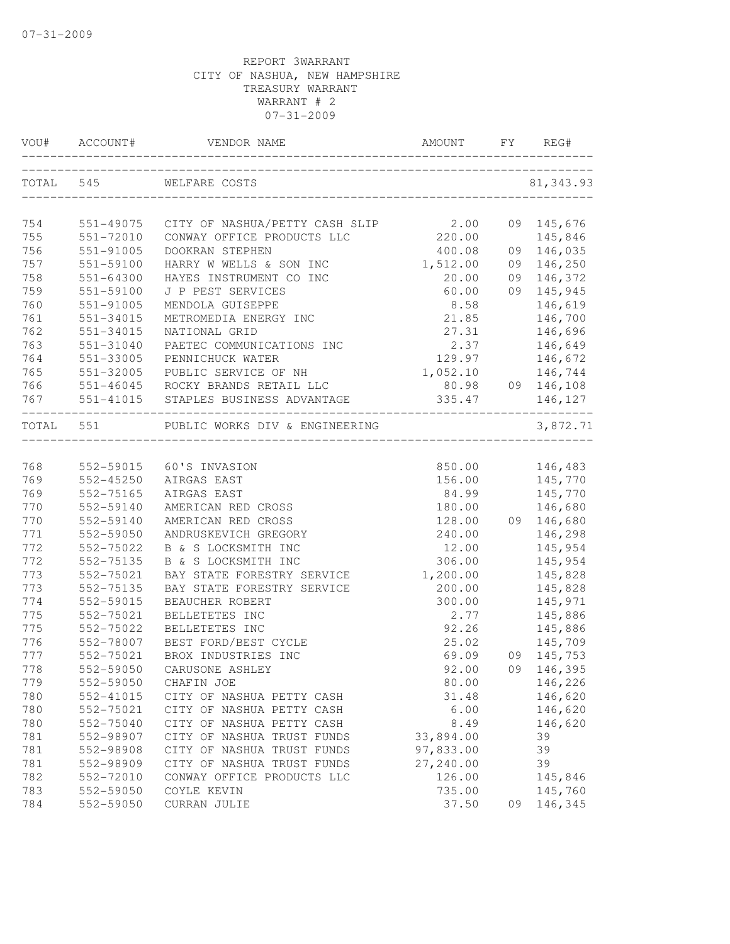|     | VOU# ACCOUNT# | VENDOR NAME                                                              | AMOUNT    | FY | REG#             |
|-----|---------------|--------------------------------------------------------------------------|-----------|----|------------------|
|     |               | TOTAL 545 WELFARE COSTS                                                  |           |    | 81, 343.93       |
| 754 | 551-49075     |                                                                          |           |    | 09 145,676       |
| 755 | 551-72010     | CITY OF NASHUA/PETTY CASH SLIP 2.00<br>CONWAY OFFICE PRODUCTS LLC 220.00 |           |    | 145,846          |
| 756 | 551-91005     | DOOKRAN STEPHEN                                                          | 400.08    |    | 09 146,035       |
| 757 | 551-59100     | HARRY W WELLS & SON INC                                                  | 1,512.00  |    | 09 146,250       |
| 758 | 551-64300     | HAYES INSTRUMENT CO INC                                                  | 20.00     |    | 09 146,372       |
| 759 | 551-59100     | J P PEST SERVICES                                                        | 60.00     |    | 09 145,945       |
| 760 | 551-91005     | MENDOLA GUISEPPE                                                         | 8.58      |    | 146,619          |
| 761 | 551-34015     | METROMEDIA ENERGY INC                                                    | 21.85     |    | 146,700          |
| 762 | 551-34015     | NATIONAL GRID                                                            | 27.31     |    | 146,696          |
| 763 | 551-31040     | PAETEC COMMUNICATIONS INC                                                | 2.37      |    | 146,649          |
| 764 | 551-33005     | PENNICHUCK WATER                                                         | 129.97    |    | 146,672          |
| 765 | 551-32005     | PUBLIC SERVICE OF NH                                                     | 1,052.10  |    | 146,744          |
| 766 |               | 551-46045 ROCKY BRANDS RETAIL LLC                                        |           |    | 80.98 09 146,108 |
|     |               | 767 551-41015 STAPLES BUSINESS ADVANTAGE                                 | 335.47    |    | 146,127          |
|     | TOTAL 551     | PUBLIC WORKS DIV & ENGINEERING<br>___________________________            |           |    | 3,872.71         |
|     |               |                                                                          |           |    |                  |
| 768 |               | 552-59015 60'S INVASION                                                  | 850.00    |    | 146,483          |
| 769 | 552-45250     | AIRGAS EAST                                                              | 156.00    |    | 145,770          |
| 769 | 552-75165     | AIRGAS EAST                                                              | 84.99     |    | 145,770          |
| 770 | 552-59140     | AMERICAN RED CROSS                                                       | 180.00    |    | 146,680          |
| 770 | 552-59140     | AMERICAN RED CROSS                                                       | 128.00    |    | 09 146,680       |
| 771 | 552-59050     | ANDRUSKEVICH GREGORY                                                     | 240.00    |    | 146,298          |
| 772 | 552-75022     | B & S LOCKSMITH INC                                                      | 12.00     |    | 145,954          |
| 772 | 552-75135     | B & S LOCKSMITH INC                                                      | 306.00    |    | 145,954          |
| 773 | 552-75021     | BAY STATE FORESTRY SERVICE                                               | 1,200.00  |    | 145,828          |
| 773 | 552-75135     | BAY STATE FORESTRY SERVICE                                               | 200.00    |    | 145,828          |
| 774 | 552-59015     | BEAUCHER ROBERT                                                          | 300.00    |    | 145,971          |
| 775 | 552-75021     | BELLETETES INC                                                           | 2.77      |    | 145,886          |
| 775 | 552-75022     | BELLETETES INC                                                           | 92.26     |    | 145,886          |
| 776 | 552-78007     | BEST FORD/BEST CYCLE                                                     | 25.02     |    | 145,709          |
| 777 | 552-75021     | BROX INDUSTRIES INC                                                      | 69.09     |    | 09 145,753       |
| 778 | 552-59050     | CARUSONE ASHLEY                                                          | 92.00     |    | 09 146,395       |
| 779 | 552-59050     | CHAFIN JOE                                                               | 80.00     |    | 146,226          |
| 780 | 552-41015     | CITY OF NASHUA PETTY CASH                                                | 31.48     |    | 146,620          |
| 780 | 552-75021     | CITY OF NASHUA PETTY CASH                                                | 6.00      |    | 146,620          |
| 780 | 552-75040     | CITY OF NASHUA PETTY CASH                                                | 8.49      |    | 146,620          |
| 781 | 552-98907     | CITY OF NASHUA TRUST FUNDS                                               | 33,894.00 |    | 39               |
| 781 | 552-98908     | CITY OF NASHUA TRUST FUNDS                                               | 97,833.00 |    | 39               |
| 781 | 552-98909     | CITY OF NASHUA TRUST FUNDS                                               | 27,240.00 |    | 39               |
| 782 | 552-72010     | CONWAY OFFICE PRODUCTS LLC                                               | 126.00    |    | 145,846          |
| 783 | 552-59050     | COYLE KEVIN                                                              | 735.00    |    | 145,760          |
| 784 | 552-59050     | CURRAN JULIE                                                             | 37.50     | 09 | 146,345          |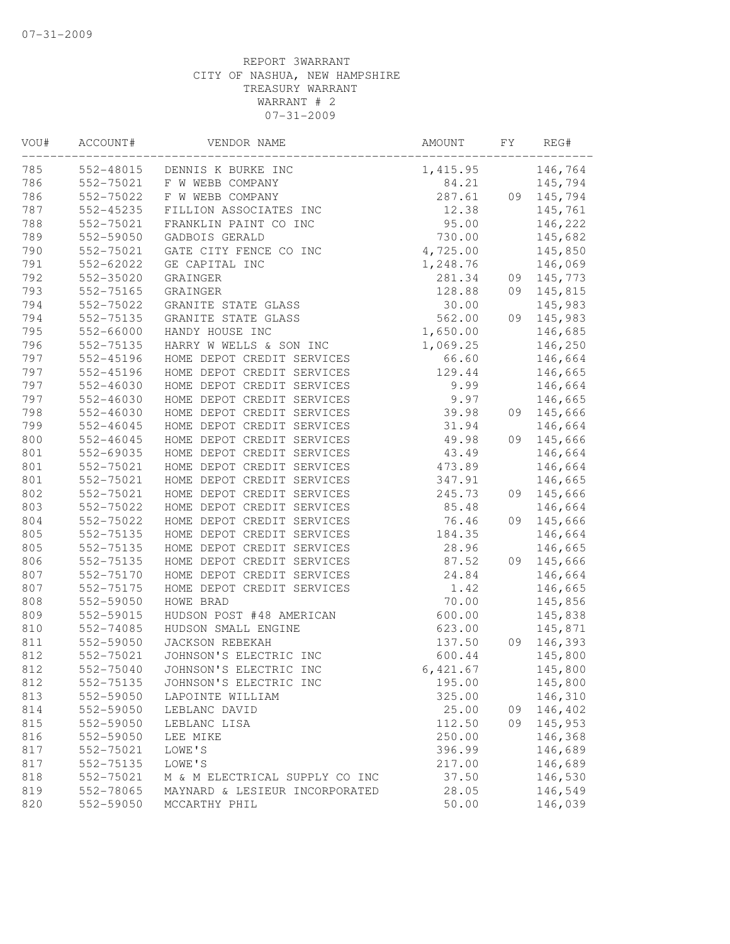| VOU# | ACCOUNT#  | VENDOR NAME                    | AMOUNT   | FΥ | REG#    |
|------|-----------|--------------------------------|----------|----|---------|
| 785  | 552-48015 | DENNIS K BURKE INC             | 1,415.95 |    | 146,764 |
| 786  | 552-75021 | F W WEBB COMPANY               | 84.21    |    | 145,794 |
| 786  | 552-75022 | F W WEBB COMPANY               | 287.61   | 09 | 145,794 |
| 787  | 552-45235 | FILLION ASSOCIATES INC         | 12.38    |    | 145,761 |
| 788  | 552-75021 | FRANKLIN PAINT CO INC          | 95.00    |    | 146,222 |
| 789  | 552-59050 | GADBOIS GERALD                 | 730.00   |    | 145,682 |
| 790  | 552-75021 | GATE CITY FENCE CO INC         | 4,725.00 |    | 145,850 |
| 791  | 552-62022 | GE CAPITAL INC                 | 1,248.76 |    | 146,069 |
| 792  | 552-35020 | GRAINGER                       | 281.34   | 09 | 145,773 |
| 793  | 552-75165 | GRAINGER                       | 128.88   | 09 | 145,815 |
| 794  | 552-75022 | GRANITE STATE GLASS            | 30.00    |    | 145,983 |
| 794  | 552-75135 | GRANITE STATE GLASS            | 562.00   | 09 | 145,983 |
| 795  | 552-66000 | HANDY HOUSE INC                | 1,650.00 |    | 146,685 |
| 796  | 552-75135 | HARRY W WELLS & SON INC        | 1,069.25 |    | 146,250 |
| 797  | 552-45196 | HOME DEPOT CREDIT SERVICES     | 66.60    |    | 146,664 |
| 797  | 552-45196 | HOME DEPOT CREDIT SERVICES     | 129.44   |    | 146,665 |
| 797  | 552-46030 | HOME DEPOT CREDIT SERVICES     | 9.99     |    | 146,664 |
| 797  | 552-46030 | HOME DEPOT CREDIT SERVICES     | 9.97     |    | 146,665 |
| 798  | 552-46030 | HOME DEPOT CREDIT SERVICES     | 39.98    | 09 | 145,666 |
| 799  | 552-46045 | HOME DEPOT CREDIT SERVICES     | 31.94    |    | 146,664 |
| 800  | 552-46045 | HOME DEPOT CREDIT SERVICES     | 49.98    | 09 | 145,666 |
| 801  | 552-69035 | HOME DEPOT CREDIT SERVICES     | 43.49    |    | 146,664 |
| 801  | 552-75021 | HOME DEPOT CREDIT SERVICES     | 473.89   |    | 146,664 |
| 801  | 552-75021 | HOME DEPOT CREDIT SERVICES     | 347.91   |    | 146,665 |
| 802  | 552-75021 | HOME DEPOT CREDIT SERVICES     | 245.73   | 09 | 145,666 |
| 803  | 552-75022 | HOME DEPOT CREDIT SERVICES     | 85.48    |    | 146,664 |
| 804  | 552-75022 | HOME DEPOT CREDIT SERVICES     | 76.46    | 09 | 145,666 |
| 805  | 552-75135 | HOME DEPOT CREDIT SERVICES     | 184.35   |    | 146,664 |
| 805  | 552-75135 | HOME DEPOT CREDIT SERVICES     | 28.96    |    | 146,665 |
| 806  | 552-75135 | HOME DEPOT CREDIT SERVICES     | 87.52    | 09 | 145,666 |
| 807  | 552-75170 | HOME DEPOT CREDIT SERVICES     | 24.84    |    | 146,664 |
| 807  | 552-75175 | HOME DEPOT CREDIT SERVICES     | 1.42     |    | 146,665 |
| 808  | 552-59050 | HOWE BRAD                      | 70.00    |    | 145,856 |
| 809  | 552-59015 | HUDSON POST #48 AMERICAN       | 600.00   |    | 145,838 |
| 810  | 552-74085 | HUDSON SMALL ENGINE            | 623.00   |    | 145,871 |
| 811  | 552-59050 | JACKSON REBEKAH                | 137.50   | 09 | 146,393 |
| 812  | 552-75021 | JOHNSON'S ELECTRIC INC         | 600.44   |    | 145,800 |
| 812  | 552-75040 | JOHNSON'S ELECTRIC INC         | 6,421.67 |    | 145,800 |
| 812  | 552-75135 | JOHNSON'S ELECTRIC INC         | 195.00   |    | 145,800 |
| 813  | 552-59050 | LAPOINTE WILLIAM               | 325.00   |    | 146,310 |
| 814  | 552-59050 | LEBLANC DAVID                  | 25.00    | 09 | 146,402 |
| 815  | 552-59050 | LEBLANC LISA                   | 112.50   | 09 | 145,953 |
| 816  | 552-59050 | LEE MIKE                       | 250.00   |    | 146,368 |
| 817  | 552-75021 | LOWE'S                         | 396.99   |    | 146,689 |
| 817  | 552-75135 | LOWE'S                         | 217.00   |    | 146,689 |
| 818  | 552-75021 | M & M ELECTRICAL SUPPLY CO INC | 37.50    |    | 146,530 |
| 819  | 552-78065 | MAYNARD & LESIEUR INCORPORATED | 28.05    |    | 146,549 |
| 820  | 552-59050 | MCCARTHY PHIL                  | 50.00    |    | 146,039 |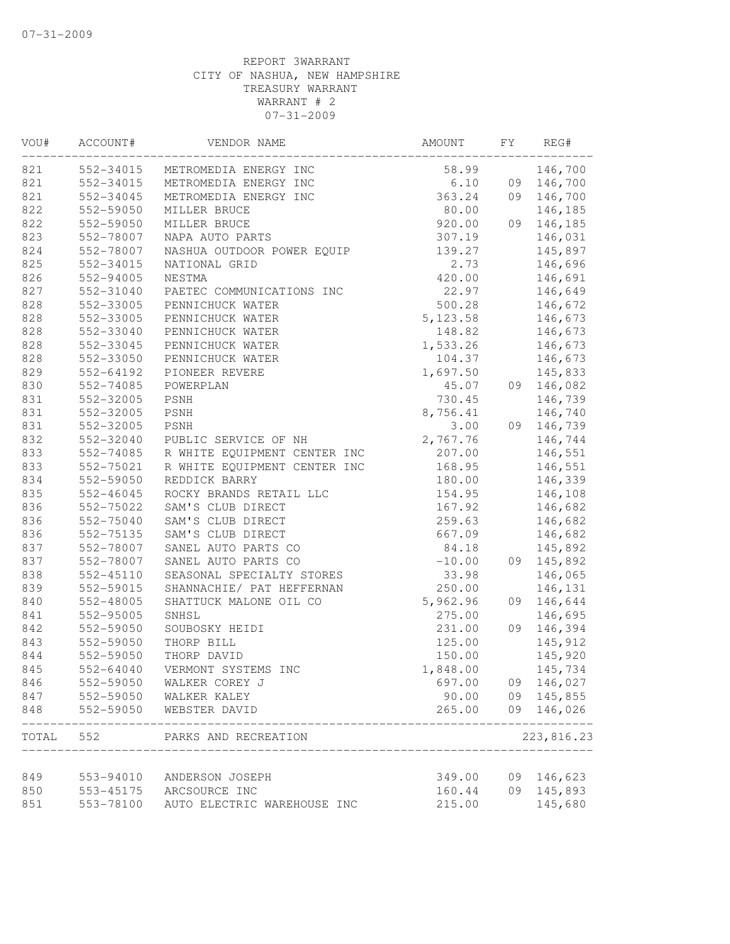| VOU#  | ACCOUNT#               | VENDOR NAME                      | AMOUNT   | FΥ | REG#               |
|-------|------------------------|----------------------------------|----------|----|--------------------|
| 821   | 552-34015              | METROMEDIA ENERGY INC            | 58.99    |    | 146,700            |
| 821   | 552-34015              | METROMEDIA ENERGY INC            | 6.10     |    | 09 146,700         |
| 821   | 552-34045              | METROMEDIA ENERGY INC            | 363.24   |    | 09 146,700         |
| 822   | 552-59050              | MILLER BRUCE                     | 80.00    |    | 146,185            |
| 822   | 552-59050              | MILLER BRUCE                     | 920.00   | 09 | 146,185            |
| 823   | 552-78007              | NAPA AUTO PARTS                  | 307.19   |    | 146,031            |
| 824   | 552-78007              | NASHUA OUTDOOR POWER EQUIP       | 139.27   |    | 145,897            |
| 825   | 552-34015              | NATIONAL GRID                    | 2.73     |    | 146,696            |
| 826   | 552-94005              | NESTMA                           | 420.00   |    | 146,691            |
| 827   | 552-31040              | PAETEC COMMUNICATIONS INC        | 22.97    |    | 146,649            |
| 828   | 552-33005              | PENNICHUCK WATER                 | 500.28   |    | 146,672            |
| 828   | 552-33005              | PENNICHUCK WATER                 | 5,123.58 |    | 146,673            |
| 828   | 552-33040              | PENNICHUCK WATER                 | 148.82   |    | 146,673            |
| 828   | 552-33045              | PENNICHUCK WATER                 | 1,533.26 |    | 146,673            |
| 828   | 552-33050              | PENNICHUCK WATER                 | 104.37   |    | 146,673            |
| 829   | 552-64192              | PIONEER REVERE                   | 1,697.50 |    | 145,833            |
| 830   | 552-74085              | POWERPLAN                        | 45.07    | 09 | 146,082            |
| 831   | 552-32005              | PSNH                             | 730.45   |    | 146,739            |
| 831   | 552-32005              | PSNH                             | 8,756.41 |    | 146,740            |
| 831   | 552-32005              | PSNH                             | 3.00     | 09 | 146,739            |
| 832   | 552-32040              | PUBLIC SERVICE OF NH             | 2,767.76 |    | 146,744            |
| 833   | 552-74085              | R WHITE EQUIPMENT CENTER INC     | 207.00   |    | 146,551            |
| 833   | 552-75021              | R WHITE EQUIPMENT CENTER INC     | 168.95   |    | 146,551            |
| 834   | 552-59050              | REDDICK BARRY                    | 180.00   |    | 146,339            |
| 835   | 552-46045              | ROCKY BRANDS RETAIL LLC          | 154.95   |    | 146,108            |
| 836   | 552-75022              | SAM'S CLUB DIRECT                | 167.92   |    | 146,682            |
| 836   | 552-75040              | SAM'S CLUB DIRECT                | 259.63   |    | 146,682            |
| 836   | 552-75135              | SAM'S CLUB DIRECT                | 667.09   |    | 146,682            |
| 837   | 552-78007              | SANEL AUTO PARTS CO              | 84.18    |    | 145,892            |
| 837   | 552-78007              | SANEL AUTO PARTS CO              | $-10.00$ | 09 | 145,892            |
| 838   | 552-45110              | SEASONAL SPECIALTY STORES        | 33.98    |    | 146,065            |
| 839   | 552-59015              | SHANNACHIE/ PAT HEFFERNAN        | 250.00   |    | 146,131            |
| 840   | 552-48005              | SHATTUCK MALONE OIL CO           | 5,962.96 | 09 | 146,644            |
| 841   | 552-95005              | SNHSL                            | 275.00   |    | 146,695            |
| 842   | 552-59050              | SOUBOSKY HEIDI                   | 231.00   | 09 | 146,394            |
| 843   | 552-59050              | THORP BILL                       | 125.00   |    | 145,912            |
| 844   | 552-59050              | THORP DAVID                      | 150.00   |    | 145,920            |
| 845   | 552-64040              | VERMONT SYSTEMS INC              | 1,848.00 |    | 145,734            |
| 846   | 552-59050              | WALKER COREY J                   | 697.00   | 09 | 146,027            |
| 847   | 552-59050              | WALKER KALEY                     | 90.00    |    | 09 145,855         |
| 848   | 552-59050              | WEBSTER DAVID                    | 265.00   | 09 | 146,026<br>------- |
| TOTAL | 552                    | PARKS AND RECREATION             |          |    | 223,816.23         |
| 849   |                        |                                  | 349.00   | 09 |                    |
| 850   | 553-94010<br>553-45175 | ANDERSON JOSEPH<br>ARCSOURCE INC | 160.44   | 09 | 146,623<br>145,893 |
|       | 553-78100              |                                  |          |    |                    |
| 851   |                        | AUTO ELECTRIC WAREHOUSE INC      | 215.00   |    | 145,680            |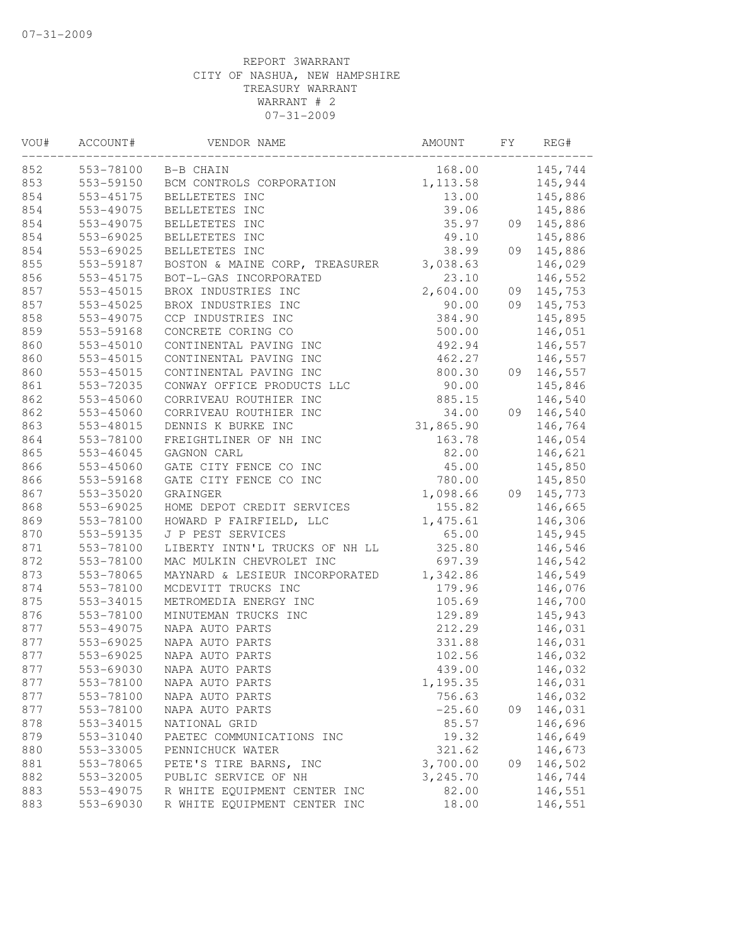| VOU# | ACCOUNT#      | VENDOR NAME                    | AMOUNT    | FY | REG#       |
|------|---------------|--------------------------------|-----------|----|------------|
| 852  |               | 553-78100 B-B CHAIN            | 168.00    |    | 145,744    |
| 853  | 553-59150     | BCM CONTROLS CORPORATION       | 1, 113.58 |    | 145,944    |
| 854  | 553-45175     | BELLETETES INC                 | 13.00     |    | 145,886    |
| 854  | 553-49075     | BELLETETES INC                 | 39.06     |    | 145,886    |
| 854  | 553-49075     | BELLETETES INC                 | 35.97     | 09 | 145,886    |
| 854  | 553-69025     | BELLETETES INC                 | 49.10     |    | 145,886    |
| 854  | 553-69025     | BELLETETES INC                 | 38.99     | 09 | 145,886    |
| 855  | 553-59187     | BOSTON & MAINE CORP, TREASURER | 3,038.63  |    | 146,029    |
| 856  | 553-45175     | BOT-L-GAS INCORPORATED         | 23.10     |    | 146,552    |
| 857  | $553 - 45015$ | BROX INDUSTRIES INC            | 2,604.00  |    | 09 145,753 |
| 857  | 553-45025     | BROX INDUSTRIES INC            | 90.00     |    | 09 145,753 |
| 858  | 553-49075     | CCP INDUSTRIES INC             | 384.90    |    | 145,895    |
| 859  | 553-59168     | CONCRETE CORING CO             | 500.00    |    | 146,051    |
| 860  | 553-45010     | CONTINENTAL PAVING INC         | 492.94    |    | 146,557    |
| 860  | 553-45015     | CONTINENTAL PAVING INC         | 462.27    |    | 146,557    |
| 860  | $553 - 45015$ | CONTINENTAL PAVING INC         | 800.30    | 09 | 146,557    |
| 861  | 553-72035     | CONWAY OFFICE PRODUCTS LLC     | 90.00     |    | 145,846    |
| 862  | 553-45060     | CORRIVEAU ROUTHIER INC         | 885.15    |    | 146,540    |
| 862  | $553 - 45060$ | CORRIVEAU ROUTHIER INC         | 34.00     | 09 | 146,540    |
| 863  | 553-48015     | DENNIS K BURKE INC             | 31,865.90 |    | 146,764    |
| 864  | 553-78100     | FREIGHTLINER OF NH INC         | 163.78    |    | 146,054    |
| 865  | 553-46045     | GAGNON CARL                    | 82.00     |    | 146,621    |
| 866  | 553-45060     | GATE CITY FENCE CO INC         | 45.00     |    | 145,850    |
| 866  | 553-59168     | GATE CITY FENCE CO INC         | 780.00    |    | 145,850    |
| 867  | 553-35020     | GRAINGER                       | 1,098.66  |    | 09 145,773 |
| 868  | 553-69025     | HOME DEPOT CREDIT SERVICES     | 155.82    |    | 146,665    |
| 869  | 553-78100     | HOWARD P FAIRFIELD, LLC        | 1,475.61  |    | 146,306    |
| 870  | 553-59135     | J P PEST SERVICES              | 65.00     |    | 145,945    |
| 871  | 553-78100     | LIBERTY INTN'L TRUCKS OF NH LL | 325.80    |    | 146,546    |
| 872  | 553-78100     | MAC MULKIN CHEVROLET INC       | 697.39    |    | 146,542    |
| 873  | 553-78065     | MAYNARD & LESIEUR INCORPORATED | 1,342.86  |    | 146,549    |
| 874  | 553-78100     | MCDEVITT TRUCKS INC            | 179.96    |    | 146,076    |
| 875  | 553-34015     | METROMEDIA ENERGY INC          | 105.69    |    | 146,700    |
| 876  | 553-78100     | MINUTEMAN TRUCKS INC           | 129.89    |    | 145,943    |
| 877  | 553-49075     | NAPA AUTO PARTS                | 212.29    |    | 146,031    |
| 877  | 553-69025     | NAPA AUTO PARTS                | 331.88    |    | 146,031    |
| 877  | 553-69025     | NAPA AUTO PARTS                | 102.56    |    | 146,032    |
| 877  | 553-69030     | NAPA AUTO PARTS                | 439.00    |    | 146,032    |
| 877  | 553-78100     | NAPA AUTO PARTS                | 1,195.35  |    | 146,031    |
| 877  | 553-78100     | NAPA AUTO PARTS                | 756.63    |    | 146,032    |
| 877  | 553-78100     | NAPA AUTO PARTS                | $-25.60$  | 09 | 146,031    |
| 878  | 553-34015     | NATIONAL GRID                  | 85.57     |    | 146,696    |
| 879  | 553-31040     | PAETEC COMMUNICATIONS INC      | 19.32     |    | 146,649    |
| 880  | 553-33005     | PENNICHUCK WATER               | 321.62    |    | 146,673    |
| 881  | 553-78065     | PETE'S TIRE BARNS, INC         | 3,700.00  | 09 | 146,502    |
| 882  | 553-32005     | PUBLIC SERVICE OF NH           | 3,245.70  |    | 146,744    |
| 883  | 553-49075     | R WHITE EQUIPMENT CENTER INC   | 82.00     |    | 146,551    |
| 883  | 553-69030     | R WHITE EQUIPMENT CENTER INC   | 18.00     |    | 146,551    |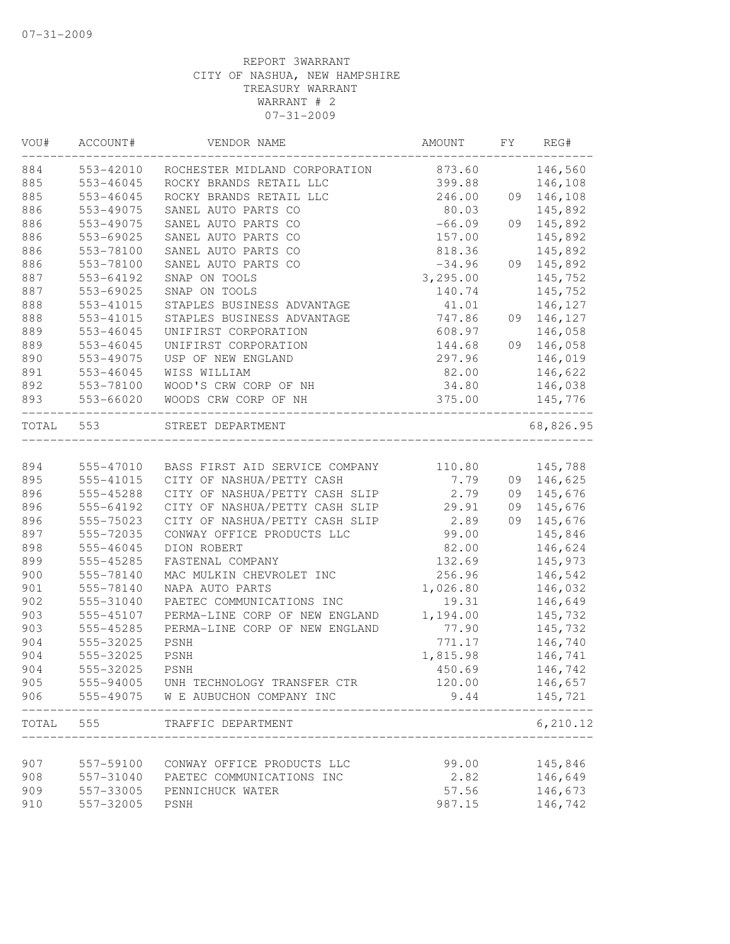| VOU#  | ACCOUNT#      | VENDOR NAME                    | AMOUNT   | FY | REG#       |
|-------|---------------|--------------------------------|----------|----|------------|
| 884   | 553-42010     | ROCHESTER MIDLAND CORPORATION  | 873.60   |    | 146,560    |
| 885   | $553 - 46045$ | ROCKY BRANDS RETAIL LLC        | 399.88   |    | 146,108    |
| 885   | $553 - 46045$ | ROCKY BRANDS RETAIL LLC        | 246.00   |    | 09 146,108 |
| 886   | 553-49075     | SANEL AUTO PARTS CO            | 80.03    |    | 145,892    |
| 886   | 553-49075     | SANEL AUTO PARTS CO            | $-66.09$ | 09 | 145,892    |
| 886   | 553-69025     | SANEL AUTO PARTS CO            | 157.00   |    | 145,892    |
| 886   | 553-78100     | SANEL AUTO PARTS CO            | 818.36   |    | 145,892    |
| 886   | 553-78100     | SANEL AUTO PARTS CO            | $-34.96$ |    | 09 145,892 |
| 887   | 553-64192     | SNAP ON TOOLS                  | 3,295.00 |    | 145,752    |
| 887   | 553-69025     | SNAP ON TOOLS                  | 140.74   |    | 145,752    |
| 888   | 553-41015     | STAPLES BUSINESS ADVANTAGE     | 41.01    |    | 146,127    |
| 888   | 553-41015     | STAPLES BUSINESS ADVANTAGE     | 747.86   |    | 09 146,127 |
| 889   | $553 - 46045$ | UNIFIRST CORPORATION           | 608.97   |    | 146,058    |
| 889   | 553-46045     | UNIFIRST CORPORATION           | 144.68   |    | 09 146,058 |
| 890   | 553-49075     | USP OF NEW ENGLAND             | 297.96   |    | 146,019    |
| 891   | 553-46045     | WISS WILLIAM                   | 82.00    |    | 146,622    |
| 892   | 553-78100     | WOOD'S CRW CORP OF NH          | 34.80    |    | 146,038    |
| 893   | 553-66020     | WOODS CRW CORP OF NH           | 375.00   |    | 145,776    |
| TOTAL | 553           | STREET DEPARTMENT              |          |    | 68,826.95  |
| 894   | 555-47010     | BASS FIRST AID SERVICE COMPANY | 110.80   |    | 145,788    |
| 895   | 555-41015     | CITY OF NASHUA/PETTY CASH      | 7.79     |    | 09 146,625 |
| 896   | 555-45288     | CITY OF NASHUA/PETTY CASH SLIP | 2.79     |    | 09 145,676 |
| 896   | 555-64192     | CITY OF NASHUA/PETTY CASH SLIP | 29.91    | 09 | 145,676    |
| 896   | 555-75023     | CITY OF NASHUA/PETTY CASH SLIP | 2.89     | 09 | 145,676    |
| 897   | 555-72035     | CONWAY OFFICE PRODUCTS LLC     | 99.00    |    | 145,846    |
| 898   | 555-46045     | DION ROBERT                    | 82.00    |    | 146,624    |
| 899   | 555-45285     | FASTENAL COMPANY               | 132.69   |    | 145,973    |
| 900   | 555-78140     | MAC MULKIN CHEVROLET INC       | 256.96   |    | 146,542    |
| 901   | 555-78140     | NAPA AUTO PARTS                | 1,026.80 |    | 146,032    |
| 902   | 555-31040     | PAETEC COMMUNICATIONS INC      | 19.31    |    | 146,649    |
| 903   | 555-45107     | PERMA-LINE CORP OF NEW ENGLAND | 1,194.00 |    | 145,732    |
| 903   | 555-45285     | PERMA-LINE CORP OF NEW ENGLAND | 77.90    |    | 145,732    |
| 904   | 555-32025     | PSNH                           | 771.17   |    | 146,740    |
| 904   | 555-32025     | PSNH                           | 1,815.98 |    | 146,741    |
| 904   | 555-32025     | <b>PSNH</b>                    | 450.69   |    | 146,742    |
| 905   | 555-94005     | UNH TECHNOLOGY TRANSFER CTR    | 120.00   |    | 146,657    |
| 906   | 555-49075     | W E AUBUCHON COMPANY INC       | 9.44     |    | 145,721    |
| TOTAL | 555           | TRAFFIC DEPARTMENT             |          |    | 6, 210.12  |
| 907   | 557-59100     | CONWAY OFFICE PRODUCTS LLC     | 99.00    |    | 145,846    |
| 908   | 557-31040     | PAETEC COMMUNICATIONS INC      | 2.82     |    | 146,649    |
| 909   | 557-33005     | PENNICHUCK WATER               | 57.56    |    | 146,673    |
|       |               |                                |          |    |            |
| 910   | 557-32005     | PSNH                           | 987.15   |    | 146,742    |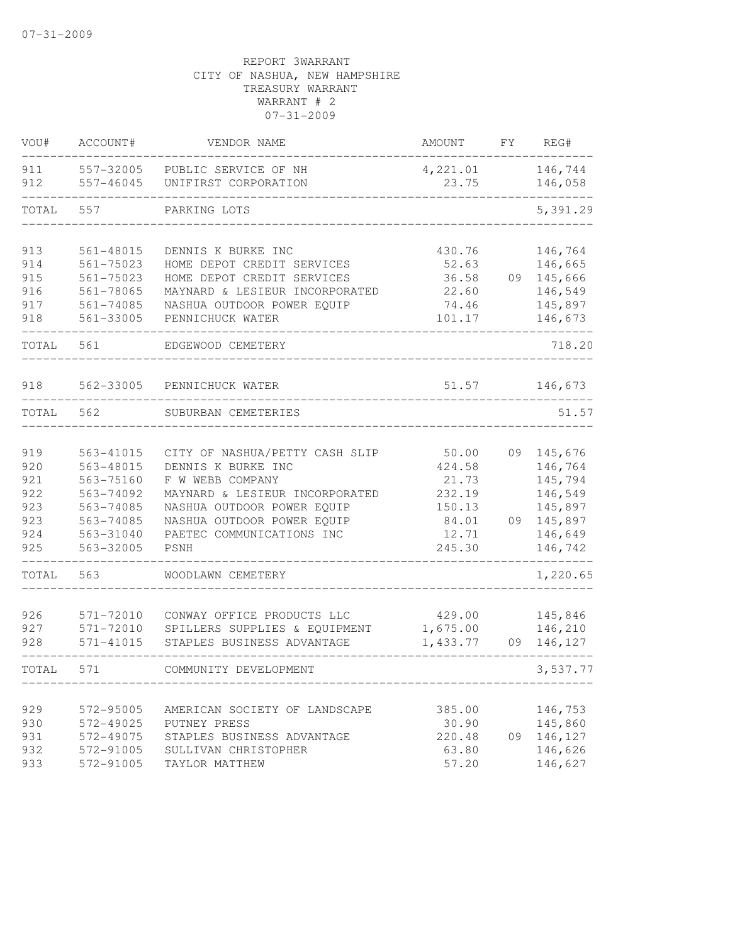| VOU#       | ACCOUNT#                   | VENDOR NAME                                    | AMOUNT            | FΥ | REG#               |
|------------|----------------------------|------------------------------------------------|-------------------|----|--------------------|
| 911<br>912 | 557-32005<br>557-46045     | PUBLIC SERVICE OF NH<br>UNIFIRST CORPORATION   | 4,221.01<br>23.75 |    | 146,744<br>146,058 |
| TOTAL      | 557                        | PARKING LOTS                                   |                   |    | 5,391.29           |
| 913        | 561-48015                  | DENNIS K BURKE INC                             | 430.76            |    | 146,764            |
| 914        | $561 - 75023$              | HOME DEPOT CREDIT SERVICES                     | 52.63             |    | 146,665            |
| 915        | 561-75023                  | HOME DEPOT CREDIT SERVICES                     | 36.58             | 09 | 145,666            |
| 916        | 561-78065                  | MAYNARD & LESIEUR INCORPORATED                 | 22.60             |    | 146,549            |
| 917<br>918 | $561 - 74085$<br>561-33005 | NASHUA OUTDOOR POWER EQUIP<br>PENNICHUCK WATER | 74.46<br>101.17   |    | 145,897<br>146,673 |
| TOTAL      | 561                        | EDGEWOOD CEMETERY                              |                   |    | 718.20             |
| 918        | 562-33005                  | PENNICHUCK WATER                               | 51.57             |    | 146,673            |
| TOTAL      | 562                        | SUBURBAN CEMETERIES                            |                   |    | 51.57              |
| 919        | 563-41015                  | CITY OF NASHUA/PETTY CASH SLIP                 | 50.00             | 09 | 145,676            |
| 920        | 563-48015                  | DENNIS K BURKE INC                             | 424.58            |    | 146,764            |
| 921        | 563-75160                  | F W WEBB COMPANY                               | 21.73             |    | 145,794            |
| 922        | 563-74092                  | MAYNARD & LESIEUR INCORPORATED                 | 232.19            |    | 146,549            |
| 923        | 563-74085                  | NASHUA OUTDOOR POWER EQUIP                     | 150.13            |    | 145,897            |
| 923        | 563-74085                  | NASHUA OUTDOOR POWER EQUIP                     | 84.01             | 09 | 145,897            |
| 924<br>925 | 563-31040<br>563-32005     | PAETEC COMMUNICATIONS INC<br>PSNH              | 12.71<br>245.30   |    | 146,649<br>146,742 |
| TOTAL      | 563                        | WOODLAWN CEMETERY                              |                   |    | 1,220.65           |
| 926        | 571-72010                  | CONWAY OFFICE PRODUCTS LLC                     | 429.00            |    | 145,846            |
| 927        | $571 - 72010$              | SPILLERS SUPPLIES & EQUIPMENT                  | 1,675.00          |    | 146,210            |
| 928        | 571-41015                  | STAPLES BUSINESS ADVANTAGE                     | 1,433.77          | 09 | 146,127            |
| TOTAL      | 571                        | COMMUNITY DEVELOPMENT                          |                   |    | 3,537.77           |
| 929        | 572-95005                  | AMERICAN SOCIETY OF LANDSCAPE                  | 385.00            |    | 146,753            |
| 930        | 572-49025                  | PUTNEY PRESS                                   | 30.90             |    | 145,860            |
| 931        | 572-49075                  | STAPLES BUSINESS ADVANTAGE                     | 220.48            | 09 | 146,127            |
| 932        | 572-91005                  | SULLIVAN CHRISTOPHER                           | 63.80             |    | 146,626            |
| 933        | 572-91005                  | TAYLOR MATTHEW                                 | 57.20             |    | 146,627            |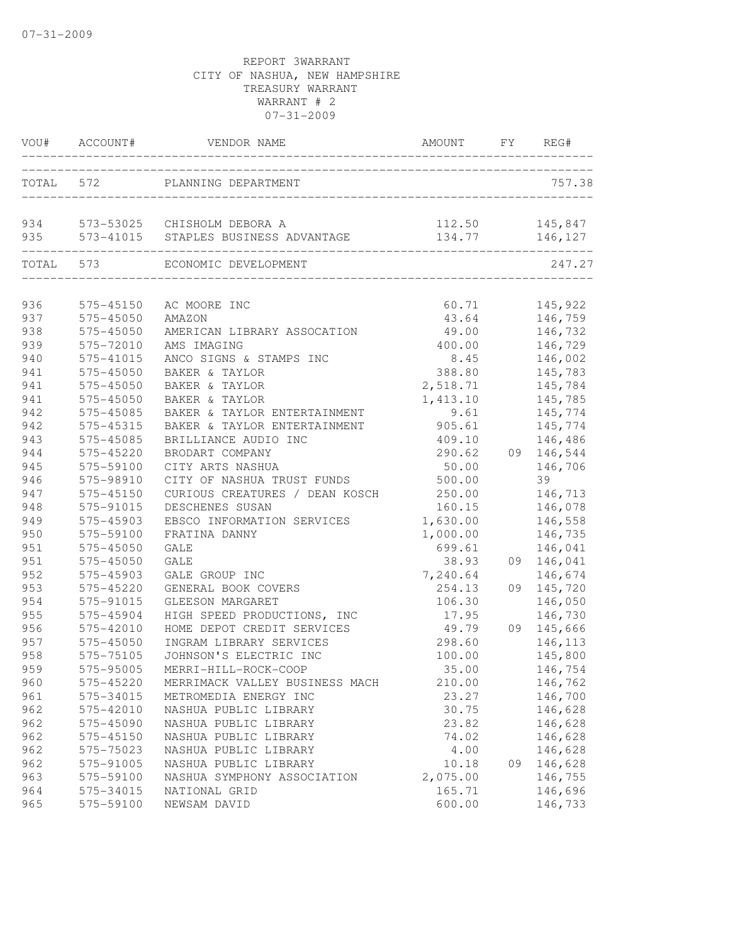|     | VOU# ACCOUNT# | VENDOR NAME                                                                 | AMOUNT FY REG#   |    |                    |
|-----|---------------|-----------------------------------------------------------------------------|------------------|----|--------------------|
|     |               | TOTAL 572 PLANNING DEPARTMENT                                               |                  |    | 757.38             |
|     |               | 934 573-53025 CHISHOLM DEBORA A<br>935 573-41015 STAPLES BUSINESS ADVANTAGE | 112.50<br>134.77 |    | 145,847<br>146,127 |
|     | TOTAL 573     | ECONOMIC DEVELOPMENT                                                        |                  |    | 247.27             |
| 936 | 575-45150     | AC MOORE INC                                                                |                  |    | 60.71 145,922      |
| 937 | 575-45050     | AMAZON                                                                      |                  |    | 43.64 146,759      |
| 938 | 575-45050     | AMERICAN LIBRARY ASSOCATION                                                 |                  |    | 49.00 146,732      |
| 939 | 575-72010     | AMS IMAGING                                                                 | 400.00 146,729   |    |                    |
| 940 | 575-41015     | ANCO SIGNS & STAMPS INC                                                     | 8.45             |    | 146,002            |
| 941 | 575-45050     | BAKER & TAYLOR                                                              | 388.80           |    | 145,783            |
| 941 | $575 - 45050$ | BAKER & TAYLOR                                                              | 2,518.71         |    | 145,784            |
| 941 | 575-45050     | BAKER & TAYLOR                                                              | 1,413.10         |    | 145,785            |
| 942 | 575-45085     | BAKER & TAYLOR ENTERTAINMENT                                                | 9.61             |    | 145,774            |
| 942 | 575-45315     | BAKER & TAYLOR ENTERTAINMENT                                                | 905.61           |    | 145,774            |
| 943 | 575-45085     | BRILLIANCE AUDIO INC                                                        | 409.10           |    | 146,486            |
| 944 | 575-45220     | BRODART COMPANY                                                             | 290.62           |    | 09 146,544         |
| 945 | 575-59100     | CITY ARTS NASHUA                                                            | 50.00            |    | 146,706            |
| 946 | 575-98910     | CITY OF NASHUA TRUST FUNDS                                                  | 500.00           |    | 39                 |
| 947 | 575-45150     | CURIOUS CREATURES / DEAN KOSCH                                              | 250.00           |    | 146,713            |
| 948 | 575-91015     | DESCHENES SUSAN                                                             | 160.15           |    | 146,078            |
| 949 | 575-45903     | EBSCO INFORMATION SERVICES                                                  | 1,630.00         |    | 146,558            |
| 950 | 575-59100     | FRATINA DANNY                                                               | 1,000.00         |    | 146,735            |
| 951 | 575-45050     | GALE                                                                        | 699.61           |    | 146,041            |
| 951 | 575-45050     | GALE                                                                        | 38.93            |    | 09 146,041         |
| 952 | 575-45903     | GALE GROUP INC                                                              | 7,240.64         |    | 146,674            |
| 953 | 575-45220     | GENERAL BOOK COVERS                                                         | 254.13           |    | 09 145,720         |
| 954 | 575-91015     | GLEESON MARGARET                                                            | 106.30           |    | 146,050            |
| 955 | 575-45904     | HIGH SPEED PRODUCTIONS, INC                                                 | 17.95            |    | 146,730            |
| 956 | 575-42010     | HOME DEPOT CREDIT SERVICES                                                  | 49.79            |    | 09 145,666         |
| 957 | 575-45050     | INGRAM LIBRARY SERVICES                                                     | 298.60           |    | 146,113            |
| 958 | 575-75105     | JOHNSON'S ELECTRIC INC                                                      | 100.00           |    | 145,800            |
| 959 | 575-95005     | MERRI-HILL-ROCK-COOP                                                        | 35.00            |    | 146,754            |
| 960 | 575-45220     | MERRIMACK VALLEY BUSINESS MACH                                              | 210.00           |    | 146,762            |
| 961 | 575-34015     | METROMEDIA ENERGY INC                                                       | 23.27            |    | 146,700            |
| 962 | 575-42010     | NASHUA PUBLIC LIBRARY                                                       | 30.75            |    | 146,628            |
| 962 | 575-45090     | NASHUA PUBLIC LIBRARY                                                       | 23.82            |    | 146,628            |
| 962 | 575-45150     | NASHUA PUBLIC LIBRARY                                                       | 74.02            |    | 146,628            |
| 962 | 575-75023     | NASHUA PUBLIC LIBRARY                                                       | 4.00             |    | 146,628            |
| 962 | 575-91005     | NASHUA PUBLIC LIBRARY                                                       | 10.18            | 09 | 146,628            |
| 963 | 575-59100     | NASHUA SYMPHONY ASSOCIATION                                                 | 2,075.00         |    | 146,755            |
| 964 | 575-34015     | NATIONAL GRID                                                               | 165.71           |    | 146,696            |
| 965 | 575-59100     | NEWSAM DAVID                                                                | 600.00           |    | 146,733            |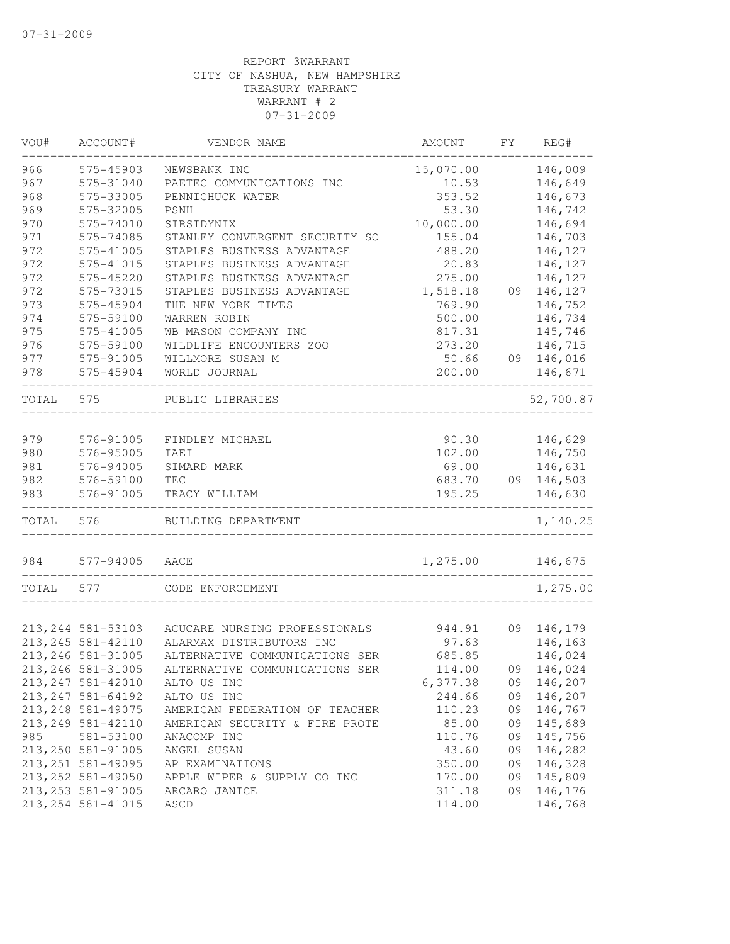| 966<br>146,009<br>575-45903<br>15,070.00<br>NEWSBANK INC<br>967<br>575-31040<br>146,649<br>PAETEC COMMUNICATIONS INC<br>10.53<br>968<br>146,673<br>575-33005<br>PENNICHUCK WATER<br>353.52<br>969<br>575-32005<br>146,742<br>PSNH<br>53.30<br>970<br>575-74010<br>SIRSIDYNIX<br>10,000.00<br>146,694<br>971<br>575-74085<br>146,703<br>155.04<br>STANLEY CONVERGENT SECURITY SO<br>972<br>146,127<br>575-41005<br>STAPLES BUSINESS ADVANTAGE<br>488.20<br>972<br>575-41015<br>STAPLES BUSINESS ADVANTAGE<br>20.83<br>146,127<br>972<br>575-45220<br>STAPLES BUSINESS ADVANTAGE<br>275.00<br>146,127<br>972<br>575-73015<br>STAPLES BUSINESS ADVANTAGE<br>1,518.18<br>09<br>146,127<br>973<br>575-45904<br>769.90<br>THE NEW YORK TIMES<br>146,752<br>974<br>575-59100<br>WARREN ROBIN<br>500.00<br>146,734<br>975<br>575-41005<br>WB MASON COMPANY INC<br>817.31<br>145,746<br>976<br>575-59100<br>WILDLIFE ENCOUNTERS ZOO<br>273.20<br>146,715<br>977<br>575-91005<br>146,016<br>WILLMORE SUSAN M<br>50.66<br>09<br>978<br>575-45904<br>WORLD JOURNAL<br>200.00<br>146,671<br>52,700.87<br>TOTAL<br>575<br>PUBLIC LIBRARIES<br>146,629<br>979<br>576-91005<br>FINDLEY MICHAEL<br>90.30<br>980<br>576-95005<br>102.00<br>146,750<br>IAEI<br>146,631<br>981<br>576-94005<br>69.00<br>SIMARD MARK<br>982<br>09 146,503<br>576-59100<br>683.70<br>TEC<br>576-91005<br>195.25<br>146,630<br>983<br>TRACY WILLIAM<br>TOTAL<br>576<br>BUILDING DEPARTMENT<br>1,140.25<br>1,275.00<br>984<br>577-94005<br>146,675<br>AACE<br>1,275.00<br>TOTAL<br>577<br>CODE ENFORCEMENT<br>213, 244 581-53103<br>ACUCARE NURSING PROFESSIONALS<br>944.91<br>09<br>146,179<br>213, 245 581-42110<br>146,163<br>ALARMAX DISTRIBUTORS INC<br>97.63<br>213, 246 581-31005<br>146,024<br>ALTERNATIVE COMMUNICATIONS SER<br>685.85<br>213, 246 581-31005<br>ALTERNATIVE COMMUNICATIONS SER<br>09 146,024<br>114.00<br>146,207<br>213, 247 581-42010<br>ALTO US INC<br>6,377.38<br>09<br>213, 247 581-64192<br>244.66<br>146,207<br>ALTO US INC<br>09<br>213, 248 581-49075<br>110.23<br>09<br>146,767<br>AMERICAN FEDERATION OF TEACHER<br>213, 249 581-42110<br>85.00<br>09<br>145,689<br>AMERICAN SECURITY & FIRE PROTE<br>985<br>145,756<br>581-53100<br>ANACOMP INC<br>110.76<br>09<br>213, 250 581-91005<br>146,282<br>43.60<br>ANGEL SUSAN<br>09<br>213, 251 581-49095<br>350.00<br>09<br>146,328<br>AP EXAMINATIONS<br>213, 252 581-49050<br>09<br>145,809<br>APPLE WIPER & SUPPLY CO INC<br>170.00<br>213, 253 581-91005<br>311.18<br>09<br>146,176<br>ARCARO JANICE<br>213, 254 581-41015<br>114.00<br>146,768<br>ASCD | VOU# | ACCOUNT# | VENDOR NAME | AMOUNT | FY. | REG# |
|------------------------------------------------------------------------------------------------------------------------------------------------------------------------------------------------------------------------------------------------------------------------------------------------------------------------------------------------------------------------------------------------------------------------------------------------------------------------------------------------------------------------------------------------------------------------------------------------------------------------------------------------------------------------------------------------------------------------------------------------------------------------------------------------------------------------------------------------------------------------------------------------------------------------------------------------------------------------------------------------------------------------------------------------------------------------------------------------------------------------------------------------------------------------------------------------------------------------------------------------------------------------------------------------------------------------------------------------------------------------------------------------------------------------------------------------------------------------------------------------------------------------------------------------------------------------------------------------------------------------------------------------------------------------------------------------------------------------------------------------------------------------------------------------------------------------------------------------------------------------------------------------------------------------------------------------------------------------------------------------------------------------------------------------------------------------------------------------------------------------------------------------------------------------------------------------------------------------------------------------------------------------------------------------------------------------------------------------------------------------------------------------------------------------------------------------------------------------------------------------------------------------------------------------------------------------------------------------------|------|----------|-------------|--------|-----|------|
|                                                                                                                                                                                                                                                                                                                                                                                                                                                                                                                                                                                                                                                                                                                                                                                                                                                                                                                                                                                                                                                                                                                                                                                                                                                                                                                                                                                                                                                                                                                                                                                                                                                                                                                                                                                                                                                                                                                                                                                                                                                                                                                                                                                                                                                                                                                                                                                                                                                                                                                                                                                                      |      |          |             |        |     |      |
|                                                                                                                                                                                                                                                                                                                                                                                                                                                                                                                                                                                                                                                                                                                                                                                                                                                                                                                                                                                                                                                                                                                                                                                                                                                                                                                                                                                                                                                                                                                                                                                                                                                                                                                                                                                                                                                                                                                                                                                                                                                                                                                                                                                                                                                                                                                                                                                                                                                                                                                                                                                                      |      |          |             |        |     |      |
|                                                                                                                                                                                                                                                                                                                                                                                                                                                                                                                                                                                                                                                                                                                                                                                                                                                                                                                                                                                                                                                                                                                                                                                                                                                                                                                                                                                                                                                                                                                                                                                                                                                                                                                                                                                                                                                                                                                                                                                                                                                                                                                                                                                                                                                                                                                                                                                                                                                                                                                                                                                                      |      |          |             |        |     |      |
|                                                                                                                                                                                                                                                                                                                                                                                                                                                                                                                                                                                                                                                                                                                                                                                                                                                                                                                                                                                                                                                                                                                                                                                                                                                                                                                                                                                                                                                                                                                                                                                                                                                                                                                                                                                                                                                                                                                                                                                                                                                                                                                                                                                                                                                                                                                                                                                                                                                                                                                                                                                                      |      |          |             |        |     |      |
|                                                                                                                                                                                                                                                                                                                                                                                                                                                                                                                                                                                                                                                                                                                                                                                                                                                                                                                                                                                                                                                                                                                                                                                                                                                                                                                                                                                                                                                                                                                                                                                                                                                                                                                                                                                                                                                                                                                                                                                                                                                                                                                                                                                                                                                                                                                                                                                                                                                                                                                                                                                                      |      |          |             |        |     |      |
|                                                                                                                                                                                                                                                                                                                                                                                                                                                                                                                                                                                                                                                                                                                                                                                                                                                                                                                                                                                                                                                                                                                                                                                                                                                                                                                                                                                                                                                                                                                                                                                                                                                                                                                                                                                                                                                                                                                                                                                                                                                                                                                                                                                                                                                                                                                                                                                                                                                                                                                                                                                                      |      |          |             |        |     |      |
|                                                                                                                                                                                                                                                                                                                                                                                                                                                                                                                                                                                                                                                                                                                                                                                                                                                                                                                                                                                                                                                                                                                                                                                                                                                                                                                                                                                                                                                                                                                                                                                                                                                                                                                                                                                                                                                                                                                                                                                                                                                                                                                                                                                                                                                                                                                                                                                                                                                                                                                                                                                                      |      |          |             |        |     |      |
|                                                                                                                                                                                                                                                                                                                                                                                                                                                                                                                                                                                                                                                                                                                                                                                                                                                                                                                                                                                                                                                                                                                                                                                                                                                                                                                                                                                                                                                                                                                                                                                                                                                                                                                                                                                                                                                                                                                                                                                                                                                                                                                                                                                                                                                                                                                                                                                                                                                                                                                                                                                                      |      |          |             |        |     |      |
|                                                                                                                                                                                                                                                                                                                                                                                                                                                                                                                                                                                                                                                                                                                                                                                                                                                                                                                                                                                                                                                                                                                                                                                                                                                                                                                                                                                                                                                                                                                                                                                                                                                                                                                                                                                                                                                                                                                                                                                                                                                                                                                                                                                                                                                                                                                                                                                                                                                                                                                                                                                                      |      |          |             |        |     |      |
|                                                                                                                                                                                                                                                                                                                                                                                                                                                                                                                                                                                                                                                                                                                                                                                                                                                                                                                                                                                                                                                                                                                                                                                                                                                                                                                                                                                                                                                                                                                                                                                                                                                                                                                                                                                                                                                                                                                                                                                                                                                                                                                                                                                                                                                                                                                                                                                                                                                                                                                                                                                                      |      |          |             |        |     |      |
|                                                                                                                                                                                                                                                                                                                                                                                                                                                                                                                                                                                                                                                                                                                                                                                                                                                                                                                                                                                                                                                                                                                                                                                                                                                                                                                                                                                                                                                                                                                                                                                                                                                                                                                                                                                                                                                                                                                                                                                                                                                                                                                                                                                                                                                                                                                                                                                                                                                                                                                                                                                                      |      |          |             |        |     |      |
|                                                                                                                                                                                                                                                                                                                                                                                                                                                                                                                                                                                                                                                                                                                                                                                                                                                                                                                                                                                                                                                                                                                                                                                                                                                                                                                                                                                                                                                                                                                                                                                                                                                                                                                                                                                                                                                                                                                                                                                                                                                                                                                                                                                                                                                                                                                                                                                                                                                                                                                                                                                                      |      |          |             |        |     |      |
|                                                                                                                                                                                                                                                                                                                                                                                                                                                                                                                                                                                                                                                                                                                                                                                                                                                                                                                                                                                                                                                                                                                                                                                                                                                                                                                                                                                                                                                                                                                                                                                                                                                                                                                                                                                                                                                                                                                                                                                                                                                                                                                                                                                                                                                                                                                                                                                                                                                                                                                                                                                                      |      |          |             |        |     |      |
|                                                                                                                                                                                                                                                                                                                                                                                                                                                                                                                                                                                                                                                                                                                                                                                                                                                                                                                                                                                                                                                                                                                                                                                                                                                                                                                                                                                                                                                                                                                                                                                                                                                                                                                                                                                                                                                                                                                                                                                                                                                                                                                                                                                                                                                                                                                                                                                                                                                                                                                                                                                                      |      |          |             |        |     |      |
|                                                                                                                                                                                                                                                                                                                                                                                                                                                                                                                                                                                                                                                                                                                                                                                                                                                                                                                                                                                                                                                                                                                                                                                                                                                                                                                                                                                                                                                                                                                                                                                                                                                                                                                                                                                                                                                                                                                                                                                                                                                                                                                                                                                                                                                                                                                                                                                                                                                                                                                                                                                                      |      |          |             |        |     |      |
|                                                                                                                                                                                                                                                                                                                                                                                                                                                                                                                                                                                                                                                                                                                                                                                                                                                                                                                                                                                                                                                                                                                                                                                                                                                                                                                                                                                                                                                                                                                                                                                                                                                                                                                                                                                                                                                                                                                                                                                                                                                                                                                                                                                                                                                                                                                                                                                                                                                                                                                                                                                                      |      |          |             |        |     |      |
|                                                                                                                                                                                                                                                                                                                                                                                                                                                                                                                                                                                                                                                                                                                                                                                                                                                                                                                                                                                                                                                                                                                                                                                                                                                                                                                                                                                                                                                                                                                                                                                                                                                                                                                                                                                                                                                                                                                                                                                                                                                                                                                                                                                                                                                                                                                                                                                                                                                                                                                                                                                                      |      |          |             |        |     |      |
|                                                                                                                                                                                                                                                                                                                                                                                                                                                                                                                                                                                                                                                                                                                                                                                                                                                                                                                                                                                                                                                                                                                                                                                                                                                                                                                                                                                                                                                                                                                                                                                                                                                                                                                                                                                                                                                                                                                                                                                                                                                                                                                                                                                                                                                                                                                                                                                                                                                                                                                                                                                                      |      |          |             |        |     |      |
|                                                                                                                                                                                                                                                                                                                                                                                                                                                                                                                                                                                                                                                                                                                                                                                                                                                                                                                                                                                                                                                                                                                                                                                                                                                                                                                                                                                                                                                                                                                                                                                                                                                                                                                                                                                                                                                                                                                                                                                                                                                                                                                                                                                                                                                                                                                                                                                                                                                                                                                                                                                                      |      |          |             |        |     |      |
|                                                                                                                                                                                                                                                                                                                                                                                                                                                                                                                                                                                                                                                                                                                                                                                                                                                                                                                                                                                                                                                                                                                                                                                                                                                                                                                                                                                                                                                                                                                                                                                                                                                                                                                                                                                                                                                                                                                                                                                                                                                                                                                                                                                                                                                                                                                                                                                                                                                                                                                                                                                                      |      |          |             |        |     |      |
|                                                                                                                                                                                                                                                                                                                                                                                                                                                                                                                                                                                                                                                                                                                                                                                                                                                                                                                                                                                                                                                                                                                                                                                                                                                                                                                                                                                                                                                                                                                                                                                                                                                                                                                                                                                                                                                                                                                                                                                                                                                                                                                                                                                                                                                                                                                                                                                                                                                                                                                                                                                                      |      |          |             |        |     |      |
|                                                                                                                                                                                                                                                                                                                                                                                                                                                                                                                                                                                                                                                                                                                                                                                                                                                                                                                                                                                                                                                                                                                                                                                                                                                                                                                                                                                                                                                                                                                                                                                                                                                                                                                                                                                                                                                                                                                                                                                                                                                                                                                                                                                                                                                                                                                                                                                                                                                                                                                                                                                                      |      |          |             |        |     |      |
|                                                                                                                                                                                                                                                                                                                                                                                                                                                                                                                                                                                                                                                                                                                                                                                                                                                                                                                                                                                                                                                                                                                                                                                                                                                                                                                                                                                                                                                                                                                                                                                                                                                                                                                                                                                                                                                                                                                                                                                                                                                                                                                                                                                                                                                                                                                                                                                                                                                                                                                                                                                                      |      |          |             |        |     |      |
|                                                                                                                                                                                                                                                                                                                                                                                                                                                                                                                                                                                                                                                                                                                                                                                                                                                                                                                                                                                                                                                                                                                                                                                                                                                                                                                                                                                                                                                                                                                                                                                                                                                                                                                                                                                                                                                                                                                                                                                                                                                                                                                                                                                                                                                                                                                                                                                                                                                                                                                                                                                                      |      |          |             |        |     |      |
|                                                                                                                                                                                                                                                                                                                                                                                                                                                                                                                                                                                                                                                                                                                                                                                                                                                                                                                                                                                                                                                                                                                                                                                                                                                                                                                                                                                                                                                                                                                                                                                                                                                                                                                                                                                                                                                                                                                                                                                                                                                                                                                                                                                                                                                                                                                                                                                                                                                                                                                                                                                                      |      |          |             |        |     |      |
|                                                                                                                                                                                                                                                                                                                                                                                                                                                                                                                                                                                                                                                                                                                                                                                                                                                                                                                                                                                                                                                                                                                                                                                                                                                                                                                                                                                                                                                                                                                                                                                                                                                                                                                                                                                                                                                                                                                                                                                                                                                                                                                                                                                                                                                                                                                                                                                                                                                                                                                                                                                                      |      |          |             |        |     |      |
|                                                                                                                                                                                                                                                                                                                                                                                                                                                                                                                                                                                                                                                                                                                                                                                                                                                                                                                                                                                                                                                                                                                                                                                                                                                                                                                                                                                                                                                                                                                                                                                                                                                                                                                                                                                                                                                                                                                                                                                                                                                                                                                                                                                                                                                                                                                                                                                                                                                                                                                                                                                                      |      |          |             |        |     |      |
|                                                                                                                                                                                                                                                                                                                                                                                                                                                                                                                                                                                                                                                                                                                                                                                                                                                                                                                                                                                                                                                                                                                                                                                                                                                                                                                                                                                                                                                                                                                                                                                                                                                                                                                                                                                                                                                                                                                                                                                                                                                                                                                                                                                                                                                                                                                                                                                                                                                                                                                                                                                                      |      |          |             |        |     |      |
|                                                                                                                                                                                                                                                                                                                                                                                                                                                                                                                                                                                                                                                                                                                                                                                                                                                                                                                                                                                                                                                                                                                                                                                                                                                                                                                                                                                                                                                                                                                                                                                                                                                                                                                                                                                                                                                                                                                                                                                                                                                                                                                                                                                                                                                                                                                                                                                                                                                                                                                                                                                                      |      |          |             |        |     |      |
|                                                                                                                                                                                                                                                                                                                                                                                                                                                                                                                                                                                                                                                                                                                                                                                                                                                                                                                                                                                                                                                                                                                                                                                                                                                                                                                                                                                                                                                                                                                                                                                                                                                                                                                                                                                                                                                                                                                                                                                                                                                                                                                                                                                                                                                                                                                                                                                                                                                                                                                                                                                                      |      |          |             |        |     |      |
|                                                                                                                                                                                                                                                                                                                                                                                                                                                                                                                                                                                                                                                                                                                                                                                                                                                                                                                                                                                                                                                                                                                                                                                                                                                                                                                                                                                                                                                                                                                                                                                                                                                                                                                                                                                                                                                                                                                                                                                                                                                                                                                                                                                                                                                                                                                                                                                                                                                                                                                                                                                                      |      |          |             |        |     |      |
|                                                                                                                                                                                                                                                                                                                                                                                                                                                                                                                                                                                                                                                                                                                                                                                                                                                                                                                                                                                                                                                                                                                                                                                                                                                                                                                                                                                                                                                                                                                                                                                                                                                                                                                                                                                                                                                                                                                                                                                                                                                                                                                                                                                                                                                                                                                                                                                                                                                                                                                                                                                                      |      |          |             |        |     |      |
|                                                                                                                                                                                                                                                                                                                                                                                                                                                                                                                                                                                                                                                                                                                                                                                                                                                                                                                                                                                                                                                                                                                                                                                                                                                                                                                                                                                                                                                                                                                                                                                                                                                                                                                                                                                                                                                                                                                                                                                                                                                                                                                                                                                                                                                                                                                                                                                                                                                                                                                                                                                                      |      |          |             |        |     |      |
|                                                                                                                                                                                                                                                                                                                                                                                                                                                                                                                                                                                                                                                                                                                                                                                                                                                                                                                                                                                                                                                                                                                                                                                                                                                                                                                                                                                                                                                                                                                                                                                                                                                                                                                                                                                                                                                                                                                                                                                                                                                                                                                                                                                                                                                                                                                                                                                                                                                                                                                                                                                                      |      |          |             |        |     |      |
|                                                                                                                                                                                                                                                                                                                                                                                                                                                                                                                                                                                                                                                                                                                                                                                                                                                                                                                                                                                                                                                                                                                                                                                                                                                                                                                                                                                                                                                                                                                                                                                                                                                                                                                                                                                                                                                                                                                                                                                                                                                                                                                                                                                                                                                                                                                                                                                                                                                                                                                                                                                                      |      |          |             |        |     |      |
|                                                                                                                                                                                                                                                                                                                                                                                                                                                                                                                                                                                                                                                                                                                                                                                                                                                                                                                                                                                                                                                                                                                                                                                                                                                                                                                                                                                                                                                                                                                                                                                                                                                                                                                                                                                                                                                                                                                                                                                                                                                                                                                                                                                                                                                                                                                                                                                                                                                                                                                                                                                                      |      |          |             |        |     |      |
|                                                                                                                                                                                                                                                                                                                                                                                                                                                                                                                                                                                                                                                                                                                                                                                                                                                                                                                                                                                                                                                                                                                                                                                                                                                                                                                                                                                                                                                                                                                                                                                                                                                                                                                                                                                                                                                                                                                                                                                                                                                                                                                                                                                                                                                                                                                                                                                                                                                                                                                                                                                                      |      |          |             |        |     |      |
|                                                                                                                                                                                                                                                                                                                                                                                                                                                                                                                                                                                                                                                                                                                                                                                                                                                                                                                                                                                                                                                                                                                                                                                                                                                                                                                                                                                                                                                                                                                                                                                                                                                                                                                                                                                                                                                                                                                                                                                                                                                                                                                                                                                                                                                                                                                                                                                                                                                                                                                                                                                                      |      |          |             |        |     |      |
|                                                                                                                                                                                                                                                                                                                                                                                                                                                                                                                                                                                                                                                                                                                                                                                                                                                                                                                                                                                                                                                                                                                                                                                                                                                                                                                                                                                                                                                                                                                                                                                                                                                                                                                                                                                                                                                                                                                                                                                                                                                                                                                                                                                                                                                                                                                                                                                                                                                                                                                                                                                                      |      |          |             |        |     |      |
|                                                                                                                                                                                                                                                                                                                                                                                                                                                                                                                                                                                                                                                                                                                                                                                                                                                                                                                                                                                                                                                                                                                                                                                                                                                                                                                                                                                                                                                                                                                                                                                                                                                                                                                                                                                                                                                                                                                                                                                                                                                                                                                                                                                                                                                                                                                                                                                                                                                                                                                                                                                                      |      |          |             |        |     |      |
|                                                                                                                                                                                                                                                                                                                                                                                                                                                                                                                                                                                                                                                                                                                                                                                                                                                                                                                                                                                                                                                                                                                                                                                                                                                                                                                                                                                                                                                                                                                                                                                                                                                                                                                                                                                                                                                                                                                                                                                                                                                                                                                                                                                                                                                                                                                                                                                                                                                                                                                                                                                                      |      |          |             |        |     |      |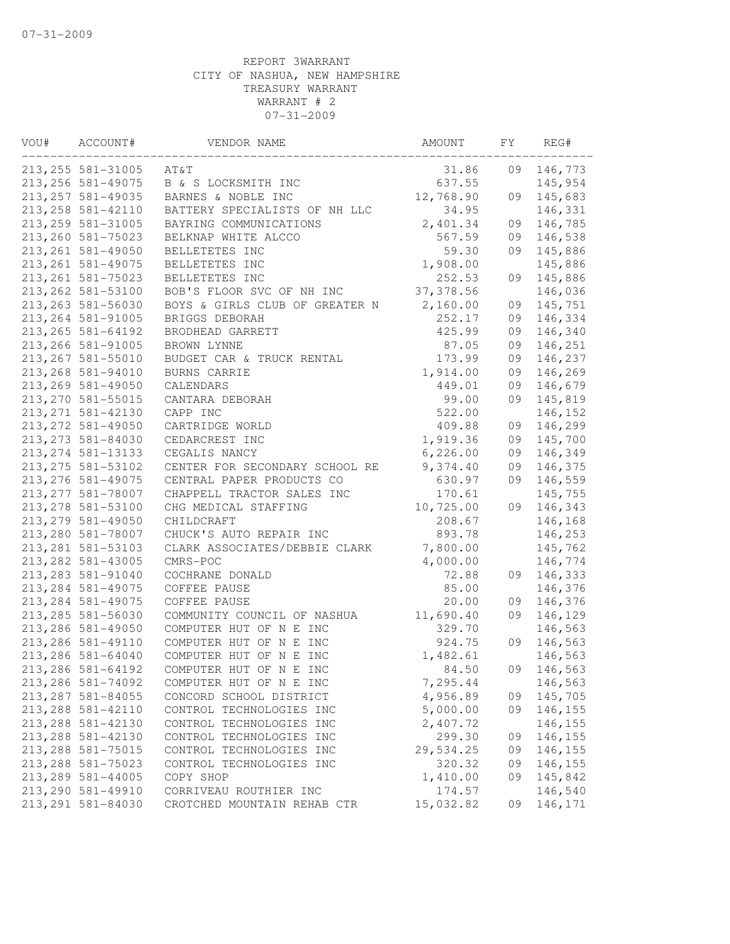| VOU# | ACCOUNT#           | VENDOR NAME                    | AMOUNT     | FY | REG#    |
|------|--------------------|--------------------------------|------------|----|---------|
|      | 213, 255 581-31005 | AT&T                           | 31.86      | 09 | 146,773 |
|      | 213, 256 581-49075 | B & S LOCKSMITH INC            | 637.55     |    | 145,954 |
|      | 213, 257 581-49035 | BARNES & NOBLE INC             | 12,768.90  | 09 | 145,683 |
|      | 213, 258 581-42110 | BATTERY SPECIALISTS OF NH LLC  | 34.95      |    | 146,331 |
|      | 213, 259 581-31005 | BAYRING COMMUNICATIONS         | 2,401.34   | 09 | 146,785 |
|      | 213, 260 581-75023 | BELKNAP WHITE ALCCO            | 567.59     | 09 | 146,538 |
|      | 213, 261 581-49050 | BELLETETES INC                 | 59.30      | 09 | 145,886 |
|      | 213, 261 581-49075 | BELLETETES INC                 | 1,908.00   |    | 145,886 |
|      | 213, 261 581-75023 | BELLETETES INC                 | 252.53     | 09 | 145,886 |
|      | 213, 262 581-53100 | BOB'S FLOOR SVC OF NH INC      | 37, 378.56 |    | 146,036 |
|      | 213, 263 581-56030 | BOYS & GIRLS CLUB OF GREATER N | 2,160.00   | 09 | 145,751 |
|      | 213, 264 581-91005 | BRIGGS DEBORAH                 | 252.17     | 09 | 146,334 |
|      | 213, 265 581-64192 | BRODHEAD GARRETT               | 425.99     | 09 | 146,340 |
|      | 213, 266 581-91005 | BROWN LYNNE                    | 87.05      | 09 | 146,251 |
|      | 213, 267 581-55010 | BUDGET CAR & TRUCK RENTAL      | 173.99     | 09 | 146,237 |
|      | 213, 268 581-94010 | BURNS CARRIE                   | 1,914.00   | 09 | 146,269 |
|      | 213, 269 581-49050 | CALENDARS                      | 449.01     | 09 | 146,679 |
|      | 213, 270 581-55015 | CANTARA DEBORAH                | 99.00      | 09 | 145,819 |
|      | 213, 271 581-42130 | CAPP INC                       | 522.00     |    | 146,152 |
|      | 213, 272 581-49050 | CARTRIDGE WORLD                | 409.88     | 09 | 146,299 |
|      | 213, 273 581-84030 | CEDARCREST INC                 | 1,919.36   | 09 | 145,700 |
|      | 213, 274 581-13133 | CEGALIS NANCY                  | 6, 226.00  | 09 | 146,349 |
|      | 213, 275 581-53102 | CENTER FOR SECONDARY SCHOOL RE | 9,374.40   | 09 | 146,375 |
|      | 213, 276 581-49075 | CENTRAL PAPER PRODUCTS CO      | 630.97     | 09 | 146,559 |
|      | 213, 277 581-78007 | CHAPPELL TRACTOR SALES INC     | 170.61     |    | 145,755 |
|      | 213, 278 581-53100 | CHG MEDICAL STAFFING           | 10,725.00  | 09 | 146,343 |
|      | 213, 279 581-49050 | CHILDCRAFT                     | 208.67     |    | 146,168 |
|      | 213,280 581-78007  | CHUCK'S AUTO REPAIR INC        | 893.78     |    | 146,253 |
|      | 213, 281 581-53103 | CLARK ASSOCIATES/DEBBIE CLARK  | 7,800.00   |    | 145,762 |
|      | 213, 282 581-43005 | CMRS-POC                       | 4,000.00   |    | 146,774 |
|      | 213, 283 581-91040 | COCHRANE DONALD                | 72.88      | 09 | 146,333 |
|      | 213, 284 581-49075 | COFFEE PAUSE                   | 85.00      |    | 146,376 |
|      | 213, 284 581-49075 | COFFEE PAUSE                   | 20.00      | 09 | 146,376 |
|      | 213, 285 581-56030 | COMMUNITY COUNCIL OF NASHUA    | 11,690.40  | 09 | 146,129 |
|      | 213, 286 581-49050 | COMPUTER HUT OF N E INC        | 329.70     |    | 146,563 |
|      | 213, 286 581-49110 | COMPUTER HUT OF N E INC        | 924.75     | 09 | 146,563 |
|      | 213, 286 581-64040 | COMPUTER HUT OF N E INC        | 1,482.61   |    | 146,563 |
|      | 213, 286 581-64192 | COMPUTER HUT OF N E INC        | 84.50      | 09 | 146,563 |
|      | 213,286 581-74092  | COMPUTER HUT OF N E INC        | 7,295.44   |    | 146,563 |
|      | 213, 287 581-84055 | CONCORD SCHOOL DISTRICT        | 4,956.89   | 09 | 145,705 |
|      | 213, 288 581-42110 | CONTROL TECHNOLOGIES INC       | 5,000.00   | 09 | 146,155 |
|      | 213, 288 581-42130 | CONTROL TECHNOLOGIES INC       | 2,407.72   |    | 146,155 |
|      | 213, 288 581-42130 | CONTROL TECHNOLOGIES INC       | 299.30     | 09 | 146,155 |
|      | 213, 288 581-75015 | CONTROL TECHNOLOGIES INC       | 29,534.25  | 09 | 146,155 |
|      | 213, 288 581-75023 | CONTROL TECHNOLOGIES INC       | 320.32     | 09 | 146,155 |
|      | 213, 289 581-44005 | COPY SHOP                      | 1,410.00   | 09 | 145,842 |
|      | 213, 290 581-49910 | CORRIVEAU ROUTHIER INC         | 174.57     |    | 146,540 |
|      | 213, 291 581-84030 | CROTCHED MOUNTAIN REHAB CTR    | 15,032.82  | 09 | 146,171 |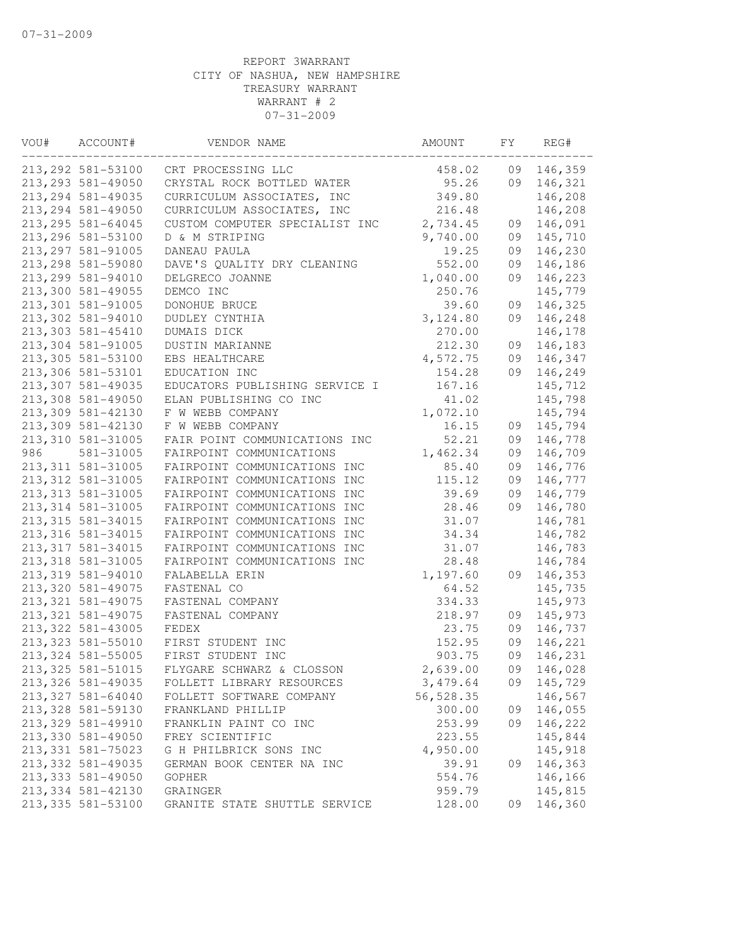| VOU# | ACCOUNT#           | VENDOR NAME                    | AMOUNT     | FY | REG#       |
|------|--------------------|--------------------------------|------------|----|------------|
|      | 213, 292 581-53100 | CRT PROCESSING LLC             | 458.02     | 09 | 146,359    |
|      | 213, 293 581-49050 | CRYSTAL ROCK BOTTLED WATER     | 95.26      | 09 | 146,321    |
|      | 213, 294 581-49035 | CURRICULUM ASSOCIATES, INC     | 349.80     |    | 146,208    |
|      | 213, 294 581-49050 | CURRICULUM ASSOCIATES, INC     | 216.48     |    | 146,208    |
|      | 213, 295 581-64045 | CUSTOM COMPUTER SPECIALIST INC | 2,734.45   | 09 | 146,091    |
|      | 213, 296 581-53100 | D & M STRIPING                 | 9,740.00   | 09 | 145,710    |
|      | 213, 297 581-91005 | DANEAU PAULA                   | 19.25      | 09 | 146,230    |
|      | 213, 298 581-59080 | DAVE'S QUALITY DRY CLEANING    | 552.00     | 09 | 146,186    |
|      | 213, 299 581-94010 | DELGRECO JOANNE                | 1,040.00   | 09 | 146,223    |
|      | 213,300 581-49055  | DEMCO INC                      | 250.76     |    | 145,779    |
|      | 213,301 581-91005  | DONOHUE BRUCE                  | 39.60      | 09 | 146,325    |
|      | 213,302 581-94010  | DUDLEY CYNTHIA                 | 3,124.80   | 09 | 146,248    |
|      | 213,303 581-45410  | DUMAIS DICK                    | 270.00     |    | 146,178    |
|      | 213,304 581-91005  | DUSTIN MARIANNE                | 212.30     | 09 | 146,183    |
|      | 213,305 581-53100  | EBS HEALTHCARE                 | 4,572.75   | 09 | 146,347    |
|      | 213,306 581-53101  | EDUCATION INC                  | 154.28     | 09 | 146,249    |
|      | 213,307 581-49035  | EDUCATORS PUBLISHING SERVICE I | 167.16     |    | 145,712    |
|      | 213,308 581-49050  | ELAN PUBLISHING CO INC         | 41.02      |    | 145,798    |
|      | 213,309 581-42130  | F W WEBB COMPANY               | 1,072.10   |    | 145,794    |
|      | 213,309 581-42130  | F W WEBB COMPANY               | 16.15      | 09 | 145,794    |
|      | 213,310 581-31005  | FAIR POINT COMMUNICATIONS INC  | 52.21      | 09 | 146,778    |
| 986  | 581-31005          | FAIRPOINT COMMUNICATIONS       | 1,462.34   | 09 | 146,709    |
|      | 213, 311 581-31005 | FAIRPOINT COMMUNICATIONS INC   | 85.40      | 09 | 146,776    |
|      | 213, 312 581-31005 | FAIRPOINT COMMUNICATIONS INC   | 115.12     | 09 | 146,777    |
|      | 213, 313 581-31005 | FAIRPOINT COMMUNICATIONS INC   | 39.69      | 09 | 146,779    |
|      | 213, 314 581-31005 | FAIRPOINT COMMUNICATIONS INC   | 28.46      | 09 | 146,780    |
|      | 213, 315 581-34015 | FAIRPOINT COMMUNICATIONS INC   | 31.07      |    | 146,781    |
|      | 213, 316 581-34015 | FAIRPOINT COMMUNICATIONS INC   | 34.34      |    | 146,782    |
|      | 213, 317 581-34015 | FAIRPOINT COMMUNICATIONS INC   | 31.07      |    | 146,783    |
|      | 213, 318 581-31005 | FAIRPOINT COMMUNICATIONS INC   | 28.48      |    | 146,784    |
|      | 213, 319 581-94010 | FALABELLA ERIN                 | 1,197.60   | 09 | 146,353    |
|      | 213,320 581-49075  | FASTENAL CO                    | 64.52      |    | 145,735    |
|      | 213, 321 581-49075 | FASTENAL COMPANY               | 334.33     |    | 145,973    |
|      | 213, 321 581-49075 | FASTENAL COMPANY               | 218.97     | 09 | 145,973    |
|      | 213, 322 581-43005 | FEDEX                          | 23.75      | 09 | 146,737    |
|      | 213, 323 581-55010 | FIRST STUDENT INC              | 152.95     | 09 | 146,221    |
|      | 213, 324 581-55005 | FIRST STUDENT INC              | 903.75     | 09 | 146,231    |
|      | 213, 325 581-51015 | FLYGARE SCHWARZ & CLOSSON      | 2,639.00   | 09 | 146,028    |
|      | 213,326 581-49035  | FOLLETT LIBRARY RESOURCES      | 3,479.64   |    | 09 145,729 |
|      | 213, 327 581-64040 | FOLLETT SOFTWARE COMPANY       | 56, 528.35 |    | 146,567    |
|      | 213, 328 581-59130 | FRANKLAND PHILLIP              | 300.00     | 09 | 146,055    |
|      | 213, 329 581-49910 | FRANKLIN PAINT CO INC          | 253.99     | 09 | 146,222    |
|      | 213,330 581-49050  | FREY SCIENTIFIC                | 223.55     |    | 145,844    |
|      | 213, 331 581-75023 | G H PHILBRICK SONS INC         | 4,950.00   |    | 145,918    |
|      | 213,332 581-49035  | GERMAN BOOK CENTER NA INC      | 39.91      | 09 | 146,363    |
|      | 213,333 581-49050  | <b>GOPHER</b>                  | 554.76     |    | 146,166    |
|      | 213, 334 581-42130 | GRAINGER                       | 959.79     |    | 145,815    |
|      | 213, 335 581-53100 | GRANITE STATE SHUTTLE SERVICE  | 128.00     | 09 | 146,360    |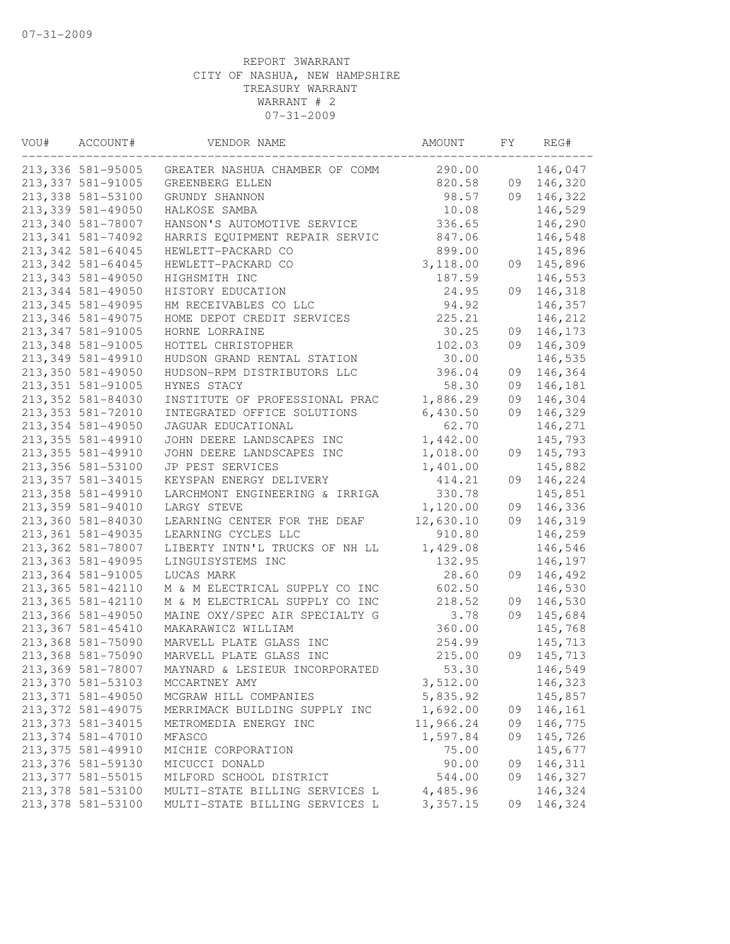| VOU# | ACCOUNT#           | VENDOR NAME                    | AMOUNT    | FΥ | REG#    |
|------|--------------------|--------------------------------|-----------|----|---------|
|      | 213,336 581-95005  | GREATER NASHUA CHAMBER OF COMM | 290.00    |    | 146,047 |
|      | 213, 337 581-91005 | GREENBERG ELLEN                | 820.58    | 09 | 146,320 |
|      | 213, 338 581-53100 | GRUNDY SHANNON                 | 98.57     | 09 | 146,322 |
|      | 213,339 581-49050  | HALKOSE SAMBA                  | 10.08     |    | 146,529 |
|      | 213,340 581-78007  | HANSON'S AUTOMOTIVE SERVICE    | 336.65    |    | 146,290 |
|      | 213, 341 581-74092 | HARRIS EQUIPMENT REPAIR SERVIC | 847.06    |    | 146,548 |
|      | 213, 342 581-64045 | HEWLETT-PACKARD CO             | 899.00    |    | 145,896 |
|      | 213, 342 581-64045 | HEWLETT-PACKARD CO             | 3,118.00  | 09 | 145,896 |
|      | 213, 343 581-49050 | HIGHSMITH INC                  | 187.59    |    | 146,553 |
|      | 213, 344 581-49050 | HISTORY EDUCATION              | 24.95     | 09 | 146,318 |
|      | 213, 345 581-49095 | HM RECEIVABLES CO LLC          | 94.92     |    | 146,357 |
|      | 213, 346 581-49075 | HOME DEPOT CREDIT SERVICES     | 225.21    |    | 146,212 |
|      | 213, 347 581-91005 | HORNE LORRAINE                 | 30.25     | 09 | 146,173 |
|      | 213, 348 581-91005 | HOTTEL CHRISTOPHER             | 102.03    | 09 | 146,309 |
|      | 213, 349 581-49910 | HUDSON GRAND RENTAL STATION    | 30.00     |    | 146,535 |
|      | 213,350 581-49050  | HUDSON-RPM DISTRIBUTORS LLC    | 396.04    | 09 | 146,364 |
|      | 213, 351 581-91005 | HYNES STACY                    | 58.30     | 09 | 146,181 |
|      | 213, 352 581-84030 | INSTITUTE OF PROFESSIONAL PRAC | 1,886.29  | 09 | 146,304 |
|      | 213, 353 581-72010 | INTEGRATED OFFICE SOLUTIONS    | 6,430.50  | 09 | 146,329 |
|      | 213,354 581-49050  | JAGUAR EDUCATIONAL             | 62.70     |    | 146,271 |
|      | 213, 355 581-49910 | JOHN DEERE LANDSCAPES INC      | 1,442.00  |    | 145,793 |
|      | 213, 355 581-49910 | JOHN DEERE LANDSCAPES INC      | 1,018.00  | 09 | 145,793 |
|      | 213,356 581-53100  | JP PEST SERVICES               | 1,401.00  |    | 145,882 |
|      | 213, 357 581-34015 | KEYSPAN ENERGY DELIVERY        | 414.21    | 09 | 146,224 |
|      | 213,358 581-49910  | LARCHMONT ENGINEERING & IRRIGA | 330.78    |    | 145,851 |
|      | 213,359 581-94010  | LARGY STEVE                    | 1,120.00  | 09 | 146,336 |
|      | 213,360 581-84030  | LEARNING CENTER FOR THE DEAF   | 12,630.10 | 09 | 146,319 |
|      | 213, 361 581-49035 | LEARNING CYCLES LLC            | 910.80    |    | 146,259 |
|      |                    |                                |           |    |         |
|      | 213,362 581-78007  | LIBERTY INTN'L TRUCKS OF NH LL | 1,429.08  |    | 146,546 |
|      | 213, 363 581-49095 | LINGUISYSTEMS INC              | 132.95    |    | 146,197 |
|      | 213, 364 581-91005 | LUCAS MARK                     | 28.60     | 09 | 146,492 |
|      | 213, 365 581-42110 | M & M ELECTRICAL SUPPLY CO INC | 602.50    |    | 146,530 |
|      | 213, 365 581-42110 | M & M ELECTRICAL SUPPLY CO INC | 218.52    | 09 | 146,530 |
|      | 213,366 581-49050  | MAINE OXY/SPEC AIR SPECIALTY G | 3.78      | 09 | 145,684 |
|      | 213, 367 581-45410 | MAKARAWICZ WILLIAM             | 360.00    |    | 145,768 |
|      | 213,368 581-75090  | MARVELL PLATE GLASS INC        | 254.99    |    | 145,713 |
|      | 213,368 581-75090  | MARVELL PLATE GLASS INC        | 215.00    | 09 | 145,713 |
|      | 213,369 581-78007  | MAYNARD & LESIEUR INCORPORATED | 53.30     |    | 146,549 |
|      | 213,370 581-53103  | MCCARTNEY AMY                  | 3,512.00  |    | 146,323 |
|      | 213, 371 581-49050 | MCGRAW HILL COMPANIES          | 5,835.92  |    | 145,857 |
|      | 213, 372 581-49075 | MERRIMACK BUILDING SUPPLY INC  | 1,692.00  | 09 | 146,161 |
|      | 213, 373 581-34015 | METROMEDIA ENERGY INC          | 11,966.24 | 09 | 146,775 |
|      | 213, 374 581-47010 | MFASCO                         | 1,597.84  | 09 | 145,726 |
|      | 213, 375 581-49910 | MICHIE CORPORATION             | 75.00     |    | 145,677 |
|      | 213,376 581-59130  | MICUCCI DONALD                 | 90.00     | 09 | 146,311 |
|      | 213, 377 581-55015 | MILFORD SCHOOL DISTRICT        | 544.00    | 09 | 146,327 |
|      | 213,378 581-53100  | MULTI-STATE BILLING SERVICES L | 4,485.96  |    | 146,324 |
|      | 213,378 581-53100  | MULTI-STATE BILLING SERVICES L | 3,357.15  | 09 | 146,324 |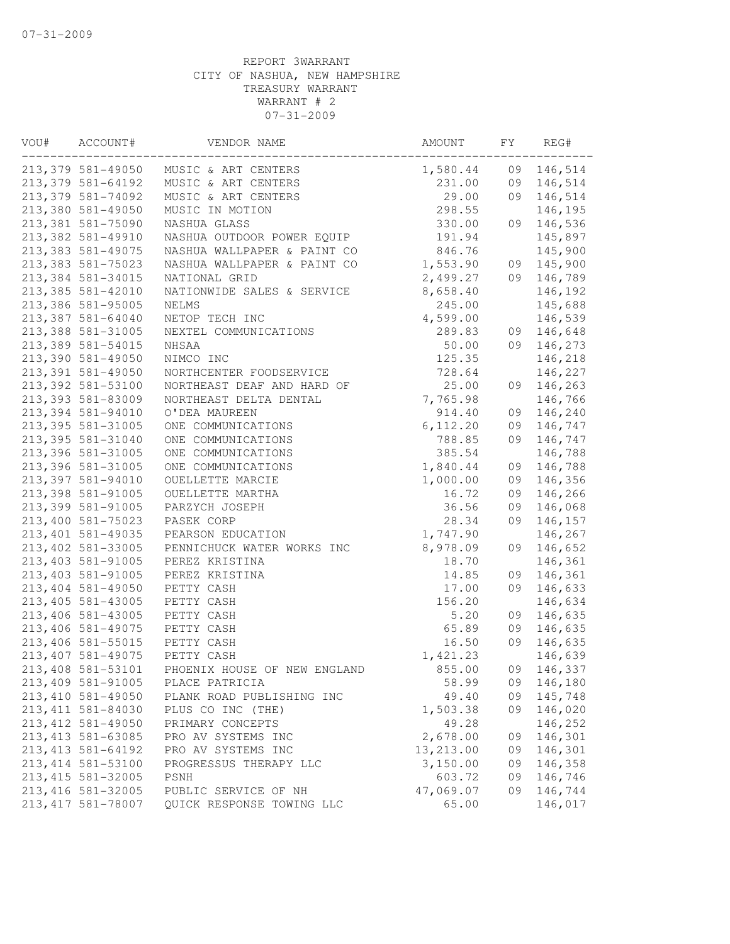| VOU# | ACCOUNT#           | VENDOR NAME                  | AMOUNT     | FY | REG#    |
|------|--------------------|------------------------------|------------|----|---------|
|      | 213,379 581-49050  | MUSIC & ART CENTERS          | 1,580.44   | 09 | 146,514 |
|      | 213,379 581-64192  | MUSIC & ART CENTERS          | 231.00     | 09 | 146,514 |
|      | 213, 379 581-74092 | MUSIC & ART CENTERS          | 29.00      | 09 | 146,514 |
|      | 213,380 581-49050  | MUSIC IN MOTION              | 298.55     |    | 146,195 |
|      | 213,381 581-75090  | NASHUA GLASS                 | 330.00     | 09 | 146,536 |
|      | 213,382 581-49910  | NASHUA OUTDOOR POWER EQUIP   | 191.94     |    | 145,897 |
|      | 213, 383 581-49075 | NASHUA WALLPAPER & PAINT CO  | 846.76     |    | 145,900 |
|      | 213, 383 581-75023 | NASHUA WALLPAPER & PAINT CO  | 1,553.90   | 09 | 145,900 |
|      | 213,384 581-34015  | NATIONAL GRID                | 2,499.27   | 09 | 146,789 |
|      | 213,385 581-42010  | NATIONWIDE SALES & SERVICE   | 8,658.40   |    | 146,192 |
|      | 213,386 581-95005  | NELMS                        | 245.00     |    | 145,688 |
|      | 213,387 581-64040  | NETOP TECH INC               | 4,599.00   |    | 146,539 |
|      | 213,388 581-31005  | NEXTEL COMMUNICATIONS        | 289.83     | 09 | 146,648 |
|      | 213,389 581-54015  | NHSAA                        | 50.00      | 09 | 146,273 |
|      | 213,390 581-49050  | NIMCO INC                    | 125.35     |    | 146,218 |
|      | 213,391 581-49050  | NORTHCENTER FOODSERVICE      | 728.64     |    | 146,227 |
|      | 213,392 581-53100  | NORTHEAST DEAF AND HARD OF   | 25.00      | 09 | 146,263 |
|      | 213,393 581-83009  | NORTHEAST DELTA DENTAL       | 7,765.98   |    | 146,766 |
|      | 213,394 581-94010  | O'DEA MAUREEN                | 914.40     | 09 | 146,240 |
|      | 213, 395 581-31005 | ONE COMMUNICATIONS           | 6, 112.20  | 09 | 146,747 |
|      | 213, 395 581-31040 | ONE COMMUNICATIONS           | 788.85     | 09 | 146,747 |
|      | 213,396 581-31005  | ONE COMMUNICATIONS           | 385.54     |    | 146,788 |
|      | 213,396 581-31005  | ONE COMMUNICATIONS           | 1,840.44   | 09 | 146,788 |
|      | 213,397 581-94010  | OUELLETTE MARCIE             | 1,000.00   | 09 | 146,356 |
|      | 213,398 581-91005  | OUELLETTE MARTHA             | 16.72      | 09 | 146,266 |
|      | 213,399 581-91005  | PARZYCH JOSEPH               | 36.56      | 09 | 146,068 |
|      | 213,400 581-75023  | PASEK CORP                   | 28.34      | 09 | 146,157 |
|      | 213, 401 581-49035 | PEARSON EDUCATION            | 1,747.90   |    | 146,267 |
|      | 213, 402 581-33005 | PENNICHUCK WATER WORKS INC   | 8,978.09   | 09 | 146,652 |
|      | 213, 403 581-91005 | PEREZ KRISTINA               | 18.70      |    | 146,361 |
|      | 213, 403 581-91005 | PEREZ KRISTINA               | 14.85      | 09 | 146,361 |
|      | 213, 404 581-49050 | PETTY CASH                   | 17.00      | 09 | 146,633 |
|      | 213, 405 581-43005 | PETTY CASH                   | 156.20     |    | 146,634 |
|      | 213, 406 581-43005 | PETTY CASH                   | 5.20       | 09 | 146,635 |
|      | 213, 406 581-49075 | PETTY CASH                   | 65.89      | 09 | 146,635 |
|      | 213, 406 581-55015 | PETTY CASH                   | 16.50      | 09 | 146,635 |
|      | 213, 407 581-49075 | PETTY CASH                   | 1,421.23   |    | 146,639 |
|      | 213,408 581-53101  | PHOENIX HOUSE OF NEW ENGLAND | 855.00     | 09 | 146,337 |
|      | 213,409 581-91005  | PLACE PATRICIA               | 58.99      | 09 | 146,180 |
|      | 213, 410 581-49050 | PLANK ROAD PUBLISHING INC    | 49.40      | 09 | 145,748 |
|      | 213, 411 581-84030 | PLUS CO INC (THE)            | 1,503.38   | 09 | 146,020 |
|      | 213, 412 581-49050 | PRIMARY CONCEPTS             | 49.28      |    | 146,252 |
|      | 213, 413 581-63085 | PRO AV SYSTEMS INC           | 2,678.00   | 09 | 146,301 |
|      | 213, 413 581-64192 | PRO AV SYSTEMS INC           | 13, 213.00 | 09 | 146,301 |
|      | 213, 414 581-53100 | PROGRESSUS THERAPY LLC       | 3,150.00   | 09 | 146,358 |
|      | 213, 415 581-32005 | PSNH                         | 603.72     | 09 | 146,746 |
|      | 213, 416 581-32005 | PUBLIC SERVICE OF NH         | 47,069.07  | 09 | 146,744 |
|      | 213, 417 581-78007 | QUICK RESPONSE TOWING LLC    | 65.00      |    | 146,017 |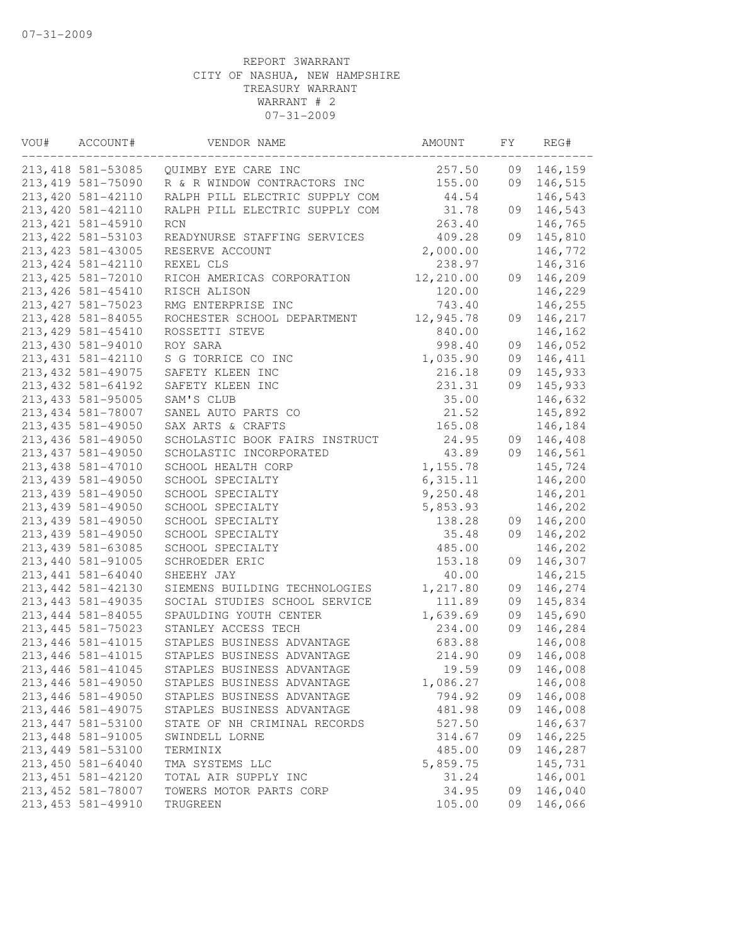| VOU# | ACCOUNT#           | VENDOR NAME                    | AMOUNT    | FΥ | REG#    |
|------|--------------------|--------------------------------|-----------|----|---------|
|      | 213, 418 581-53085 | QUIMBY EYE CARE INC            | 257.50    | 09 | 146,159 |
|      | 213, 419 581-75090 | R & R WINDOW CONTRACTORS INC   | 155.00    | 09 | 146,515 |
|      | 213, 420 581-42110 | RALPH PILL ELECTRIC SUPPLY COM | 44.54     |    | 146,543 |
|      | 213, 420 581-42110 | RALPH PILL ELECTRIC SUPPLY COM | 31.78     | 09 | 146,543 |
|      | 213, 421 581-45910 | RCN                            | 263.40    |    | 146,765 |
|      | 213, 422 581-53103 | READYNURSE STAFFING SERVICES   | 409.28    | 09 | 145,810 |
|      | 213, 423 581-43005 | RESERVE ACCOUNT                | 2,000.00  |    | 146,772 |
|      | 213, 424 581-42110 | REXEL CLS                      | 238.97    |    | 146,316 |
|      | 213, 425 581-72010 | RICOH AMERICAS CORPORATION     | 12,210.00 | 09 | 146,209 |
|      | 213, 426 581-45410 | RISCH ALISON                   | 120.00    |    | 146,229 |
|      | 213, 427 581-75023 | RMG ENTERPRISE INC             | 743.40    |    | 146,255 |
|      | 213, 428 581-84055 | ROCHESTER SCHOOL DEPARTMENT    | 12,945.78 | 09 | 146,217 |
|      | 213, 429 581-45410 | ROSSETTI STEVE                 | 840.00    |    | 146,162 |
|      | 213,430 581-94010  | ROY SARA                       | 998.40    | 09 | 146,052 |
|      | 213, 431 581-42110 | S G TORRICE CO INC             | 1,035.90  | 09 | 146,411 |
|      | 213, 432 581-49075 | SAFETY KLEEN INC               | 216.18    | 09 | 145,933 |
|      | 213, 432 581-64192 | SAFETY KLEEN INC               | 231.31    | 09 | 145,933 |
|      | 213, 433 581-95005 | SAM'S CLUB                     | 35.00     |    | 146,632 |
|      | 213, 434 581-78007 | SANEL AUTO PARTS CO            | 21.52     |    | 145,892 |
|      | 213, 435 581-49050 | SAX ARTS & CRAFTS              | 165.08    |    | 146,184 |
|      | 213, 436 581-49050 | SCHOLASTIC BOOK FAIRS INSTRUCT | 24.95     | 09 | 146,408 |
|      | 213, 437 581-49050 | SCHOLASTIC INCORPORATED        | 43.89     | 09 | 146,561 |
|      | 213, 438 581-47010 | SCHOOL HEALTH CORP             | 1,155.78  |    | 145,724 |
|      | 213, 439 581-49050 | SCHOOL SPECIALTY               | 6,315.11  |    | 146,200 |
|      | 213, 439 581-49050 | SCHOOL SPECIALTY               | 9,250.48  |    | 146,201 |
|      | 213, 439 581-49050 | SCHOOL SPECIALTY               | 5,853.93  |    | 146,202 |
|      | 213, 439 581-49050 | SCHOOL SPECIALTY               | 138.28    | 09 | 146,200 |
|      | 213, 439 581-49050 | SCHOOL SPECIALTY               | 35.48     | 09 | 146,202 |
|      | 213, 439 581-63085 | SCHOOL SPECIALTY               | 485.00    |    | 146,202 |
|      | 213, 440 581-91005 | SCHROEDER ERIC                 | 153.18    | 09 | 146,307 |
|      | 213, 441 581-64040 | SHEEHY JAY                     | 40.00     |    | 146,215 |
|      | 213, 442 581-42130 | SIEMENS BUILDING TECHNOLOGIES  | 1,217.80  | 09 | 146,274 |
|      | 213, 443 581-49035 | SOCIAL STUDIES SCHOOL SERVICE  | 111.89    | 09 | 145,834 |
|      | 213, 444 581-84055 | SPAULDING YOUTH CENTER         | 1,639.69  | 09 | 145,690 |
|      | 213, 445 581-75023 | STANLEY ACCESS TECH            | 234.00    | 09 | 146,284 |
|      | 213, 446 581-41015 | STAPLES BUSINESS ADVANTAGE     | 683.88    |    | 146,008 |
|      | 213, 446 581-41015 | STAPLES BUSINESS ADVANTAGE     | 214.90    | 09 | 146,008 |
|      | 213, 446 581-41045 | STAPLES BUSINESS ADVANTAGE     | 19.59     | 09 | 146,008 |
|      | 213, 446 581-49050 | STAPLES BUSINESS ADVANTAGE     | 1,086.27  |    | 146,008 |
|      | 213, 446 581-49050 | STAPLES BUSINESS ADVANTAGE     | 794.92    | 09 | 146,008 |
|      | 213, 446 581-49075 | STAPLES BUSINESS ADVANTAGE     | 481.98    | 09 | 146,008 |
|      | 213, 447 581-53100 | STATE OF NH CRIMINAL RECORDS   | 527.50    |    | 146,637 |
|      | 213, 448 581-91005 | SWINDELL LORNE                 | 314.67    | 09 | 146,225 |
|      | 213, 449 581-53100 | TERMINIX                       | 485.00    | 09 | 146,287 |
|      | 213,450 581-64040  | TMA SYSTEMS LLC                | 5,859.75  |    | 145,731 |
|      | 213, 451 581-42120 | TOTAL AIR SUPPLY INC           | 31.24     |    | 146,001 |
|      | 213, 452 581-78007 | TOWERS MOTOR PARTS CORP        | 34.95     | 09 | 146,040 |
|      | 213, 453 581-49910 | TRUGREEN                       | 105.00    | 09 | 146,066 |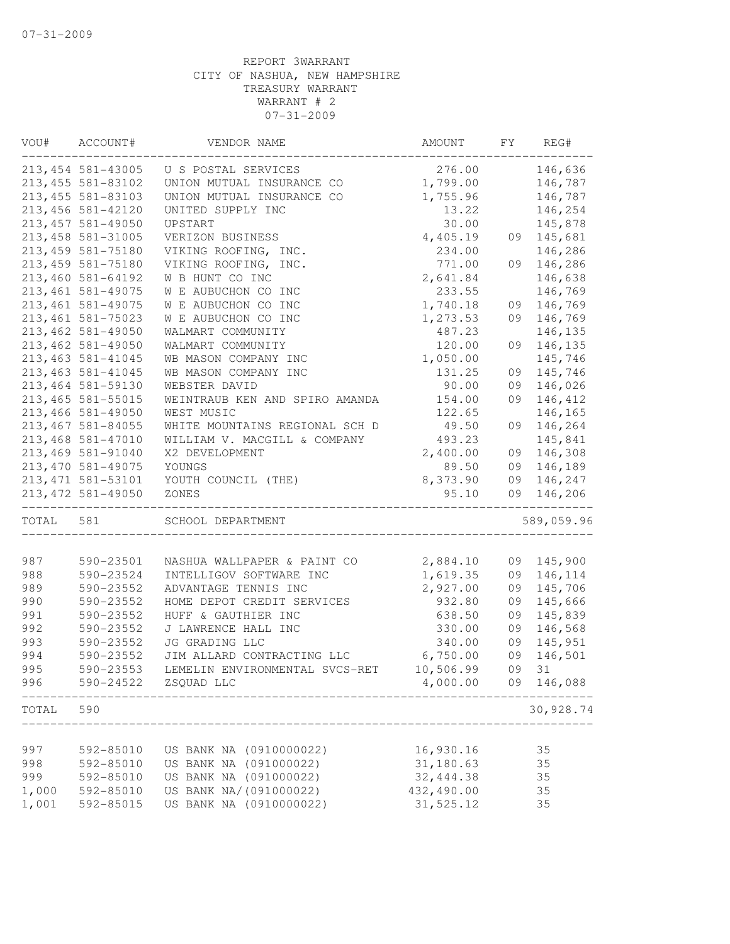| VOU#      | ACCOUNT#                                    | VENDOR NAME                    | AMOUNT     | FY | REG#       |
|-----------|---------------------------------------------|--------------------------------|------------|----|------------|
|           | 213, 454 581-43005                          | U S POSTAL SERVICES            | 276.00     |    | 146,636    |
|           | 213, 455 581-83102                          | UNION MUTUAL INSURANCE CO      | 1,799.00   |    | 146,787    |
|           | 213, 455 581-83103                          | UNION MUTUAL INSURANCE CO      | 1,755.96   |    | 146,787    |
|           | 213, 456 581-42120                          | UNITED SUPPLY INC              | 13.22      |    | 146,254    |
|           | 213, 457 581-49050                          | UPSTART                        | 30.00      |    | 145,878    |
|           | 213, 458 581-31005                          | VERIZON BUSINESS               | 4,405.19   | 09 | 145,681    |
|           | 213, 459 581-75180                          | VIKING ROOFING, INC.           | 234.00     |    | 146,286    |
|           | 213, 459 581-75180                          | VIKING ROOFING, INC.           | 771.00     | 09 | 146,286    |
|           | 213,460 581-64192                           | W B HUNT CO INC                | 2,641.84   |    | 146,638    |
|           | 213, 461 581-49075                          | W E AUBUCHON CO INC            | 233.55     |    | 146,769    |
|           | 213, 461 581-49075                          | W E AUBUCHON CO INC            | 1,740.18   | 09 | 146,769    |
|           | 213, 461 581-75023                          | W E AUBUCHON CO INC            | 1,273.53   | 09 | 146,769    |
|           | 213, 462 581-49050                          | WALMART COMMUNITY              | 487.23     |    | 146,135    |
|           | 213, 462 581-49050                          | WALMART COMMUNITY              | 120.00     | 09 | 146,135    |
|           | 213, 463 581-41045                          | WB MASON COMPANY INC           | 1,050.00   |    | 145,746    |
|           |                                             |                                |            |    | 145,746    |
|           | 213, 463 581-41045                          | WB MASON COMPANY INC           | 131.25     | 09 |            |
|           | 213, 464 581-59130                          | WEBSTER DAVID                  | 90.00      | 09 | 146,026    |
|           | 213, 465 581-55015                          | WEINTRAUB KEN AND SPIRO AMANDA | 154.00     | 09 | 146,412    |
|           | 213,466 581-49050                           | WEST MUSIC                     | 122.65     |    | 146,165    |
|           | 213, 467 581-84055                          | WHITE MOUNTAINS REGIONAL SCH D | 49.50      | 09 | 146,264    |
|           | 213, 468 581-47010                          | WILLIAM V. MACGILL & COMPANY   | 493.23     |    | 145,841    |
|           | 213,469 581-91040                           | X2 DEVELOPMENT                 | 2,400.00   | 09 | 146,308    |
|           | 213, 470 581-49075                          | YOUNGS                         | 89.50      | 09 | 146,189    |
|           | 213, 471 581-53101                          | YOUTH COUNCIL (THE)            | 8,373.90   | 09 | 146,247    |
|           | 213, 472 581-49050<br>--------------------- | ZONES                          | 95.10      | 09 | 146,206    |
| TOTAL 581 |                                             | SCHOOL DEPARTMENT              |            |    | 589,059.96 |
|           |                                             |                                |            |    |            |
| 987       | 590-23501                                   | NASHUA WALLPAPER & PAINT CO    | 2,884.10   | 09 | 145,900    |
| 988       | 590-23524                                   | INTELLIGOV SOFTWARE INC        | 1,619.35   | 09 | 146,114    |
| 989       | 590-23552                                   | ADVANTAGE TENNIS INC           | 2,927.00   | 09 | 145,706    |
| 990       | 590-23552                                   | HOME DEPOT CREDIT SERVICES     | 932.80     | 09 | 145,666    |
| 991       | 590-23552                                   | HUFF & GAUTHIER INC            | 638.50     | 09 | 145,839    |
| 992       | 590-23552                                   | J LAWRENCE HALL INC            | 330.00     | 09 | 146,568    |
| 993       | 590-23552                                   | JG GRADING LLC                 | 340.00     | 09 | 145,951    |
| 994       | 590-23552                                   | JIM ALLARD CONTRACTING LLC     | 6,750.00   | 09 | 146,501    |
| 995       | 590-23553                                   | LEMELIN ENVIRONMENTAL SVCS-RET | 10,506.99  | 09 | 31         |
| 996       | 590-24522                                   | ZSQUAD LLC                     | 4,000.00   | 09 | 146,088    |
| TOTAL     | 590                                         |                                |            |    | 30,928.74  |
|           |                                             |                                |            |    |            |
| 997       | 592-85010                                   | US BANK NA (0910000022)        | 16,930.16  |    | 35         |
| 998       | 592-85010                                   | US BANK NA (091000022)         | 31,180.63  |    | 35         |
| 999       | 592-85010                                   | US BANK NA (091000022)         | 32, 444.38 |    | 35         |
| 1,000     | 592-85010                                   | US BANK NA/(091000022)         | 432,490.00 |    | 35         |
| 1,001     | 592-85015                                   | US BANK NA (0910000022)        | 31,525.12  |    | 35         |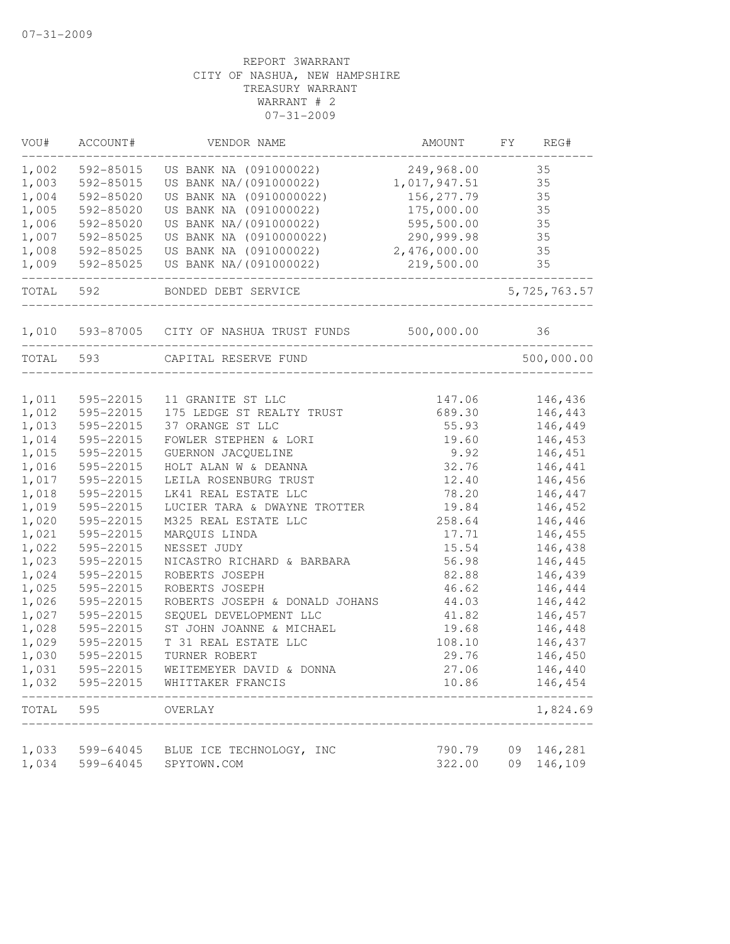| VOU#      | ACCOUNT#  | VENDOR NAME                                     | AMOUNT          | FY | REG#           |
|-----------|-----------|-------------------------------------------------|-----------------|----|----------------|
| 1,002     | 592-85015 | US BANK NA (091000022)                          | 249,968.00      |    | 35             |
| 1,003     | 592-85015 | US BANK NA/(091000022)                          | 1,017,947.51    |    | 35             |
| 1,004     | 592-85020 | US BANK NA (0910000022)                         | 156, 277.79     |    | 35             |
| 1,005     | 592-85020 | US BANK NA (091000022)                          | 175,000.00      |    | 35             |
| 1,006     | 592-85020 | US BANK NA/(091000022)                          | 595,500.00      |    | 35             |
| 1,007     | 592-85025 | US BANK NA (0910000022)                         | 290,999.98      |    | 35             |
| 1,008     | 592-85025 | US BANK NA (091000022)                          | 2,476,000.00    |    | 35             |
| 1,009     | 592-85025 | US BANK NA/(091000022)                          | 219,500.00      |    | 35             |
| TOTAL     | 592       | BONDED DEBT SERVICE                             |                 |    | 5, 725, 763.57 |
| 1,010     |           | 593-87005 CITY OF NASHUA TRUST FUNDS 500,000.00 |                 |    | 36             |
| TOTAL 593 |           | CAPITAL RESERVE FUND                            |                 |    | 500,000.00     |
| 1,011     | 595-22015 |                                                 |                 |    | 146,436        |
| 1,012     | 595-22015 | 11 GRANITE ST LLC<br>175 LEDGE ST REALTY TRUST  | 147.06          |    | 146,443        |
| 1,013     | 595-22015 | 37 ORANGE ST LLC                                | 689.30<br>55.93 |    | 146,449        |
|           | 595-22015 | FOWLER STEPHEN & LORI                           | 19.60           |    | 146,453        |
| 1,014     |           |                                                 |                 |    |                |
| 1,015     | 595-22015 | GUERNON JACQUELINE                              | 9.92            |    | 146,451        |
| 1,016     | 595-22015 | HOLT ALAN W & DEANNA                            | 32.76           |    | 146,441        |
| 1,017     | 595-22015 | LEILA ROSENBURG TRUST                           | 12.40           |    | 146,456        |
| 1,018     | 595-22015 | LK41 REAL ESTATE LLC                            | 78.20           |    | 146,447        |
| 1,019     | 595-22015 | LUCIER TARA & DWAYNE TROTTER                    | 19.84           |    | 146,452        |
| 1,020     | 595-22015 | M325 REAL ESTATE LLC                            | 258.64          |    | 146,446        |
| 1,021     | 595-22015 | MARQUIS LINDA                                   | 17.71           |    | 146,455        |
| 1,022     | 595-22015 | NESSET JUDY                                     | 15.54           |    | 146,438        |
| 1,023     | 595-22015 | NICASTRO RICHARD & BARBARA                      | 56.98           |    | 146,445        |
| 1,024     | 595-22015 | ROBERTS JOSEPH                                  | 82.88           |    | 146,439        |
| 1,025     | 595-22015 | ROBERTS JOSEPH                                  | 46.62           |    | 146,444        |
| 1,026     | 595-22015 | ROBERTS JOSEPH & DONALD JOHANS                  | 44.03           |    | 146,442        |
| 1,027     | 595-22015 | SEQUEL DEVELOPMENT LLC                          | 41.82           |    | 146,457        |
| 1,028     | 595-22015 | ST JOHN JOANNE & MICHAEL                        | 19.68           |    | 146,448        |
| 1,029     | 595-22015 | T 31 REAL ESTATE LLC                            | 108.10          |    | 146,437        |
| 1,030     | 595-22015 | TURNER ROBERT                                   | 29.76           |    | 146,450        |
| 1,031     | 595-22015 | WEITEMEYER DAVID & DONNA                        | 27.06           |    | 146,440        |
| 1,032     | 595-22015 | WHITTAKER FRANCIS                               | 10.86           |    | 146,454        |
| TOTAL     | 595       | OVERLAY                                         |                 |    | 1,824.69       |
| 1,033     | 599-64045 | BLUE ICE TECHNOLOGY, INC                        | 790.79          | 09 | 146,281        |
| 1,034     | 599-64045 | SPYTOWN.COM                                     | 322.00          | 09 | 146,109        |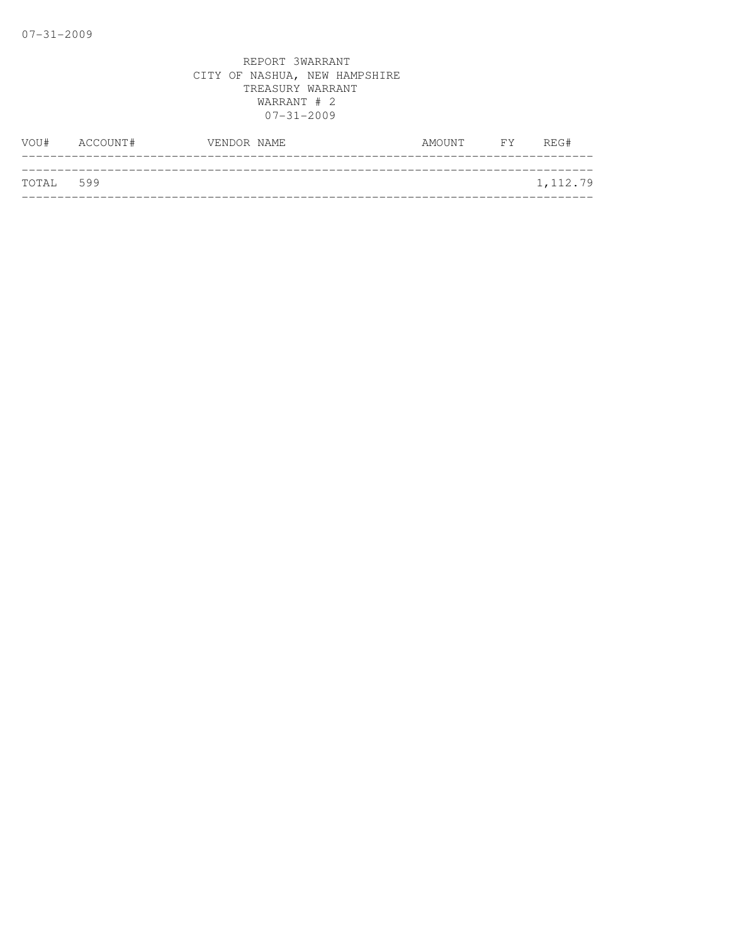| VOU#      | ACCOUNT# | VENDOR NAME | AMOUNT | FY FY | REG#     |
|-----------|----------|-------------|--------|-------|----------|
|           |          |             |        |       |          |
| TOTAL 599 |          |             |        |       | 1,112.79 |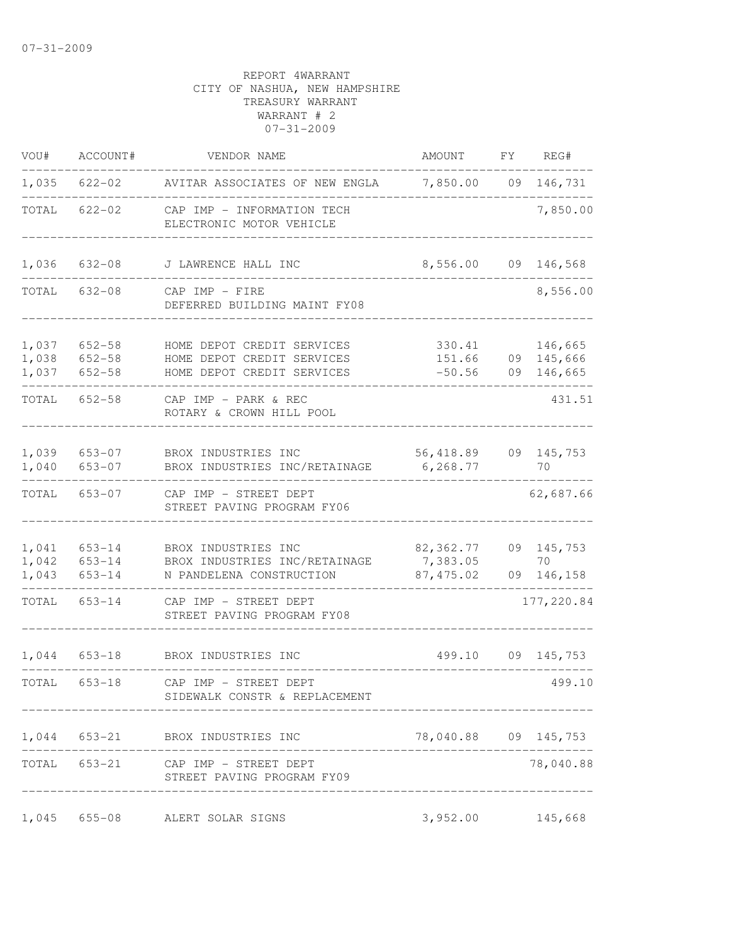| VOU#                    | ACCOUNT#                           | VENDOR NAME                                                                            | AMOUNT                             | FY | REG#                             |
|-------------------------|------------------------------------|----------------------------------------------------------------------------------------|------------------------------------|----|----------------------------------|
| 1,035                   |                                    | 622-02 AVITAR ASSOCIATES OF NEW ENGLA                                                  | 7,850.00 09 146,731                |    |                                  |
| TOTAL                   | $622 - 02$                         | CAP IMP - INFORMATION TECH<br>ELECTRONIC MOTOR VEHICLE                                 |                                    |    | 7,850.00                         |
| 1,036                   | $632 - 08$                         | J LAWRENCE HALL INC                                                                    | 8,556.00                           | 09 | 146,568                          |
| TOTAL                   | 632-08                             | CAP IMP - FIRE<br>DEFERRED BUILDING MAINT FY08                                         |                                    |    | 8,556.00                         |
| 1,037<br>1,038<br>1,037 | $652 - 58$<br>652-58<br>$652 - 58$ | HOME DEPOT CREDIT SERVICES<br>HOME DEPOT CREDIT SERVICES<br>HOME DEPOT CREDIT SERVICES | 330.41<br>151.66<br>$-50.56$       | 09 | 146,665<br>09 145,666<br>146,665 |
| TOTAL                   | $652 - 58$                         | CAP IMP - PARK & REC<br>ROTARY & CROWN HILL POOL                                       |                                    |    | 431.51                           |
| 1,039<br>1,040          | $653 - 07$<br>$653 - 07$           | BROX INDUSTRIES INC<br>BROX INDUSTRIES INC/RETAINAGE                                   | 56,418.89<br>6,268.77              |    | 09 145,753<br>70                 |
| TOTAL                   | 653-07                             | CAP IMP - STREET DEPT<br>STREET PAVING PROGRAM FY06                                    |                                    |    | 62,687.66                        |
| 1,041<br>1,042<br>1,043 | 653-14<br>$653 - 14$<br>$653 - 14$ | BROX INDUSTRIES INC<br>BROX INDUSTRIES INC/RETAINAGE<br>N PANDELENA CONSTRUCTION       | 82,362.77<br>7,383.05<br>87,475.02 | 09 | 09 145,753<br>70<br>146,158      |
| TOTAL                   | $653 - 14$                         | CAP IMP - STREET DEPT<br>STREET PAVING PROGRAM FY08                                    |                                    |    | 177,220.84                       |
| 1,044                   | $653 - 18$                         | BROX INDUSTRIES INC                                                                    | 499.10                             |    | 09 145,753                       |
| TOTAL                   | $653 - 18$                         | CAP IMP - STREET DEPT<br>SIDEWALK CONSTR & REPLACEMENT                                 |                                    |    | 499.10                           |
|                         |                                    | 1,044 653-21 BROX INDUSTRIES INC                                                       | 78,040.88 09 145,753               |    |                                  |
|                         | TOTAL 653-21                       | CAP IMP – STREET DEPT<br>STREET PAVING PROGRAM FY09                                    |                                    |    | 78,040.88                        |
| 1,045                   | $655 - 08$                         | ALERT SOLAR SIGNS                                                                      | 3,952.00 145,668                   |    |                                  |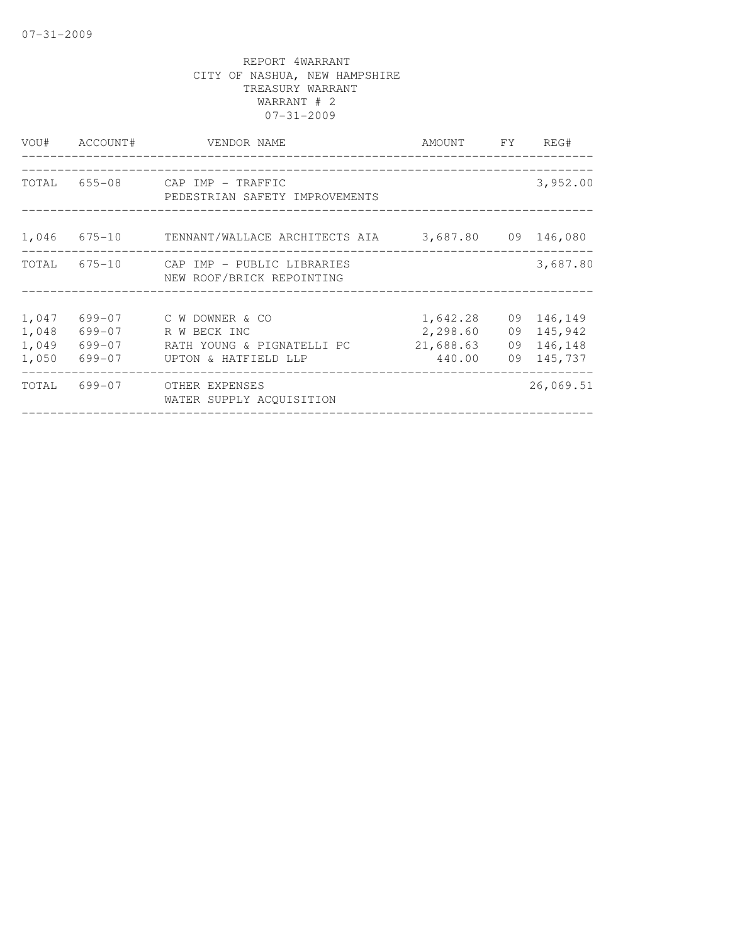| VOU#                             | ACCOUNT#                             | VENDOR NAME                                                                           | AMOUNT FY REG#                              |                                                      |
|----------------------------------|--------------------------------------|---------------------------------------------------------------------------------------|---------------------------------------------|------------------------------------------------------|
|                                  |                                      | TOTAL 655-08 CAP IMP - TRAFFIC<br>PEDESTRIAN SAFETY IMPROVEMENTS                      |                                             | 3,952.00                                             |
|                                  |                                      | 1,046 675-10 TENNANT/WALLACE ARCHITECTS AIA 3,687.80 09 146,080                       |                                             |                                                      |
|                                  |                                      | TOTAL 675-10 CAP IMP - PUBLIC LIBRARIES<br>NEW ROOF/BRICK REPOINTING                  |                                             | 3,687.80                                             |
| 1,047<br>1,048<br>1,049<br>1,050 | 699-07<br>699-07<br>699-07<br>699-07 | C W DOWNER & CO<br>R W BECK INC<br>RATH YOUNG & PIGNATELLI PC<br>UPTON & HATFIELD LLP | 1,642.28<br>2,298.60<br>21,688.63<br>440.00 | 09 146,149<br>09 145,942<br>09 146,148<br>09 145,737 |
| TOTAL                            |                                      | 699-07 OTHER EXPENSES<br>WATER SUPPLY ACOUISITION                                     |                                             | 26,069.51                                            |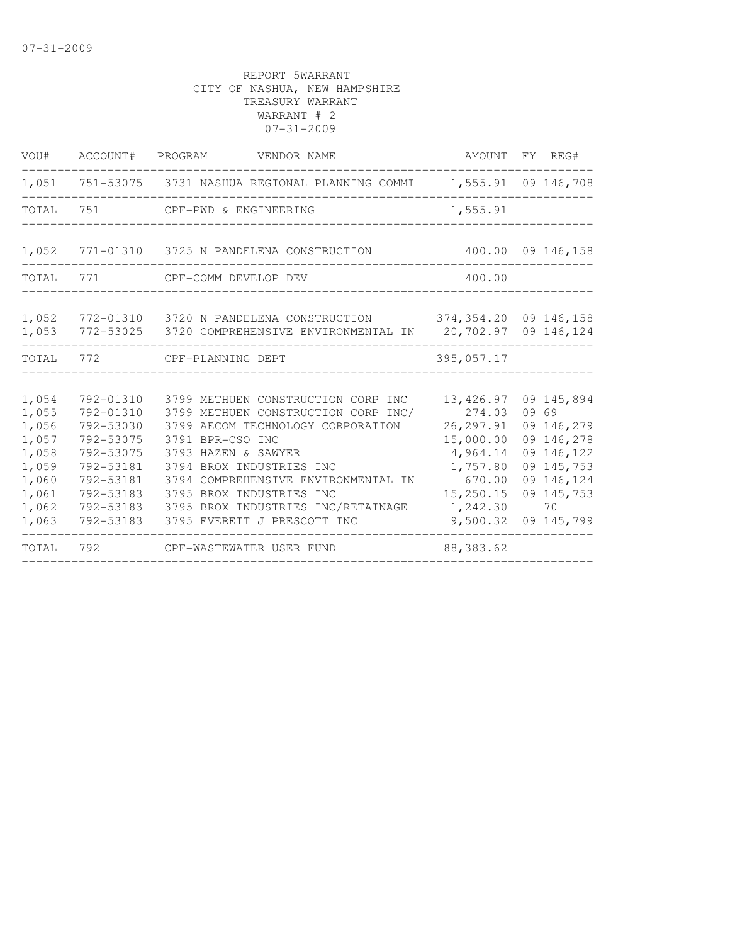| VOU#                                                                                   | ACCOUNT# PROGRAM                                                                                                               | VENDOR NAME                                                                                                                                                                                                                                                                                                                   |                                                                                                                       | AMOUNT FY REG#                                                                                                              |
|----------------------------------------------------------------------------------------|--------------------------------------------------------------------------------------------------------------------------------|-------------------------------------------------------------------------------------------------------------------------------------------------------------------------------------------------------------------------------------------------------------------------------------------------------------------------------|-----------------------------------------------------------------------------------------------------------------------|-----------------------------------------------------------------------------------------------------------------------------|
|                                                                                        |                                                                                                                                | 1,051 751-53075 3731 NASHUA REGIONAL PLANNING COMMI 1,555.91 09 146,708                                                                                                                                                                                                                                                       |                                                                                                                       |                                                                                                                             |
| TOTAL                                                                                  | 751                                                                                                                            | CPF-PWD & ENGINEERING                                                                                                                                                                                                                                                                                                         | 1,555.91                                                                                                              |                                                                                                                             |
| 1,052                                                                                  |                                                                                                                                | 771-01310 3725 N PANDELENA CONSTRUCTION                                                                                                                                                                                                                                                                                       |                                                                                                                       | 400.00 09 146,158                                                                                                           |
| TOTAL                                                                                  |                                                                                                                                | 771 CPF-COMM DEVELOP DEV                                                                                                                                                                                                                                                                                                      | 400.00                                                                                                                |                                                                                                                             |
| 1,052<br>1,053                                                                         |                                                                                                                                | 772-01310 3720 N PANDELENA CONSTRUCTION 374,354.20 09 146,158<br>772-53025 3720 COMPREHENSIVE ENVIRONMENTAL IN 20,702.97 09 146,124                                                                                                                                                                                           |                                                                                                                       |                                                                                                                             |
| TOTAL                                                                                  |                                                                                                                                | 772 CPF-PLANNING DEPT                                                                                                                                                                                                                                                                                                         | 395,057.17                                                                                                            |                                                                                                                             |
| 1,054<br>1,055<br>1,056<br>1,057<br>1,058<br>1,059<br>1,060<br>1,061<br>1,062<br>1,063 | 792-01310<br>792-01310<br>792-53030<br>792-53075<br>792-53075<br>792-53181<br>792-53181<br>792-53183<br>792-53183<br>792-53183 | 3799 METHUEN CONSTRUCTION CORP INC<br>3799 METHUEN CONSTRUCTION CORP INC/<br>3799 AECOM TECHNOLOGY CORPORATION<br>3791 BPR-CSO INC<br>3793 HAZEN & SAWYER<br>3794 BROX INDUSTRIES INC<br>3794 COMPREHENSIVE ENVIRONMENTAL IN<br>3795 BROX INDUSTRIES INC<br>3795 BROX INDUSTRIES INC/RETAINAGE<br>3795 EVERETT J PRESCOTT INC | 13,426.97<br>274.03<br>26, 297.91<br>15,000.00<br>4,964.14<br>1,757.80<br>670.00<br>15,250.15<br>1,242.30<br>9,500.32 | 09 145,894<br>09 69<br>09 146,279<br>09 146,278<br>09 146,122<br>09 145,753<br>09 146,124<br>09 145,753<br>70<br>09 145,799 |
| TOTAL                                                                                  | 792                                                                                                                            | CPF-WASTEWATER USER FUND                                                                                                                                                                                                                                                                                                      | 88, 383.62                                                                                                            |                                                                                                                             |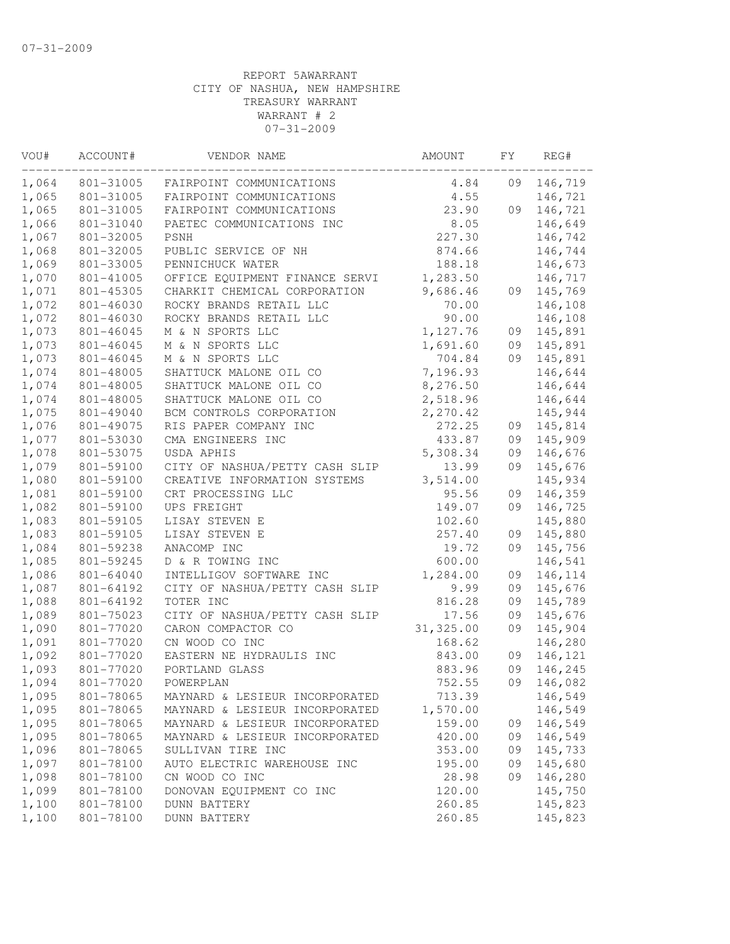| VOU#<br>ACCOUNT# |           | VENDOR NAME                    | AMOUNT    | FY | REG#    |
|------------------|-----------|--------------------------------|-----------|----|---------|
| 1,064            | 801-31005 | FAIRPOINT COMMUNICATIONS       | 4.84      | 09 | 146,719 |
| 1,065            | 801-31005 | FAIRPOINT COMMUNICATIONS       | 4.55      |    | 146,721 |
| 1,065            | 801-31005 | FAIRPOINT COMMUNICATIONS       | 23.90     | 09 | 146,721 |
| 1,066            | 801-31040 | PAETEC COMMUNICATIONS INC      | 8.05      |    | 146,649 |
| 1,067            | 801-32005 | <b>PSNH</b>                    | 227.30    |    | 146,742 |
| 1,068            | 801-32005 | PUBLIC SERVICE OF NH           | 874.66    |    | 146,744 |
| 1,069            | 801-33005 | PENNICHUCK WATER               | 188.18    |    | 146,673 |
| 1,070            | 801-41005 | OFFICE EQUIPMENT FINANCE SERVI | 1,283.50  |    | 146,717 |
| 1,071            | 801-45305 | CHARKIT CHEMICAL CORPORATION   | 9,686.46  | 09 | 145,769 |
| 1,072            | 801-46030 | ROCKY BRANDS RETAIL LLC        | 70.00     |    | 146,108 |
| 1,072            | 801-46030 | ROCKY BRANDS RETAIL LLC        | 90.00     |    | 146,108 |
| 1,073            | 801-46045 | M & N SPORTS LLC               | 1,127.76  | 09 | 145,891 |
| 1,073            | 801-46045 | M & N SPORTS LLC               | 1,691.60  | 09 | 145,891 |
| 1,073            | 801-46045 | M & N SPORTS LLC               | 704.84    | 09 | 145,891 |
| 1,074            | 801-48005 | SHATTUCK MALONE OIL CO         | 7,196.93  |    | 146,644 |
| 1,074            | 801-48005 | SHATTUCK MALONE OIL CO         | 8,276.50  |    | 146,644 |
| 1,074            | 801-48005 | SHATTUCK MALONE OIL CO         | 2,518.96  |    | 146,644 |
| 1,075            | 801-49040 | BCM CONTROLS CORPORATION       | 2,270.42  |    | 145,944 |
| 1,076            | 801-49075 | RIS PAPER COMPANY INC          | 272.25    | 09 | 145,814 |
| 1,077            | 801-53030 | CMA ENGINEERS INC              | 433.87    | 09 | 145,909 |
| 1,078            | 801-53075 | USDA APHIS                     | 5,308.34  | 09 | 146,676 |
| 1,079            | 801-59100 | CITY OF NASHUA/PETTY CASH SLIP | 13.99     | 09 | 145,676 |
| 1,080            | 801-59100 | CREATIVE INFORMATION SYSTEMS   | 3,514.00  |    | 145,934 |
| 1,081            | 801-59100 | CRT PROCESSING LLC             | 95.56     | 09 | 146,359 |
| 1,082            | 801-59100 | UPS FREIGHT                    | 149.07    | 09 | 146,725 |
| 1,083            | 801-59105 | LISAY STEVEN E                 | 102.60    |    | 145,880 |
| 1,083            | 801-59105 | LISAY STEVEN E                 | 257.40    | 09 | 145,880 |
| 1,084            | 801-59238 | ANACOMP INC                    | 19.72     | 09 | 145,756 |
| 1,085            | 801-59245 | D & R TOWING INC               | 600.00    |    | 146,541 |
| 1,086            | 801-64040 | INTELLIGOV SOFTWARE INC        | 1,284.00  | 09 | 146,114 |
| 1,087            | 801-64192 | CITY OF NASHUA/PETTY CASH SLIP | 9.99      | 09 | 145,676 |
| 1,088            | 801-64192 | TOTER INC                      | 816.28    | 09 | 145,789 |
| 1,089            | 801-75023 | CITY OF NASHUA/PETTY CASH SLIP | 17.56     | 09 | 145,676 |
| 1,090            | 801-77020 | CARON COMPACTOR CO             | 31,325.00 | 09 | 145,904 |
| 1,091            | 801-77020 | CN WOOD CO INC                 | 168.62    |    | 146,280 |
| 1,092            | 801-77020 | EASTERN NE HYDRAULIS INC       | 843.00    | 09 | 146,121 |
| 1,093            | 801-77020 | PORTLAND GLASS                 | 883.96    | 09 | 146,245 |
| 1,094            | 801-77020 | POWERPLAN                      | 752.55    | 09 | 146,082 |
| 1,095            | 801-78065 | MAYNARD & LESIEUR INCORPORATED | 713.39    |    | 146,549 |
| 1,095            | 801-78065 | MAYNARD & LESIEUR INCORPORATED | 1,570.00  |    | 146,549 |
| 1,095            | 801-78065 | MAYNARD & LESIEUR INCORPORATED | 159.00    | 09 | 146,549 |
| 1,095            | 801-78065 | MAYNARD & LESIEUR INCORPORATED | 420.00    | 09 | 146,549 |
| 1,096            | 801-78065 | SULLIVAN TIRE INC              | 353.00    | 09 | 145,733 |
| 1,097            | 801-78100 | AUTO ELECTRIC WAREHOUSE INC    | 195.00    | 09 | 145,680 |
| 1,098            | 801-78100 | CN WOOD CO INC                 | 28.98     | 09 | 146,280 |
| 1,099            | 801-78100 | DONOVAN EQUIPMENT CO INC       | 120.00    |    | 145,750 |
| 1,100            | 801-78100 | <b>DUNN BATTERY</b>            | 260.85    |    | 145,823 |
| 1,100            | 801-78100 | <b>DUNN BATTERY</b>            | 260.85    |    | 145,823 |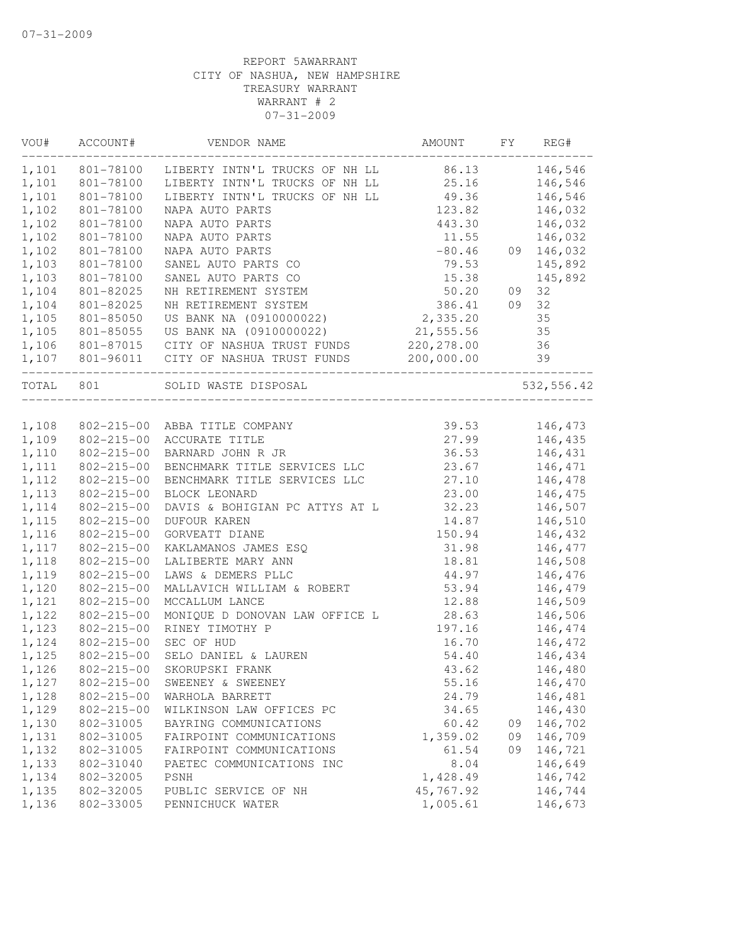| VOU#      | ACCOUNT#<br>. _ _ _ _ _ _ _ _ _ _ _ _ _ | VENDOR NAME                                                  | AMOUNT      | FY | REG#       |
|-----------|-----------------------------------------|--------------------------------------------------------------|-------------|----|------------|
|           |                                         | 1,101 801-78100 LIBERTY INTN'L TRUCKS OF NH LL 86.13 146,546 |             |    |            |
| 1,101     | 801-78100                               | LIBERTY INTN'L TRUCKS OF NH LL 25.16                         |             |    | 146,546    |
| 1,101     | 801-78100                               | LIBERTY INTN'L TRUCKS OF NH LL 49.36                         |             |    | 146,546    |
| 1,102     | 801-78100                               | NAPA AUTO PARTS                                              | 123.82      |    | 146,032    |
| 1,102     | 801-78100                               | NAPA AUTO PARTS                                              | 443.30      |    | 146,032    |
| 1,102     | 801-78100                               | NAPA AUTO PARTS                                              | 11.55       |    | 146,032    |
| 1,102     | 801-78100                               | NAPA AUTO PARTS                                              | $-80.46$    |    | 09 146,032 |
| 1,103     | 801-78100                               | SANEL AUTO PARTS CO                                          | 79.53       |    | 145,892    |
| 1,103     | 801-78100                               | SANEL AUTO PARTS CO                                          | 15.38       |    | 145,892    |
| 1,104     | 801-82025                               | NH RETIREMENT SYSTEM                                         | 50.20       | 09 | 32         |
| 1,104     | 801-82025                               | NH RETIREMENT SYSTEM                                         | 386.41      | 09 | 32         |
| 1,105     | 801-85050                               | US BANK NA (0910000022)                                      | 2,335.20    |    | 35         |
| 1,105     | 801-85055                               | US BANK NA (0910000022)                                      | 21,555.56   |    | 35         |
| 1,106     | 801-87015                               | CITY OF NASHUA TRUST FUNDS                                   | 220, 278.00 |    | 36         |
|           |                                         | 1,107  801-96011  CITY OF NASHUA TRUST FUNDS  200,000.00     |             |    | 39         |
| TOTAL 801 |                                         | SOLID WASTE DISPOSAL                                         |             |    | 532,556.42 |
|           |                                         |                                                              |             |    |            |
| 1,108     |                                         | 802-215-00 ABBA TITLE COMPANY                                | 39.53       |    | 146,473    |
| 1,109     | 802-215-00                              | ACCURATE TITLE                                               | 27.99       |    | 146,435    |
| 1,110     | $802 - 215 - 00$                        | BARNARD JOHN R JR                                            | 36.53       |    | 146,431    |
| 1,111     | 802-215-00                              | BENCHMARK TITLE SERVICES LLC                                 | 23.67       |    | 146,471    |
| 1,112     | $802 - 215 - 00$                        | BENCHMARK TITLE SERVICES LLC                                 | 27.10       |    | 146,478    |
| 1,113     | $802 - 215 - 00$                        | BLOCK LEONARD                                                | 23.00       |    | 146,475    |
| 1,114     | 802-215-00                              | DAVIS & BOHIGIAN PC ATTYS AT L                               | 32.23       |    | 146,507    |
| 1,115     | 802-215-00                              | DUFOUR KAREN                                                 | 14.87       |    | 146,510    |
| 1,116     | 802-215-00                              | GORVEATT DIANE                                               | 150.94      |    | 146,432    |
| 1,117     | 802-215-00                              | KAKLAMANOS JAMES ESQ                                         | 31.98       |    | 146,477    |
| 1,118     | $802 - 215 - 00$                        | LALIBERTE MARY ANN                                           | 18.81       |    | 146,508    |
| 1,119     | $802 - 215 - 00$                        | LAWS & DEMERS PLLC                                           | 44.97       |    | 146,476    |
| 1,120     | $802 - 215 - 00$                        | MALLAVICH WILLIAM & ROBERT                                   | 53.94       |    | 146,479    |
| 1,121     | $802 - 215 - 00$                        | MCCALLUM LANCE                                               | 12.88       |    | 146,509    |
| 1,122     | $802 - 215 - 00$                        | MONIQUE D DONOVAN LAW OFFICE L                               | 28.63       |    | 146,506    |
| 1,123     | 802-215-00                              | RINEY TIMOTHY P                                              | 197.16      |    | 146,474    |
| 1,124     | 802-215-00                              | SEC OF HUD                                                   | 16.70       |    | 146,472    |
| 1,125     | 802-215-00                              | SELO DANIEL & LAUREN                                         | 54.40       |    | 146,434    |
| 1,126     |                                         | 802-215-00 SKORUPSKI FRANK                                   | 43.62       |    | 146,480    |
| 1,127     | $802 - 215 - 00$                        | SWEENEY & SWEENEY                                            | 55.16       |    | 146,470    |
| 1,128     | $802 - 215 - 00$                        | WARHOLA BARRETT                                              | 24.79       |    | 146,481    |
| 1,129     | $802 - 215 - 00$                        | WILKINSON LAW OFFICES PC                                     | 34.65       |    | 146,430    |
| 1,130     | 802-31005                               | BAYRING COMMUNICATIONS                                       | 60.42       | 09 | 146,702    |
| 1,131     | 802-31005                               | FAIRPOINT COMMUNICATIONS                                     | 1,359.02    | 09 | 146,709    |
| 1,132     | 802-31005                               | FAIRPOINT COMMUNICATIONS                                     | 61.54       | 09 | 146,721    |
| 1,133     | 802-31040                               | PAETEC COMMUNICATIONS INC                                    | 8.04        |    | 146,649    |
| 1,134     | 802-32005                               | PSNH                                                         | 1,428.49    |    | 146,742    |
| 1,135     | 802-32005                               | PUBLIC SERVICE OF NH                                         | 45,767.92   |    | 146,744    |
| 1,136     | 802-33005                               | PENNICHUCK WATER                                             | 1,005.61    |    | 146,673    |
|           |                                         |                                                              |             |    |            |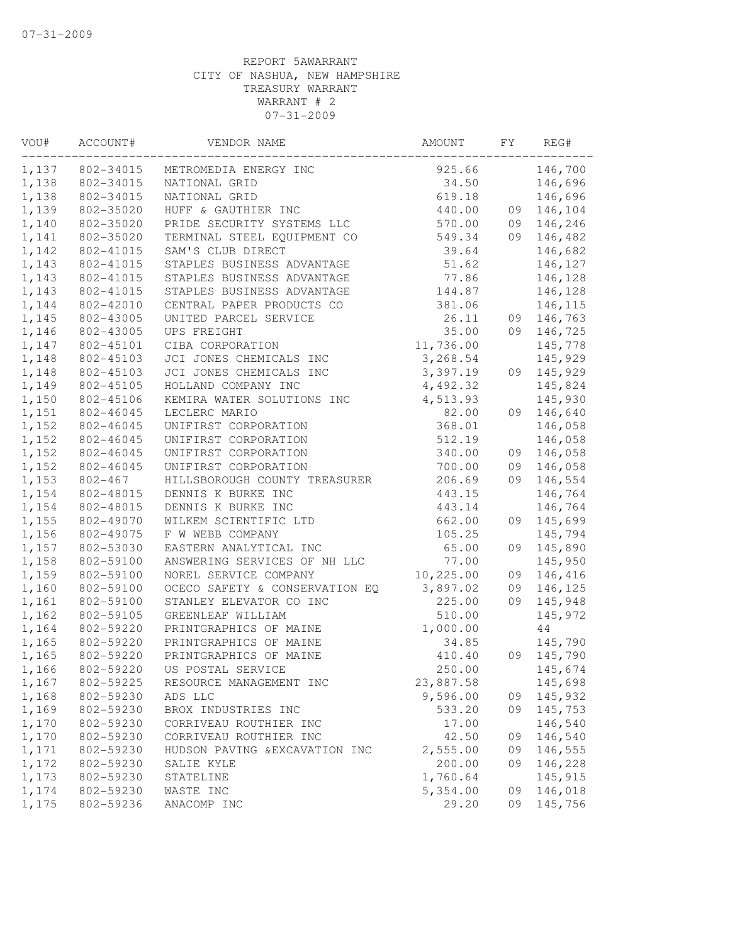| 1,137<br>802-34015<br>METROMEDIA ENERGY INC<br>1,138<br>802-34015<br>NATIONAL GRID | 925.66<br>34.50<br>619.18 | 146,700<br>146,696 |
|------------------------------------------------------------------------------------|---------------------------|--------------------|
|                                                                                    |                           |                    |
|                                                                                    |                           |                    |
| 1,138<br>802-34015<br>NATIONAL GRID                                                |                           | 146,696            |
| 1,139<br>802-35020<br>HUFF & GAUTHIER INC                                          | 440.00<br>09              | 146,104            |
| 1,140<br>802-35020<br>PRIDE SECURITY SYSTEMS LLC                                   | 570.00<br>09              | 146,246            |
| 1,141<br>802-35020<br>TERMINAL STEEL EQUIPMENT CO                                  | 549.34<br>09              | 146,482            |
| 1,142<br>802-41015<br>SAM'S CLUB DIRECT                                            | 39.64                     | 146,682            |
| 1,143<br>802-41015<br>STAPLES BUSINESS ADVANTAGE                                   | 51.62                     | 146,127            |
| 1,143<br>802-41015<br>STAPLES BUSINESS ADVANTAGE                                   | 77.86                     | 146,128            |
| 1,143<br>STAPLES BUSINESS ADVANTAGE<br>802-41015                                   | 144.87                    | 146,128            |
| 1,144<br>CENTRAL PAPER PRODUCTS CO<br>802-42010                                    | 381.06                    | 146,115            |
| 1,145<br>802-43005<br>UNITED PARCEL SERVICE                                        | 26.11<br>09               | 146,763            |
| 1,146<br>802-43005<br>UPS FREIGHT                                                  | 35.00<br>09               | 146,725            |
| 1,147<br>802-45101<br>CIBA CORPORATION<br>11,736.00                                |                           | 145,778            |
| 1,148<br>802-45103<br>JCI JONES CHEMICALS INC                                      | 3,268.54                  | 145,929            |
| 1,148<br>802-45103<br>JCI JONES CHEMICALS INC                                      | 3,397.19<br>09            | 145,929            |
| 1,149<br>802-45105<br>HOLLAND COMPANY INC                                          | 4,492.32                  | 145,824            |
| 1,150<br>802-45106<br>KEMIRA WATER SOLUTIONS INC                                   | 4,513.93                  | 145,930            |
| 1,151<br>LECLERC MARIO<br>802-46045                                                | 82.00<br>09               | 146,640            |
| 1,152<br>UNIFIRST CORPORATION<br>802-46045                                         | 368.01                    | 146,058            |
| 1,152<br>802-46045<br>UNIFIRST CORPORATION                                         | 512.19                    | 146,058            |
| 1,152<br>802-46045<br>UNIFIRST CORPORATION                                         | 340.00<br>09              | 146,058            |
| 1,152<br>802-46045<br>UNIFIRST CORPORATION                                         | 700.00<br>09              | 146,058            |
| 1,153<br>802-467<br>HILLSBOROUGH COUNTY TREASURER                                  | 206.69<br>09              | 146,554            |
| 1,154<br>DENNIS K BURKE INC<br>802-48015                                           | 443.15                    | 146,764            |
| 1,154<br>802-48015<br>DENNIS K BURKE INC                                           | 443.14                    | 146,764            |
| 1,155<br>802-49070<br>WILKEM SCIENTIFIC LTD                                        | 662.00<br>09              | 145,699            |
| 1,156<br>802-49075<br>F W WEBB COMPANY                                             | 105.25                    | 145,794            |
| 1,157<br>EASTERN ANALYTICAL INC                                                    | 65.00<br>09               | 145,890            |
| 802-53030<br>ANSWERING SERVICES OF NH LLC                                          | 77.00                     |                    |
| 1,158<br>802-59100                                                                 |                           | 145,950            |
| 1,159<br>NOREL SERVICE COMPANY<br>10,225.00<br>802-59100                           | 09                        | 146,416            |
| 1,160<br>802-59100<br>OCECO SAFETY & CONSERVATION EQ                               | 3,897.02<br>09            | 146,125            |
| 1,161<br>802-59100<br>STANLEY ELEVATOR CO INC                                      | 09<br>225.00              | 145,948            |
| 1,162<br>802-59105<br>GREENLEAF WILLIAM                                            | 510.00                    | 145,972            |
| 1,164<br>802-59220<br>PRINTGRAPHICS OF MAINE                                       | 1,000.00                  | 44                 |
| 1,165<br>802-59220<br>PRINTGRAPHICS OF MAINE                                       | 34.85                     | 145,790            |
| 1,165<br>802-59220<br>PRINTGRAPHICS OF MAINE                                       | 09<br>410.40              | 145,790            |
| 802-59220<br>US POSTAL SERVICE<br>1,166                                            | 250.00                    | 145,674            |
| 1,167<br>802-59225<br>23,887.58<br>RESOURCE MANAGEMENT INC                         |                           | 145,698            |
| 1,168<br>802-59230<br>ADS LLC                                                      | 9,596.00<br>09            | 145,932            |
| 1,169<br>802-59230<br>BROX INDUSTRIES INC                                          | 533.20<br>09              | 145,753            |
| 1,170<br>802-59230<br>CORRIVEAU ROUTHIER INC                                       | 17.00                     | 146,540            |
| 1,170<br>802-59230<br>CORRIVEAU ROUTHIER INC                                       | 42.50<br>09               | 146,540            |
| 1,171<br>802-59230<br>HUDSON PAVING & EXCAVATION INC                               | 2,555.00<br>09            | 146,555            |
| 1,172<br>802-59230<br>SALIE KYLE                                                   | 200.00<br>09              | 146,228            |
| 1,173<br>802-59230<br>STATELINE                                                    | 1,760.64                  | 145,915            |
| 1,174<br>802-59230<br>WASTE INC                                                    | 5,354.00<br>09            | 146,018            |
| 802-59236<br>1,175<br>ANACOMP INC                                                  | 29.20<br>09               | 145,756            |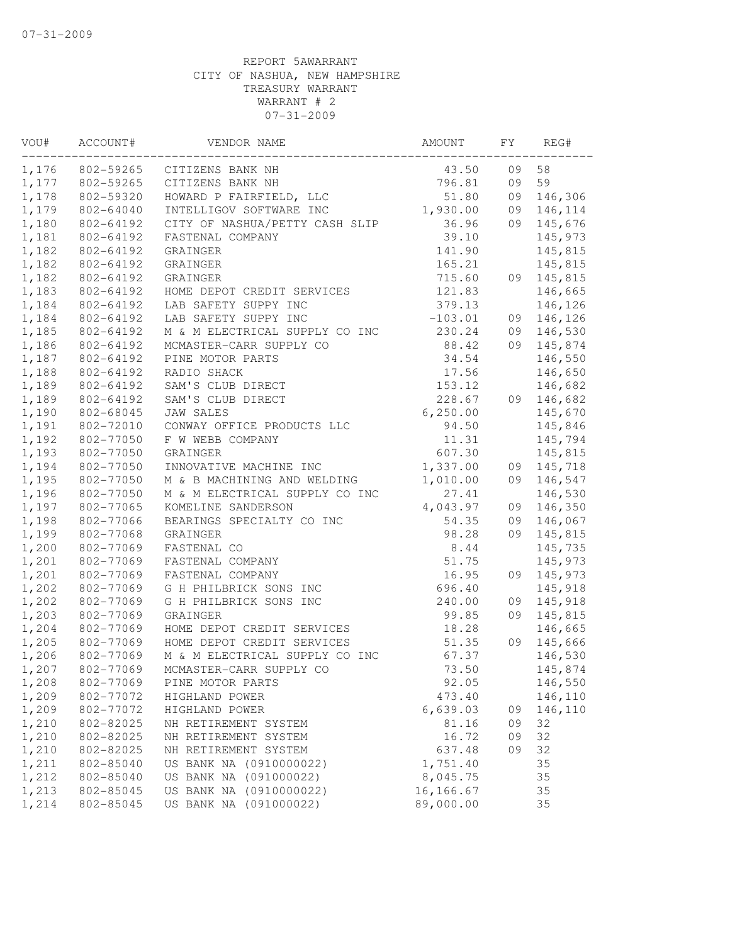| VOU#  | ACCOUNT#  | VENDOR NAME                    | AMOUNT    | FY | REG#    |
|-------|-----------|--------------------------------|-----------|----|---------|
| 1,176 | 802-59265 | CITIZENS BANK NH               | 43.50     | 09 | 58      |
| 1,177 | 802-59265 | CITIZENS BANK NH               | 796.81    | 09 | 59      |
| 1,178 | 802-59320 | HOWARD P FAIRFIELD, LLC        | 51.80     | 09 | 146,306 |
| 1,179 | 802-64040 | INTELLIGOV SOFTWARE INC        | 1,930.00  | 09 | 146,114 |
| 1,180 | 802-64192 | CITY OF NASHUA/PETTY CASH SLIP | 36.96     | 09 | 145,676 |
| 1,181 | 802-64192 | FASTENAL COMPANY               | 39.10     |    | 145,973 |
| 1,182 | 802-64192 | GRAINGER                       | 141.90    |    | 145,815 |
| 1,182 | 802-64192 | GRAINGER                       | 165.21    |    | 145,815 |
| 1,182 | 802-64192 | GRAINGER                       | 715.60    | 09 | 145,815 |
| 1,183 | 802-64192 | HOME DEPOT CREDIT SERVICES     | 121.83    |    | 146,665 |
| 1,184 | 802-64192 | LAB SAFETY SUPPY INC           | 379.13    |    | 146,126 |
| 1,184 | 802-64192 | LAB SAFETY SUPPY INC           | $-103.01$ | 09 | 146,126 |
| 1,185 | 802-64192 | M & M ELECTRICAL SUPPLY CO INC | 230.24    | 09 | 146,530 |
| 1,186 | 802-64192 | MCMASTER-CARR SUPPLY CO        | 88.42     | 09 | 145,874 |
| 1,187 | 802-64192 | PINE MOTOR PARTS               | 34.54     |    | 146,550 |
| 1,188 | 802-64192 | RADIO SHACK                    | 17.56     |    | 146,650 |
| 1,189 | 802-64192 | SAM'S CLUB DIRECT              | 153.12    |    | 146,682 |
| 1,189 | 802-64192 | SAM'S CLUB DIRECT              | 228.67    | 09 | 146,682 |
| 1,190 | 802-68045 | <b>JAW SALES</b>               | 6, 250.00 |    | 145,670 |
| 1,191 | 802-72010 | CONWAY OFFICE PRODUCTS LLC     | 94.50     |    | 145,846 |
| 1,192 | 802-77050 | F W WEBB COMPANY               | 11.31     |    | 145,794 |
| 1,193 | 802-77050 | GRAINGER                       | 607.30    |    | 145,815 |
| 1,194 | 802-77050 | INNOVATIVE MACHINE INC         | 1,337.00  | 09 | 145,718 |
| 1,195 | 802-77050 | M & B MACHINING AND WELDING    | 1,010.00  | 09 | 146,547 |
| 1,196 | 802-77050 | M & M ELECTRICAL SUPPLY CO INC | 27.41     |    | 146,530 |
| 1,197 | 802-77065 | KOMELINE SANDERSON             | 4,043.97  | 09 | 146,350 |
| 1,198 | 802-77066 | BEARINGS SPECIALTY CO INC      | 54.35     | 09 | 146,067 |
| 1,199 | 802-77068 | GRAINGER                       | 98.28     | 09 | 145,815 |
| 1,200 | 802-77069 | FASTENAL CO                    | 8.44      |    | 145,735 |
| 1,201 | 802-77069 | FASTENAL COMPANY               | 51.75     |    | 145,973 |
| 1,201 | 802-77069 | FASTENAL COMPANY               | 16.95     | 09 | 145,973 |
| 1,202 | 802-77069 | G H PHILBRICK SONS INC         | 696.40    |    | 145,918 |
| 1,202 | 802-77069 | G H PHILBRICK SONS INC         | 240.00    | 09 | 145,918 |
| 1,203 | 802-77069 | GRAINGER                       | 99.85     | 09 | 145,815 |
| 1,204 | 802-77069 | HOME DEPOT CREDIT SERVICES     | 18.28     |    | 146,665 |
| 1,205 | 802-77069 | HOME DEPOT CREDIT SERVICES     | 51.35     | 09 | 145,666 |
| 1,206 | 802-77069 | M & M ELECTRICAL SUPPLY CO INC | 67.37     |    | 146,530 |
| 1,207 | 802-77069 | MCMASTER-CARR SUPPLY CO        | 73.50     |    | 145,874 |
| 1,208 | 802-77069 | PINE MOTOR PARTS               | 92.05     |    | 146,550 |
| 1,209 | 802-77072 | HIGHLAND POWER                 | 473.40    |    | 146,110 |
| 1,209 | 802-77072 | HIGHLAND POWER                 | 6,639.03  | 09 | 146,110 |
| 1,210 | 802-82025 | NH RETIREMENT SYSTEM           | 81.16     | 09 | 32      |
| 1,210 | 802-82025 | NH RETIREMENT SYSTEM           | 16.72     | 09 | 32      |
| 1,210 | 802-82025 | NH RETIREMENT SYSTEM           | 637.48    | 09 | 32      |
| 1,211 | 802-85040 | US BANK NA (0910000022)        | 1,751.40  |    | 35      |
| 1,212 | 802-85040 | US BANK NA (091000022)         | 8,045.75  |    | 35      |
| 1,213 | 802-85045 | US BANK NA (0910000022)        | 16,166.67 |    | 35      |
| 1,214 | 802-85045 | US BANK NA (091000022)         | 89,000.00 |    | 35      |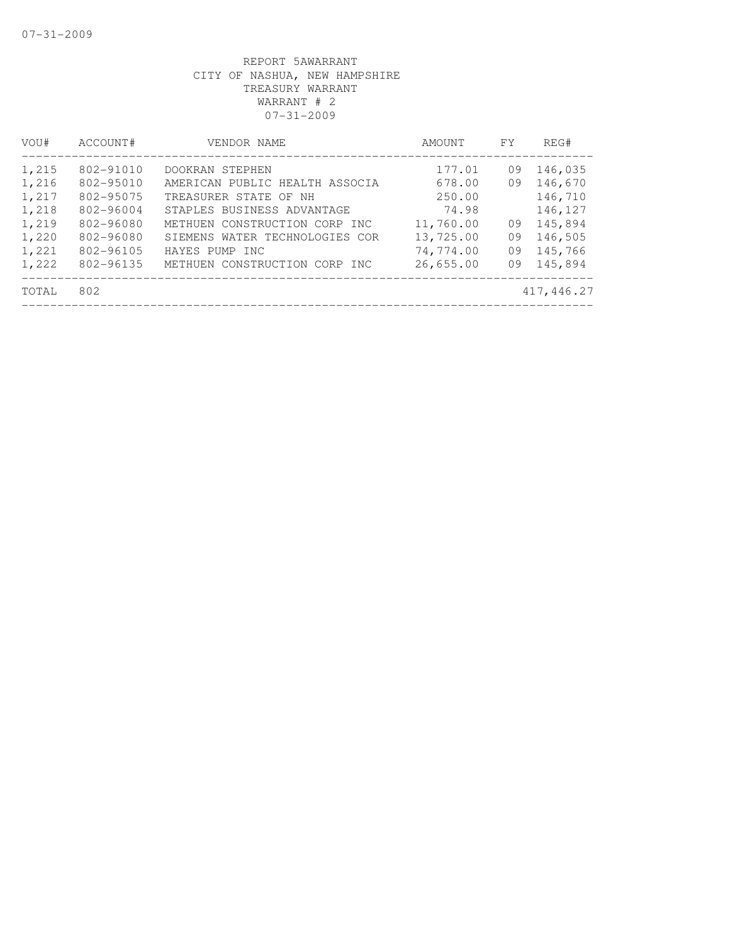| VOU#           | ACCOUNT#               | VENDOR NAME                                                 | AMOUNT                 | FY       | REG#               |
|----------------|------------------------|-------------------------------------------------------------|------------------------|----------|--------------------|
| 1,215          | 802-91010<br>802-95010 | DOOKRAN STEPHEN<br>AMERICAN PUBLIC HEALTH ASSOCIA           | 177.01<br>678.00       | 09<br>09 | 146,035<br>146,670 |
| 1,216<br>1,217 | 802-95075              | TREASURER STATE OF NH                                       | 250.00                 |          | 146,710            |
| 1,218<br>1,219 | 802-96004<br>802-96080 | STAPLES BUSINESS ADVANTAGE<br>METHUEN CONSTRUCTION CORP INC | 74.98<br>11,760.00     | 09       | 146,127<br>145,894 |
| 1,220<br>1,221 | 802-96080<br>802-96105 | SIEMENS WATER TECHNOLOGIES COR<br>HAYES PUMP INC            | 13,725.00<br>74,774.00 | 09<br>09 | 146,505<br>145,766 |
| 1,222          | 802-96135              | METHUEN CONSTRUCTION CORP INC                               | 26,655.00              | 09       | 145,894            |
| TOTAL          | 802                    |                                                             |                        |          | 417,446.27         |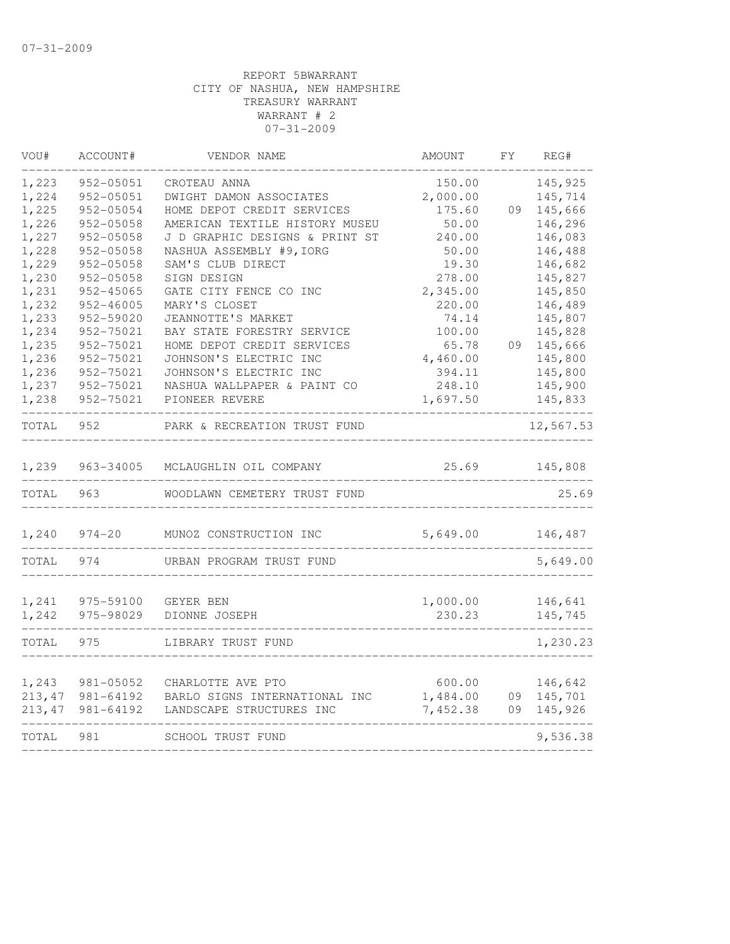| VOU#    | ACCOUNT#   | VENDOR NAME                    | AMOUNT   | FY. | REG#      |
|---------|------------|--------------------------------|----------|-----|-----------|
| 1,223   | 952-05051  | CROTEAU ANNA                   | 150.00   |     | 145,925   |
| 1,224   | 952-05051  | DWIGHT DAMON ASSOCIATES        | 2,000.00 |     | 145,714   |
| 1,225   | 952-05054  | HOME DEPOT CREDIT SERVICES     | 175.60   | 09  | 145,666   |
| 1,226   | 952-05058  | AMERICAN TEXTILE HISTORY MUSEU | 50.00    |     | 146,296   |
| 1,227   | 952-05058  | J D GRAPHIC DESIGNS & PRINT ST | 240.00   |     | 146,083   |
| 1,228   | 952-05058  | NASHUA ASSEMBLY #9, IORG       | 50.00    |     | 146,488   |
| 1,229   | 952-05058  | SAM'S CLUB DIRECT              | 19.30    |     | 146,682   |
| 1,230   | 952-05058  | SIGN DESIGN                    | 278.00   |     | 145,827   |
| 1,231   | 952-45065  | GATE CITY FENCE CO INC         | 2,345.00 |     | 145,850   |
| 1,232   | 952-46005  | MARY'S CLOSET                  | 220.00   |     | 146,489   |
| 1,233   | 952-59020  | JEANNOTTE'S MARKET             | 74.14    |     | 145,807   |
| 1,234   | 952-75021  | BAY STATE FORESTRY SERVICE     | 100.00   |     | 145,828   |
| 1,235   | 952-75021  | HOME DEPOT CREDIT SERVICES     | 65.78    | 09  | 145,666   |
| 1,236   | 952-75021  | JOHNSON'S ELECTRIC INC         | 4,460.00 |     | 145,800   |
| 1,236   | 952-75021  | JOHNSON'S ELECTRIC INC         | 394.11   |     | 145,800   |
| 1,237   | 952-75021  | NASHUA WALLPAPER & PAINT CO    | 248.10   |     | 145,900   |
| 1,238   | 952-75021  | PIONEER REVERE                 | 1,697.50 |     | 145,833   |
| TOTAL   | 952        | PARK & RECREATION TRUST FUND   |          |     | 12,567.53 |
| 1,239   | 963-34005  | MCLAUGHLIN OIL COMPANY         | 25.69    |     | 145,808   |
| TOTAL   | 963        | WOODLAWN CEMETERY TRUST FUND   |          |     | 25.69     |
| 1,240   | $974 - 20$ | MUNOZ CONSTRUCTION INC         | 5,649.00 |     | 146,487   |
| TOTAL   | 974        | URBAN PROGRAM TRUST FUND       |          |     | 5,649.00  |
|         |            |                                |          |     |           |
| 1,241   | 975-59100  | GEYER BEN                      | 1,000.00 |     | 146,641   |
| 1,242   | 975-98029  | DIONNE JOSEPH                  | 230.23   |     | 145,745   |
| TOTAL   | 975        | LIBRARY TRUST FUND             |          |     | 1,230.23  |
| 1,243   | 981-05052  | CHARLOTTE AVE PTO              | 600.00   |     | 146,642   |
| 213,47  | 981-64192  | BARLO SIGNS INTERNATIONAL INC  | 1,484.00 | 09  | 145,701   |
| 213, 47 | 981-64192  | LANDSCAPE STRUCTURES INC       | 7,452.38 | 09  | 145,926   |
| TOTAL   | 981        | SCHOOL TRUST FUND              |          |     | 9,536.38  |
|         |            |                                |          |     |           |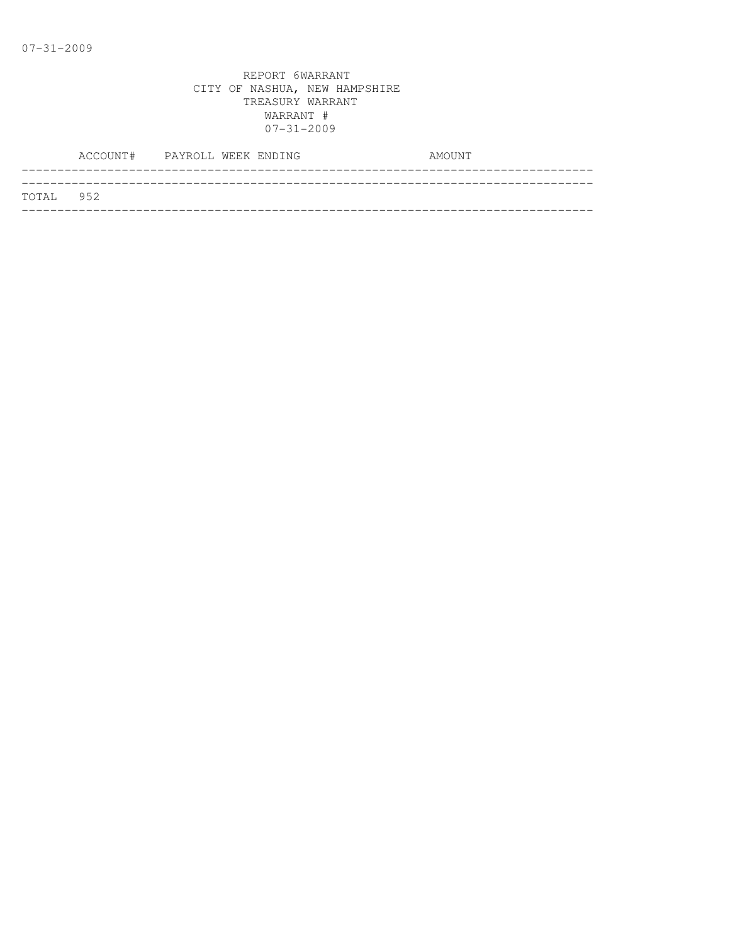|           | ACCOUNT# PAYROLL WEEK ENDING |  |  | AMOUNT |
|-----------|------------------------------|--|--|--------|
|           |                              |  |  |        |
| TOTAL 952 |                              |  |  |        |
|           |                              |  |  |        |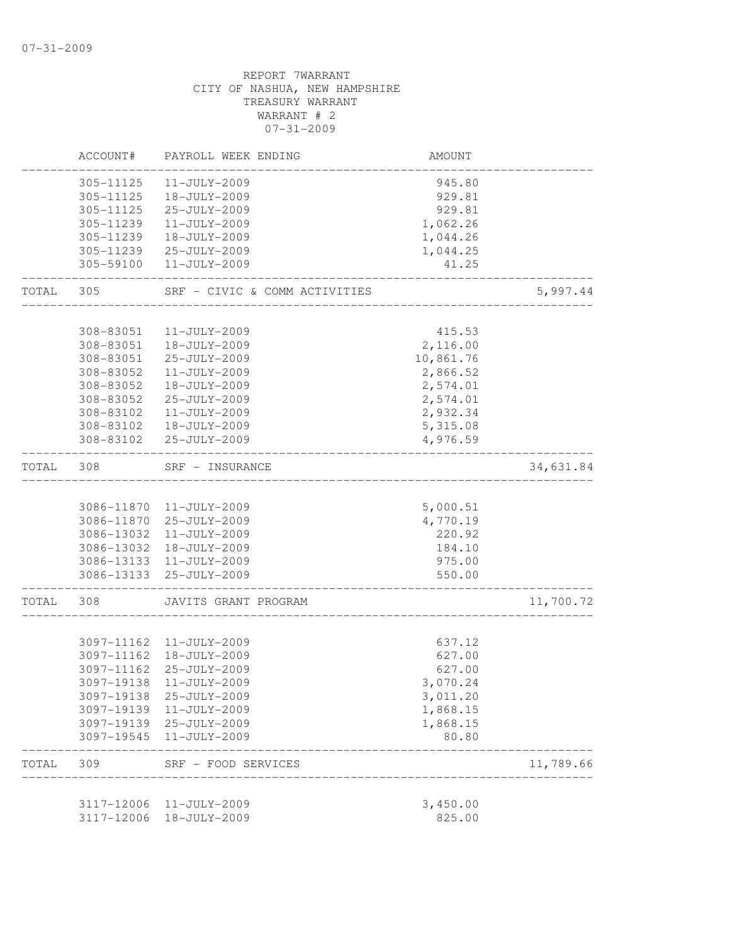|       | ACCOUNT#               | PAYROLL WEEK ENDING                        | AMOUNT               |           |
|-------|------------------------|--------------------------------------------|----------------------|-----------|
|       | 305-11125              | 11-JULY-2009                               | 945.80               |           |
|       | 305-11125              | 18-JULY-2009                               | 929.81               |           |
|       | 305-11125              | 25-JULY-2009                               | 929.81               |           |
|       | 305-11239              | 11-JULY-2009                               | 1,062.26             |           |
|       | 305-11239              | 18-JULY-2009                               | 1,044.26             |           |
|       | 305-11239              | 25-JULY-2009                               | 1,044.25             |           |
|       | 305-59100              | 11-JULY-2009                               | 41.25                |           |
| TOTAL | 305                    | SRF - CIVIC & COMM ACTIVITIES              |                      | 5,997.44  |
|       |                        |                                            |                      |           |
|       | 308-83051              | 11-JULY-2009                               | 415.53               |           |
|       | 308-83051              | 18-JULY-2009                               | 2,116.00             |           |
|       | 308-83051              | 25-JULY-2009                               | 10,861.76            |           |
|       | 308-83052              | 11-JULY-2009                               | 2,866.52             |           |
|       | 308-83052              | 18-JULY-2009                               | 2,574.01             |           |
|       | 308-83052              | 25-JULY-2009<br>$11 - JULY - 2009$         | 2,574.01             |           |
|       | 308-83102<br>308-83102 | 18-JULY-2009                               | 2,932.34             |           |
|       | 308-83102              | 25-JULY-2009                               | 5,315.08<br>4,976.59 |           |
|       |                        |                                            |                      |           |
| TOTAL | 308                    | SRF - INSURANCE                            |                      | 34,631.84 |
|       |                        | 3086-11870 11-JULY-2009                    | 5,000.51             |           |
|       |                        | 3086-11870 25-JULY-2009                    | 4,770.19             |           |
|       | 3086-13032             | 11-JULY-2009                               | 220.92               |           |
|       | 3086-13032             | 18-JULY-2009                               | 184.10               |           |
|       |                        | 3086-13133 11-JULY-2009                    | 975.00               |           |
|       |                        | 3086-13133 25-JULY-2009                    | 550.00               |           |
| TOTAL | 308                    | JAVITS GRANT PROGRAM                       |                      | 11,700.72 |
|       |                        |                                            |                      |           |
|       |                        | 3097-11162 11-JULY-2009                    | 637.12               |           |
|       | 3097-11162             | 18-JULY-2009                               | 627.00               |           |
|       | 3097-11162             | 25-JULY-2009                               | 627.00               |           |
|       | 3097-19138             | 11-JULY-2009                               | 3,070.24             |           |
|       | 3097-19138             | 25-JULY-2009                               | 3,011.20             |           |
|       | 3097-19139             | 11-JULY-2009                               | 1,868.15             |           |
|       | 3097-19545             | 3097-19139 25-JULY-2009<br>11-JULY-2009    | 1,868.15<br>80.80    |           |
|       |                        |                                            |                      |           |
| TOTAL | 309                    | SRF - FOOD SERVICES<br>___________________ |                      | 11,789.66 |
|       | 3117-12006             | 11-JULY-2009                               | 3,450.00             |           |
|       | 3117-12006             | 18-JULY-2009                               | 825.00               |           |
|       |                        |                                            |                      |           |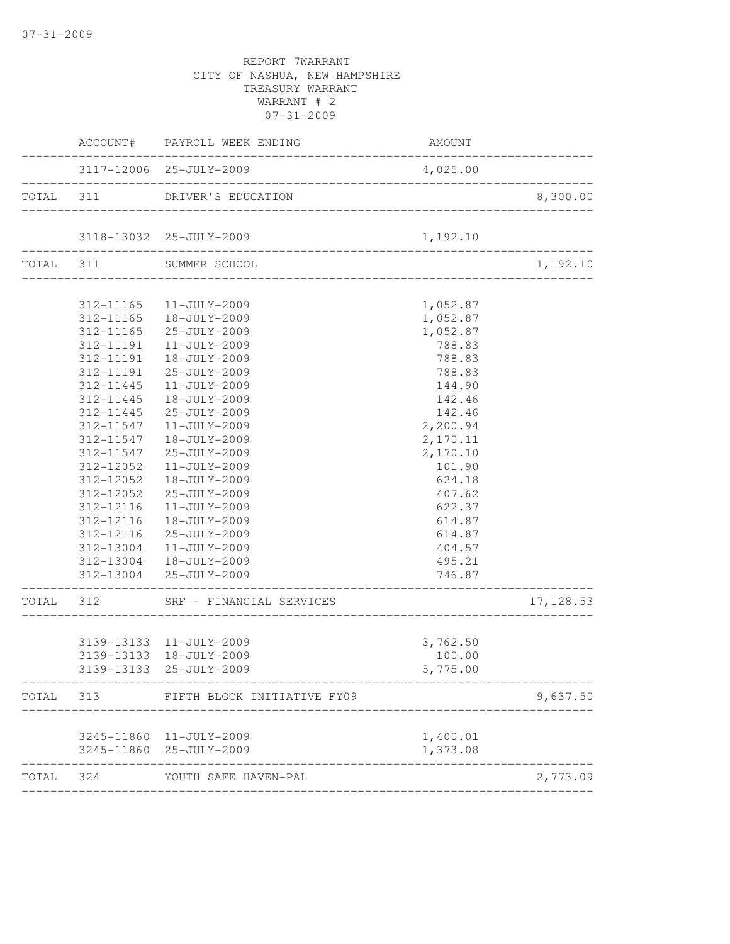|           |           | ACCOUNT# PAYROLL WEEK ENDING   | AMOUNT                                    | . _ _ _ _ _ _ _ _ _ _ _ _ |
|-----------|-----------|--------------------------------|-------------------------------------------|---------------------------|
|           |           | 3117-12006 25-JULY-2009        | 4,025.00                                  | _________________         |
| TOTAL 311 |           | DRIVER'S EDUCATION             |                                           | 8,300.00                  |
|           |           | 3118-13032 25-JULY-2009        | 1,192.10                                  |                           |
| TOTAL 311 |           | SUMMER SCHOOL                  |                                           | 1,192.10                  |
|           |           | 312-11165  11-JULY-2009        | 1,052.87                                  |                           |
|           |           | 312-11165  18-JULY-2009        | 1,052.87                                  |                           |
|           |           | 312-11165 25-JULY-2009         | 1,052.87                                  |                           |
|           |           | 312-11191  11-JULY-2009        | 788.83                                    |                           |
|           |           | 312-11191  18-JULY-2009        | 788.83                                    |                           |
|           | 312-11191 | 25-JULY-2009                   | 788.83                                    |                           |
|           | 312-11445 | 11-JULY-2009                   | 144.90                                    |                           |
|           | 312-11445 | 18-JULY-2009                   | 142.46                                    |                           |
|           | 312-11445 | 25-JULY-2009                   | 142.46                                    |                           |
|           | 312-11547 | $11 - JULY - 2009$             | 2,200.94                                  |                           |
|           | 312-11547 | 18-JULY-2009                   | 2,170.11                                  |                           |
|           | 312-11547 | 25-JULY-2009                   | 2,170.10                                  |                           |
|           | 312-12052 | $11 - JULY - 2009$             | 101.90                                    |                           |
|           | 312-12052 | 18-JULY-2009                   | 624.18                                    |                           |
|           | 312-12052 | 25-JULY-2009                   | 407.62                                    |                           |
|           | 312-12116 | $11 - JULY - 2009$             | 622.37                                    |                           |
|           | 312-12116 | 18-JULY-2009                   | 614.87                                    |                           |
|           |           | 312-12116 25-JULY-2009         | 614.87                                    |                           |
|           | 312-13004 | 11-JULY-2009                   | 404.57                                    |                           |
|           |           | 312-13004  18-JULY-2009        | 495.21                                    |                           |
|           |           | 312-13004 25-JULY-2009         | 746.87<br>_______________________________ |                           |
| TOTAL 312 |           | SRF - FINANCIAL SERVICES       |                                           | 17,128.53                 |
|           |           | 3139-13133 11-JULY-2009        | 3,762.50                                  |                           |
|           |           | 3139-13133 18-JULY-2009        | 100.00                                    |                           |
|           |           | 3139-13133 25-JULY-2009        | 5,775.00                                  |                           |
|           | TOTAL 313 | FIFTH BLOCK INITIATIVE FY09    |                                           | 9,637.50                  |
|           |           | 3245-11860 11-JULY-2009        | 1,400.01                                  |                           |
|           |           | 3245-11860 25-JULY-2009        | 1,373.08                                  |                           |
|           |           | TOTAL 324 YOUTH SAFE HAVEN-PAL |                                           | 2,773.09                  |
|           |           |                                |                                           |                           |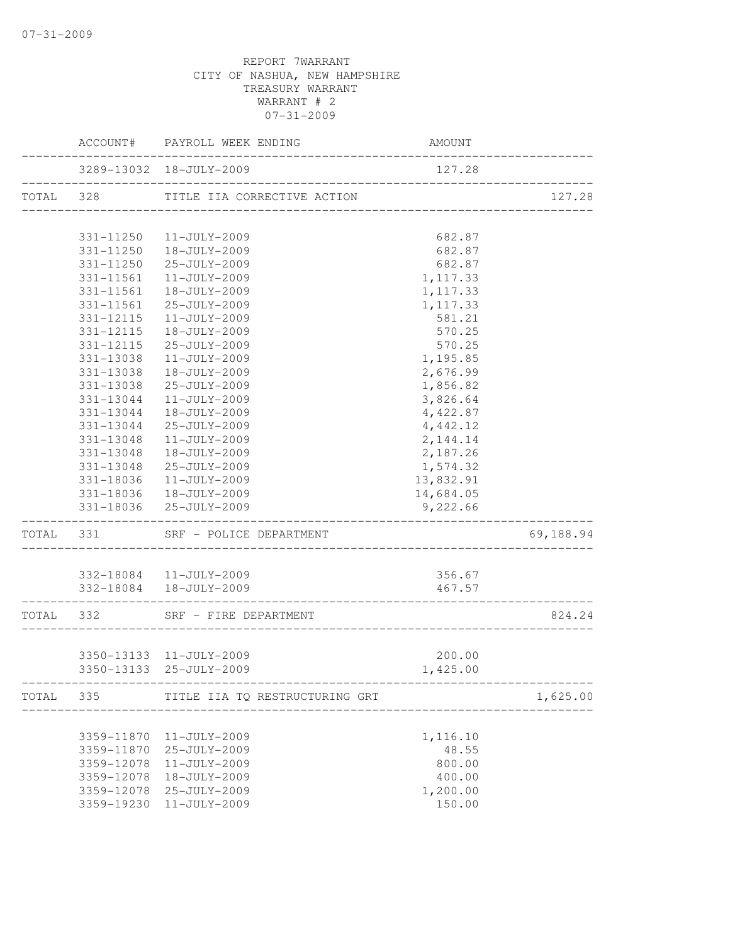|           | ACCOUNT#                 | PAYROLL WEEK ENDING                                | <b>AMOUNT</b>                    |           |
|-----------|--------------------------|----------------------------------------------------|----------------------------------|-----------|
|           |                          | 3289-13032 18-JULY-2009                            | 127.28                           |           |
| TOTAL     | 328                      | TITLE IIA CORRECTIVE ACTION                        | _______________________________  | 127.28    |
|           | 331-11250                | $11 - JULY - 2009$                                 | 682.87                           |           |
|           | 331-11250                | 18-JULY-2009                                       | 682.87                           |           |
|           | 331-11250                | 25-JULY-2009                                       | 682.87                           |           |
|           | 331-11561                | $11 - JULY - 2009$                                 | 1, 117.33                        |           |
|           | 331-11561                | 18-JULY-2009                                       | 1, 117.33                        |           |
|           | 331-11561                | 25-JULY-2009                                       | 1,117.33                         |           |
|           | 331-12115                | 11-JULY-2009                                       | 581.21                           |           |
|           | 331-12115                | 18-JULY-2009                                       | 570.25                           |           |
|           | 331-12115                | 25-JULY-2009                                       | 570.25                           |           |
|           | 331-13038                | 11-JULY-2009                                       | 1,195.85                         |           |
|           | 331-13038                | 18-JULY-2009                                       | 2,676.99                         |           |
|           | 331-13038                | 25-JULY-2009                                       | 1,856.82                         |           |
|           | 331-13044                | $11 - JULY - 2009$                                 | 3,826.64                         |           |
|           | 331-13044                | $18 - JULY - 2009$                                 | 4,422.87                         |           |
|           | 331-13044                | 25-JULY-2009                                       | 4,442.12                         |           |
|           | 331-13048                | 11-JULY-2009                                       | 2,144.14                         |           |
|           | 331-13048                | 18-JULY-2009                                       | 2,187.26                         |           |
|           | 331-13048                | 25-JULY-2009                                       | 1,574.32                         |           |
|           | 331-18036                | $11 - JULY - 2009$                                 | 13,832.91                        |           |
|           | 331-18036                | 18-JULY-2009                                       | 14,684.05                        |           |
|           |                          | 331-18036 25-JULY-2009                             | 9,222.66                         |           |
| TOTAL 331 |                          | SRF - POLICE DEPARTMENT                            |                                  | 69,188.94 |
|           |                          |                                                    |                                  |           |
|           |                          | 332-18084 11-JULY-2009                             | 356.67                           |           |
|           |                          | 332-18084  18-JULY-2009                            | 467.57                           |           |
| TOTAL 332 |                          | SRF - FIRE DEPARTMENT                              |                                  | 824.24    |
|           |                          |                                                    |                                  |           |
|           |                          | 3350-13133 11-JULY-2009<br>3350-13133 25-JULY-2009 | 200.00<br>1,425.00               |           |
|           |                          |                                                    |                                  |           |
|           | --------------------     | TOTAL 335 TITLE IIA TQ RESTRUCTURING GRT           | ________________________________ | 1,625.00  |
|           |                          |                                                    |                                  |           |
|           | 3359-11870               | 11-JULY-2009                                       | 1,116.10                         |           |
|           | 3359-11870               | 25-JULY-2009                                       | 48.55                            |           |
|           | 3359-12078               | 11-JULY-2009                                       | 800.00                           |           |
|           | 3359-12078<br>3359-12078 | 18-JULY-2009                                       | 400.00                           |           |
|           | 3359-19230               | 25-JULY-2009<br>11-JULY-2009                       | 1,200.00<br>150.00               |           |
|           |                          |                                                    |                                  |           |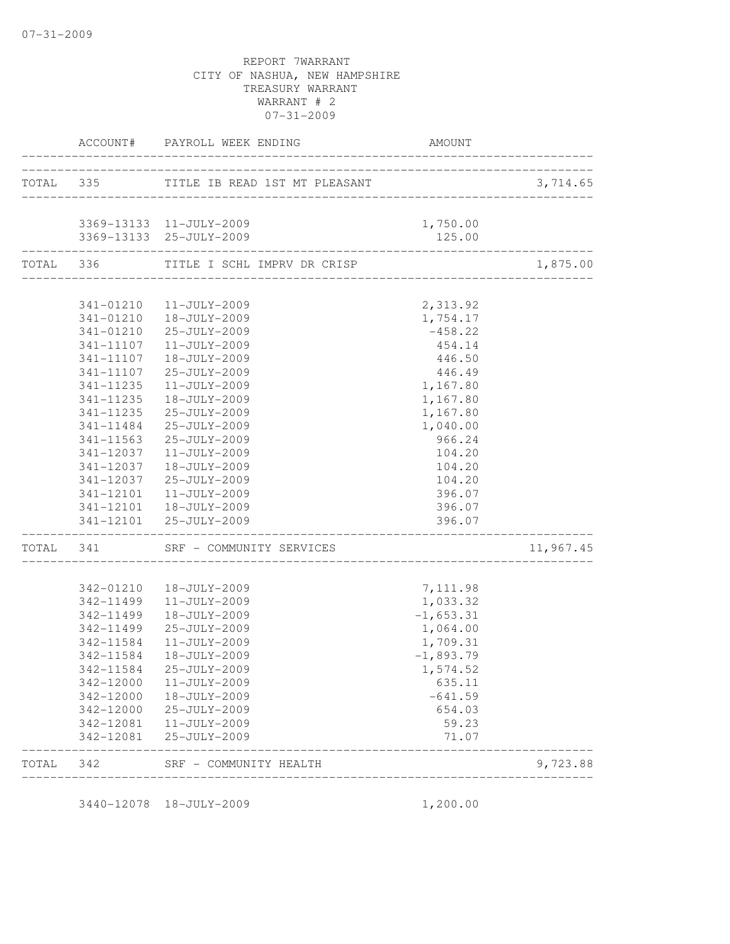|       |                             | ACCOUNT# PAYROLL WEEK ENDING                       | AMOUNT           |           |
|-------|-----------------------------|----------------------------------------------------|------------------|-----------|
|       |                             | TOTAL 335 TITLE IB READ 1ST MT PLEASANT            |                  | 3,714.65  |
|       |                             |                                                    |                  |           |
|       |                             | 3369-13133 11-JULY-2009                            | 1,750.00         |           |
|       | ___________________________ | 3369-13133 25-JULY-2009                            | 125.00           |           |
|       |                             | TOTAL 336 TITLE I SCHL IMPRV DR CRISP              |                  | 1,875.00  |
|       |                             |                                                    |                  |           |
|       |                             | 341-01210  11-JULY-2009<br>341-01210  18-JULY-2009 | 2,313.92         |           |
|       |                             |                                                    | 1,754.17         |           |
|       |                             | 341-01210 25-JULY-2009                             | $-458.22$        |           |
|       | 341-11107                   | 11-JULY-2009                                       | 454.14           |           |
|       | 341-11107                   | 18-JULY-2009                                       | 446.50           |           |
|       | 341-11107                   | 25-JULY-2009                                       | 446.49           |           |
|       | 341-11235                   | 11-JULY-2009                                       | 1,167.80         |           |
|       | 341-11235                   | $18 - JULY - 2009$                                 | 1,167.80         |           |
|       | 341-11235                   | 25-JULY-2009                                       | 1,167.80         |           |
|       | 341-11484                   | 25-JULY-2009                                       | 1,040.00         |           |
|       | 341-11563                   | 25-JULY-2009                                       | 966.24           |           |
|       | 341-12037                   | $11 - JULY - 2009$                                 | 104.20           |           |
|       | 341-12037                   | 18-JULY-2009                                       | 104.20           |           |
|       | 341-12037                   | 25-JULY-2009                                       | 104.20           |           |
|       |                             | 341-12101  11-JULY-2009                            | 396.07           |           |
|       |                             | 341-12101  18-JULY-2009<br>341-12101 25-JULY-2009  | 396.07<br>396.07 |           |
|       |                             | TOTAL 341 SRF - COMMUNITY SERVICES                 |                  | 11,967.45 |
|       |                             |                                                    |                  |           |
|       | 342-01210                   | 18-JULY-2009                                       | 7,111.98         |           |
|       | 342-11499                   | 11-JULY-2009                                       | 1,033.32         |           |
|       | 342-11499                   | 18-JULY-2009                                       | $-1,653.31$      |           |
|       | 342-11499                   | 25-JULY-2009                                       | 1,064.00         |           |
|       | 342-11584                   | 11-JULY-2009                                       | 1,709.31         |           |
|       | 342-11584                   | 18-JULY-2009                                       | $-1,893.79$      |           |
|       | 342-11584                   | 25-JULY-2009                                       | 1,574.52         |           |
|       | 342-12000                   | 11-JULY-2009                                       | 635.11           |           |
|       | 342-12000                   | 18-JULY-2009                                       | $-641.59$        |           |
|       | 342-12000                   | 25-JULY-2009                                       | 654.03           |           |
|       | 342-12081                   | 11-JULY-2009                                       | 59.23            |           |
|       | 342-12081                   | 25-JULY-2009                                       | 71.07            |           |
| TOTAL | 342                         | SRF - COMMUNITY HEALTH                             |                  | 9,723.88  |

3440-12078 18-JULY-2009 1,200.00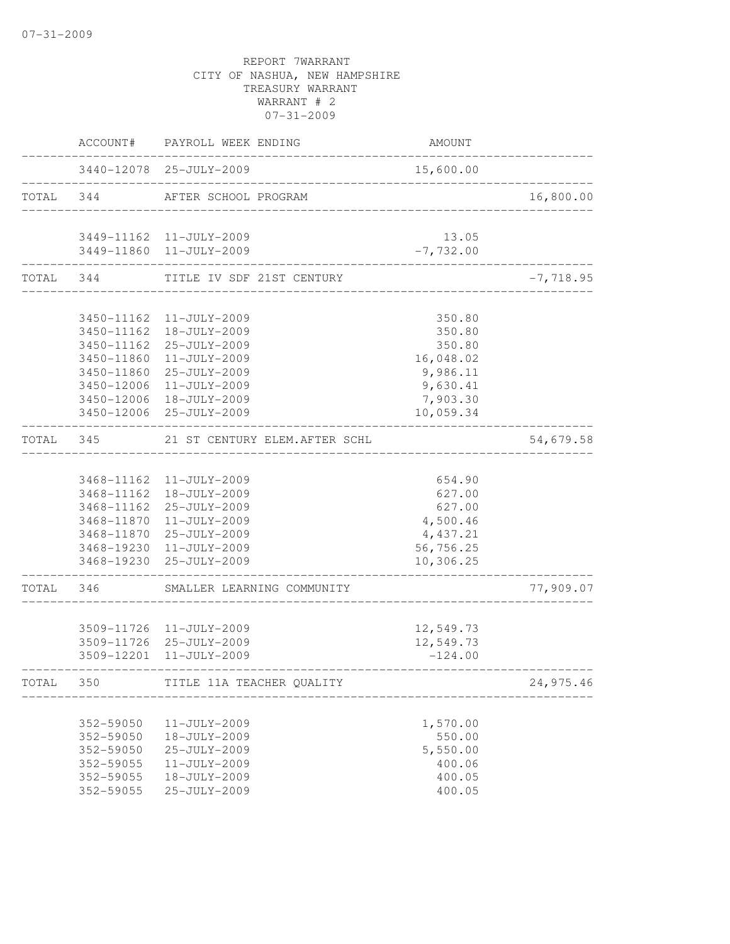|           | ACCOUNT#   | PAYROLL WEEK ENDING                                | AMOUNT      |                          |
|-----------|------------|----------------------------------------------------|-------------|--------------------------|
|           |            | 3440-12078 25-JULY-2009                            | 15,600.00   |                          |
| TOTAL 344 |            | AFTER SCHOOL PROGRAM                               |             | 16,800.00                |
|           |            | 3449-11162 11-JULY-2009                            | 13.05       |                          |
|           |            | 3449-11860 11-JULY-2009                            | $-7,732.00$ |                          |
| TOTAL 344 |            | TITLE IV SDF 21ST CENTURY                          |             | $-7,718.95$<br>$- - - -$ |
|           |            |                                                    |             |                          |
|           |            | 3450-11162 11-JULY-2009<br>3450-11162 18-JULY-2009 | 350.80      |                          |
|           |            |                                                    | 350.80      |                          |
|           |            | 3450-11162 25-JULY-2009                            | 350.80      |                          |
|           | 3450-11860 | 11-JULY-2009                                       | 16,048.02   |                          |
|           | 3450-11860 | 25-JULY-2009                                       | 9,986.11    |                          |
|           | 3450-12006 | $11 - JULY - 2009$                                 | 9,630.41    |                          |
|           | 3450-12006 | 18-JULY-2009                                       | 7,903.30    |                          |
|           |            | 3450-12006 25-JULY-2009                            | 10,059.34   |                          |
| TOTAL     | 345        | 21 ST CENTURY ELEM. AFTER SCHL                     |             | 54,679.58                |
|           |            |                                                    |             |                          |
|           |            | 3468-11162 11-JULY-2009                            | 654.90      |                          |
|           |            | 3468-11162  18-JULY-2009                           | 627.00      |                          |
|           |            | 3468-11162 25-JULY-2009                            | 627.00      |                          |
|           |            | 3468-11870 11-JULY-2009                            | 4,500.46    |                          |
|           |            | 3468-11870 25-JULY-2009                            | 4,437.21    |                          |
|           |            | 3468-19230 11-JULY-2009                            | 56,756.25   |                          |
|           |            | 3468-19230 25-JULY-2009                            | 10,306.25   |                          |
| TOTAL     | 346        | SMALLER LEARNING COMMUNITY                         |             | 77,909.07                |
|           |            |                                                    |             |                          |
|           |            | 3509-11726 11-JULY-2009                            | 12,549.73   |                          |
|           |            | 3509-11726 25-JULY-2009                            | 12,549.73   |                          |
|           |            | 3509-12201 11-JULY-2009                            | $-124.00$   |                          |
| TOTAL     | 350        | TITLE 11A TEACHER QUALITY                          |             | 24,975.46                |
|           |            |                                                    |             |                          |
|           | 352-59050  | 11-JULY-2009                                       | 1,570.00    |                          |
|           | 352-59050  | 18-JULY-2009                                       | 550.00      |                          |
|           | 352-59050  | 25-JULY-2009                                       | 5,550.00    |                          |
|           | 352-59055  | 11-JULY-2009                                       | 400.06      |                          |
|           | 352-59055  | 18-JULY-2009                                       | 400.05      |                          |
|           | 352-59055  | 25-JULY-2009                                       | 400.05      |                          |
|           |            |                                                    |             |                          |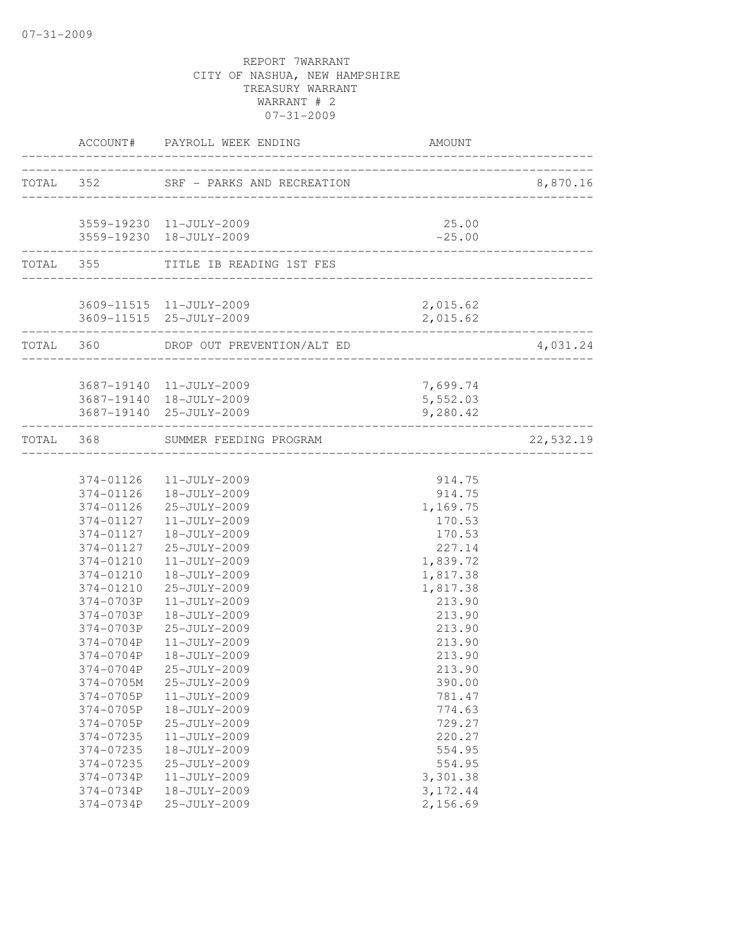|                               | ACCOUNT# PAYROLL WEEK ENDING<br>------------------------------------- | AMOUNT                              |           |
|-------------------------------|-----------------------------------------------------------------------|-------------------------------------|-----------|
|                               | TOTAL 352 SRF - PARKS AND RECREATION                                  |                                     | 8,870.16  |
|                               |                                                                       | . _ _ _ _ _ _ _ _ _ _ _ _ _ _ _ _ _ |           |
|                               | 3559-19230 11-JULY-2009                                               | 25.00                               |           |
| -------------------------     | 3559-19230 18-JULY-2009                                               | $-25.00$                            |           |
|                               | TOTAL 355 TITLE IB READING 1ST FES                                    |                                     |           |
|                               | 3609-11515 11-JULY-2009                                               | 2,015.62                            |           |
|                               | 3609-11515 25-JULY-2009                                               | 2,015.62                            |           |
| . _ _ _ _ _ _ _ _ _ _ _ _ _ _ | TOTAL 360 DROP OUT PREVENTION/ALT ED                                  |                                     | 4,031.24  |
|                               | 3687-19140 11-JULY-2009                                               | 7,699.74                            |           |
|                               | 3687-19140  18-JULY-2009                                              | 5,552.03                            |           |
|                               | 3687-19140 25-JULY-2009                                               | 9,280.42                            |           |
| TOTAL 368                     | SUMMER FEEDING PROGRAM<br><u> 1989 - Alexandr Alexandr</u>            |                                     | 22,532.19 |
|                               |                                                                       |                                     |           |
|                               | 374-01126  11-JULY-2009                                               | 914.75                              |           |
|                               | 374-01126  18-JULY-2009                                               | 914.75                              |           |
|                               | 374-01126 25-JULY-2009                                                | 1,169.75                            |           |
|                               | 374-01127   11-JULY-2009                                              | 170.53                              |           |
| 374-01127                     | 18-JULY-2009                                                          | 170.53                              |           |
| 374-01127                     | 25-JULY-2009                                                          | 227.14                              |           |
| 374-01210                     | 11-JULY-2009                                                          | 1,839.72                            |           |
| 374-01210                     | 18-JULY-2009                                                          | 1,817.38                            |           |
| 374-01210                     | 25-JULY-2009                                                          | 1,817.38                            |           |
| 374-0703P                     | 11-JULY-2009                                                          | 213.90                              |           |
|                               | 374-0703P 18-JULY-2009                                                | 213.90                              |           |
|                               | 374-0703P 25-JULY-2009                                                | 213.90                              |           |
|                               | 374-0704P 11-JULY-2009                                                | 213.90                              |           |
| 374-0704P                     | 18-JULY-2009                                                          | 213.90                              |           |
| 374-0704P                     | 25-JULY-2009                                                          | 213.90                              |           |
| 374-0705M                     | 25-JULY-2009                                                          | 390.00                              |           |
| 374-0705P                     | 11-JULY-2009                                                          | 781.47                              |           |
| 374-0705P                     | 18-JULY-2009                                                          | 774.63                              |           |
| 374-0705P                     | 25-JULY-2009                                                          | 729.27                              |           |
| 374-07235                     | 11-JULY-2009                                                          | 220.27                              |           |
| 374-07235                     | 18-JULY-2009                                                          | 554.95                              |           |
| 374-07235                     | 25-JULY-2009                                                          | 554.95                              |           |
| 374-0734P<br>374-0734P        | 11-JULY-2009<br>18-JULY-2009                                          | 3,301.38<br>3, 172.44               |           |
|                               |                                                                       | 2,156.69                            |           |
| 374-0734P                     | 25-JULY-2009                                                          |                                     |           |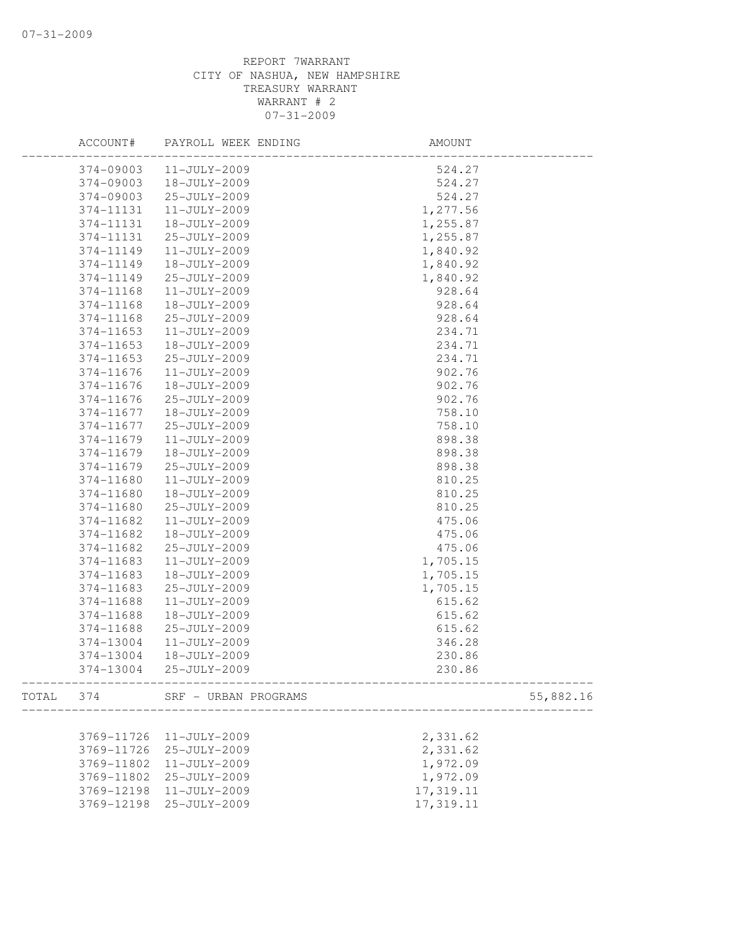|       | ACCOUNT#   | PAYROLL WEEK ENDING  | AMOUNT                           |           |
|-------|------------|----------------------|----------------------------------|-----------|
|       | 374-09003  | 11-JULY-2009         | 524.27                           |           |
|       | 374-09003  | 18-JULY-2009         | 524.27                           |           |
|       | 374-09003  | 25-JULY-2009         | 524.27                           |           |
|       | 374-11131  | $11 - JULY - 2009$   | 1,277.56                         |           |
|       | 374-11131  | 18-JULY-2009         | 1,255.87                         |           |
|       | 374-11131  | 25-JULY-2009         | 1,255.87                         |           |
|       | 374-11149  | 11-JULY-2009         | 1,840.92                         |           |
|       | 374-11149  | 18-JULY-2009         | 1,840.92                         |           |
|       | 374-11149  | 25-JULY-2009         | 1,840.92                         |           |
|       | 374-11168  | 11-JULY-2009         | 928.64                           |           |
|       | 374-11168  | 18-JULY-2009         | 928.64                           |           |
|       | 374-11168  | 25-JULY-2009         | 928.64                           |           |
|       | 374-11653  | 11-JULY-2009         | 234.71                           |           |
|       | 374-11653  | 18-JULY-2009         | 234.71                           |           |
|       | 374-11653  | 25-JULY-2009         | 234.71                           |           |
|       | 374-11676  | 11-JULY-2009         | 902.76                           |           |
|       | 374-11676  | 18-JULY-2009         | 902.76                           |           |
|       | 374-11676  | 25-JULY-2009         | 902.76                           |           |
|       | 374-11677  | 18-JULY-2009         | 758.10                           |           |
|       | 374-11677  | 25-JULY-2009         | 758.10                           |           |
|       | 374-11679  | 11-JULY-2009         | 898.38                           |           |
|       | 374-11679  | 18-JULY-2009         | 898.38                           |           |
|       | 374-11679  | 25-JULY-2009         | 898.38                           |           |
|       | 374-11680  | 11-JULY-2009         | 810.25                           |           |
|       | 374-11680  | 18-JULY-2009         | 810.25                           |           |
|       | 374-11680  | 25-JULY-2009         | 810.25                           |           |
|       | 374-11682  |                      |                                  |           |
|       | 374-11682  | 11-JULY-2009         | 475.06                           |           |
|       |            | 18-JULY-2009         | 475.06                           |           |
|       | 374-11682  | 25-JULY-2009         | 475.06                           |           |
|       | 374-11683  | 11-JULY-2009         | 1,705.15                         |           |
|       | 374-11683  | 18-JULY-2009         | 1,705.15                         |           |
|       | 374-11683  | 25-JULY-2009         | 1,705.15                         |           |
|       | 374-11688  | 11-JULY-2009         | 615.62                           |           |
|       | 374-11688  | 18-JULY-2009         | 615.62                           |           |
|       | 374-11688  | 25-JULY-2009         | 615.62                           |           |
|       | 374-13004  | 11-JULY-2009         | 346.28                           |           |
|       | 374-13004  | 18-JULY-2009         | 230.86                           |           |
|       | 374-13004  | $25 - JULY - 2009$   | 230.86                           |           |
| TOTAL | 374        | SRF - URBAN PROGRAMS | ________________________________ | 55,882.16 |
|       |            |                      |                                  |           |
|       | 3769-11726 | 11-JULY-2009         | 2,331.62                         |           |
|       | 3769-11726 | 25-JULY-2009         | 2,331.62                         |           |
|       | 3769-11802 | 11-JULY-2009         | 1,972.09                         |           |
|       | 3769-11802 | 25-JULY-2009         | 1,972.09                         |           |
|       | 3769-12198 | 11-JULY-2009         | 17,319.11                        |           |
|       | 3769-12198 | 25-JULY-2009         | 17,319.11                        |           |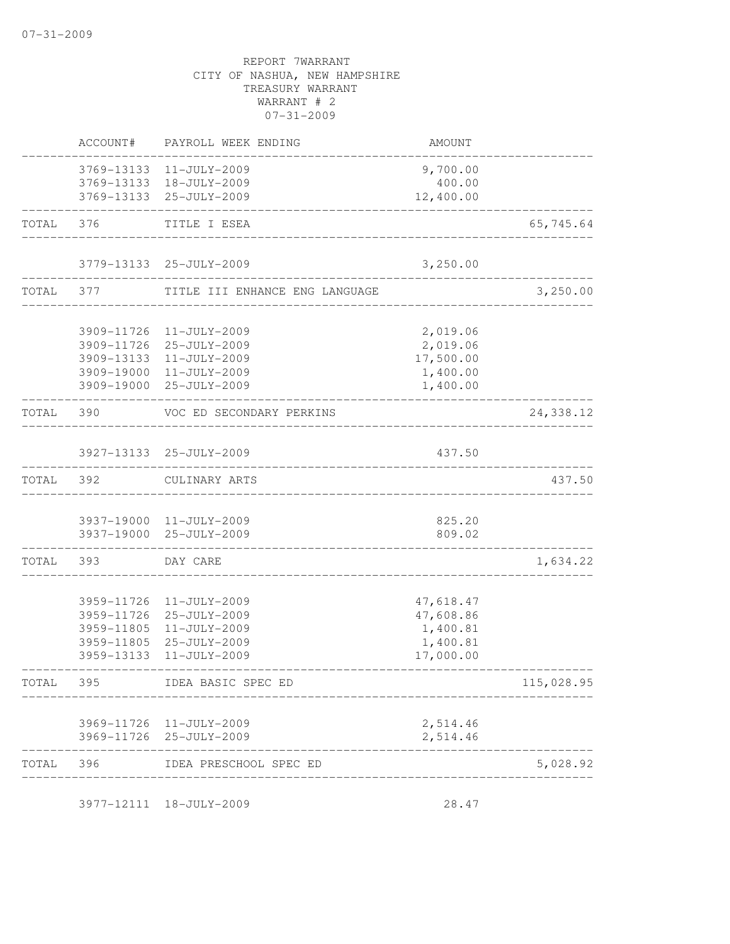|           |                                                                    | 3977-12111 18-JULY-2009                                                      | 28.47                                                       |            |
|-----------|--------------------------------------------------------------------|------------------------------------------------------------------------------|-------------------------------------------------------------|------------|
| TOTAL 396 |                                                                    | IDEA PRESCHOOL SPEC ED                                                       |                                                             | 5,028.92   |
|           |                                                                    | 3969-11726 11-JULY-2009<br>3969-11726 25-JULY-2009                           | 2,514.46<br>2,514.46                                        |            |
| TOTAL     | 395                                                                | IDEA BASIC SPEC ED                                                           |                                                             | 115,028.95 |
|           | 3959-11726<br>3959-11726<br>3959-11805<br>3959-11805<br>3959-13133 | 11-JULY-2009<br>25-JULY-2009<br>11-JULY-2009<br>25-JULY-2009<br>11-JULY-2009 | 47,618.47<br>47,608.86<br>1,400.81<br>1,400.81<br>17,000.00 |            |
| TOTAL     | 393                                                                | DAY CARE                                                                     |                                                             | 1,634.22   |
|           |                                                                    | 3937-19000 11-JULY-2009<br>3937-19000 25-JULY-2009                           | 825.20<br>809.02                                            |            |
| TOTAL     | 392                                                                | CULINARY ARTS                                                                |                                                             | 437.50     |
|           |                                                                    | 3927-13133 25-JULY-2009                                                      | 437.50                                                      |            |
| TOTAL     | 390                                                                | VOC ED SECONDARY PERKINS                                                     |                                                             | 24,338.12  |
|           |                                                                    | 3909-19000 11-JULY-2009<br>3909-19000 25-JULY-2009                           | 1,400.00<br>1,400.00                                        |            |
|           | 3909-11726<br>3909-11726<br>3909-13133                             | 11-JULY-2009<br>25-JULY-2009<br>11-JULY-2009                                 | 2,019.06<br>2,019.06<br>17,500.00                           |            |
| TOTAL     | 377                                                                | TITLE III ENHANCE ENG LANGUAGE                                               |                                                             | 3,250.00   |
|           |                                                                    | 3779-13133 25-JULY-2009                                                      | 3,250.00                                                    |            |
| TOTAL     | 376                                                                | TITLE I ESEA                                                                 |                                                             | 65,745.64  |
|           |                                                                    | 3769-13133 18-JULY-2009<br>3769-13133 25-JULY-2009                           | 400.00<br>12,400.00                                         |            |
|           |                                                                    | 3769-13133 11-JULY-2009                                                      | 9,700.00                                                    |            |
|           | ACCOUNT#                                                           | PAYROLL WEEK ENDING                                                          | AMOUNT                                                      |            |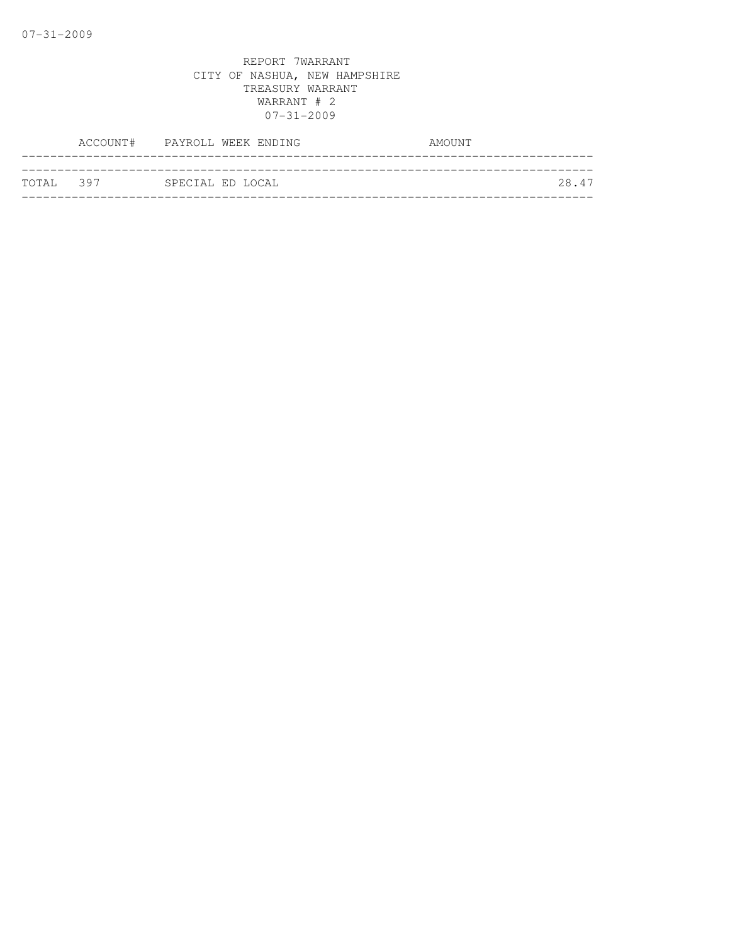|           | ACCOUNT# PAYROLL WEEK ENDING | AMOUNT |
|-----------|------------------------------|--------|
|           |                              |        |
| TOTAL 397 | SPECIAL ED LOCAL             | 28.47  |
|           |                              |        |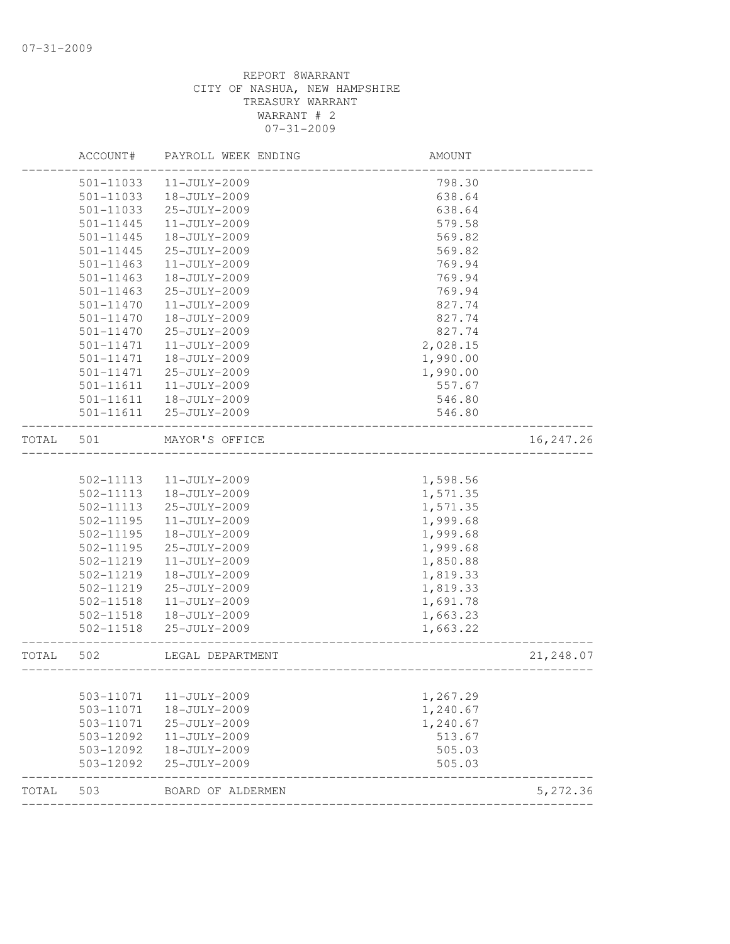|       | ACCOUNT#      | PAYROLL WEEK ENDING | AMOUNT   |            |
|-------|---------------|---------------------|----------|------------|
|       | 501-11033     | 11-JULY-2009        | 798.30   |            |
|       | $501 - 11033$ | 18-JULY-2009        | 638.64   |            |
|       | 501-11033     | 25-JULY-2009        | 638.64   |            |
|       | 501-11445     | 11-JULY-2009        | 579.58   |            |
|       | $501 - 11445$ | 18-JULY-2009        | 569.82   |            |
|       | 501-11445     | 25-JULY-2009        | 569.82   |            |
|       | 501-11463     | 11-JULY-2009        | 769.94   |            |
|       | $501 - 11463$ | 18-JULY-2009        | 769.94   |            |
|       | $501 - 11463$ | 25-JULY-2009        | 769.94   |            |
|       | 501-11470     | 11-JULY-2009        | 827.74   |            |
|       | 501-11470     | 18-JULY-2009        | 827.74   |            |
|       | 501-11470     | 25-JULY-2009        | 827.74   |            |
|       | 501-11471     | 11-JULY-2009        | 2,028.15 |            |
|       | 501-11471     | 18-JULY-2009        | 1,990.00 |            |
|       | 501-11471     | 25-JULY-2009        | 1,990.00 |            |
|       | 501-11611     | 11-JULY-2009        | 557.67   |            |
|       | 501-11611     | 18-JULY-2009        | 546.80   |            |
|       | 501-11611     | 25-JULY-2009        | 546.80   |            |
| TOTAL | 501           | MAYOR'S OFFICE      |          | 16, 247.26 |
|       |               |                     |          |            |
|       | 502-11113     | 11-JULY-2009        | 1,598.56 |            |
|       | 502-11113     | $18 - JULY - 2009$  | 1,571.35 |            |
|       | 502-11113     | 25-JULY-2009        | 1,571.35 |            |
|       | 502-11195     | 11-JULY-2009        | 1,999.68 |            |
|       | 502-11195     | 18-JULY-2009        | 1,999.68 |            |
|       | 502-11195     | 25-JULY-2009        | 1,999.68 |            |
|       | 502-11219     | 11-JULY-2009        | 1,850.88 |            |
|       | 502-11219     | 18-JULY-2009        | 1,819.33 |            |
|       | 502-11219     | 25-JULY-2009        | 1,819.33 |            |
|       | 502-11518     | 11-JULY-2009        | 1,691.78 |            |
|       | 502-11518     | 18-JULY-2009        | 1,663.23 |            |
|       | 502-11518     | 25-JULY-2009        | 1,663.22 |            |
| TOTAL | 502           | LEGAL DEPARTMENT    |          | 21,248.07  |
|       | 503-11071     | 11-JULY-2009        | 1,267.29 |            |
|       | 503-11071     | 18-JULY-2009        | 1,240.67 |            |
|       | 503-11071     | 25-JULY-2009        | 1,240.67 |            |
|       | 503-12092     | 11-JULY-2009        | 513.67   |            |
|       | 503-12092     | 18-JULY-2009        | 505.03   |            |
|       | 503-12092     | 25-JULY-2009        | 505.03   |            |
| TOTAL | 503           | BOARD OF ALDERMEN   |          | 5,272.36   |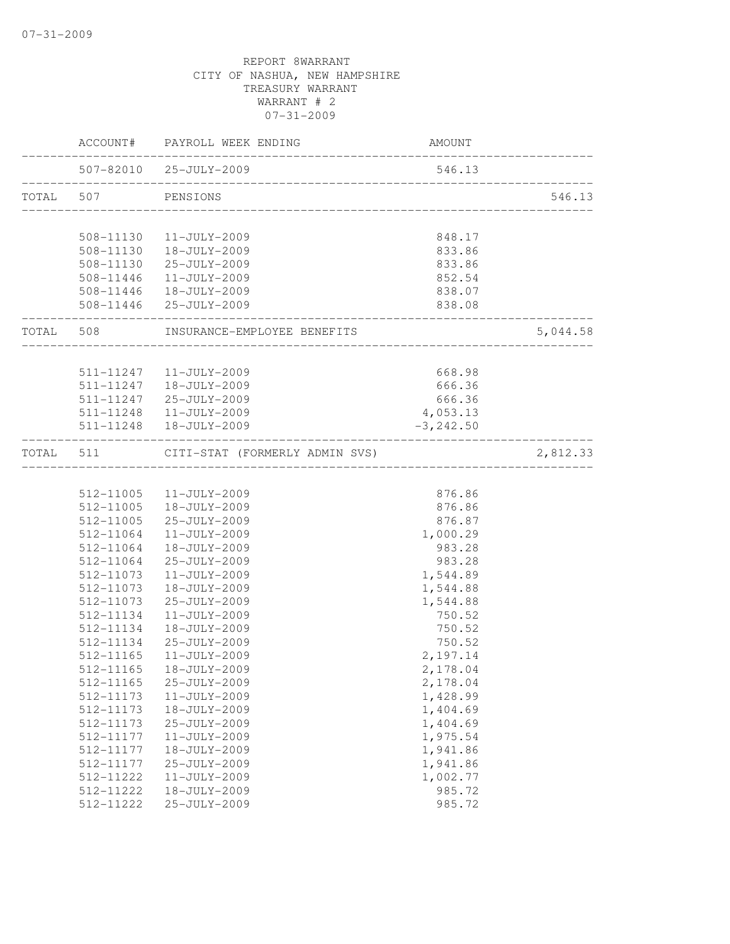|           |               | ACCOUNT# PAYROLL WEEK ENDING                           | AMOUNT                     |          |
|-----------|---------------|--------------------------------------------------------|----------------------------|----------|
|           |               | 507-82010 25-JULY-2009<br>____________________________ | 546.13                     |          |
| TOTAL 507 |               | PENSIONS                                               |                            | 546.13   |
|           |               | 508-11130  11-JULY-2009                                | 848.17                     |          |
|           |               | 508-11130  18-JULY-2009                                | 833.86                     |          |
|           |               | 508-11130 25-JULY-2009                                 | 833.86                     |          |
|           |               | 508-11446 11-JULY-2009                                 | 852.54                     |          |
|           |               | 508-11446  18-JULY-2009                                | 838.07                     |          |
|           | _____________ | 508-11446 25-JULY-2009                                 | 838.08<br>________________ |          |
|           |               | TOTAL 508 INSURANCE-EMPLOYEE BENEFITS                  |                            | 5,044.58 |
|           |               |                                                        |                            |          |
|           |               | 511-11247   11-JULY-2009<br>511-11247  18-JULY-2009    | 668.98<br>666.36           |          |
|           |               | 511-11247 25-JULY-2009                                 | 666.36                     |          |
|           |               | 511-11248  11-JULY-2009                                | 4,053.13                   |          |
|           |               | 511-11248  18-JULY-2009                                | $-3, 242.50$               |          |
| TOTAL 511 |               | CITI-STAT (FORMERLY ADMIN SVS)                         |                            | 2,812.33 |
|           |               |                                                        |                            |          |
|           |               | 512-11005  11-JULY-2009                                | 876.86                     |          |
|           | 512-11005     | 18-JULY-2009                                           | 876.86                     |          |
|           | 512-11005     | 25-JULY-2009                                           | 876.87                     |          |
|           | 512-11064     | $11 - JULY - 2009$                                     | 1,000.29                   |          |
|           | 512-11064     | 18-JULY-2009                                           | 983.28                     |          |
|           | 512-11064     | 25-JULY-2009                                           | 983.28                     |          |
|           | 512-11073     | $11 - JULY - 2009$                                     | 1,544.89                   |          |
|           | 512-11073     | 18-JULY-2009                                           | 1,544.88                   |          |
|           | 512-11073     | 25-JULY-2009                                           | 1,544.88                   |          |
|           | 512-11134     | 11-JULY-2009                                           | 750.52                     |          |
|           | 512-11134     | 18-JULY-2009                                           | 750.52                     |          |
|           | 512-11134     | $25 - JULY - 2009$                                     | 750.52                     |          |
|           | 512-11165     | 11-JULY-2009                                           | 2,197.14                   |          |
|           | 512-11165     | 18-JULY-2009                                           | 2,178.04                   |          |
|           | 512-11165     | 25-JULY-2009                                           | 2,178.04                   |          |
|           | 512-11173     | 11-JULY-2009                                           | 1,428.99                   |          |
|           | 512-11173     | 18-JULY-2009                                           | 1,404.69                   |          |
|           | 512-11173     | 25-JULY-2009                                           | 1,404.69                   |          |
|           | 512-11177     | 11-JULY-2009                                           | 1,975.54                   |          |
|           | 512-11177     | 18-JULY-2009                                           | 1,941.86                   |          |
|           | 512-11177     | 25-JULY-2009                                           | 1,941.86                   |          |
|           | 512-11222     | 11-JULY-2009                                           | 1,002.77                   |          |
|           | 512-11222     | 18-JULY-2009                                           | 985.72                     |          |
|           | 512-11222     | 25-JULY-2009                                           | 985.72                     |          |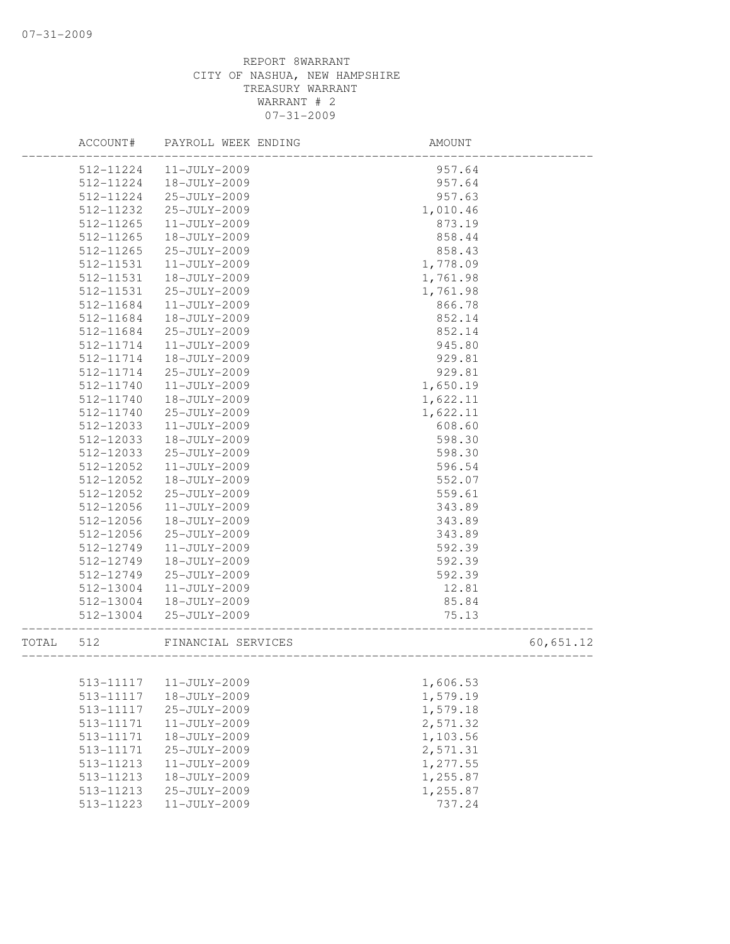|       | ACCOUNT#  | PAYROLL WEEK ENDING | <b>AMOUNT</b>                        |           |
|-------|-----------|---------------------|--------------------------------------|-----------|
|       | 512-11224 | 11-JULY-2009        | 957.64                               |           |
|       | 512-11224 | 18-JULY-2009        | 957.64                               |           |
|       | 512-11224 | 25-JULY-2009        | 957.63                               |           |
|       | 512-11232 | 25-JULY-2009        | 1,010.46                             |           |
|       | 512-11265 | 11-JULY-2009        | 873.19                               |           |
|       | 512-11265 | 18-JULY-2009        | 858.44                               |           |
|       | 512-11265 | 25-JULY-2009        | 858.43                               |           |
|       | 512-11531 | 11-JULY-2009        | 1,778.09                             |           |
|       | 512-11531 | 18-JULY-2009        | 1,761.98                             |           |
|       | 512-11531 | 25-JULY-2009        | 1,761.98                             |           |
|       | 512-11684 | 11-JULY-2009        | 866.78                               |           |
|       | 512-11684 | 18-JULY-2009        | 852.14                               |           |
|       | 512-11684 | 25-JULY-2009        | 852.14                               |           |
|       | 512-11714 | 11-JULY-2009        | 945.80                               |           |
|       | 512-11714 | 18-JULY-2009        | 929.81                               |           |
|       | 512-11714 | 25-JULY-2009        | 929.81                               |           |
|       | 512-11740 | 11-JULY-2009        | 1,650.19                             |           |
|       | 512-11740 | 18-JULY-2009        | 1,622.11                             |           |
|       | 512-11740 | 25-JULY-2009        | 1,622.11                             |           |
|       | 512-12033 | 11-JULY-2009        | 608.60                               |           |
|       | 512-12033 | 18-JULY-2009        | 598.30                               |           |
|       | 512-12033 | 25-JULY-2009        | 598.30                               |           |
|       | 512-12052 | 11-JULY-2009        | 596.54                               |           |
|       | 512-12052 | 18-JULY-2009        | 552.07                               |           |
|       | 512-12052 | 25-JULY-2009        | 559.61                               |           |
|       | 512-12056 | 11-JULY-2009        | 343.89                               |           |
|       | 512-12056 | 18-JULY-2009        | 343.89                               |           |
|       | 512-12056 | 25-JULY-2009        | 343.89                               |           |
|       | 512-12749 | 11-JULY-2009        | 592.39                               |           |
|       | 512-12749 | 18-JULY-2009        | 592.39                               |           |
|       | 512-12749 | 25-JULY-2009        | 592.39                               |           |
|       | 512-13004 | 11-JULY-2009        | 12.81                                |           |
|       | 512-13004 | 18-JULY-2009        | 85.84                                |           |
|       | 512-13004 | 25-JULY-2009        | 75.13<br>___________________________ |           |
| TOTAL | 512       | FINANCIAL SERVICES  | ______________________               | 60,651.12 |
|       |           |                     |                                      |           |
|       | 513-11117 | 11-JULY-2009        | 1,606.53                             |           |
|       | 513-11117 | 18-JULY-2009        | 1,579.19                             |           |
|       | 513-11117 | 25-JULY-2009        | 1,579.18                             |           |
|       | 513-11171 | 11-JULY-2009        | 2,571.32                             |           |
|       | 513-11171 | 18-JULY-2009        | 1,103.56                             |           |
|       | 513-11171 | 25-JULY-2009        | 2,571.31                             |           |
|       | 513-11213 | 11-JULY-2009        | 1,277.55                             |           |
|       | 513-11213 | 18-JULY-2009        | 1,255.87                             |           |
|       | 513-11213 | 25-JULY-2009        | 1,255.87                             |           |
|       | 513-11223 | $11 - JULY - 2009$  | 737.24                               |           |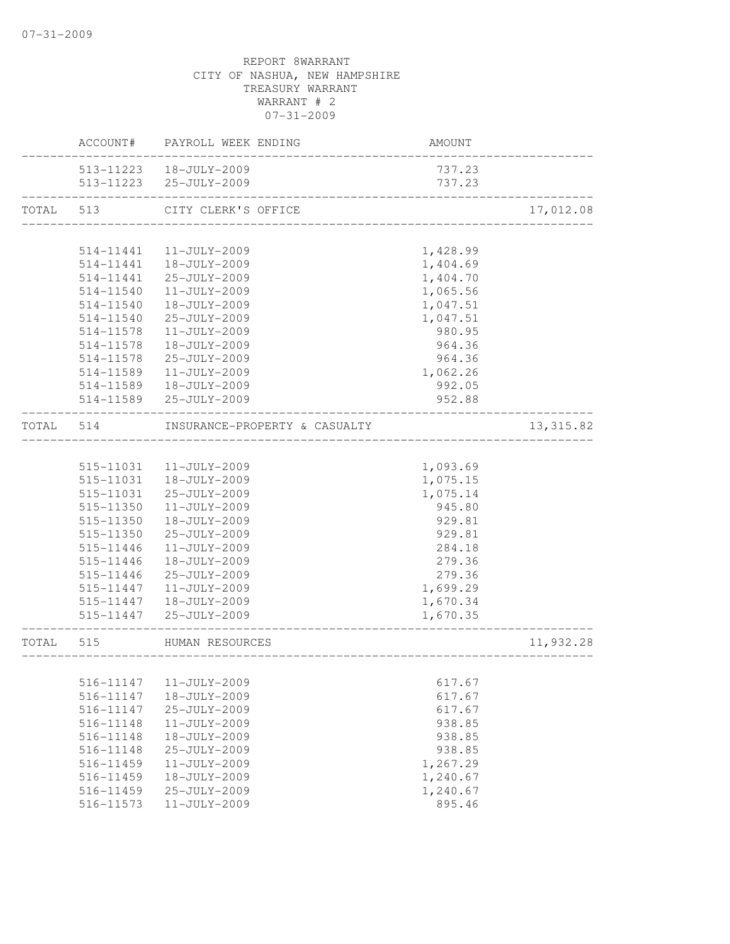|       | ACCOUNT#  | PAYROLL WEEK ENDING           | <b>AMOUNT</b> |            |
|-------|-----------|-------------------------------|---------------|------------|
|       |           | 513-11223  18-JULY-2009       | 737.23        |            |
|       |           | 513-11223 25-JULY-2009        | 737.23        |            |
| TOTAL | 513       | CITY CLERK'S OFFICE           |               | 17,012.08  |
|       |           |                               |               |            |
|       | 514-11441 | $11 - JULY - 2009$            | 1,428.99      |            |
|       | 514-11441 | 18-JULY-2009                  | 1,404.69      |            |
|       | 514-11441 | 25-JULY-2009                  | 1,404.70      |            |
|       | 514-11540 | 11-JULY-2009                  | 1,065.56      |            |
|       | 514-11540 | 18-JULY-2009                  | 1,047.51      |            |
|       | 514-11540 | 25-JULY-2009                  | 1,047.51      |            |
|       | 514-11578 | $11 - JULY - 2009$            | 980.95        |            |
|       | 514-11578 | 18-JULY-2009                  | 964.36        |            |
|       | 514-11578 | 25-JULY-2009                  | 964.36        |            |
|       | 514-11589 | 11-JULY-2009                  | 1,062.26      |            |
|       | 514-11589 | 18-JULY-2009                  | 992.05        |            |
|       | 514-11589 | 25-JULY-2009                  | 952.88        |            |
| TOTAL | 514       | INSURANCE-PROPERTY & CASUALTY |               | 13, 315.82 |
|       |           |                               |               |            |
|       | 515-11031 | 11-JULY-2009                  | 1,093.69      |            |
|       | 515-11031 | 18-JULY-2009                  | 1,075.15      |            |
|       | 515-11031 | 25-JULY-2009                  | 1,075.14      |            |
|       | 515-11350 | 11-JULY-2009                  | 945.80        |            |
|       | 515-11350 | 18-JULY-2009                  | 929.81        |            |
|       | 515-11350 | 25-JULY-2009                  | 929.81        |            |
|       | 515-11446 | 11-JULY-2009                  | 284.18        |            |
|       | 515-11446 | 18-JULY-2009                  | 279.36        |            |
|       | 515-11446 | 25-JULY-2009                  | 279.36        |            |
|       | 515-11447 | 11-JULY-2009                  | 1,699.29      |            |
|       | 515-11447 | 18-JULY-2009                  | 1,670.34      |            |
|       | 515-11447 | 25-JULY-2009                  | 1,670.35      |            |
| TOTAL | 515       | HUMAN RESOURCES               |               | 11,932.28  |
|       |           |                               |               |            |
|       | 516-11147 | $11 - JULY - 2009$            | 617.67        |            |
|       | 516-11147 | 18-JULY-2009                  | 617.67        |            |
|       | 516-11147 | 25-JULY-2009                  | 617.67        |            |
|       | 516-11148 | 11-JULY-2009                  | 938.85        |            |
|       | 516-11148 | 18-JULY-2009                  | 938.85        |            |
|       | 516-11148 | 25-JULY-2009                  | 938.85        |            |
|       | 516-11459 | 11-JULY-2009                  | 1,267.29      |            |
|       | 516-11459 | 18-JULY-2009                  | 1,240.67      |            |
|       | 516-11459 | 25-JULY-2009                  | 1,240.67      |            |
|       | 516-11573 | 11-JULY-2009                  | 895.46        |            |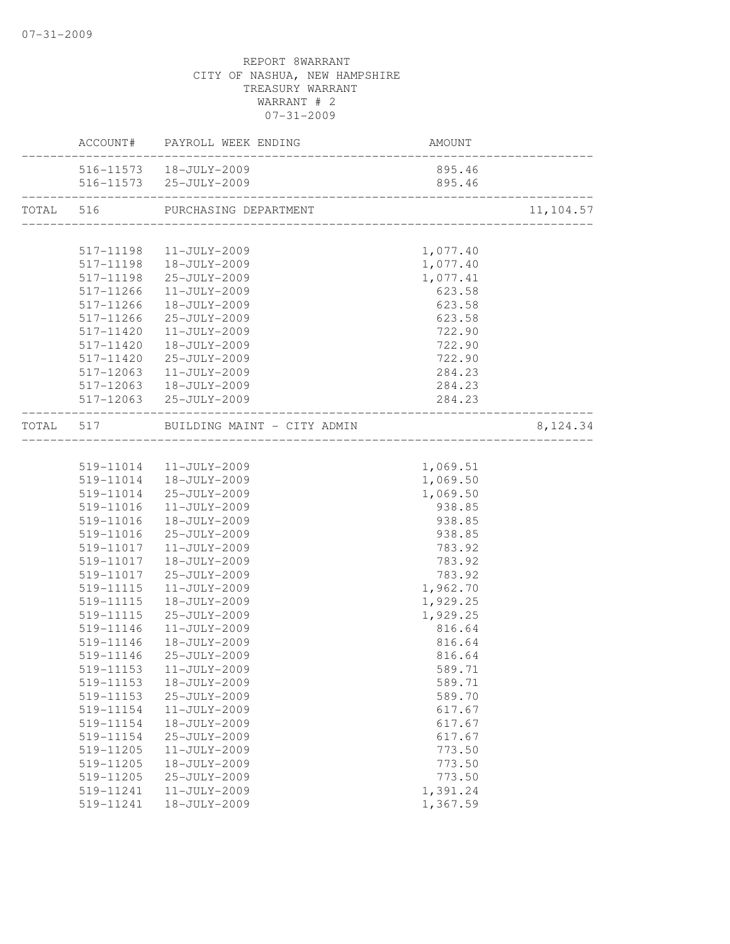|           |               | ACCOUNT# PAYROLL WEEK ENDING          | AMOUNT   |           |
|-----------|---------------|---------------------------------------|----------|-----------|
|           |               | 516-11573  18-JULY-2009               | 895.46   |           |
|           |               | 516-11573 25-JULY-2009                | 895.46   |           |
| TOTAL 516 |               | PURCHASING DEPARTMENT                 |          | 11,104.57 |
|           |               |                                       |          |           |
|           | 517-11198     | 11-JULY-2009                          | 1,077.40 |           |
|           |               | 517-11198  18-JULY-2009               | 1,077.40 |           |
|           |               | 517-11198 25-JULY-2009                | 1,077.41 |           |
|           | $517 - 11266$ | 11-JULY-2009                          | 623.58   |           |
|           | 517-11266     | 18-JULY-2009                          | 623.58   |           |
|           | 517-11266     | 25-JULY-2009                          | 623.58   |           |
|           | 517-11420     | 11-JULY-2009                          | 722.90   |           |
|           | 517-11420     | 18-JULY-2009                          | 722.90   |           |
|           | 517-11420     | 25-JULY-2009                          | 722.90   |           |
|           | 517-12063     | 11-JULY-2009                          | 284.23   |           |
|           |               | 517-12063  18-JULY-2009               | 284.23   |           |
|           |               | 517-12063 25-JULY-2009                | 284.23   |           |
|           |               | TOTAL 517 BUILDING MAINT - CITY ADMIN |          | 8,124.34  |
|           |               |                                       |          |           |
|           |               | 519-11014  11-JULY-2009               | 1,069.51 |           |
|           |               | 519-11014  18-JULY-2009               | 1,069.50 |           |
|           | 519-11014     | 25-JULY-2009                          | 1,069.50 |           |
|           | 519-11016     | 11-JULY-2009                          | 938.85   |           |
|           | 519-11016     | 18-JULY-2009                          | 938.85   |           |
|           | 519-11016     | 25-JULY-2009                          | 938.85   |           |
|           | 519-11017     | 11-JULY-2009                          | 783.92   |           |
|           | 519-11017     | 18-JULY-2009                          | 783.92   |           |
|           | 519-11017     | 25-JULY-2009                          | 783.92   |           |
|           | 519-11115     | $11 - JULY - 2009$                    | 1,962.70 |           |
|           | 519-11115     | 18-JULY-2009                          | 1,929.25 |           |
|           | 519-11115     | 25-JULY-2009                          | 1,929.25 |           |
|           | 519-11146     | $11 - JULY - 2009$                    | 816.64   |           |
|           | 519-11146     | 18-JULY-2009                          | 816.64   |           |
|           | 519-11146     | 25-JULY-2009                          | 816.64   |           |
|           |               | 519-11153  11-JULY-2009               | 589.71   |           |
|           | 519-11153     | 18-JULY-2009                          | 589.71   |           |
|           | 519-11153     | 25-JULY-2009                          | 589.70   |           |
|           | 519-11154     | 11-JULY-2009                          | 617.67   |           |
|           | 519-11154     | 18-JULY-2009                          | 617.67   |           |
|           | 519-11154     | 25-JULY-2009                          | 617.67   |           |
|           | 519-11205     | 11-JULY-2009                          | 773.50   |           |
|           | 519-11205     | 18-JULY-2009                          | 773.50   |           |
|           | 519-11205     | 25-JULY-2009                          | 773.50   |           |
|           | 519-11241     | 11-JULY-2009                          | 1,391.24 |           |
|           |               | 18-JULY-2009                          |          |           |
|           | 519-11241     |                                       | 1,367.59 |           |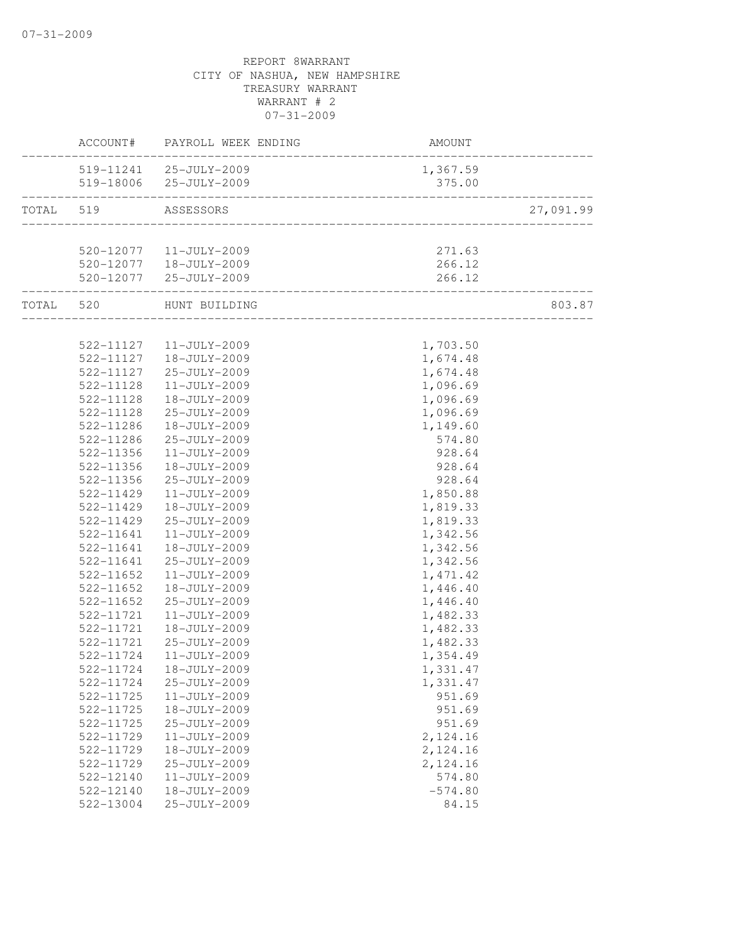|           | ACCOUNT#  | PAYROLL WEEK ENDING      | <b>AMOUNT</b>                          |           |
|-----------|-----------|--------------------------|----------------------------------------|-----------|
|           |           | 519-11241 25-JULY-2009   | 1,367.59                               |           |
|           |           | 519-18006 25-JULY-2009   | 375.00                                 |           |
| TOTAL 519 |           | ASSESSORS                |                                        | 27,091.99 |
|           |           |                          |                                        |           |
|           |           | 520-12077   11-JULY-2009 | 271.63                                 |           |
|           |           | 520-12077   18-JULY-2009 | 266.12                                 |           |
|           |           | 520-12077 25-JULY-2009   | 266.12<br>____________________________ |           |
| TOTAL 520 |           | HUNT BUILDING            |                                        | 803.87    |
|           |           |                          |                                        |           |
|           |           | 522-11127   11-JULY-2009 | 1,703.50                               |           |
|           | 522-11127 | 18-JULY-2009             | 1,674.48                               |           |
|           | 522-11127 | 25-JULY-2009             | 1,674.48                               |           |
|           | 522-11128 | $11 - JULY - 2009$       | 1,096.69                               |           |
|           | 522-11128 | 18-JULY-2009             | 1,096.69                               |           |
|           | 522-11128 | 25-JULY-2009             | 1,096.69                               |           |
|           | 522-11286 | 18-JULY-2009             | 1,149.60                               |           |
|           | 522-11286 | 25-JULY-2009             | 574.80                                 |           |
|           | 522-11356 | 11-JULY-2009             | 928.64                                 |           |
|           | 522-11356 | 18-JULY-2009             | 928.64                                 |           |
|           | 522-11356 | 25-JULY-2009             | 928.64                                 |           |
|           | 522-11429 | $11 - JULY - 2009$       | 1,850.88                               |           |
|           | 522-11429 | 18-JULY-2009             | 1,819.33                               |           |
|           | 522-11429 | 25-JULY-2009             | 1,819.33                               |           |
|           | 522-11641 | $11 - JULY - 2009$       | 1,342.56                               |           |
|           | 522-11641 | 18-JULY-2009             | 1,342.56                               |           |
|           | 522-11641 | 25-JULY-2009             | 1,342.56                               |           |
|           | 522-11652 | 11-JULY-2009             | 1, 471.42                              |           |
|           | 522-11652 | 18-JULY-2009             | 1,446.40                               |           |
|           | 522-11652 | 25-JULY-2009             | 1,446.40                               |           |
|           | 522-11721 | $11 - JULY - 2009$       | 1,482.33                               |           |
|           | 522-11721 | 18-JULY-2009             | 1,482.33                               |           |
|           | 522-11721 | 25-JULY-2009             | 1,482.33                               |           |
|           | 522-11724 | $11 - JULY - 2009$       | 1,354.49                               |           |
|           |           | 522-11724  18-JULY-2009  | 1,331.47                               |           |
|           | 522-11724 | 25-JULY-2009             | 1,331.47                               |           |
|           | 522-11725 | 11-JULY-2009             | 951.69                                 |           |
|           | 522-11725 | 18-JULY-2009             | 951.69                                 |           |
|           | 522-11725 | 25-JULY-2009             | 951.69                                 |           |
|           | 522-11729 | 11-JULY-2009             | 2,124.16                               |           |
|           | 522-11729 | 18-JULY-2009             | 2,124.16                               |           |
|           | 522-11729 | 25-JULY-2009             | 2,124.16                               |           |
|           | 522-12140 | 11-JULY-2009             | 574.80                                 |           |
|           | 522-12140 | 18-JULY-2009             | $-574.80$                              |           |
|           | 522-13004 | 25-JULY-2009             | 84.15                                  |           |
|           |           |                          |                                        |           |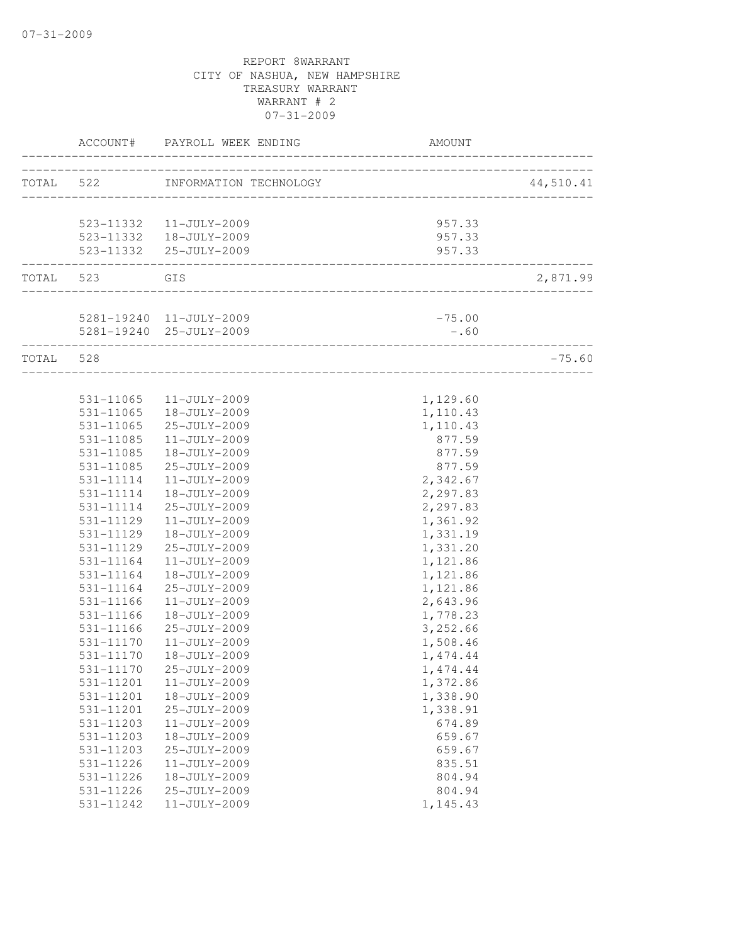|           | ACCOUNT#      | PAYROLL WEEK ENDING<br>-------------------                  | <b>AMOUNT</b>                       |           |
|-----------|---------------|-------------------------------------------------------------|-------------------------------------|-----------|
| TOTAL 522 |               | INFORMATION TECHNOLOGY                                      | ___________________________________ | 44,510.41 |
|           |               |                                                             |                                     |           |
|           |               | 523-11332 11-JULY-2009                                      | 957.33                              |           |
|           |               | 523-11332  18-JULY-2009                                     | 957.33                              |           |
|           |               | 523-11332 25-JULY-2009                                      | 957.33                              |           |
| TOTAL 523 | GIS           |                                                             |                                     | 2,871.99  |
|           |               |                                                             |                                     |           |
|           |               | 5281-19240 11-JULY-2009                                     | $-75.00$                            |           |
|           |               | 5281-19240 25-JULY-2009<br>-------------------------------- | $-0.60$                             |           |
| TOTAL 528 |               |                                                             | _____________________________       | $-75.60$  |
|           |               |                                                             |                                     |           |
|           |               | 531-11065 11-JULY-2009                                      | 1,129.60                            |           |
|           |               | 531-11065  18-JULY-2009                                     | 1,110.43                            |           |
|           |               | 531-11065 25-JULY-2009                                      | 1,110.43                            |           |
|           | 531-11085     | $11 - JULY - 2009$                                          | 877.59                              |           |
|           | 531-11085     | 18-JULY-2009                                                | 877.59                              |           |
|           | 531-11085     | 25-JULY-2009                                                | 877.59                              |           |
|           | 531-11114     | 11-JULY-2009                                                | 2,342.67                            |           |
|           | 531-11114     | 18-JULY-2009                                                | 2,297.83                            |           |
|           | 531-11114     | 25-JULY-2009                                                | 2,297.83                            |           |
|           | 531-11129     | 11-JULY-2009                                                | 1,361.92                            |           |
|           | 531-11129     | 18-JULY-2009                                                | 1,331.19                            |           |
|           | 531-11129     | 25-JULY-2009                                                | 1,331.20                            |           |
|           | 531-11164     | 11-JULY-2009                                                | 1,121.86                            |           |
|           | 531-11164     | 18-JULY-2009                                                | 1,121.86                            |           |
|           | 531-11164     | 25-JULY-2009                                                | 1,121.86                            |           |
|           | 531-11166     | 11-JULY-2009                                                | 2,643.96                            |           |
|           | $531 - 11166$ | 18-JULY-2009                                                | 1,778.23                            |           |
|           | $531 - 11166$ | 25-JULY-2009                                                | 3,252.66                            |           |
|           | 531-11170     | 11-JULY-2009                                                | 1,508.46                            |           |
|           | 531-11170     | 18-JULY-2009                                                | 1, 474.44                           |           |
|           | 531-11170     | 25-JULY-2009                                                | 1,474.44                            |           |
|           | 531-11201     | 11-JULY-2009                                                | 1,372.86                            |           |
|           | 531-11201     | 18-JULY-2009                                                | 1,338.90                            |           |
|           | 531-11201     | 25-JULY-2009                                                | 1,338.91                            |           |
|           | 531-11203     | 11-JULY-2009                                                | 674.89                              |           |
|           | 531-11203     | 18-JULY-2009                                                | 659.67                              |           |
|           | 531-11203     | 25-JULY-2009                                                | 659.67                              |           |
|           | 531-11226     | 11-JULY-2009                                                | 835.51                              |           |
|           | 531-11226     | 18-JULY-2009                                                | 804.94                              |           |
|           | 531-11226     | 25-JULY-2009                                                | 804.94                              |           |
|           | 531-11242     | 11-JULY-2009                                                | 1,145.43                            |           |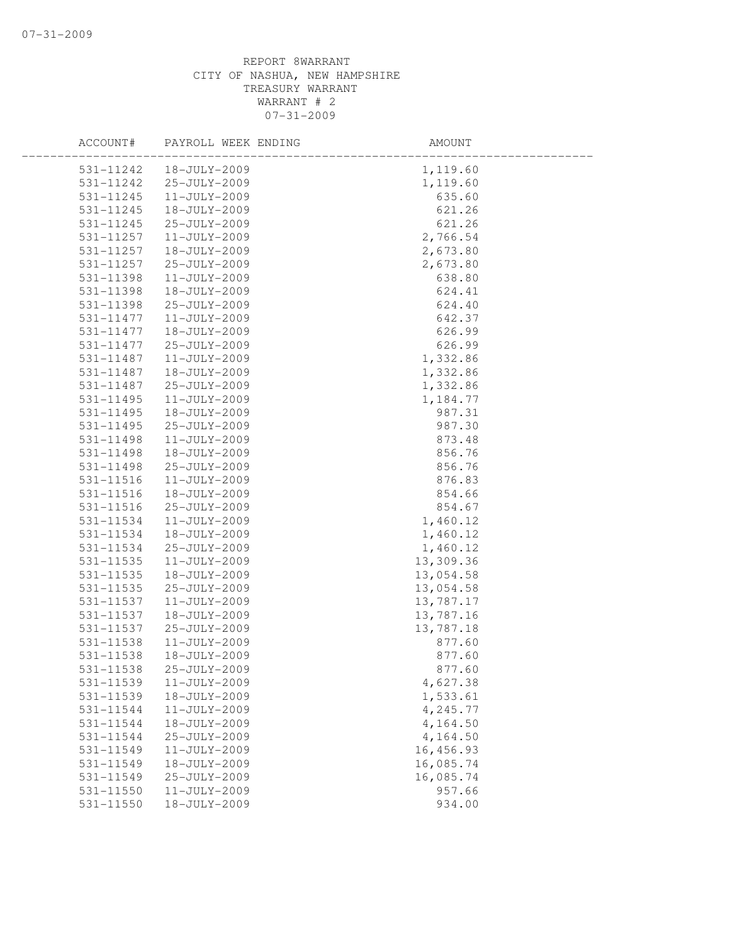| ACCOUNT#      | PAYROLL WEEK ENDING | AMOUNT     |  |
|---------------|---------------------|------------|--|
| 531-11242     | 18-JULY-2009        | 1,119.60   |  |
| 531-11242     | 25-JULY-2009        | 1,119.60   |  |
| 531-11245     | $11 - JULY - 2009$  | 635.60     |  |
| 531-11245     | 18-JULY-2009        | 621.26     |  |
| 531-11245     | 25-JULY-2009        | 621.26     |  |
| 531-11257     | $11 - JULY - 2009$  | 2,766.54   |  |
| 531-11257     | 18-JULY-2009        | 2,673.80   |  |
| 531-11257     | 25-JULY-2009        | 2,673.80   |  |
| 531-11398     | 11-JULY-2009        | 638.80     |  |
| 531-11398     | 18-JULY-2009        | 624.41     |  |
| 531-11398     | 25-JULY-2009        | 624.40     |  |
| 531-11477     | 11-JULY-2009        | 642.37     |  |
| 531-11477     | 18-JULY-2009        | 626.99     |  |
| 531-11477     | 25-JULY-2009        | 626.99     |  |
| 531-11487     | 11-JULY-2009        | 1,332.86   |  |
| 531-11487     | 18-JULY-2009        | 1,332.86   |  |
| 531-11487     | 25-JULY-2009        | 1,332.86   |  |
| 531-11495     | 11-JULY-2009        | 1,184.77   |  |
| $531 - 11495$ | 18-JULY-2009        | 987.31     |  |
| 531-11495     | 25-JULY-2009        | 987.30     |  |
| 531-11498     | $11 - JULY - 2009$  | 873.48     |  |
| 531-11498     | 18-JULY-2009        | 856.76     |  |
| 531-11498     | 25-JULY-2009        | 856.76     |  |
| 531-11516     | $11 - JULY - 2009$  | 876.83     |  |
| 531-11516     | 18-JULY-2009        | 854.66     |  |
| $531 - 11516$ | 25-JULY-2009        | 854.67     |  |
| 531-11534     | $11 - JULY - 2009$  | 1,460.12   |  |
| 531-11534     | 18-JULY-2009        | 1,460.12   |  |
| 531-11534     | 25-JULY-2009        | 1,460.12   |  |
| 531-11535     | $11 - JULY - 2009$  | 13,309.36  |  |
| 531-11535     | 18-JULY-2009        | 13,054.58  |  |
| 531-11535     | 25-JULY-2009        | 13,054.58  |  |
| 531-11537     | 11-JULY-2009        | 13,787.17  |  |
| 531-11537     | 18-JULY-2009        | 13,787.16  |  |
| 531-11537     | 25-JULY-2009        | 13,787.18  |  |
| 531-11538     | $11 - JULY - 2009$  | 877.60     |  |
| 531-11538     | 18-JULY-2009        | 877.60     |  |
| 531-11538     | 25-JULY-2009        | 877.60     |  |
| 531-11539     | 11-JULY-2009        | 4,627.38   |  |
| 531-11539     | 18-JULY-2009        | 1,533.61   |  |
| 531-11544     | 11-JULY-2009        | 4,245.77   |  |
| 531-11544     | 18-JULY-2009        | 4,164.50   |  |
| 531-11544     | 25-JULY-2009        | 4,164.50   |  |
| 531-11549     | $11 - JULY - 2009$  | 16, 456.93 |  |
| 531-11549     | 18-JULY-2009        | 16,085.74  |  |
| 531-11549     | 25-JULY-2009        | 16,085.74  |  |
| 531-11550     | $11 - JULY - 2009$  | 957.66     |  |
| 531-11550     | 18-JULY-2009        | 934.00     |  |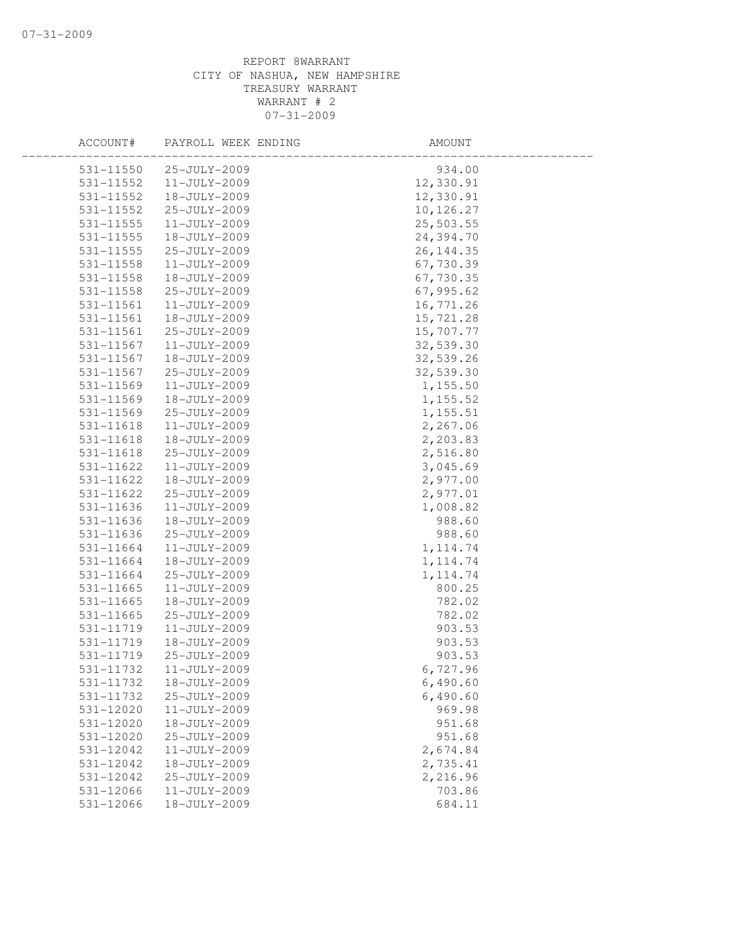| ACCOUNT#      | PAYROLL WEEK ENDING | AMOUNT     |  |
|---------------|---------------------|------------|--|
| 531-11550     | 25-JULY-2009        | 934.00     |  |
| 531-11552     | $11 - JULY - 2009$  | 12,330.91  |  |
| 531-11552     | 18-JULY-2009        | 12,330.91  |  |
| 531-11552     | 25-JULY-2009        | 10,126.27  |  |
| 531-11555     | 11-JULY-2009        | 25,503.55  |  |
| 531-11555     | 18-JULY-2009        | 24,394.70  |  |
| 531-11555     | 25-JULY-2009        | 26, 144.35 |  |
| 531-11558     | 11-JULY-2009        | 67,730.39  |  |
| 531-11558     | 18-JULY-2009        | 67,730.35  |  |
| 531-11558     | 25-JULY-2009        | 67,995.62  |  |
| 531-11561     | 11-JULY-2009        | 16,771.26  |  |
| 531-11561     | 18-JULY-2009        | 15,721.28  |  |
| 531-11561     | 25-JULY-2009        | 15,707.77  |  |
| 531-11567     | 11-JULY-2009        | 32,539.30  |  |
| 531-11567     | 18-JULY-2009        | 32,539.26  |  |
| 531-11567     | 25-JULY-2009        | 32,539.30  |  |
| 531-11569     | 11-JULY-2009        | 1,155.50   |  |
| 531-11569     | 18-JULY-2009        | 1,155.52   |  |
| 531-11569     | 25-JULY-2009        | 1,155.51   |  |
| 531-11618     | $11 - JULY - 2009$  | 2,267.06   |  |
| 531-11618     | 18-JULY-2009        | 2,203.83   |  |
| 531-11618     | 25-JULY-2009        | 2,516.80   |  |
| 531-11622     | 11-JULY-2009        | 3,045.69   |  |
| 531-11622     | 18-JULY-2009        | 2,977.00   |  |
| 531-11622     | 25-JULY-2009        | 2,977.01   |  |
| 531-11636     | 11-JULY-2009        | 1,008.82   |  |
| 531-11636     | 18-JULY-2009        | 988.60     |  |
| 531-11636     | 25-JULY-2009        | 988.60     |  |
| 531-11664     | $11 - JULY - 2009$  | 1, 114.74  |  |
| 531-11664     | 18-JULY-2009        | 1, 114.74  |  |
| 531-11664     | 25-JULY-2009        | 1, 114.74  |  |
| $531 - 11665$ | 11-JULY-2009        | 800.25     |  |
| 531-11665     | 18-JULY-2009        | 782.02     |  |
| 531-11665     | 25-JULY-2009        | 782.02     |  |
| 531-11719     | 11-JULY-2009        | 903.53     |  |
| 531-11719     | 18-JULY-2009        | 903.53     |  |
| 531-11719     | 25-JULY-2009        | 903.53     |  |
| 531-11732     | $11 - JULY - 2009$  | 6,727.96   |  |
| 531-11732     | 18-JULY-2009        | 6,490.60   |  |
| 531-11732     | 25-JULY-2009        | 6,490.60   |  |
| 531-12020     | $11 - JULY - 2009$  | 969.98     |  |
| 531-12020     | 18-JULY-2009        | 951.68     |  |
| 531-12020     | 25-JULY-2009        | 951.68     |  |
| 531-12042     | 11-JULY-2009        | 2,674.84   |  |
| 531-12042     | 18-JULY-2009        | 2,735.41   |  |
| 531-12042     | 25-JULY-2009        | 2,216.96   |  |
| 531-12066     | 11-JULY-2009        | 703.86     |  |
| 531-12066     | 18-JULY-2009        | 684.11     |  |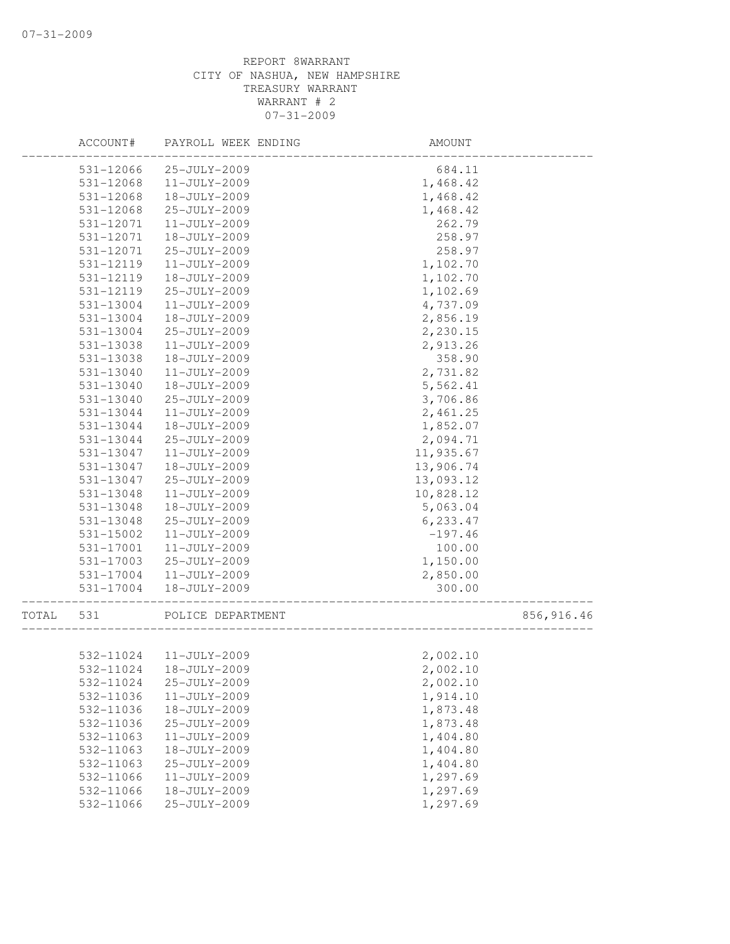|       | ACCOUNT#               | PAYROLL WEEK ENDING          | AMOUNT               |            |
|-------|------------------------|------------------------------|----------------------|------------|
|       | 531-12066              | 25-JULY-2009                 | 684.11               |            |
|       | 531-12068              | 11-JULY-2009                 | 1,468.42             |            |
|       | 531-12068              | 18-JULY-2009                 | 1,468.42             |            |
|       | 531-12068              | 25-JULY-2009                 | 1,468.42             |            |
|       | 531-12071              | 11-JULY-2009                 | 262.79               |            |
|       | 531-12071              | 18-JULY-2009                 | 258.97               |            |
|       | 531-12071              | 25-JULY-2009                 | 258.97               |            |
|       | 531-12119              | 11-JULY-2009                 | 1,102.70             |            |
|       | 531-12119              | 18-JULY-2009                 | 1,102.70             |            |
|       | 531-12119              | 25-JULY-2009                 | 1,102.69             |            |
|       | 531-13004              | 11-JULY-2009                 | 4,737.09             |            |
|       | 531-13004              | 18-JULY-2009                 | 2,856.19             |            |
|       | 531-13004              | 25-JULY-2009                 | 2,230.15             |            |
|       | 531-13038              | $11 - JULY - 2009$           | 2,913.26             |            |
|       | 531-13038              | 18-JULY-2009                 | 358.90               |            |
|       | 531-13040              | 11-JULY-2009                 | 2,731.82             |            |
|       | 531-13040              | 18-JULY-2009                 | 5,562.41             |            |
|       | 531-13040              | 25-JULY-2009                 | 3,706.86             |            |
|       | 531-13044              | 11-JULY-2009                 | 2,461.25             |            |
|       | 531-13044              | 18-JULY-2009                 | 1,852.07             |            |
|       | 531-13044              | 25-JULY-2009                 | 2,094.71             |            |
|       | 531-13047              | 11-JULY-2009                 | 11,935.67            |            |
|       | 531-13047              | 18-JULY-2009                 | 13,906.74            |            |
|       | 531-13047              | 25-JULY-2009                 | 13,093.12            |            |
|       | 531-13048              | 11-JULY-2009                 | 10,828.12            |            |
|       | 531-13048              | 18-JULY-2009                 | 5,063.04             |            |
|       | 531-13048              | 25-JULY-2009                 | 6,233.47             |            |
|       | 531-15002              | 11-JULY-2009                 | $-197.46$            |            |
|       | 531-17001              | 11-JULY-2009                 | 100.00               |            |
|       | 531-17003              | 25-JULY-2009                 | 1,150.00             |            |
|       | 531-17004              | $11 - JULY - 2009$           | 2,850.00             |            |
|       | 531-17004              | 18-JULY-2009                 | 300.00               |            |
| TOTAL | 531                    | POLICE DEPARTMENT            |                      | 856,916.46 |
|       |                        |                              |                      |            |
|       | 532-11024              | 11-JULY-2009                 | 2,002.10             |            |
|       | 532-11024              | 18-JULY-2009                 | 2,002.10             |            |
|       | 532-11024<br>532-11036 | 25-JULY-2009<br>11-JULY-2009 | 2,002.10<br>1,914.10 |            |
|       |                        |                              |                      |            |
|       | 532-11036              | 18-JULY-2009                 | 1,873.48             |            |
|       | 532-11036              | 25-JULY-2009<br>11-JULY-2009 | 1,873.48             |            |
|       | 532-11063              |                              | 1,404.80             |            |
|       | 532-11063              | 18-JULY-2009                 | 1,404.80             |            |
|       | 532-11063              | 25-JULY-2009                 | 1,404.80             |            |
|       | 532-11066              | 11-JULY-2009                 | 1,297.69             |            |
|       | 532-11066              | 18-JULY-2009                 | 1,297.69             |            |
|       | 532-11066              | 25-JULY-2009                 | 1,297.69             |            |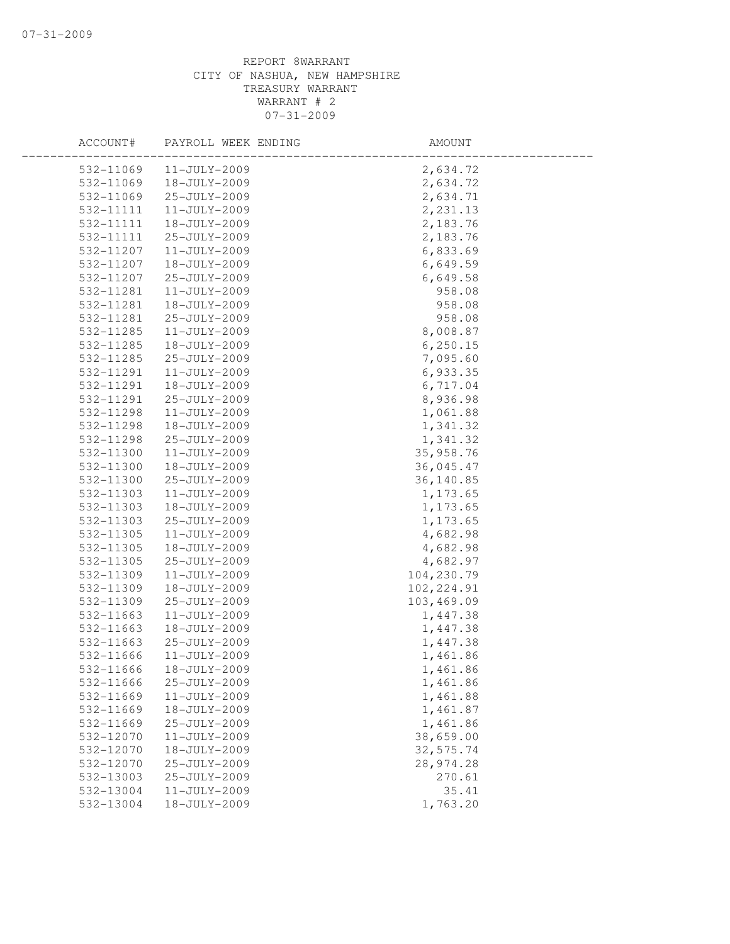| ACCOUNT#  | PAYROLL WEEK ENDING | AMOUNT      |  |
|-----------|---------------------|-------------|--|
| 532-11069 | 11-JULY-2009        | 2,634.72    |  |
| 532-11069 | 18-JULY-2009        | 2,634.72    |  |
| 532-11069 | 25-JULY-2009        | 2,634.71    |  |
| 532-11111 | 11-JULY-2009        | 2, 231.13   |  |
| 532-11111 | 18-JULY-2009        | 2,183.76    |  |
| 532-11111 | 25-JULY-2009        | 2,183.76    |  |
| 532-11207 | 11-JULY-2009        | 6,833.69    |  |
| 532-11207 | 18-JULY-2009        | 6,649.59    |  |
| 532-11207 | 25-JULY-2009        | 6,649.58    |  |
| 532-11281 | $11 - JULY - 2009$  | 958.08      |  |
| 532-11281 | 18-JULY-2009        | 958.08      |  |
| 532-11281 | 25-JULY-2009        | 958.08      |  |
| 532-11285 | 11-JULY-2009        | 8,008.87    |  |
| 532-11285 | 18-JULY-2009        | 6, 250.15   |  |
| 532-11285 | 25-JULY-2009        | 7,095.60    |  |
| 532-11291 | 11-JULY-2009        | 6,933.35    |  |
| 532-11291 | 18-JULY-2009        | 6,717.04    |  |
| 532-11291 | 25-JULY-2009        | 8,936.98    |  |
| 532-11298 | 11-JULY-2009        | 1,061.88    |  |
| 532-11298 | 18-JULY-2009        | 1,341.32    |  |
| 532-11298 | 25-JULY-2009        | 1,341.32    |  |
| 532-11300 | 11-JULY-2009        | 35,958.76   |  |
| 532-11300 | 18-JULY-2009        | 36,045.47   |  |
| 532-11300 | 25-JULY-2009        | 36,140.85   |  |
| 532-11303 | 11-JULY-2009        | 1,173.65    |  |
| 532-11303 | 18-JULY-2009        | 1,173.65    |  |
| 532-11303 | 25-JULY-2009        | 1,173.65    |  |
| 532-11305 | 11-JULY-2009        | 4,682.98    |  |
| 532-11305 | 18-JULY-2009        | 4,682.98    |  |
| 532-11305 | 25-JULY-2009        | 4,682.97    |  |
| 532-11309 | 11-JULY-2009        | 104,230.79  |  |
| 532-11309 | 18-JULY-2009        | 102, 224.91 |  |
| 532-11309 | 25-JULY-2009        | 103,469.09  |  |
| 532-11663 | $11 - JULY - 2009$  | 1,447.38    |  |
| 532-11663 | 18-JULY-2009        | 1,447.38    |  |
| 532-11663 | 25-JULY-2009        | 1,447.38    |  |
| 532-11666 | $11 - JULY - 2009$  | 1,461.86    |  |
| 532-11666 | 18-JULY-2009        | 1,461.86    |  |
| 532-11666 | 25-JULY-2009        | 1,461.86    |  |
| 532-11669 | 11-JULY-2009        | 1,461.88    |  |
| 532-11669 | 18-JULY-2009        | 1,461.87    |  |
| 532-11669 | 25-JULY-2009        | 1,461.86    |  |
| 532-12070 | 11-JULY-2009        | 38,659.00   |  |
| 532-12070 | 18-JULY-2009        | 32,575.74   |  |
| 532-12070 | 25-JULY-2009        | 28,974.28   |  |
| 532-13003 | 25-JULY-2009        | 270.61      |  |
| 532-13004 | 11-JULY-2009        | 35.41       |  |
| 532-13004 | 18-JULY-2009        | 1,763.20    |  |
|           |                     |             |  |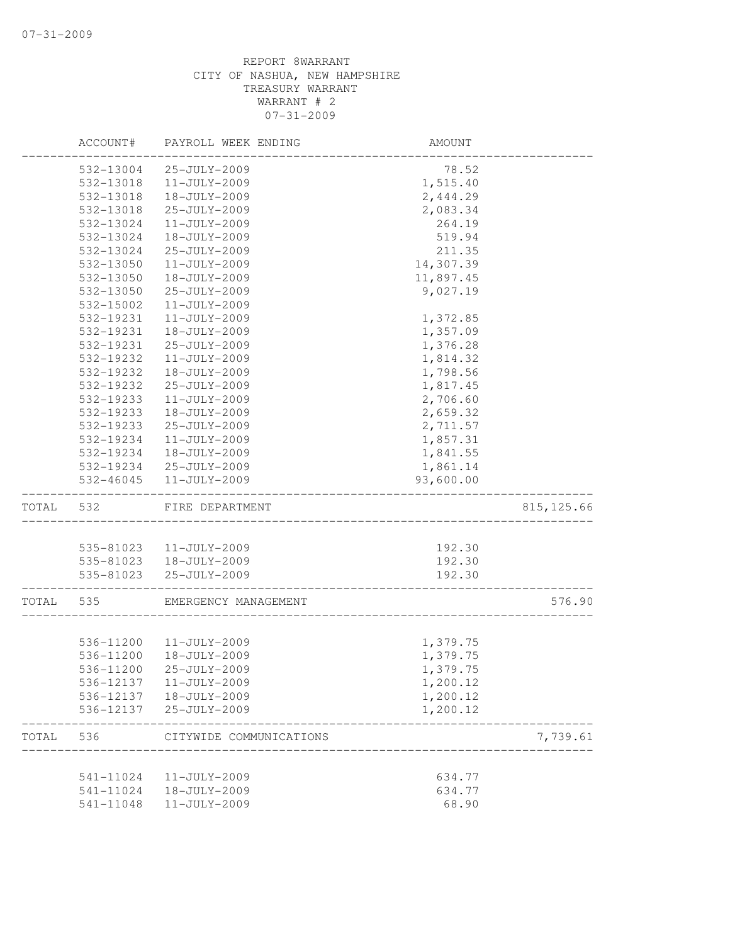|       | ACCOUNT#  | PAYROLL WEEK ENDING     | AMOUNT    |             |
|-------|-----------|-------------------------|-----------|-------------|
|       | 532-13004 | 25-JULY-2009            | 78.52     |             |
|       | 532-13018 | 11-JULY-2009            | 1,515.40  |             |
|       | 532-13018 | 18-JULY-2009            | 2,444.29  |             |
|       | 532-13018 | 25-JULY-2009            | 2,083.34  |             |
|       | 532-13024 | 11-JULY-2009            | 264.19    |             |
|       | 532-13024 | 18-JULY-2009            | 519.94    |             |
|       | 532-13024 | 25-JULY-2009            | 211.35    |             |
|       | 532-13050 | $11 - JULY - 2009$      | 14,307.39 |             |
|       | 532-13050 | 18-JULY-2009            | 11,897.45 |             |
|       | 532-13050 | 25-JULY-2009            | 9,027.19  |             |
|       | 532-15002 | 11-JULY-2009            |           |             |
|       | 532-19231 | 11-JULY-2009            | 1,372.85  |             |
|       | 532-19231 | 18-JULY-2009            | 1,357.09  |             |
|       | 532-19231 | 25-JULY-2009            | 1,376.28  |             |
|       | 532-19232 | 11-JULY-2009            | 1,814.32  |             |
|       | 532-19232 | 18-JULY-2009            | 1,798.56  |             |
|       | 532-19232 | 25-JULY-2009            | 1,817.45  |             |
|       | 532-19233 | 11-JULY-2009            | 2,706.60  |             |
|       | 532-19233 | 18-JULY-2009            | 2,659.32  |             |
|       | 532-19233 | 25-JULY-2009            | 2,711.57  |             |
|       | 532-19234 | 11-JULY-2009            | 1,857.31  |             |
|       | 532-19234 | 18-JULY-2009            | 1,841.55  |             |
|       | 532-19234 | 25-JULY-2009            | 1,861.14  |             |
|       | 532-46045 | 11-JULY-2009            | 93,600.00 |             |
| TOTAL | 532       | FIRE DEPARTMENT         |           | 815, 125.66 |
|       |           |                         |           |             |
|       |           | 535-81023  11-JULY-2009 | 192.30    |             |
|       |           | 535-81023  18-JULY-2009 | 192.30    |             |
|       | 535-81023 | 25-JULY-2009            | 192.30    |             |
| TOTAL | 535       | EMERGENCY MANAGEMENT    |           | 576.90      |
|       |           |                         |           |             |
|       | 536-11200 | 11-JULY-2009            | 1,379.75  |             |
|       | 536-11200 | 18-JULY-2009            | 1,379.75  |             |
|       | 536-11200 | 25-JULY-2009            | 1,379.75  |             |
|       | 536-12137 | 11-JULY-2009            | 1,200.12  |             |
|       | 536-12137 | 18-JULY-2009            | 1,200.12  |             |
|       | 536-12137 | 25-JULY-2009            | 1,200.12  |             |
| TOTAL | 536       | CITYWIDE COMMUNICATIONS |           | 7,739.61    |
|       | 541-11024 | 11-JULY-2009            | 634.77    |             |
|       | 541-11024 | 18-JULY-2009            | 634.77    |             |
|       | 541-11048 | 11-JULY-2009            | 68.90     |             |
|       |           |                         |           |             |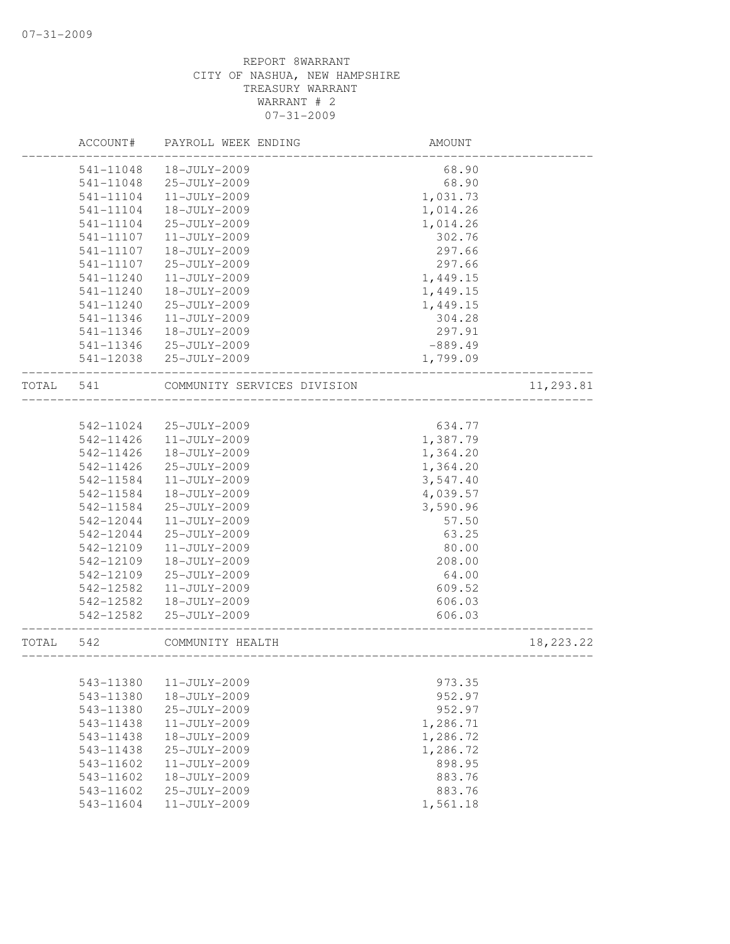|       | ACCOUNT#  | PAYROLL WEEK ENDING         | AMOUNT    |             |
|-------|-----------|-----------------------------|-----------|-------------|
|       | 541-11048 | 18-JULY-2009                | 68.90     |             |
|       | 541-11048 | 25-JULY-2009                | 68.90     |             |
|       | 541-11104 | 11-JULY-2009                | 1,031.73  |             |
|       | 541-11104 | 18-JULY-2009                | 1,014.26  |             |
|       | 541-11104 | 25-JULY-2009                | 1,014.26  |             |
|       | 541-11107 | 11-JULY-2009                | 302.76    |             |
|       | 541-11107 | 18-JULY-2009                | 297.66    |             |
|       | 541-11107 | 25-JULY-2009                | 297.66    |             |
|       | 541-11240 | 11-JULY-2009                | 1,449.15  |             |
|       | 541-11240 | 18-JULY-2009                | 1,449.15  |             |
|       | 541-11240 | 25-JULY-2009                | 1,449.15  |             |
|       | 541-11346 | 11-JULY-2009                | 304.28    |             |
|       | 541-11346 | 18-JULY-2009                | 297.91    |             |
|       | 541-11346 | 25-JULY-2009                | $-889.49$ |             |
|       | 541-12038 | 25-JULY-2009                | 1,799.09  |             |
| TOTAL | 541       | COMMUNITY SERVICES DIVISION |           | 11,293.81   |
|       |           |                             |           |             |
|       | 542-11024 | 25-JULY-2009                | 634.77    |             |
|       | 542-11426 | 11-JULY-2009                | 1,387.79  |             |
|       | 542-11426 | 18-JULY-2009                | 1,364.20  |             |
|       | 542-11426 | 25-JULY-2009                | 1,364.20  |             |
|       | 542-11584 | 11-JULY-2009                | 3,547.40  |             |
|       | 542-11584 | 18-JULY-2009                | 4,039.57  |             |
|       | 542-11584 | 25-JULY-2009                | 3,590.96  |             |
|       | 542-12044 | 11-JULY-2009                | 57.50     |             |
|       | 542-12044 | 25-JULY-2009                | 63.25     |             |
|       | 542-12109 | 11-JULY-2009                | 80.00     |             |
|       | 542-12109 | 18-JULY-2009                | 208.00    |             |
|       | 542-12109 | 25-JULY-2009                | 64.00     |             |
|       | 542-12582 | 11-JULY-2009                | 609.52    |             |
|       | 542-12582 | 18-JULY-2009                | 606.03    |             |
|       | 542-12582 | 25-JULY-2009                | 606.03    |             |
| TOTAL | 542       | COMMUNITY HEALTH            |           | 18, 223. 22 |
|       |           |                             |           |             |
|       | 543-11380 | $11 - JULY - 2009$          | 973.35    |             |
|       | 543-11380 | 18-JULY-2009                | 952.97    |             |
|       | 543-11380 | 25-JULY-2009                | 952.97    |             |
|       | 543-11438 | 11-JULY-2009                | 1,286.71  |             |
|       | 543-11438 | 18-JULY-2009                | 1,286.72  |             |
|       | 543-11438 | 25-JULY-2009                | 1,286.72  |             |
|       | 543-11602 | 11-JULY-2009                | 898.95    |             |
|       | 543-11602 | 18-JULY-2009                | 883.76    |             |
|       | 543-11602 | 25-JULY-2009                | 883.76    |             |
|       | 543-11604 | 11-JULY-2009                | 1,561.18  |             |
|       |           |                             |           |             |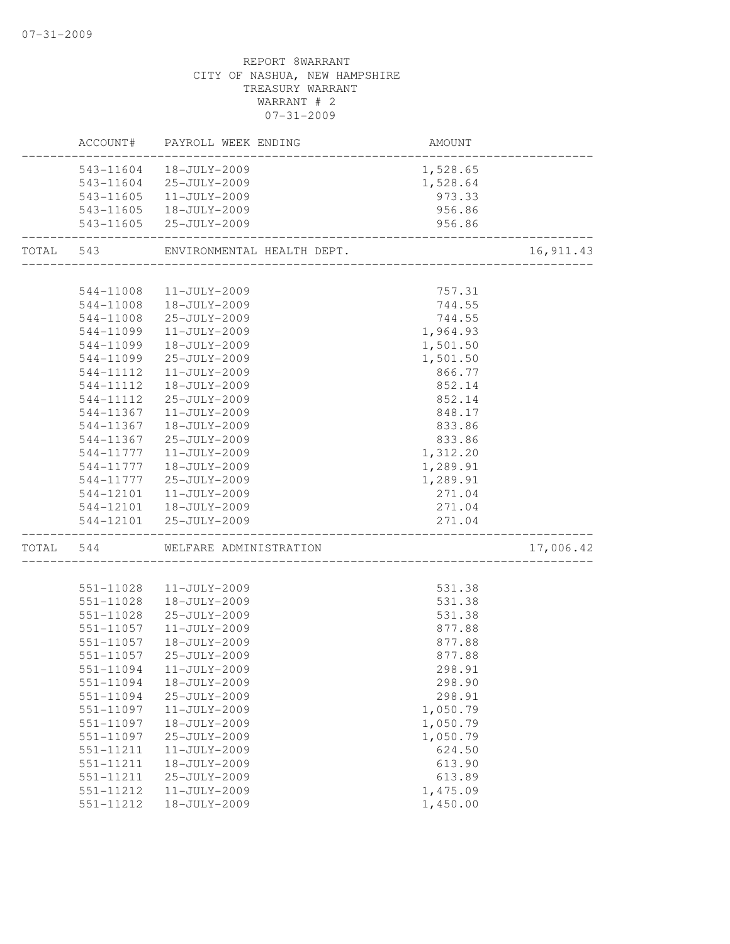|           | ACCOUNT#               | PAYROLL WEEK ENDING          | <b>AMOUNT</b>                    |           |
|-----------|------------------------|------------------------------|----------------------------------|-----------|
|           | 543-11604              | 18-JULY-2009                 | 1,528.65                         |           |
|           | 543-11604              | 25-JULY-2009                 | 1,528.64                         |           |
|           |                        | 543-11605  11-JULY-2009      | 973.33                           |           |
|           |                        | 543-11605  18-JULY-2009      | 956.86                           |           |
|           |                        | 543-11605 25-JULY-2009       | 956.86                           |           |
| TOTAL 543 |                        | ENVIRONMENTAL HEALTH DEPT.   | _____________________________    | 16,911.43 |
|           |                        |                              |                                  |           |
|           | 544-11008              | 11-JULY-2009                 | 757.31<br>744.55                 |           |
|           | 544-11008              | 18-JULY-2009                 |                                  |           |
|           | 544-11008              | 25-JULY-2009                 | 744.55                           |           |
|           | 544-11099              | 11-JULY-2009                 | 1,964.93                         |           |
|           | 544-11099              | 18-JULY-2009                 | 1,501.50                         |           |
|           | 544-11099              | 25-JULY-2009                 | 1,501.50                         |           |
|           | 544-11112              | 11-JULY-2009                 | 866.77                           |           |
|           | 544-11112              | 18-JULY-2009                 | 852.14                           |           |
|           | 544-11112              | 25-JULY-2009                 | 852.14                           |           |
|           | 544-11367              | 11-JULY-2009                 | 848.17                           |           |
|           | 544-11367              | 18-JULY-2009                 | 833.86                           |           |
|           | 544-11367              | 25-JULY-2009                 | 833.86                           |           |
|           | 544-11777              | 11-JULY-2009                 | 1,312.20                         |           |
|           | 544-11777              | 18-JULY-2009                 | 1,289.91                         |           |
|           | 544-11777              | 25-JULY-2009                 | 1,289.91                         |           |
|           | 544-12101              | $11 - JULY - 2009$           | 271.04                           |           |
|           | 544-12101              | 18-JULY-2009                 | 271.04                           |           |
|           |                        | 544-12101 25-JULY-2009       | 271.04<br>---------------------- |           |
| TOTAL     | 544                    | WELFARE ADMINISTRATION       |                                  | 17,006.42 |
|           | 551-11028              | 11-JULY-2009                 | 531.38                           |           |
|           | 551-11028              | 18-JULY-2009                 | 531.38                           |           |
|           | 551-11028              | 25-JULY-2009                 | 531.38                           |           |
|           | 551-11057              | $11 - JULY - 2009$           | 877.88                           |           |
|           | 551-11057              | 18-JULY-2009                 | 877.88                           |           |
|           | 551-11057              | 25-JULY-2009                 | 877.88                           |           |
|           | 551-11094              | 11-JULY-2009                 | 298.91                           |           |
|           |                        | 18-JULY-2009                 |                                  |           |
|           | 551-11094<br>551-11094 |                              | 298.90<br>298.91                 |           |
|           | 551-11097              | 25-JULY-2009<br>11-JULY-2009 | 1,050.79                         |           |
|           |                        | 18-JULY-2009                 |                                  |           |
|           | 551-11097              |                              | 1,050.79                         |           |
|           | 551-11097              | 25-JULY-2009                 | 1,050.79                         |           |
|           | 551-11211              | 11-JULY-2009                 | 624.50                           |           |
|           | 551-11211              | 18-JULY-2009                 | 613.90                           |           |
|           | 551-11211              | 25-JULY-2009                 | 613.89                           |           |
|           | 551-11212              | 11-JULY-2009                 | 1,475.09                         |           |
|           | 551-11212              | 18-JULY-2009                 | 1,450.00                         |           |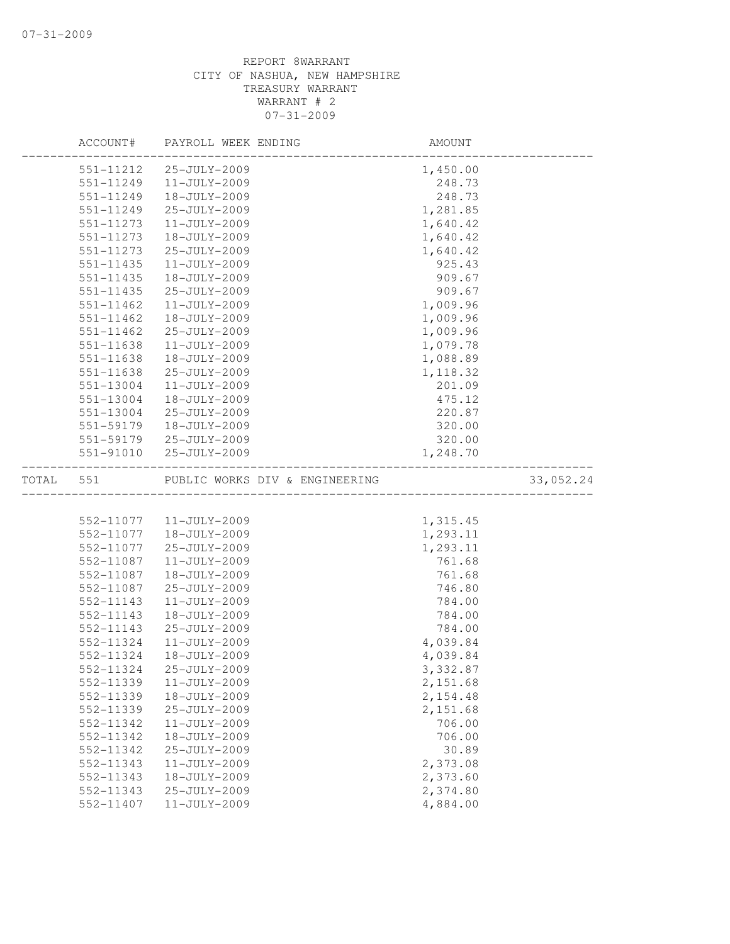|           | ACCOUNT#      | PAYROLL WEEK ENDING            | AMOUNT   |           |
|-----------|---------------|--------------------------------|----------|-----------|
|           | 551-11212     | 25-JULY-2009                   | 1,450.00 |           |
|           | 551-11249     | $11 - JULY - 2009$             | 248.73   |           |
|           | 551-11249     | 18-JULY-2009                   | 248.73   |           |
|           | 551-11249     | 25-JULY-2009                   | 1,281.85 |           |
|           | 551-11273     | 11-JULY-2009                   | 1,640.42 |           |
|           | 551-11273     | 18-JULY-2009                   | 1,640.42 |           |
|           | 551-11273     | 25-JULY-2009                   | 1,640.42 |           |
|           | 551-11435     | 11-JULY-2009                   | 925.43   |           |
|           | 551-11435     | 18-JULY-2009                   | 909.67   |           |
|           | 551-11435     | 25-JULY-2009                   | 909.67   |           |
|           | 551-11462     | 11-JULY-2009                   | 1,009.96 |           |
|           | $551 - 11462$ | 18-JULY-2009                   | 1,009.96 |           |
|           | 551-11462     | 25-JULY-2009                   | 1,009.96 |           |
|           | 551-11638     | 11-JULY-2009                   | 1,079.78 |           |
|           | 551-11638     | 18-JULY-2009                   | 1,088.89 |           |
|           | 551-11638     | 25-JULY-2009                   | 1,118.32 |           |
|           | 551-13004     | 11-JULY-2009                   | 201.09   |           |
|           | 551-13004     | 18-JULY-2009                   | 475.12   |           |
|           | 551-13004     | 25-JULY-2009                   | 220.87   |           |
|           | 551-59179     | 18-JULY-2009                   | 320.00   |           |
|           |               | 551-59179 25-JULY-2009         | 320.00   |           |
|           | 551-91010     | 25-JULY-2009                   | 1,248.70 |           |
| TOTAL 551 |               | PUBLIC WORKS DIV & ENGINEERING |          | 33,052.24 |
|           |               |                                |          |           |
|           |               | 552-11077   11-JULY-2009       | 1,315.45 |           |
|           | 552-11077     | 18-JULY-2009                   | 1,293.11 |           |
|           | 552-11077     | 25-JULY-2009                   | 1,293.11 |           |
|           | 552-11087     | 11-JULY-2009                   | 761.68   |           |
|           | 552-11087     | 18-JULY-2009                   | 761.68   |           |
|           | 552-11087     | 25-JULY-2009                   | 746.80   |           |
|           | 552-11143     | 11-JULY-2009                   | 784.00   |           |
|           | 552-11143     | 18-JULY-2009                   | 784.00   |           |
|           | 552-11143     | 25-JULY-2009                   | 784.00   |           |
|           | 552-11324     | 11-JULY-2009                   | 4,039.84 |           |
|           | 552-11324     | 18-JULY-2009                   | 4,039.84 |           |
|           | 552-11324     | 25-JULY-2009                   | 3,332.87 |           |
|           | 552-11339     | 11-JULY-2009                   | 2,151.68 |           |
|           | 552-11339     | 18-JULY-2009                   | 2,154.48 |           |
|           | 552-11339     | 25-JULY-2009                   | 2,151.68 |           |
|           | 552-11342     | 11-JULY-2009                   | 706.00   |           |
|           | 552-11342     | 18-JULY-2009                   | 706.00   |           |
|           | 552-11342     | 25-JULY-2009                   | 30.89    |           |
|           | 552-11343     | 11-JULY-2009                   | 2,373.08 |           |
|           | 552-11343     | 18-JULY-2009                   | 2,373.60 |           |
|           | 552-11343     | 25-JULY-2009                   | 2,374.80 |           |
|           | 552-11407     | 11-JULY-2009                   | 4,884.00 |           |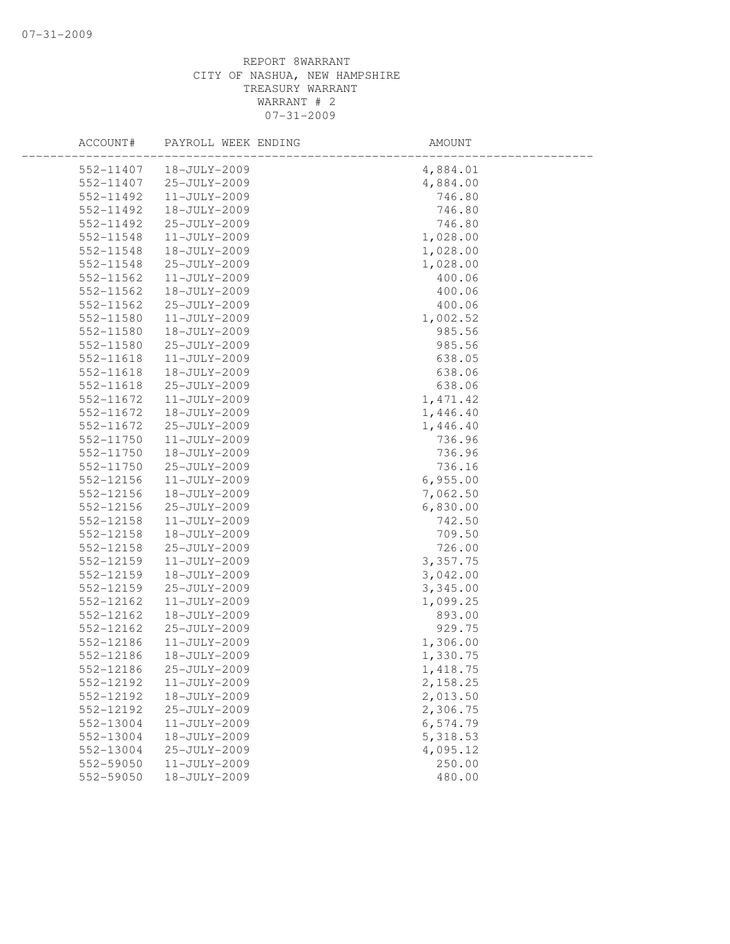| ACCOUNT#               | PAYROLL WEEK ENDING                | AMOUNT               |  |
|------------------------|------------------------------------|----------------------|--|
| 552-11407              | 18-JULY-2009                       | 4,884.01             |  |
| 552-11407              | 25-JULY-2009                       | 4,884.00             |  |
| 552-11492              | $11 - JULY - 2009$                 | 746.80               |  |
| 552-11492              | 18-JULY-2009                       | 746.80               |  |
| 552-11492              | 25-JULY-2009                       | 746.80               |  |
| 552-11548              | $11 - JULY - 2009$                 | 1,028.00             |  |
| 552-11548              | 18-JULY-2009                       | 1,028.00             |  |
| 552-11548              | 25-JULY-2009                       | 1,028.00             |  |
| 552-11562              | 11-JULY-2009                       | 400.06               |  |
| 552-11562              | 18-JULY-2009                       | 400.06               |  |
| 552-11562              | 25-JULY-2009                       | 400.06               |  |
| 552-11580              | 11-JULY-2009                       | 1,002.52             |  |
| 552-11580              | 18-JULY-2009                       | 985.56               |  |
| 552-11580              | 25-JULY-2009                       | 985.56               |  |
| 552-11618              | 11-JULY-2009                       | 638.05               |  |
| 552-11618              | 18-JULY-2009                       | 638.06               |  |
| 552-11618              | 25-JULY-2009                       | 638.06               |  |
| 552-11672              | $11 - JULY - 2009$                 | 1, 471.42            |  |
| 552-11672              | 18-JULY-2009                       | 1,446.40             |  |
| 552-11672              | 25-JULY-2009                       | 1,446.40             |  |
| 552-11750              | $11 - JULY - 2009$                 | 736.96               |  |
| 552-11750              | 18-JULY-2009                       | 736.96               |  |
| 552-11750              | 25-JULY-2009                       | 736.16               |  |
| 552-12156              | $11 - JULY - 2009$                 | 6,955.00             |  |
| 552-12156              | 18-JULY-2009                       | 7,062.50             |  |
| 552-12156              | 25-JULY-2009                       | 6,830.00             |  |
| 552-12158              | $11 - JULY - 2009$                 | 742.50               |  |
| 552-12158              | 18-JULY-2009                       | 709.50               |  |
| 552-12158              | 25-JULY-2009                       | 726.00               |  |
| 552-12159              | $11 - JULY - 2009$                 | 3,357.75             |  |
| 552-12159              | 18-JULY-2009                       | 3,042.00             |  |
| 552-12159              | 25-JULY-2009                       | 3,345.00             |  |
| 552-12162              | 11-JULY-2009                       | 1,099.25             |  |
| 552-12162              | 18-JULY-2009                       | 893.00               |  |
| 552-12162              | 25-JULY-2009                       | 929.75               |  |
| 552-12186              | 11-JULY-2009                       | 1,306.00             |  |
| 552-12186              | 18-JULY-2009                       | 1,330.75             |  |
| 552-12186              | 25-JULY-2009                       | 1,418.75             |  |
| 552-12192              | 11-JULY-2009                       | 2,158.25             |  |
| 552-12192              | 18-JULY-2009<br>25-JULY-2009       | 2,013.50             |  |
| 552-12192<br>552-13004 | $11 - JULY - 2009$                 | 2,306.75             |  |
| 552-13004              |                                    | 6,574.79<br>5,318.53 |  |
|                        | 18-JULY-2009                       |                      |  |
| 552-13004              | 25-JULY-2009<br>$11 - JULY - 2009$ | 4,095.12             |  |
| 552-59050              | 18-JULY-2009                       | 250.00               |  |
| 552-59050              |                                    | 480.00               |  |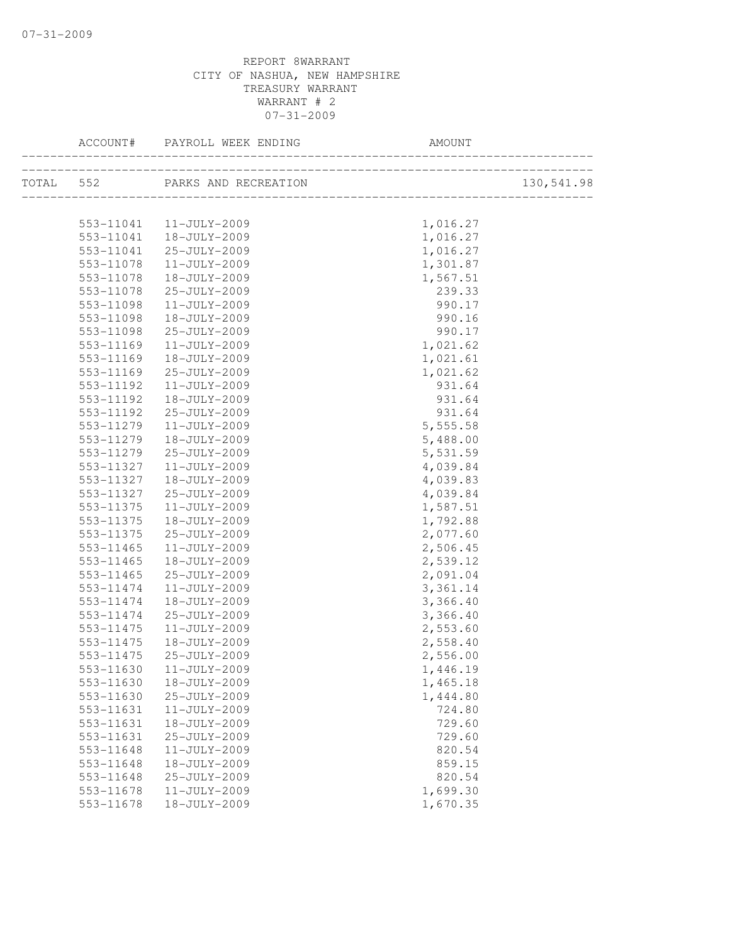|           |                            | ACCOUNT# PAYROLL WEEK ENDING | AMOUNT                                   |            |
|-----------|----------------------------|------------------------------|------------------------------------------|------------|
| TOTAL 552 |                            | PARKS AND RECREATION         | N<br>___________________________________ | 130,541.98 |
|           |                            |                              |                                          |            |
|           |                            | 553-11041  11-JULY-2009      | 1,016.27                                 |            |
|           | 553-11041                  | 18-JULY-2009                 | 1,016.27                                 |            |
|           | 553-11041                  | 25-JULY-2009                 | 1,016.27                                 |            |
|           | 553-11078                  | $11 - JULY - 2009$           | 1,301.87                                 |            |
|           | 553-11078                  | 18-JULY-2009                 | 1,567.51                                 |            |
|           | 553-11078                  | 25-JULY-2009                 | 239.33                                   |            |
|           | 553-11098                  | $11 - JULY - 2009$           | 990.17                                   |            |
|           | 553-11098                  | 18-JULY-2009                 | 990.16                                   |            |
|           | 553-11098                  | 25-JULY-2009                 | 990.17                                   |            |
|           | 553-11169                  | 11-JULY-2009                 | 1,021.62                                 |            |
|           | 553-11169                  | 18-JULY-2009                 | 1,021.61                                 |            |
|           | 553-11169                  | 25-JULY-2009                 | 1,021.62                                 |            |
|           | 553-11192                  | $11 - JULY - 2009$           | 931.64                                   |            |
|           | 553-11192                  | 18-JULY-2009                 | 931.64                                   |            |
|           | 553-11192                  | 25-JULY-2009                 | 931.64                                   |            |
|           | 553-11279                  | 11-JULY-2009                 | 5,555.58                                 |            |
|           | 553-11279                  | 18-JULY-2009                 | 5,488.00                                 |            |
|           | 553-11279                  | 25-JULY-2009                 | 5,531.59                                 |            |
|           | 553-11327                  | 11-JULY-2009                 | 4,039.84                                 |            |
|           | 553-11327                  | 18-JULY-2009                 | 4,039.83                                 |            |
|           | 553-11327                  | 25-JULY-2009                 | 4,039.84                                 |            |
|           | 553-11375                  | $11 - JULY - 2009$           | 1,587.51                                 |            |
|           | 553-11375                  | 18-JULY-2009                 | 1,792.88                                 |            |
|           | 553-11375                  | 25-JULY-2009                 | 2,077.60                                 |            |
|           | 553-11465                  | 11-JULY-2009                 | 2,506.45                                 |            |
|           | 553-11465                  | 18-JULY-2009                 | 2,539.12                                 |            |
|           | 553-11465                  | 25-JULY-2009                 | 2,091.04                                 |            |
|           | 553-11474                  | 11-JULY-2009                 | 3,361.14                                 |            |
|           | 553-11474                  | 18-JULY-2009                 | 3,366.40                                 |            |
|           | 553-11474                  | 25-JULY-2009                 | 3,366.40                                 |            |
|           | 553-11475                  | $11 - JULY - 2009$           | 2,553.60                                 |            |
|           | $553 - 11475$              | 18-JULY-2009                 | 2,558.40                                 |            |
|           | 553-11475                  | 25-JULY-2009                 | 2,556.00                                 |            |
|           | 553-11630                  | 11-JULY-2009                 | 1,446.19                                 |            |
|           | 553-11630                  | 18-JULY-2009                 | 1,465.18                                 |            |
|           | 553-11630                  | 25-JULY-2009                 | 1,444.80                                 |            |
|           | 553-11631                  | 11-JULY-2009                 | 724.80                                   |            |
|           | 553-11631                  | 18-JULY-2009<br>25-JULY-2009 | 729.60                                   |            |
|           | 553-11631                  |                              | 729.60                                   |            |
|           | 553-11648                  | $11 - JULY - 2009$           | 820.54                                   |            |
|           | 553-11648<br>$553 - 11648$ | 18-JULY-2009<br>25-JULY-2009 | 859.15                                   |            |
|           | 553-11678                  | 11-JULY-2009                 | 820.54<br>1,699.30                       |            |
|           | 553-11678                  | 18-JULY-2009                 |                                          |            |
|           |                            |                              | 1,670.35                                 |            |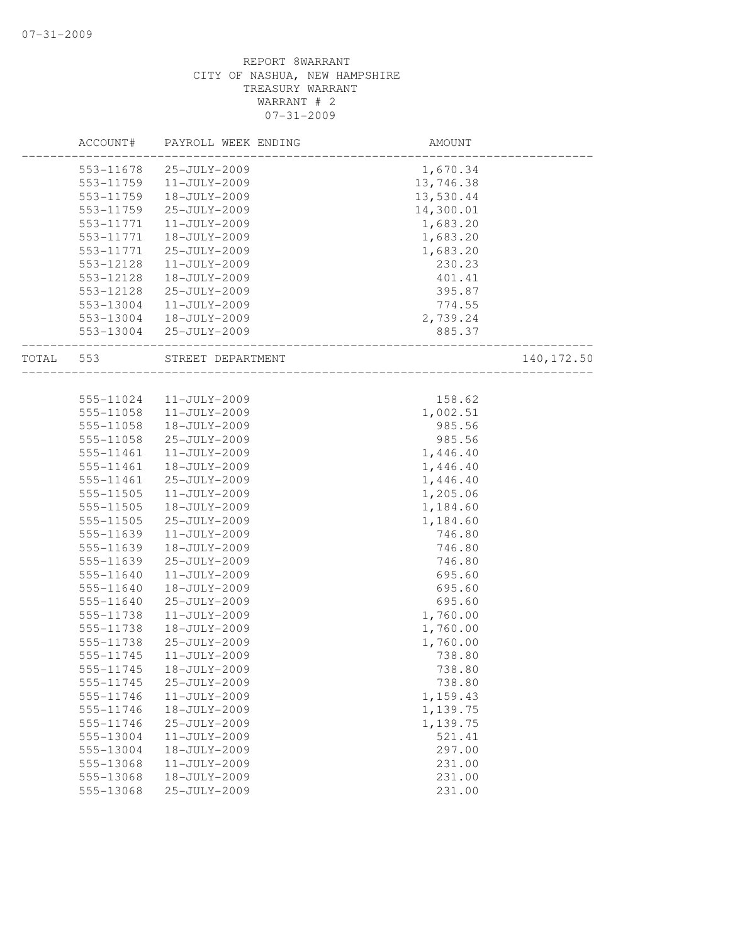|       | ACCOUNT#  | PAYROLL WEEK ENDING | AMOUNT    |             |
|-------|-----------|---------------------|-----------|-------------|
|       | 553-11678 | 25-JULY-2009        | 1,670.34  |             |
|       | 553-11759 | $11 - JULY - 2009$  | 13,746.38 |             |
|       | 553-11759 | 18-JULY-2009        | 13,530.44 |             |
|       | 553-11759 | 25-JULY-2009        | 14,300.01 |             |
|       | 553-11771 | 11-JULY-2009        | 1,683.20  |             |
|       | 553-11771 | 18-JULY-2009        | 1,683.20  |             |
|       | 553-11771 | 25-JULY-2009        | 1,683.20  |             |
|       | 553-12128 | 11-JULY-2009        | 230.23    |             |
|       | 553-12128 | 18-JULY-2009        | 401.41    |             |
|       | 553-12128 | 25-JULY-2009        | 395.87    |             |
|       | 553-13004 | 11-JULY-2009        | 774.55    |             |
|       | 553-13004 | 18-JULY-2009        | 2,739.24  |             |
|       | 553-13004 | 25-JULY-2009        | 885.37    |             |
| TOTAL | 553       | STREET DEPARTMENT   |           | 140, 172.50 |
|       |           |                     |           |             |
|       | 555-11024 | 11-JULY-2009        | 158.62    |             |
|       | 555-11058 | 11-JULY-2009        | 1,002.51  |             |
|       | 555-11058 | 18-JULY-2009        | 985.56    |             |
|       | 555-11058 | 25-JULY-2009        | 985.56    |             |
|       | 555-11461 | 11-JULY-2009        | 1,446.40  |             |
|       | 555-11461 | 18-JULY-2009        | 1,446.40  |             |
|       | 555-11461 | 25-JULY-2009        | 1,446.40  |             |
|       | 555-11505 | $11 - JULY - 2009$  | 1,205.06  |             |
|       | 555-11505 | 18-JULY-2009        | 1,184.60  |             |
|       | 555-11505 | 25-JULY-2009        | 1,184.60  |             |
|       | 555-11639 | 11-JULY-2009        | 746.80    |             |
|       | 555-11639 | 18-JULY-2009        | 746.80    |             |
|       | 555-11639 | 25-JULY-2009        | 746.80    |             |
|       | 555-11640 | 11-JULY-2009        | 695.60    |             |
|       | 555-11640 | 18-JULY-2009        | 695.60    |             |
|       | 555-11640 | 25-JULY-2009        | 695.60    |             |
|       | 555-11738 | 11-JULY-2009        | 1,760.00  |             |
|       | 555-11738 | 18-JULY-2009        | 1,760.00  |             |
|       | 555-11738 | 25-JULY-2009        | 1,760.00  |             |
|       | 555-11745 | 11-JULY-2009        | 738.80    |             |
|       | 555-11745 | 18-JULY-2009        | 738.80    |             |
|       | 555-11745 | 25-JULY-2009        | 738.80    |             |
|       | 555-11746 | $11 - JULY - 2009$  | 1,159.43  |             |
|       | 555-11746 | 18-JULY-2009        | 1,139.75  |             |
|       | 555-11746 | 25-JULY-2009        | 1,139.75  |             |
|       | 555-13004 | 11-JULY-2009        | 521.41    |             |
|       | 555-13004 | 18-JULY-2009        | 297.00    |             |
|       | 555-13068 | $11 - JULY - 2009$  | 231.00    |             |
|       | 555-13068 | 18-JULY-2009        | 231.00    |             |
|       | 555-13068 | 25-JULY-2009        | 231.00    |             |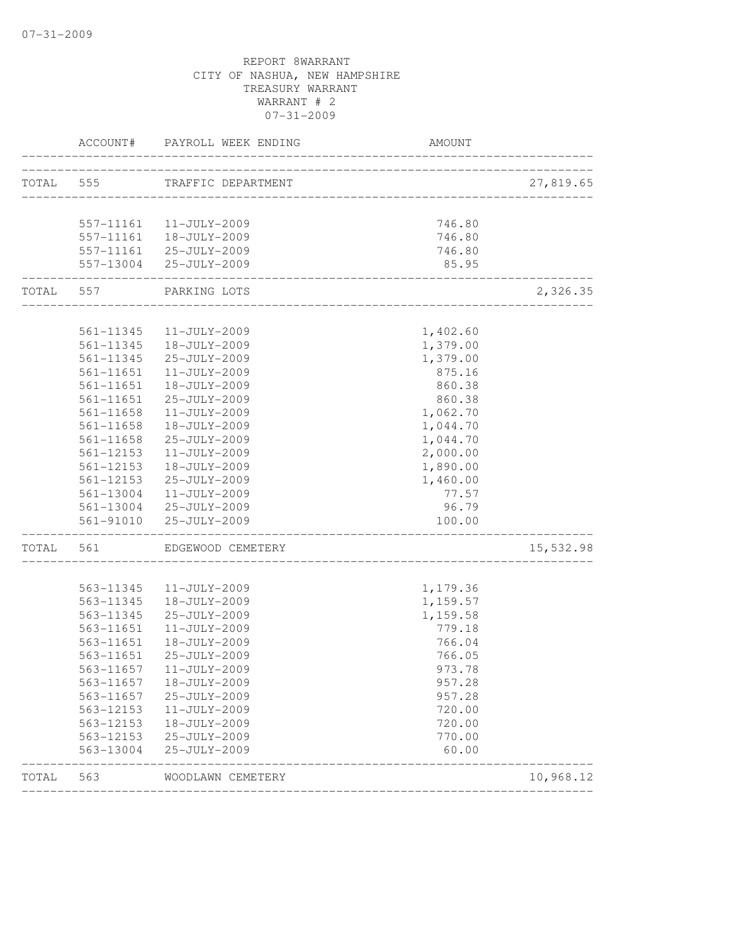|           | ACCOUNT#               | PAYROLL WEEK ENDING          | AMOUNT                              |           |
|-----------|------------------------|------------------------------|-------------------------------------|-----------|
| TOTAL 555 |                        | TRAFFIC DEPARTMENT           |                                     | 27,819.65 |
|           |                        |                              | ___________________________________ |           |
|           |                        | 557-11161 11-JULY-2009       | 746.80                              |           |
|           |                        | $557-11161$ $18-JULY-2009$   | 746.80                              |           |
|           |                        | 557-11161 25-JULY-2009       | 746.80                              |           |
|           | ----------------       | 557-13004 25-JULY-2009       | 85.95                               |           |
| TOTAL 557 |                        | PARKING LOTS                 |                                     | 2,326.35  |
|           |                        |                              |                                     |           |
|           | 561-11345<br>561-11345 | 11-JULY-2009<br>18-JULY-2009 | 1,402.60                            |           |
|           | 561-11345              | 25-JULY-2009                 | 1,379.00<br>1,379.00                |           |
|           | 561-11651              | 11-JULY-2009                 | 875.16                              |           |
|           | 561-11651              | 18-JULY-2009                 | 860.38                              |           |
|           | 561-11651              | 25-JULY-2009                 | 860.38                              |           |
|           | $561 - 11658$          | 11-JULY-2009                 | 1,062.70                            |           |
|           | 561-11658              | 18-JULY-2009                 | 1,044.70                            |           |
|           | 561-11658              | 25-JULY-2009                 | 1,044.70                            |           |
|           | 561-12153              | 11-JULY-2009                 | 2,000.00                            |           |
|           | 561-12153              | 18-JULY-2009                 | 1,890.00                            |           |
|           | $561 - 12153$          | 25-JULY-2009                 | 1,460.00                            |           |
|           | 561-13004              | 11-JULY-2009                 | 77.57                               |           |
|           |                        | 561-13004 25-JULY-2009       | 96.79                               |           |
|           |                        | 561-91010 25-JULY-2009       | 100.00                              |           |
| TOTAL     | 561                    | EDGEWOOD CEMETERY            |                                     | 15,532.98 |
|           |                        |                              |                                     |           |
|           | 563-11345              | $11 - JULY - 2009$           | 1,179.36                            |           |
|           | 563-11345              | 18-JULY-2009                 | 1,159.57                            |           |
|           | 563-11345              | 25-JULY-2009                 | 1,159.58                            |           |
|           | 563-11651              | $11 - JULY - 2009$           | 779.18                              |           |
|           | 563-11651              | 18-JULY-2009                 | 766.04                              |           |
|           | 563-11651              | 25-JULY-2009                 | 766.05                              |           |
|           | 563-11657              | 11-JULY-2009                 | 973.78                              |           |
|           | 563-11657              | 18-JULY-2009                 | 957.28                              |           |
|           | 563-11657              | 25-JULY-2009                 | 957.28                              |           |
|           | 563-12153              | 11-JULY-2009                 | 720.00                              |           |
|           | 563-12153              | 18-JULY-2009                 | 720.00                              |           |
|           | 563-12153<br>563-13004 | 25-JULY-2009<br>25-JULY-2009 | 770.00<br>60.00                     |           |
| TOTAL     | 563                    | WOODLAWN CEMETERY            |                                     | 10,968.12 |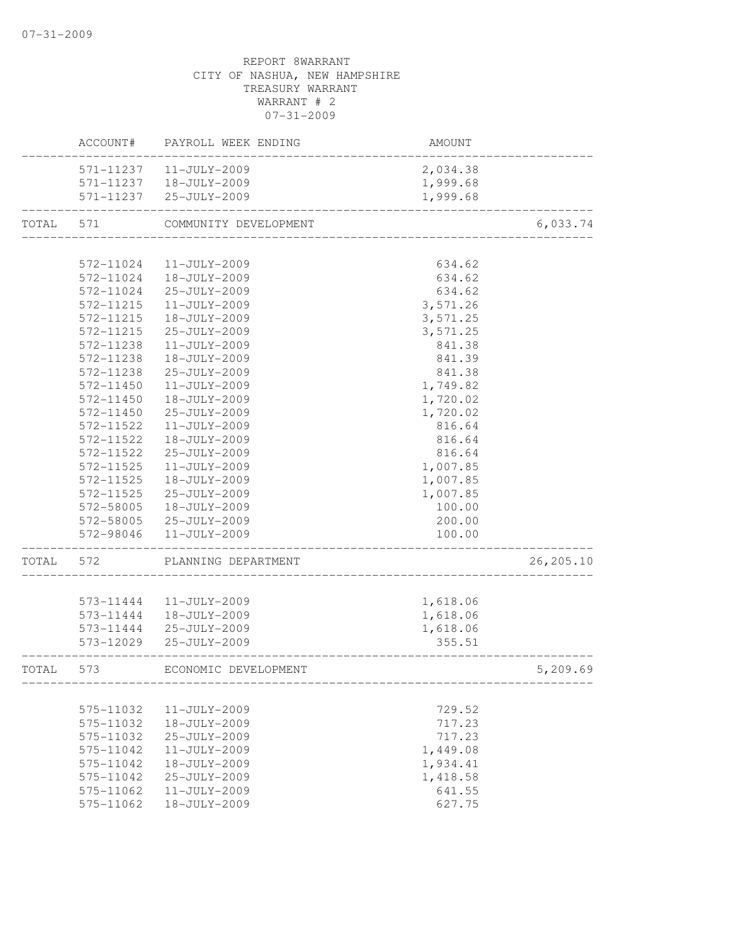|       | ACCOUNT#  | PAYROLL WEEK ENDING    | AMOUNT   |            |
|-------|-----------|------------------------|----------|------------|
|       | 571-11237 | 11-JULY-2009           | 2,034.38 |            |
|       | 571-11237 | 18-JULY-2009           | 1,999.68 |            |
|       |           | 571-11237 25-JULY-2009 | 1,999.68 |            |
| TOTAL | 571       | COMMUNITY DEVELOPMENT  |          | 6,033.74   |
|       |           |                        |          |            |
|       | 572-11024 | $11 - JULY - 2009$     | 634.62   |            |
|       | 572-11024 | 18-JULY-2009           | 634.62   |            |
|       | 572-11024 | 25-JULY-2009           | 634.62   |            |
|       | 572-11215 | $11 - JULY - 2009$     | 3,571.26 |            |
|       | 572-11215 | 18-JULY-2009           | 3,571.25 |            |
|       | 572-11215 | 25-JULY-2009           | 3,571.25 |            |
|       | 572-11238 | 11-JULY-2009           | 841.38   |            |
|       | 572-11238 | 18-JULY-2009           | 841.39   |            |
|       | 572-11238 | 25-JULY-2009           | 841.38   |            |
|       | 572-11450 | 11-JULY-2009           | 1,749.82 |            |
|       | 572-11450 | 18-JULY-2009           | 1,720.02 |            |
|       | 572-11450 | 25-JULY-2009           | 1,720.02 |            |
|       | 572-11522 | 11-JULY-2009           | 816.64   |            |
|       | 572-11522 | 18-JULY-2009           | 816.64   |            |
|       | 572-11522 | 25-JULY-2009           | 816.64   |            |
|       | 572-11525 | 11-JULY-2009           | 1,007.85 |            |
|       | 572-11525 | $18 - JULY - 2009$     | 1,007.85 |            |
|       | 572-11525 | 25-JULY-2009           | 1,007.85 |            |
|       | 572-58005 | 18-JULY-2009           | 100.00   |            |
|       | 572-58005 | 25-JULY-2009           | 200.00   |            |
|       | 572-98046 | 11-JULY-2009           | 100.00   |            |
| TOTAL | 572       | PLANNING DEPARTMENT    |          | 26, 205.10 |
|       |           |                        |          |            |
|       | 573-11444 | 11-JULY-2009           | 1,618.06 |            |
|       | 573-11444 | 18-JULY-2009           | 1,618.06 |            |
|       |           | 573-11444 25-JULY-2009 | 1,618.06 |            |
|       |           | 573-12029 25-JULY-2009 | 355.51   |            |
| TOTAL | 573       | ECONOMIC DEVELOPMENT   |          | 5,209.69   |
|       |           |                        |          |            |
|       | 575-11032 | 11-JULY-2009           | 729.52   |            |
|       | 575-11032 | 18-JULY-2009           | 717.23   |            |
|       | 575-11032 | 25-JULY-2009           | 717.23   |            |
|       | 575-11042 | 11-JULY-2009           | 1,449.08 |            |
|       | 575-11042 | 18-JULY-2009           | 1,934.41 |            |
|       | 575-11042 | 25-JULY-2009           | 1,418.58 |            |
|       | 575-11062 | 11-JULY-2009           | 641.55   |            |
|       | 575-11062 | 18-JULY-2009           | 627.75   |            |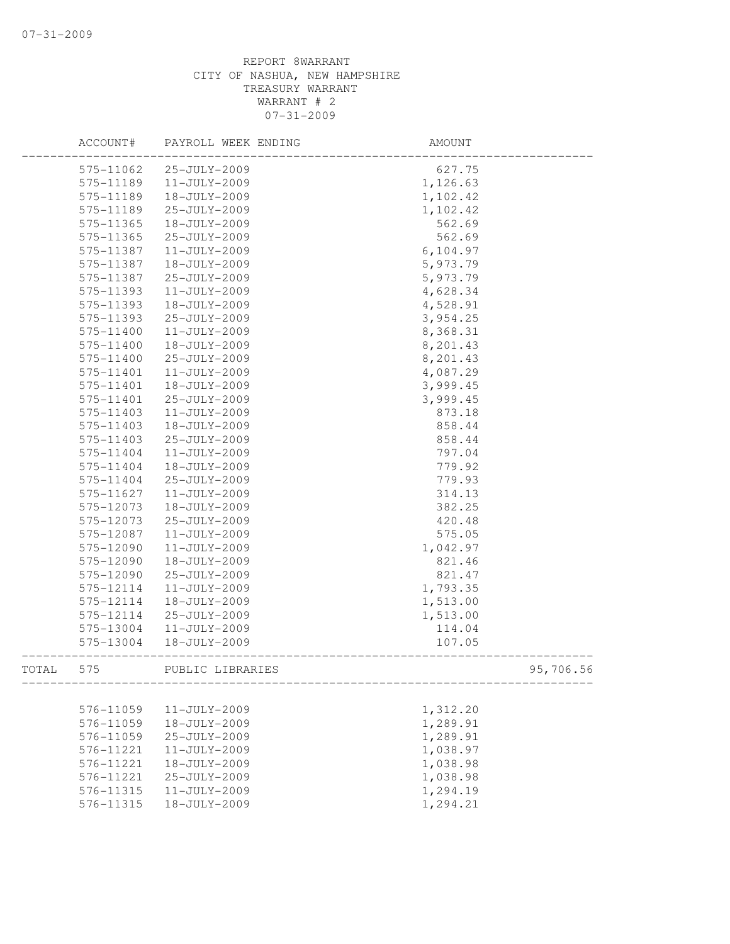|       | ACCOUNT#  | PAYROLL WEEK ENDING | AMOUNT    |           |
|-------|-----------|---------------------|-----------|-----------|
|       | 575-11062 | 25-JULY-2009        | 627.75    |           |
|       | 575-11189 | 11-JULY-2009        | 1,126.63  |           |
|       | 575-11189 | 18-JULY-2009        | 1,102.42  |           |
|       | 575-11189 | 25-JULY-2009        | 1,102.42  |           |
|       | 575-11365 | 18-JULY-2009        | 562.69    |           |
|       | 575-11365 | 25-JULY-2009        | 562.69    |           |
|       | 575-11387 | $11 - JULY - 2009$  | 6, 104.97 |           |
|       | 575-11387 | 18-JULY-2009        | 5,973.79  |           |
|       | 575-11387 | 25-JULY-2009        | 5,973.79  |           |
|       | 575-11393 | $11 - JULY - 2009$  | 4,628.34  |           |
|       | 575-11393 | 18-JULY-2009        | 4,528.91  |           |
|       | 575-11393 | 25-JULY-2009        | 3,954.25  |           |
|       | 575-11400 | 11-JULY-2009        | 8,368.31  |           |
|       | 575-11400 | 18-JULY-2009        | 8,201.43  |           |
|       | 575-11400 | 25-JULY-2009        | 8,201.43  |           |
|       | 575-11401 | $11 - JULY - 2009$  | 4,087.29  |           |
|       | 575-11401 | 18-JULY-2009        | 3,999.45  |           |
|       | 575-11401 | 25-JULY-2009        | 3,999.45  |           |
|       | 575-11403 | $11 - JULY - 2009$  | 873.18    |           |
|       | 575-11403 | 18-JULY-2009        | 858.44    |           |
|       | 575-11403 | 25-JULY-2009        | 858.44    |           |
|       | 575-11404 | 11-JULY-2009        | 797.04    |           |
|       | 575-11404 | 18-JULY-2009        | 779.92    |           |
|       | 575-11404 | 25-JULY-2009        | 779.93    |           |
|       | 575-11627 | $11 - JULY - 2009$  | 314.13    |           |
|       | 575-12073 | 18-JULY-2009        | 382.25    |           |
|       | 575-12073 | 25-JULY-2009        | 420.48    |           |
|       | 575-12087 | 11-JULY-2009        | 575.05    |           |
|       | 575-12090 | 11-JULY-2009        | 1,042.97  |           |
|       | 575-12090 | 18-JULY-2009        | 821.46    |           |
|       | 575-12090 | 25-JULY-2009        | 821.47    |           |
|       | 575-12114 | 11-JULY-2009        | 1,793.35  |           |
|       | 575-12114 | 18-JULY-2009        | 1,513.00  |           |
|       | 575-12114 | 25-JULY-2009        | 1,513.00  |           |
|       | 575-13004 | 11-JULY-2009        | 114.04    |           |
|       | 575-13004 | 18-JULY-2009        | 107.05    |           |
| TOTAL | 575       | PUBLIC LIBRARIES    |           | 95,706.56 |
|       |           |                     |           |           |
|       | 576-11059 | 11-JULY-2009        | 1,312.20  |           |
|       | 576-11059 | 18-JULY-2009        | 1,289.91  |           |
|       | 576-11059 | 25-JULY-2009        | 1,289.91  |           |
|       | 576-11221 | 11-JULY-2009        | 1,038.97  |           |
|       | 576-11221 | 18-JULY-2009        | 1,038.98  |           |
|       | 576-11221 | 25-JULY-2009        | 1,038.98  |           |
|       | 576-11315 | 11-JULY-2009        | 1,294.19  |           |
|       | 576-11315 | 18-JULY-2009        | 1,294.21  |           |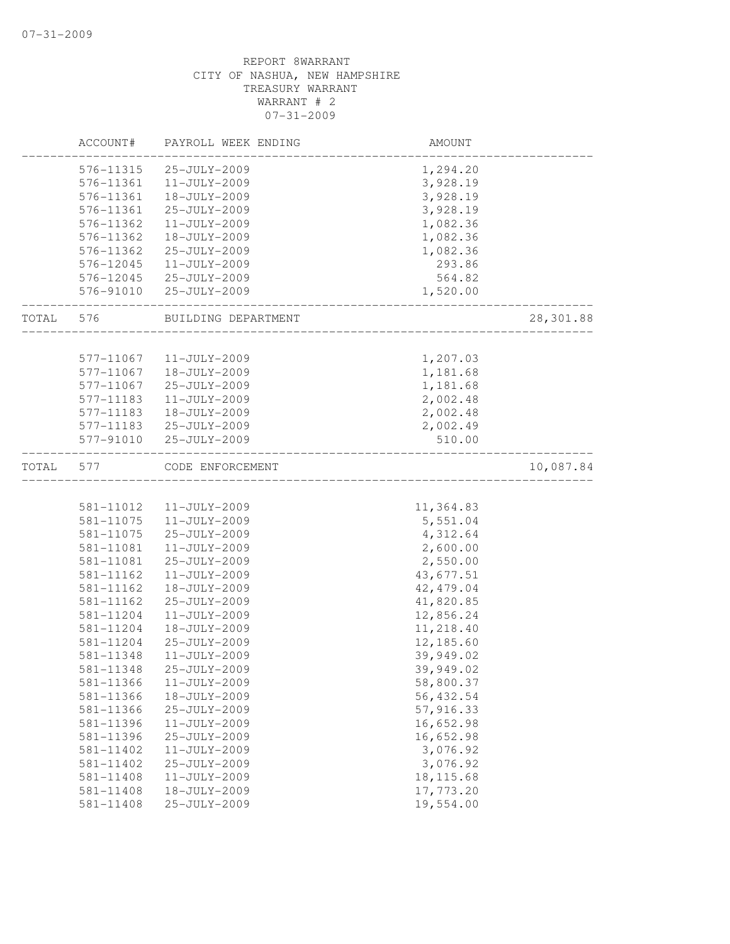|       | ACCOUNT#  | PAYROLL WEEK ENDING          | AMOUNT                   |           |
|-------|-----------|------------------------------|--------------------------|-----------|
|       | 576-11315 | 25-JULY-2009                 | 1,294.20                 |           |
|       | 576-11361 | 11-JULY-2009                 | 3,928.19                 |           |
|       | 576-11361 | 18-JULY-2009                 | 3,928.19                 |           |
|       | 576-11361 | 25-JULY-2009                 | 3,928.19                 |           |
|       | 576-11362 | 11-JULY-2009                 | 1,082.36                 |           |
|       | 576-11362 | 18-JULY-2009                 | 1,082.36                 |           |
|       | 576-11362 | 25-JULY-2009                 | 1,082.36                 |           |
|       | 576-12045 | 11-JULY-2009                 | 293.86                   |           |
|       | 576-12045 | 25-JULY-2009                 | 564.82                   |           |
|       | 576-91010 | 25-JULY-2009                 | 1,520.00                 |           |
| TOTAL | 576       | BUILDING DEPARTMENT          |                          | 28,301.88 |
|       | 577-11067 | 11-JULY-2009                 |                          |           |
|       | 577-11067 | 18-JULY-2009                 | 1,207.03<br>1,181.68     |           |
|       | 577-11067 | 25-JULY-2009                 | 1,181.68                 |           |
|       | 577-11183 | 11-JULY-2009                 | 2,002.48                 |           |
|       |           |                              |                          |           |
|       | 577-11183 | 18-JULY-2009<br>25-JULY-2009 | 2,002.48                 |           |
|       | 577-11183 |                              | 2,002.49                 |           |
|       | 577-91010 | 25-JULY-2009                 | 510.00                   |           |
| TOTAL | 577       | CODE ENFORCEMENT             | ________________________ | 10,087.84 |
|       |           |                              |                          |           |
|       | 581-11012 | 11-JULY-2009                 | 11,364.83                |           |
|       | 581-11075 | 11-JULY-2009                 | 5,551.04                 |           |
|       | 581-11075 | 25-JULY-2009                 | 4,312.64                 |           |
|       | 581-11081 | 11-JULY-2009                 | 2,600.00                 |           |
|       | 581-11081 | 25-JULY-2009                 | 2,550.00                 |           |
|       | 581-11162 | 11-JULY-2009                 | 43,677.51                |           |
|       | 581-11162 | 18-JULY-2009                 | 42, 479.04               |           |
|       | 581-11162 | 25-JULY-2009                 | 41,820.85                |           |
|       | 581-11204 | 11-JULY-2009                 | 12,856.24                |           |
|       | 581-11204 | 18-JULY-2009                 | 11,218.40                |           |
|       | 581-11204 | 25-JULY-2009                 | 12,185.60                |           |
|       | 581-11348 | 11-JULY-2009                 | 39,949.02                |           |
|       | 581-11348 | 25-JULY-2009                 | 39,949.02                |           |
|       | 581-11366 | 11-JULY-2009                 | 58,800.37                |           |
|       | 581-11366 | 18-JULY-2009                 | 56, 432.54               |           |
|       | 581-11366 | 25-JULY-2009                 | 57,916.33                |           |
|       | 581-11396 | 11-JULY-2009                 | 16,652.98                |           |
|       | 581-11396 | 25-JULY-2009                 | 16,652.98                |           |
|       | 581-11402 | 11-JULY-2009                 | 3,076.92                 |           |
|       | 581-11402 | 25-JULY-2009                 | 3,076.92                 |           |
|       | 581-11408 | $11 - JULY - 2009$           | 18, 115.68               |           |
|       | 581-11408 | 18-JULY-2009                 | 17,773.20                |           |
|       | 581-11408 | 25-JULY-2009                 | 19,554.00                |           |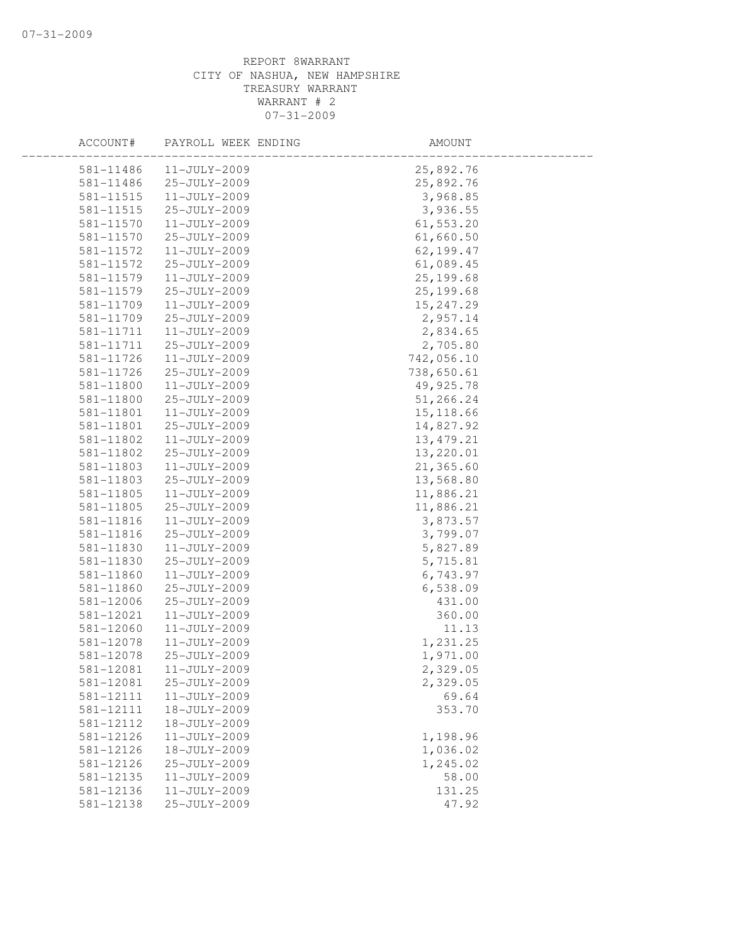| ACCOUNT#      | PAYROLL WEEK ENDING | AMOUNT     |  |
|---------------|---------------------|------------|--|
| 581-11486     | $11 - JULY - 2009$  | 25,892.76  |  |
| 581-11486     | 25-JULY-2009        | 25,892.76  |  |
| 581-11515     | 11-JULY-2009        | 3,968.85   |  |
| 581-11515     | 25-JULY-2009        | 3,936.55   |  |
| 581-11570     | 11-JULY-2009        | 61,553.20  |  |
| 581-11570     | 25-JULY-2009        | 61,660.50  |  |
| 581-11572     | 11-JULY-2009        | 62,199.47  |  |
| 581-11572     | 25-JULY-2009        | 61,089.45  |  |
| 581-11579     | 11-JULY-2009        | 25, 199.68 |  |
| 581-11579     | 25-JULY-2009        | 25, 199.68 |  |
| 581-11709     | 11-JULY-2009        | 15,247.29  |  |
| 581-11709     | 25-JULY-2009        | 2,957.14   |  |
| 581-11711     | 11-JULY-2009        | 2,834.65   |  |
| 581-11711     | 25-JULY-2009        | 2,705.80   |  |
| 581-11726     | 11-JULY-2009        | 742,056.10 |  |
| 581-11726     | 25-JULY-2009        | 738,650.61 |  |
| 581-11800     | 11-JULY-2009        | 49,925.78  |  |
| 581-11800     | 25-JULY-2009        | 51,266.24  |  |
| 581-11801     | 11-JULY-2009        | 15, 118.66 |  |
| 581-11801     | 25-JULY-2009        | 14,827.92  |  |
| 581-11802     | 11-JULY-2009        | 13, 479.21 |  |
| 581-11802     | 25-JULY-2009        | 13,220.01  |  |
| 581-11803     | 11-JULY-2009        | 21,365.60  |  |
| 581-11803     | 25-JULY-2009        | 13,568.80  |  |
| 581-11805     | 11-JULY-2009        | 11,886.21  |  |
| 581-11805     | 25-JULY-2009        | 11,886.21  |  |
| 581-11816     | 11-JULY-2009        | 3,873.57   |  |
| 581-11816     | 25-JULY-2009        | 3,799.07   |  |
| 581-11830     | 11-JULY-2009        | 5,827.89   |  |
| 581-11830     | 25-JULY-2009        | 5,715.81   |  |
| 581-11860     | 11-JULY-2009        | 6,743.97   |  |
| 581-11860     | 25-JULY-2009        | 6,538.09   |  |
| 581-12006     | 25-JULY-2009        | 431.00     |  |
| 581-12021     | 11-JULY-2009        | 360.00     |  |
| $581 - 12060$ | 11-JULY-2009        | 11.13      |  |
| 581-12078     | 11-JULY-2009        | 1,231.25   |  |
| 581-12078     | 25-JULY-2009        | 1,971.00   |  |
| 581-12081     | $11 - JULY - 2009$  | 2,329.05   |  |
| 581-12081     | 25-JULY-2009        | 2,329.05   |  |
| 581-12111     | 11-JULY-2009        | 69.64      |  |
| 581-12111     | 18-JULY-2009        | 353.70     |  |
| 581-12112     | 18-JULY-2009        |            |  |
| 581-12126     | 11-JULY-2009        | 1,198.96   |  |
| 581-12126     | 18-JULY-2009        | 1,036.02   |  |
| 581-12126     | 25-JULY-2009        | 1,245.02   |  |
| 581-12135     | 11-JULY-2009        | 58.00      |  |
| 581-12136     | 11-JULY-2009        | 131.25     |  |
| 581-12138     | 25-JULY-2009        | 47.92      |  |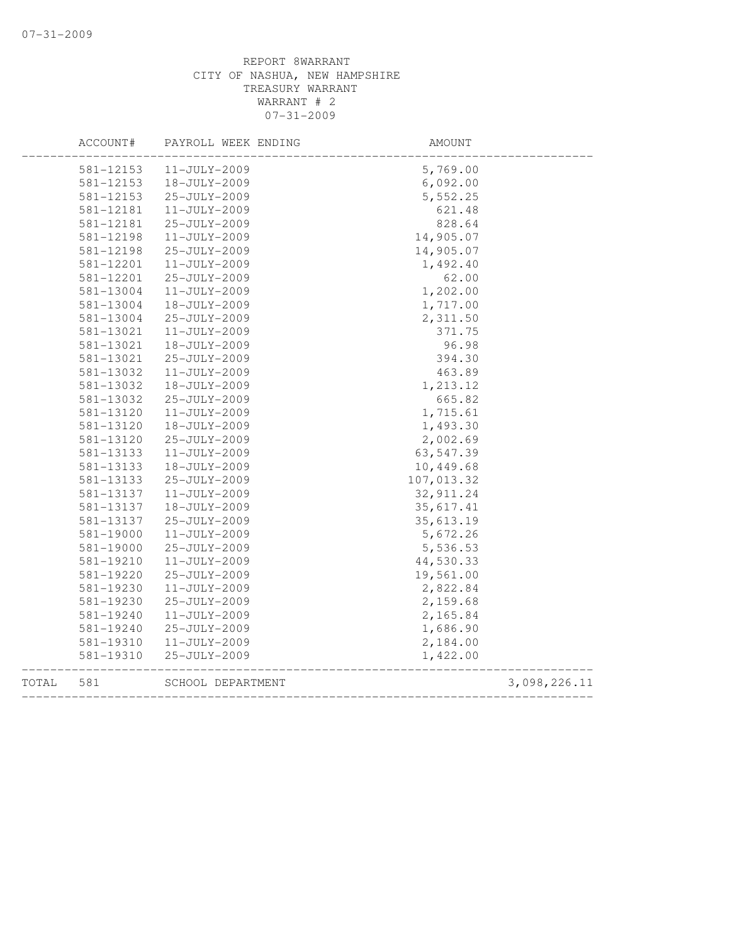|       | ACCOUNT#  | PAYROLL WEEK ENDING | AMOUNT               |              |
|-------|-----------|---------------------|----------------------|--------------|
|       | 581-12153 | $11 - JULY - 2009$  | 5,769.00             |              |
|       | 581-12153 | 18-JULY-2009        | 6,092.00             |              |
|       | 581-12153 | 25-JULY-2009        | 5,552.25             |              |
|       | 581-12181 | 11-JULY-2009        | 621.48               |              |
|       | 581-12181 | 25-JULY-2009        | 828.64               |              |
|       | 581-12198 | 11-JULY-2009        | 14,905.07            |              |
|       | 581-12198 | 25-JULY-2009        | 14,905.07            |              |
|       | 581-12201 | 11-JULY-2009        | 1,492.40             |              |
|       | 581-12201 | 25-JULY-2009        | 62.00                |              |
|       | 581-13004 | $11 - JULY - 2009$  | 1,202.00             |              |
|       | 581-13004 | 18-JULY-2009        | 1,717.00             |              |
|       | 581-13004 | 25-JULY-2009        | 2,311.50             |              |
|       | 581-13021 | 11-JULY-2009        | 371.75               |              |
|       | 581-13021 | 18-JULY-2009        | 96.98                |              |
|       | 581-13021 | 25-JULY-2009        | 394.30               |              |
|       | 581-13032 | $11 - JULY - 2009$  | 463.89               |              |
|       | 581-13032 | 18-JULY-2009        | 1,213.12             |              |
|       | 581-13032 | 25-JULY-2009        | 665.82               |              |
|       | 581-13120 | $11 - JULY - 2009$  | 1,715.61             |              |
|       | 581-13120 | 18-JULY-2009        | 1,493.30             |              |
|       | 581-13120 | 25-JULY-2009        | 2,002.69             |              |
|       | 581-13133 | 11-JULY-2009        | 63,547.39            |              |
|       | 581-13133 | 18-JULY-2009        | 10,449.68            |              |
|       | 581-13133 | 25-JULY-2009        | 107,013.32           |              |
|       | 581-13137 | 11-JULY-2009        | 32, 911.24           |              |
|       | 581-13137 | 18-JULY-2009        | 35,617.41            |              |
|       | 581-13137 | 25-JULY-2009        | 35,613.19            |              |
|       | 581-19000 | $11 - JULY - 2009$  | 5,672.26             |              |
|       | 581-19000 | 25-JULY-2009        | 5,536.53             |              |
|       | 581-19210 | 11-JULY-2009        | 44,530.33            |              |
|       | 581-19220 | 25-JULY-2009        | 19,561.00            |              |
|       | 581-19230 | 11-JULY-2009        | 2,822.84             |              |
|       | 581-19230 | 25-JULY-2009        | 2,159.68             |              |
|       | 581-19240 | $11 - JULY - 2009$  | 2,165.84             |              |
|       | 581-19240 | 25-JULY-2009        | 1,686.90             |              |
|       | 581-19310 | 11-JULY-2009        | 2,184.00             |              |
|       | 581-19310 | 25-JULY-2009        | 1,422.00             |              |
| TOTAL | 581       | SCHOOL DEPARTMENT   | ____________________ | 3,098,226.11 |
|       |           |                     |                      |              |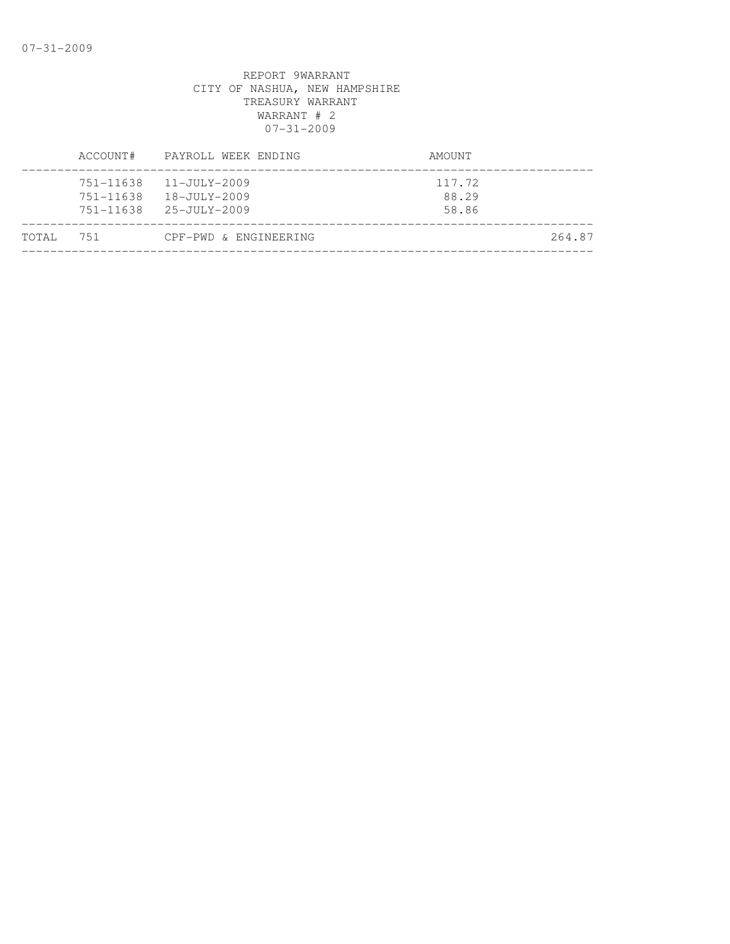|       | ACCOUNT# | PAYROLL WEEK ENDING                                                                            | AMOUNT                   |
|-------|----------|------------------------------------------------------------------------------------------------|--------------------------|
|       |          | $751 - 11638$ $11 - JULY - 2009$<br>751-11638 18-JULY-2009<br>$751 - 11638$ $25 - JULY - 2009$ | 117.72<br>88.29<br>58.86 |
| TOTAL | 751      | CPF-PWD & ENGINEERING                                                                          | 264.87                   |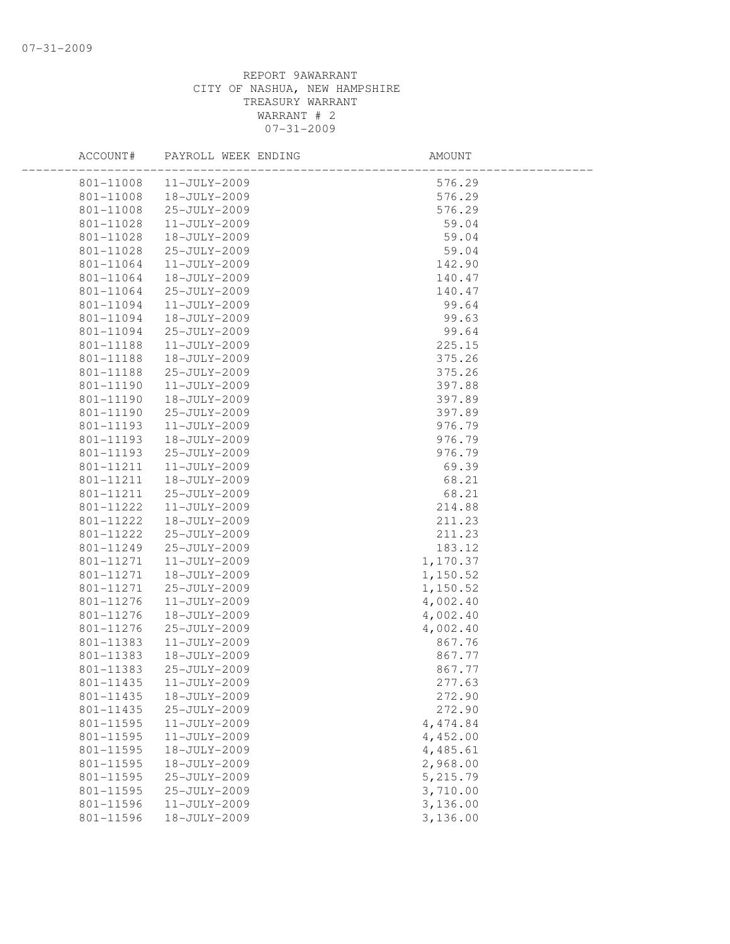| ACCOUNT#  | PAYROLL WEEK ENDING | AMOUNT   |  |
|-----------|---------------------|----------|--|
| 801-11008 | 11-JULY-2009        | 576.29   |  |
| 801-11008 | 18-JULY-2009        | 576.29   |  |
| 801-11008 | 25-JULY-2009        | 576.29   |  |
| 801-11028 | 11-JULY-2009        | 59.04    |  |
| 801-11028 | 18-JULY-2009        | 59.04    |  |
| 801-11028 | 25-JULY-2009        | 59.04    |  |
| 801-11064 | 11-JULY-2009        | 142.90   |  |
| 801-11064 | 18-JULY-2009        | 140.47   |  |
| 801-11064 | 25-JULY-2009        | 140.47   |  |
| 801-11094 | 11-JULY-2009        | 99.64    |  |
| 801-11094 | 18-JULY-2009        | 99.63    |  |
| 801-11094 | 25-JULY-2009        | 99.64    |  |
| 801-11188 | 11-JULY-2009        | 225.15   |  |
| 801-11188 | 18-JULY-2009        | 375.26   |  |
| 801-11188 | 25-JULY-2009        | 375.26   |  |
| 801-11190 | $11 - JULY - 2009$  | 397.88   |  |
| 801-11190 | 18-JULY-2009        | 397.89   |  |
| 801-11190 | 25-JULY-2009        | 397.89   |  |
| 801-11193 | 11-JULY-2009        | 976.79   |  |
| 801-11193 | 18-JULY-2009        | 976.79   |  |
| 801-11193 | 25-JULY-2009        | 976.79   |  |
| 801-11211 | 11-JULY-2009        | 69.39    |  |
| 801-11211 | 18-JULY-2009        | 68.21    |  |
| 801-11211 | 25-JULY-2009        | 68.21    |  |
| 801-11222 | $11 - JULY - 2009$  | 214.88   |  |
| 801-11222 | 18-JULY-2009        | 211.23   |  |
| 801-11222 | 25-JULY-2009        | 211.23   |  |
| 801-11249 | 25-JULY-2009        | 183.12   |  |
| 801-11271 | 11-JULY-2009        | 1,170.37 |  |
| 801-11271 | 18-JULY-2009        | 1,150.52 |  |
| 801-11271 | 25-JULY-2009        | 1,150.52 |  |
| 801-11276 | $11 - JULY - 2009$  | 4,002.40 |  |
| 801-11276 | 18-JULY-2009        | 4,002.40 |  |
| 801-11276 | 25-JULY-2009        | 4,002.40 |  |
| 801-11383 | $11 - JULY - 2009$  | 867.76   |  |
| 801-11383 | 18-JULY-2009        | 867.77   |  |
| 801-11383 | 25-JULY-2009        | 867.77   |  |
| 801-11435 | 11-JULY-2009        | 277.63   |  |
| 801-11435 | 18-JULY-2009        | 272.90   |  |
| 801-11435 | 25-JULY-2009        | 272.90   |  |
| 801-11595 | 11-JULY-2009        | 4,474.84 |  |
| 801-11595 | 11-JULY-2009        | 4,452.00 |  |
| 801-11595 | 18-JULY-2009        | 4,485.61 |  |
| 801-11595 | 18-JULY-2009        | 2,968.00 |  |
| 801-11595 | 25-JULY-2009        | 5,215.79 |  |
| 801-11595 | 25-JULY-2009        | 3,710.00 |  |
| 801-11596 | 11-JULY-2009        | 3,136.00 |  |
| 801-11596 | 18-JULY-2009        | 3,136.00 |  |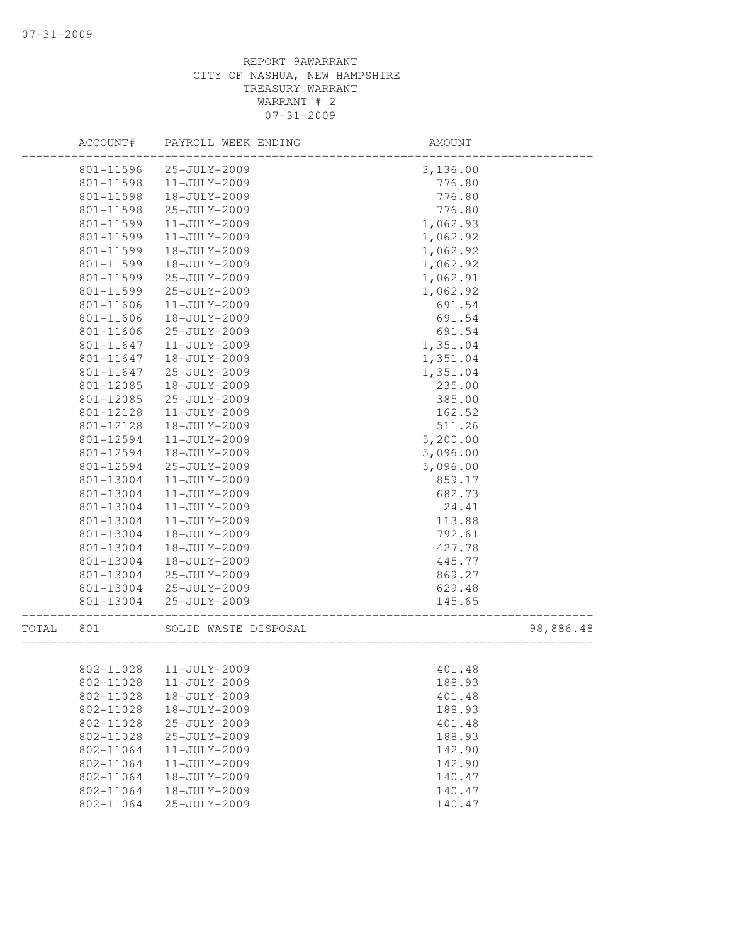|       | ACCOUNT#               | PAYROLL WEEK ENDING          | AMOUNT                          |           |
|-------|------------------------|------------------------------|---------------------------------|-----------|
|       | 801-11596              | 25-JULY-2009                 | 3,136.00                        |           |
|       | 801-11598              | 11-JULY-2009                 | 776.80                          |           |
|       | 801-11598              | 18-JULY-2009                 | 776.80                          |           |
|       | 801-11598              | 25-JULY-2009                 | 776.80                          |           |
|       | 801-11599              | 11-JULY-2009                 | 1,062.93                        |           |
|       | 801-11599              | 11-JULY-2009                 | 1,062.92                        |           |
|       | 801-11599              | 18-JULY-2009                 | 1,062.92                        |           |
|       | 801-11599              | 18-JULY-2009                 | 1,062.92                        |           |
|       | 801-11599              | 25-JULY-2009                 | 1,062.91                        |           |
|       | 801-11599              | 25-JULY-2009                 | 1,062.92                        |           |
|       | 801-11606              | $11 - JULY - 2009$           | 691.54                          |           |
|       | 801-11606              | 18-JULY-2009                 | 691.54                          |           |
|       | 801-11606              | 25-JULY-2009                 | 691.54                          |           |
|       | 801-11647              | 11-JULY-2009                 | 1,351.04                        |           |
|       | 801-11647              | 18-JULY-2009                 | 1,351.04                        |           |
|       | 801-11647              | 25-JULY-2009                 | 1,351.04                        |           |
|       | 801-12085              | 18-JULY-2009                 | 235.00                          |           |
|       | 801-12085              | 25-JULY-2009                 | 385.00                          |           |
|       | 801-12128              | 11-JULY-2009                 | 162.52                          |           |
|       | 801-12128              | 18-JULY-2009                 | 511.26                          |           |
|       | 801-12594              | 11-JULY-2009                 | 5,200.00                        |           |
|       | 801-12594              | 18-JULY-2009                 | 5,096.00                        |           |
|       | 801-12594              | 25-JULY-2009                 | 5,096.00                        |           |
|       | 801-13004              | 11-JULY-2009                 | 859.17                          |           |
|       | 801-13004              | 11-JULY-2009                 | 682.73                          |           |
|       | 801-13004              | 11-JULY-2009                 | 24.41                           |           |
|       | 801-13004              | 11-JULY-2009                 | 113.88                          |           |
|       | 801-13004              | 18-JULY-2009                 | 792.61                          |           |
|       | 801-13004              | 18-JULY-2009                 | 427.78                          |           |
|       | 801-13004              | 18-JULY-2009                 | 445.77                          |           |
|       | 801-13004              | 25-JULY-2009                 | 869.27                          |           |
|       | 801-13004              | 25-JULY-2009                 | 629.48                          |           |
|       | 801-13004              | 25-JULY-2009                 | 145.65<br>_____________________ |           |
| TOTAL | 801                    | SOLID WASTE DISPOSAL         |                                 | 98,886.48 |
|       |                        |                              |                                 |           |
|       |                        | 802-11028 11-JULY-2009       | 401.48                          |           |
|       | 802-11028              | 11-JULY-2009                 | 188.93                          |           |
|       | 802-11028<br>802-11028 | 18-JULY-2009<br>18-JULY-2009 | 401.48                          |           |
|       |                        |                              | 188.93                          |           |
|       | 802-11028              | 25-JULY-2009                 | 401.48                          |           |
|       | 802-11028              | 25-JULY-2009                 | 188.93                          |           |
|       | 802-11064              | 11-JULY-2009                 | 142.90                          |           |
|       | 802-11064              | 11-JULY-2009                 | 142.90                          |           |
|       | 802-11064              | 18-JULY-2009                 | 140.47                          |           |
|       | 802-11064<br>802-11064 | 18-JULY-2009                 | 140.47                          |           |
|       |                        | 25-JULY-2009                 | 140.47                          |           |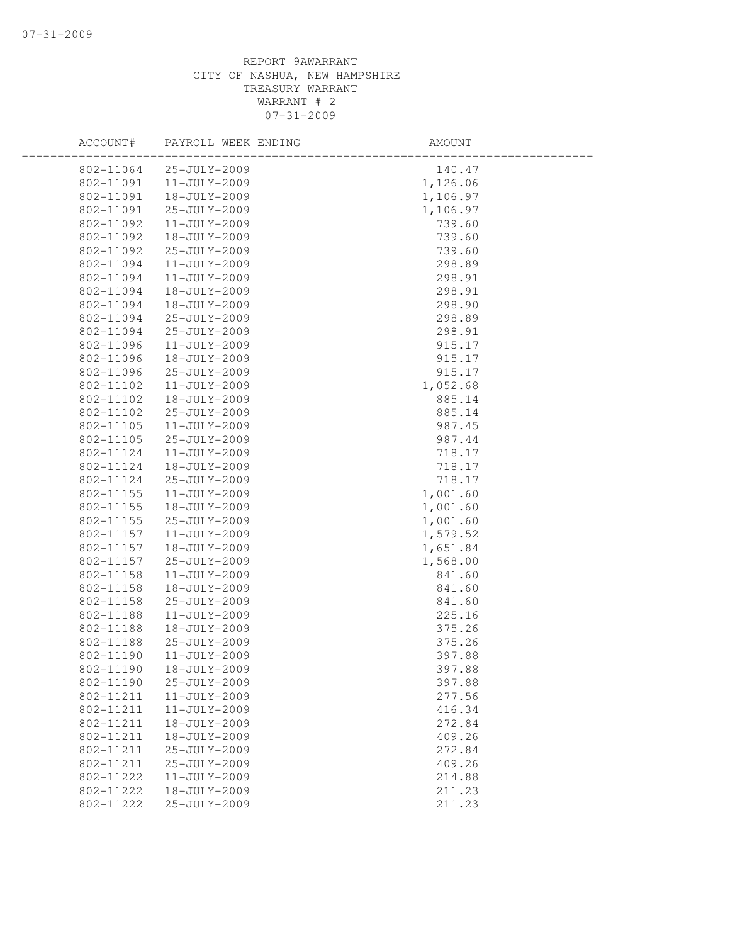| ACCOUNT#  | PAYROLL WEEK ENDING | AMOUNT   |  |
|-----------|---------------------|----------|--|
| 802-11064 | 25-JULY-2009        | 140.47   |  |
| 802-11091 | $11 - JULY - 2009$  | 1,126.06 |  |
| 802-11091 | 18-JULY-2009        | 1,106.97 |  |
| 802-11091 | 25-JULY-2009        | 1,106.97 |  |
| 802-11092 | 11-JULY-2009        | 739.60   |  |
| 802-11092 | 18-JULY-2009        | 739.60   |  |
| 802-11092 | 25-JULY-2009        | 739.60   |  |
| 802-11094 | $11 - JULY - 2009$  | 298.89   |  |
| 802-11094 | 11-JULY-2009        | 298.91   |  |
| 802-11094 | 18-JULY-2009        | 298.91   |  |
| 802-11094 | 18-JULY-2009        | 298.90   |  |
| 802-11094 | 25-JULY-2009        | 298.89   |  |
| 802-11094 | 25-JULY-2009        | 298.91   |  |
| 802-11096 | 11-JULY-2009        | 915.17   |  |
| 802-11096 | 18-JULY-2009        | 915.17   |  |
| 802-11096 | 25-JULY-2009        | 915.17   |  |
| 802-11102 | $11 - JULY - 2009$  | 1,052.68 |  |
| 802-11102 | 18-JULY-2009        | 885.14   |  |
| 802-11102 | 25-JULY-2009        | 885.14   |  |
| 802-11105 | 11-JULY-2009        | 987.45   |  |
| 802-11105 | 25-JULY-2009        | 987.44   |  |
| 802-11124 | $11 - JULY - 2009$  | 718.17   |  |
| 802-11124 | 18-JULY-2009        | 718.17   |  |
| 802-11124 | 25-JULY-2009        | 718.17   |  |
| 802-11155 | 11-JULY-2009        | 1,001.60 |  |
| 802-11155 | 18-JULY-2009        | 1,001.60 |  |
| 802-11155 | 25-JULY-2009        | 1,001.60 |  |
| 802-11157 | 11-JULY-2009        | 1,579.52 |  |
| 802-11157 | 18-JULY-2009        | 1,651.84 |  |
| 802-11157 | 25-JULY-2009        | 1,568.00 |  |
| 802-11158 | 11-JULY-2009        | 841.60   |  |
| 802-11158 | 18-JULY-2009        | 841.60   |  |
| 802-11158 | 25-JULY-2009        | 841.60   |  |
| 802-11188 | 11-JULY-2009        | 225.16   |  |
| 802-11188 | 18-JULY-2009        | 375.26   |  |
| 802-11188 | 25-JULY-2009        | 375.26   |  |
| 802-11190 | $11 - JULY - 2009$  | 397.88   |  |
| 802-11190 | 18-JULY-2009        | 397.88   |  |
| 802-11190 | 25-JULY-2009        | 397.88   |  |
| 802-11211 | 11-JULY-2009        | 277.56   |  |
| 802-11211 | 11-JULY-2009        | 416.34   |  |
| 802-11211 | 18-JULY-2009        | 272.84   |  |
| 802-11211 | 18-JULY-2009        | 409.26   |  |
| 802-11211 | 25-JULY-2009        | 272.84   |  |
| 802-11211 | 25-JULY-2009        | 409.26   |  |
| 802-11222 | 11-JULY-2009        | 214.88   |  |
| 802-11222 | 18-JULY-2009        | 211.23   |  |
| 802-11222 | 25-JULY-2009        | 211.23   |  |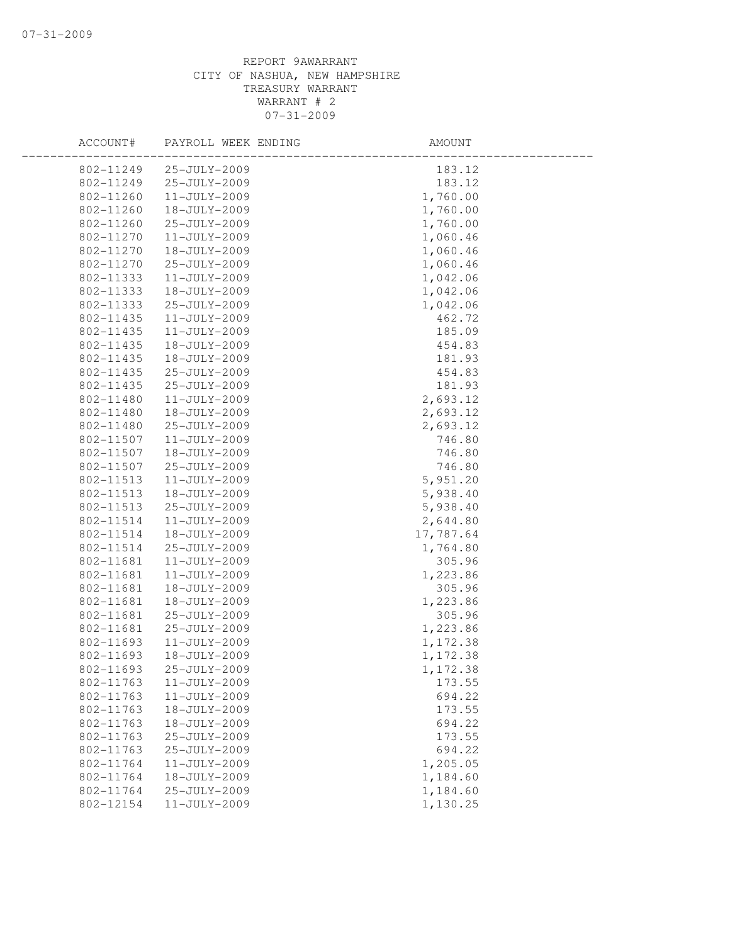| ACCOUNT#  | PAYROLL WEEK ENDING | AMOUNT    |  |
|-----------|---------------------|-----------|--|
| 802-11249 | 25-JULY-2009        | 183.12    |  |
| 802-11249 | 25-JULY-2009        | 183.12    |  |
| 802-11260 | 11-JULY-2009        | 1,760.00  |  |
| 802-11260 | 18-JULY-2009        | 1,760.00  |  |
| 802-11260 | 25-JULY-2009        | 1,760.00  |  |
| 802-11270 | $11 - JULY - 2009$  | 1,060.46  |  |
| 802-11270 | 18-JULY-2009        | 1,060.46  |  |
| 802-11270 | 25-JULY-2009        | 1,060.46  |  |
| 802-11333 | 11-JULY-2009        | 1,042.06  |  |
| 802-11333 | 18-JULY-2009        | 1,042.06  |  |
| 802-11333 | 25-JULY-2009        | 1,042.06  |  |
| 802-11435 | 11-JULY-2009        | 462.72    |  |
| 802-11435 | 11-JULY-2009        | 185.09    |  |
| 802-11435 | 18-JULY-2009        | 454.83    |  |
| 802-11435 | 18-JULY-2009        | 181.93    |  |
| 802-11435 | 25-JULY-2009        | 454.83    |  |
| 802-11435 | 25-JULY-2009        | 181.93    |  |
| 802-11480 | $11 - JULY - 2009$  | 2,693.12  |  |
| 802-11480 | 18-JULY-2009        | 2,693.12  |  |
| 802-11480 | 25-JULY-2009        | 2,693.12  |  |
| 802-11507 | $11 - JULY - 2009$  | 746.80    |  |
| 802-11507 | 18-JULY-2009        | 746.80    |  |
| 802-11507 | 25-JULY-2009        | 746.80    |  |
| 802-11513 | 11-JULY-2009        | 5,951.20  |  |
| 802-11513 | 18-JULY-2009        | 5,938.40  |  |
| 802-11513 | 25-JULY-2009        | 5,938.40  |  |
| 802-11514 | 11-JULY-2009        | 2,644.80  |  |
| 802-11514 | 18-JULY-2009        | 17,787.64 |  |
| 802-11514 | 25-JULY-2009        | 1,764.80  |  |
| 802-11681 | $11 - JULY - 2009$  | 305.96    |  |
| 802-11681 | 11-JULY-2009        | 1,223.86  |  |
| 802-11681 | 18-JULY-2009        | 305.96    |  |
| 802-11681 | 18-JULY-2009        | 1,223.86  |  |
| 802-11681 | 25-JULY-2009        | 305.96    |  |
| 802-11681 | 25-JULY-2009        | 1,223.86  |  |
| 802-11693 | $11 - JULY - 2009$  | 1,172.38  |  |
| 802-11693 | 18-JULY-2009        | 1,172.38  |  |
| 802-11693 | 25-JULY-2009        | 1,172.38  |  |
| 802-11763 | 11-JULY-2009        | 173.55    |  |
| 802-11763 | 11-JULY-2009        | 694.22    |  |
| 802-11763 | 18-JULY-2009        | 173.55    |  |
| 802-11763 | 18-JULY-2009        | 694.22    |  |
| 802-11763 | 25-JULY-2009        | 173.55    |  |
| 802-11763 | 25-JULY-2009        | 694.22    |  |
| 802-11764 | $11 - JULY - 2009$  | 1,205.05  |  |
| 802-11764 | 18-JULY-2009        | 1,184.60  |  |
| 802-11764 | 25-JULY-2009        | 1,184.60  |  |
| 802-12154 | $11 - JULY - 2009$  | 1,130.25  |  |
|           |                     |           |  |